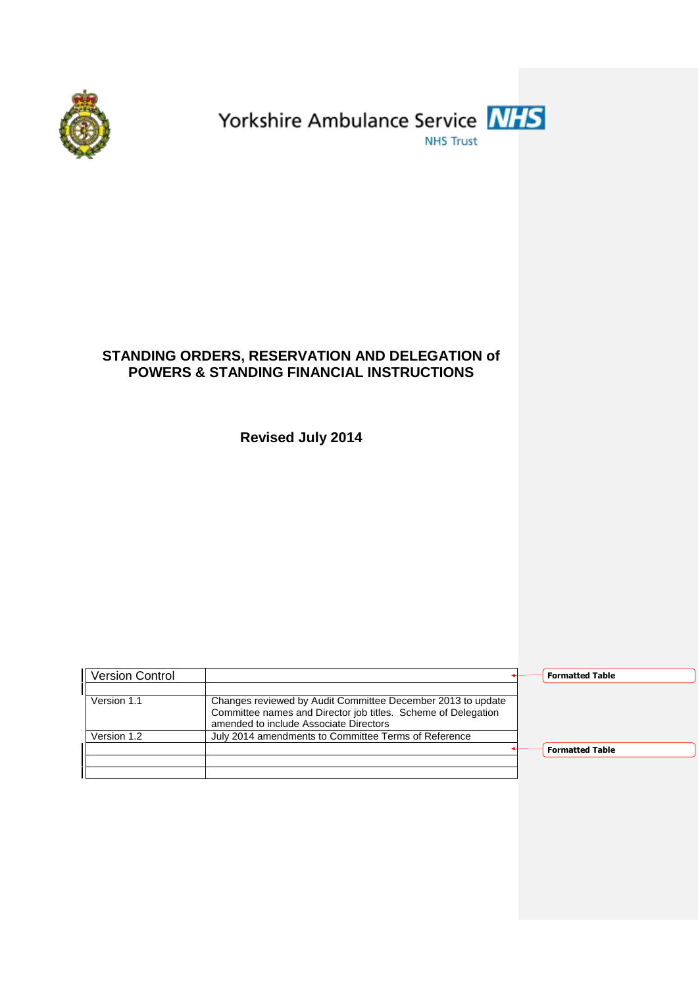



# **STANDING ORDERS, RESERVATION AND DELEGATION of POWERS & STANDING FINANCIAL INSTRUCTIONS**

**Revised July 2014**

| <b>Version Control</b> |                                                                                                                              | <b>Formatted Table</b> |
|------------------------|------------------------------------------------------------------------------------------------------------------------------|------------------------|
| Version 1.1            | Changes reviewed by Audit Committee December 2013 to update<br>Committee names and Director job titles. Scheme of Delegation |                        |
| Version 1.2            | amended to include Associate Directors<br>July 2014 amendments to Committee Terms of Reference                               |                        |
|                        |                                                                                                                              | <b>Formatted Table</b> |
|                        |                                                                                                                              |                        |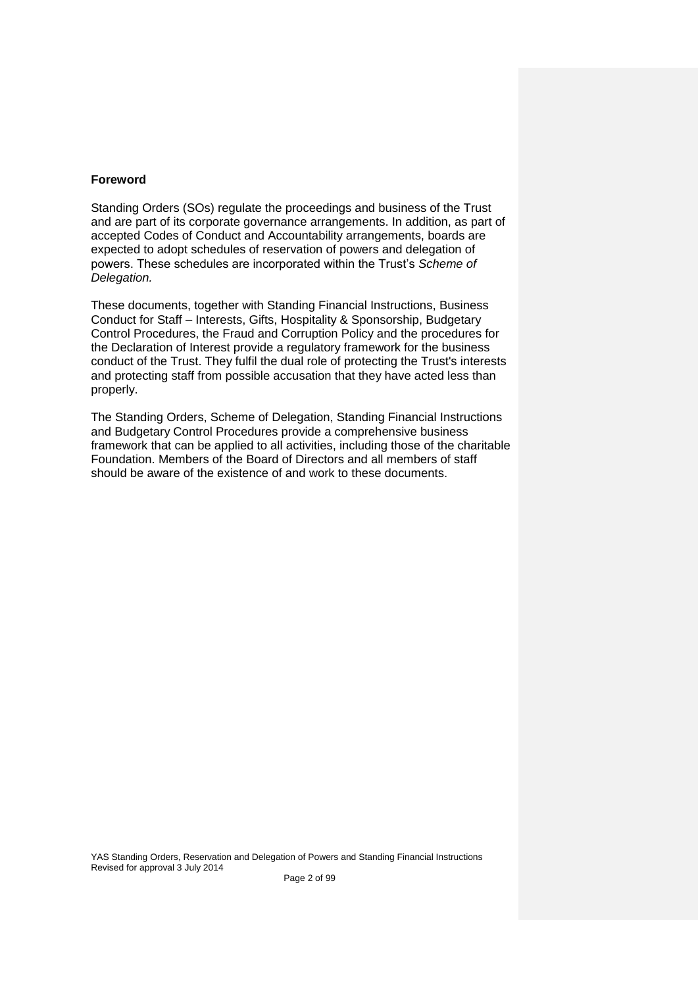# **Foreword**

Standing Orders (SOs) regulate the proceedings and business of the Trust and are part of its corporate governance arrangements. In addition, as part of accepted Codes of Conduct and Accountability arrangements, boards are expected to adopt schedules of reservation of powers and delegation of powers. These schedules are incorporated within the Trust's *Scheme of Delegation.*

These documents, together with Standing Financial Instructions, Business Conduct for Staff – Interests, Gifts, Hospitality & Sponsorship, Budgetary Control Procedures, the Fraud and Corruption Policy and the procedures for the Declaration of Interest provide a regulatory framework for the business conduct of the Trust. They fulfil the dual role of protecting the Trust's interests and protecting staff from possible accusation that they have acted less than properly.

The Standing Orders, Scheme of Delegation, Standing Financial Instructions and Budgetary Control Procedures provide a comprehensive business framework that can be applied to all activities, including those of the charitable Foundation. Members of the Board of Directors and all members of staff should be aware of the existence of and work to these documents.

YAS Standing Orders, Reservation and Delegation of Powers and Standing Financial Instructions Revised for approval 3 July 2014 Page 2 of 99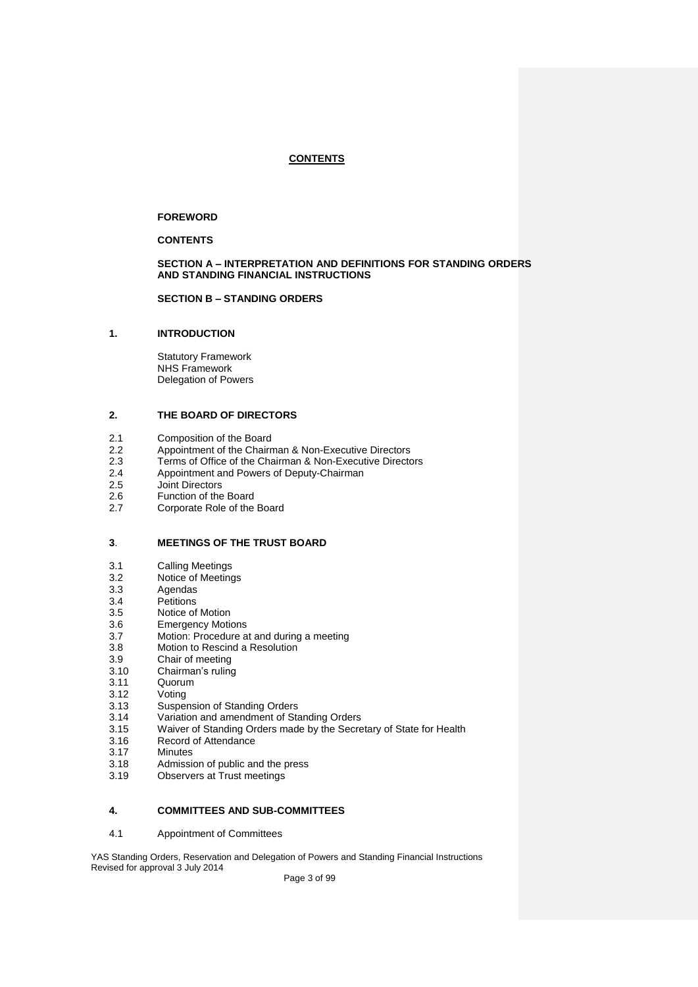# **CONTENTS**

# **FOREWORD**

# **CONTENTS**

## **SECTION A – INTERPRETATION AND DEFINITIONS FOR STANDING ORDERS AND STANDING FINANCIAL INSTRUCTIONS**

#### **SECTION B – STANDING ORDERS**

# **1. INTRODUCTION**

Statutory Framework NHS Framework Delegation of Powers

#### **2. THE BOARD OF DIRECTORS**

- 2.1 Composition of the Board
- 2.2 Appointment of the Chairman & Non-Executive Directors
- 2.3 Terms of Office of the Chairman & Non-Executive Directors
- 2.4 Appointment and Powers of Deputy-Chairman
- 2.5 Joint Directors
- $2.6$ <br> $2.7$ Function of the Board
- Corporate Role of the Board

#### **3**. **MEETINGS OF THE TRUST BOARD**

- 3.1 Calling Meetings
- 3.2 Notice of Meetings
- 3.3 Agendas
- 3.4 **Petitions**
- 3.5 Notice of Motion
- 3.6 Emergency Motions
- 3.7 Motion: Procedure at and during a meeting
- 3.8 Motion to Rescind a Resolution
- 3.9 Chair of meeting
- 3.10 Chairman's ruling
- 3.11 Quorum
- 3.12 Voting
- 3.13 Suspension of Standing Orders
- 3.14 Variation and amendment of Standing Orders
- 3.15 Waiver of Standing Orders made by the Secretary of State for Health
- 3.16 Record of Attendance
- 3.17 Minutes
- 3.18 Admission of public and the press
- 3.19 Observers at Trust meetings

#### **4. COMMITTEES AND SUB-COMMITTEES**

4.1 Appointment of Committees

YAS Standing Orders, Reservation and Delegation of Powers and Standing Financial Instructions Revised for approval 3 July 2014

Page 3 of 99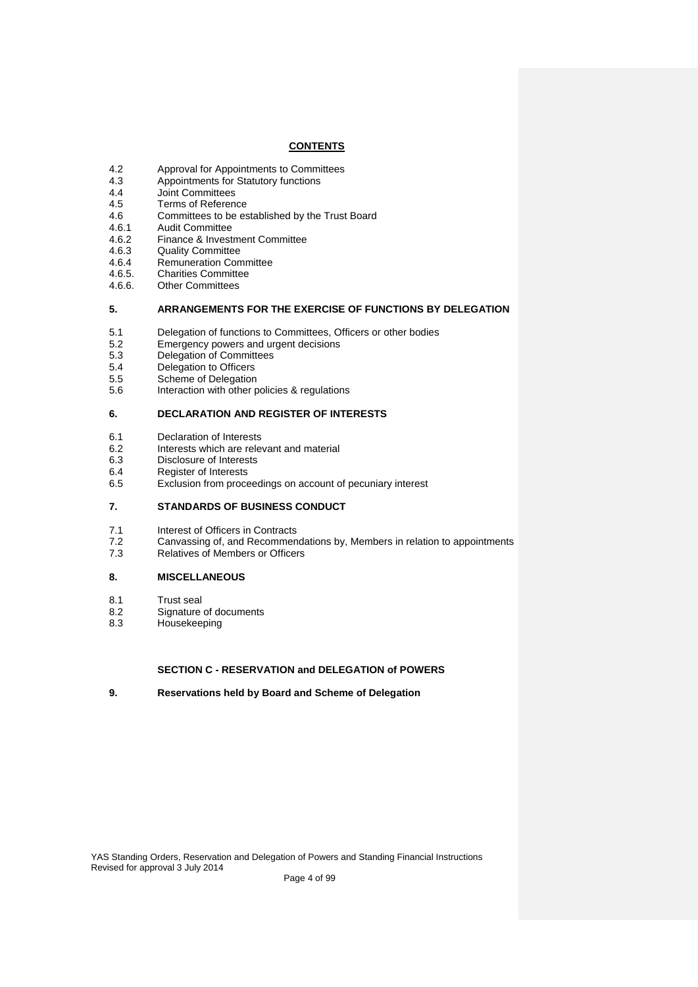# **CONTENTS**

- 4.2 Approval for Appointments to Committees
- 4.3 Appointments for Statutory functions
- 4.4 Joint Committees
- 4.5 4.6 Terms of Reference Committees to be established by the Trust Board
- 4.6.1 Audit Committee
- 4.6.2 Finance & Investment Committee
- 4.6.3 Quality Committee
- 4.6.4 Remuneration Committee
- 4.6.5. Charities Committee
- 4.6.6. Other Committees

#### **5. ARRANGEMENTS FOR THE EXERCISE OF FUNCTIONS BY DELEGATION**

- 5.1 Delegation of functions to Committees, Officers or other bodies
- 5.2 Emergency powers and urgent decisions
- 5.3 Delegation of Committees
- 5.4 Delegation to Officers
- 5.5 Scheme of Delegation
- 5.6 Interaction with other policies & regulations

#### **6. DECLARATION AND REGISTER OF INTERESTS**

- 6.1 Declaration of Interests
- 6.2 Interests which are relevant and material
- 6.3 Disclosure of Interests
- 6.4 Register of Interests
- 6.5 Exclusion from proceedings on account of pecuniary interest

# **7. STANDARDS OF BUSINESS CONDUCT**

- 7.1 Interest of Officers in Contracts
- 7.2 Canvassing of, and Recommendations by, Members in relation to appointments
- 7.3 Relatives of Members or Officers

# **8. MISCELLANEOUS**

- 8.1 Trust seal
- 8.2 Signature of documents
- 8.3 Housekeeping

# **SECTION C - RESERVATION and DELEGATION of POWERS**

**9. Reservations held by Board and Scheme of Delegation**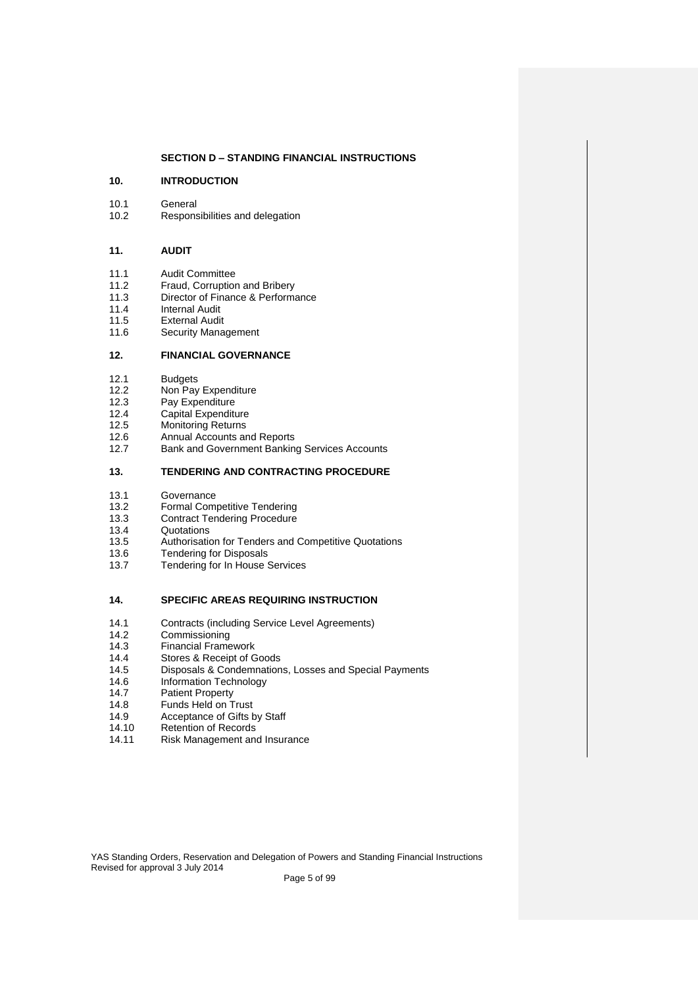## **SECTION D – STANDING FINANCIAL INSTRUCTIONS**

#### **10. INTRODUCTION**

- 10.1 General
- 10.2 Responsibilities and delegation

## **11. AUDIT**

- 11.1 Audit Committee
- 11.2 Fraud, Corruption and Bribery
- 11.3 Director of Finance & Performance
- 11.4 Internal Audit
- 11.5 External Audit
- 11.6 Security Management

#### **12. FINANCIAL GOVERNANCE**

- 12.1 Budgets
- 12.2 Non Pay Expenditure
- 12.3 Pay Expenditure
- 12.4 Capital Expenditure
- 12.5 Monitoring Returns
- 12.6 Annual Accounts and Reports
- 12.7 Bank and Government Banking Services Accounts

#### **13. TENDERING AND CONTRACTING PROCEDURE**

- 13.1 Governance
- 13.2 Formal Competitive Tendering
- 13.3 Contract Tendering Procedure
- 13.4 **Quotations**
- 13.5 Authorisation for Tenders and Competitive Quotations
- 13.6 Tendering for Disposals
- 13.7 Tendering for In House Services

#### **14. SPECIFIC AREAS REQUIRING INSTRUCTION**

- 14.1 Contracts (including Service Level Agreements)
- 14.2 Commissioning
- 14.3 Financial Framework
- 14.4 Stores & Receipt of Goods
- 14.5 Disposals & Condemnations, Losses and Special Payments
- 14.6 Information Technology
- 14.7 Patient Property
- 14.8 Funds Held on Trust
- 14.9 Acceptance of Gifts by Staff
- 14.10 Retention of Records
- 14.11 Risk Management and Insurance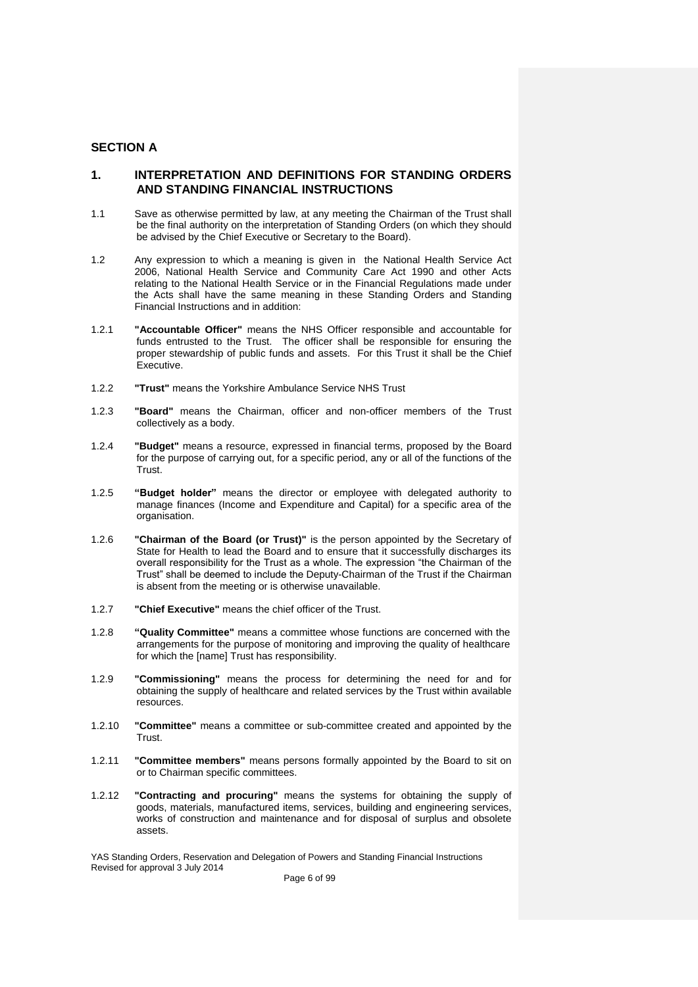# **SECTION A**

# **1. INTERPRETATION AND DEFINITIONS FOR STANDING ORDERS AND STANDING FINANCIAL INSTRUCTIONS**

- 1.1 Save as otherwise permitted by law, at any meeting the Chairman of the Trust shall be the final authority on the interpretation of Standing Orders (on which they should be advised by the Chief Executive or Secretary to the Board).
- 1.2 Any expression to which a meaning is given in the National Health Service Act 2006, National Health Service and Community Care Act 1990 and other Acts relating to the National Health Service or in the Financial Regulations made under the Acts shall have the same meaning in these Standing Orders and Standing Financial Instructions and in addition:
- 1.2.1 **"Accountable Officer"** means the NHS Officer responsible and accountable for funds entrusted to the Trust. The officer shall be responsible for ensuring the proper stewardship of public funds and assets. For this Trust it shall be the Chief Executive.
- 1.2.2 **"Trust"** means the Yorkshire Ambulance Service NHS Trust
- 1.2.3 **"Board"** means the Chairman, officer and non-officer members of the Trust collectively as a body.
- 1.2.4 **"Budget"** means a resource, expressed in financial terms, proposed by the Board for the purpose of carrying out, for a specific period, any or all of the functions of the Trust.
- 1.2.5 **"Budget holder"** means the director or employee with delegated authority to manage finances (Income and Expenditure and Capital) for a specific area of the organisation.
- 1.2.6 **"Chairman of the Board (or Trust)"** is the person appointed by the Secretary of State for Health to lead the Board and to ensure that it successfully discharges its overall responsibility for the Trust as a whole. The expression "the Chairman of the Trust" shall be deemed to include the Deputy-Chairman of the Trust if the Chairman is absent from the meeting or is otherwise unavailable.
- 1.2.7 **"Chief Executive"** means the chief officer of the Trust.
- 1.2.8 **"Quality Committee"** means a committee whose functions are concerned with the arrangements for the purpose of monitoring and improving the quality of healthcare for which the [name] Trust has responsibility.
- 1.2.9 **"Commissioning"** means the process for determining the need for and for obtaining the supply of healthcare and related services by the Trust within available resources.
- 1.2.10 **"Committee"** means a committee or sub-committee created and appointed by the Trust.
- 1.2.11 **"Committee members"** means persons formally appointed by the Board to sit on or to Chairman specific committees.
- 1.2.12 **"Contracting and procuring"** means the systems for obtaining the supply of goods, materials, manufactured items, services, building and engineering services, works of construction and maintenance and for disposal of surplus and obsolete assets.

YAS Standing Orders, Reservation and Delegation of Powers and Standing Financial Instructions Revised for approval 3 July 2014

Page 6 of 99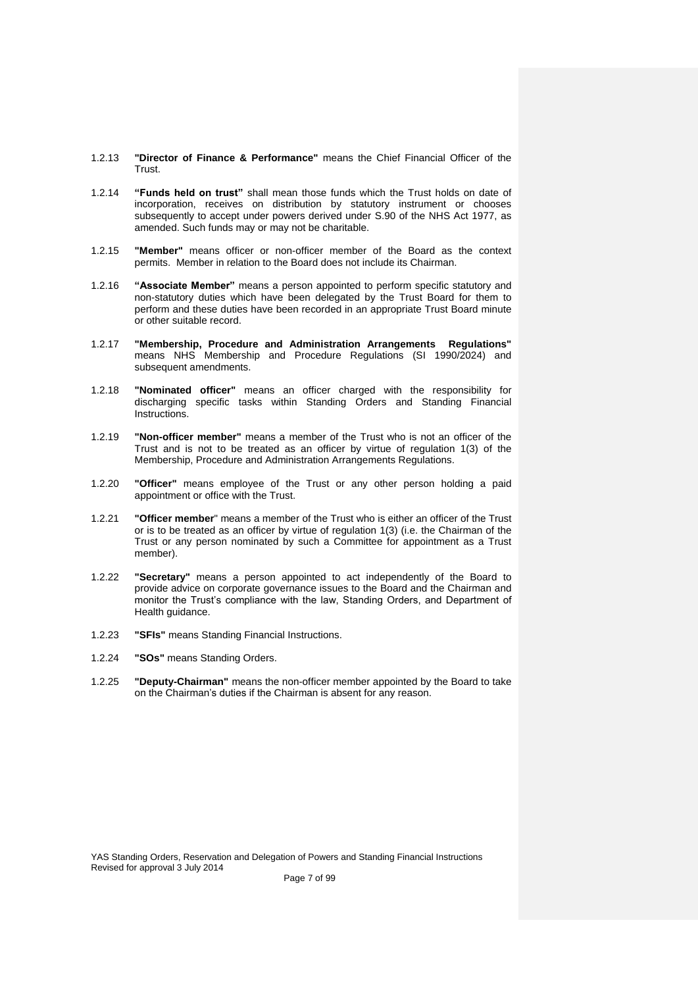- 1.2.13 **"Director of Finance & Performance"** means the Chief Financial Officer of the Trust.
- 1.2.14 **"Funds held on trust"** shall mean those funds which the Trust holds on date of incorporation, receives on distribution by statutory instrument or chooses subsequently to accept under powers derived under S.90 of the NHS Act 1977, as amended. Such funds may or may not be charitable.
- 1.2.15 **"Member"** means officer or non-officer member of the Board as the context permits. Member in relation to the Board does not include its Chairman.
- 1.2.16 **"Associate Member"** means a person appointed to perform specific statutory and non-statutory duties which have been delegated by the Trust Board for them to perform and these duties have been recorded in an appropriate Trust Board minute or other suitable record.
- 1.2.17 **"Membership, Procedure and Administration Arrangements Regulations"**  means NHS Membership and Procedure Regulations (SI 1990/2024) and subsequent amendments.
- 1.2.18 **"Nominated officer"** means an officer charged with the responsibility for discharging specific tasks within Standing Orders and Standing Financial **Instructions**
- 1.2.19 **"Non-officer member"** means a member of the Trust who is not an officer of the Trust and is not to be treated as an officer by virtue of regulation 1(3) of the Membership, Procedure and Administration Arrangements Regulations.
- 1.2.20 **"Officer"** means employee of the Trust or any other person holding a paid appointment or office with the Trust.
- 1.2.21 **"Officer member**" means a member of the Trust who is either an officer of the Trust or is to be treated as an officer by virtue of regulation 1(3) (i.e. the Chairman of the Trust or any person nominated by such a Committee for appointment as a Trust member).
- 1.2.22 **"Secretary"** means a person appointed to act independently of the Board to provide advice on corporate governance issues to the Board and the Chairman and monitor the Trust's compliance with the law, Standing Orders, and Department of Health guidance.
- 1.2.23 **"SFIs"** means Standing Financial Instructions.
- 1.2.24 **"SOs"** means Standing Orders.
- 1.2.25 **"Deputy-Chairman"** means the non-officer member appointed by the Board to take on the Chairman's duties if the Chairman is absent for any reason.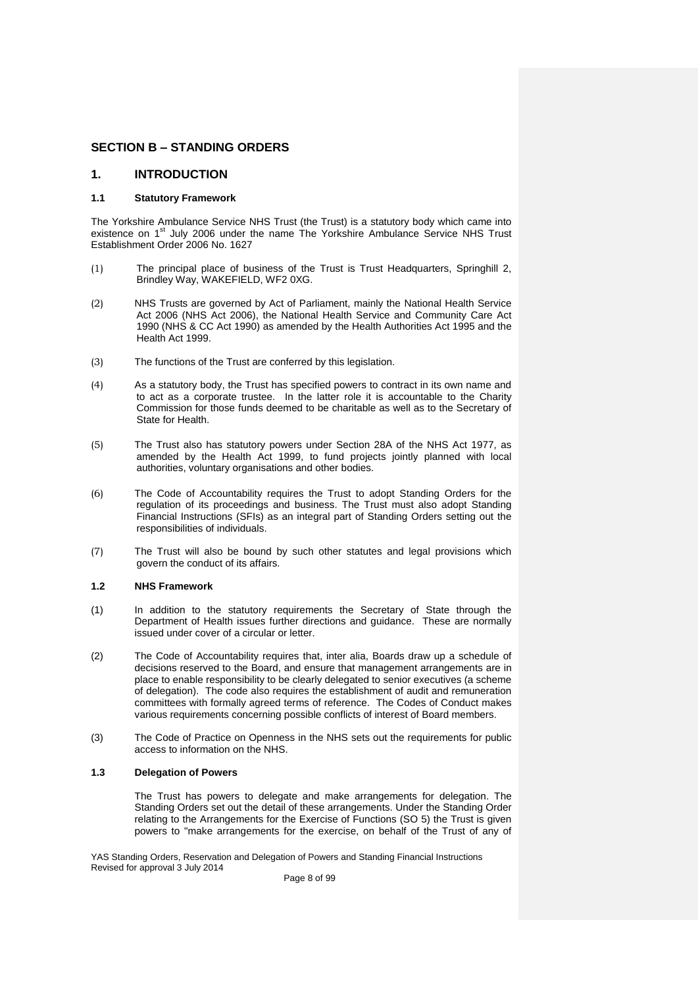# **SECTION B – STANDING ORDERS**

# **1. INTRODUCTION**

# **1.1 Statutory Framework**

The Yorkshire Ambulance Service NHS Trust (the Trust) is a statutory body which came into existence on  $1<sup>st</sup>$  July 2006 under the name The Yorkshire Ambulance Service NHS Trust Establishment Order 2006 No. 1627

- (1) The principal place of business of the Trust is Trust Headquarters, Springhill 2, Brindley Way, WAKEFIELD, WF2 0XG.
- (2) NHS Trusts are governed by Act of Parliament, mainly the National Health Service Act 2006 (NHS Act 2006), the National Health Service and Community Care Act 1990 (NHS & CC Act 1990) as amended by the Health Authorities Act 1995 and the Health Act 1999.
- (3) The functions of the Trust are conferred by this legislation.
- (4) As a statutory body, the Trust has specified powers to contract in its own name and to act as a corporate trustee. In the latter role it is accountable to the Charity Commission for those funds deemed to be charitable as well as to the Secretary of State for Health.
- (5) The Trust also has statutory powers under Section 28A of the NHS Act 1977, as amended by the Health Act 1999, to fund projects jointly planned with local authorities, voluntary organisations and other bodies.
- (6) The Code of Accountability requires the Trust to adopt Standing Orders for the regulation of its proceedings and business. The Trust must also adopt Standing Financial Instructions (SFIs) as an integral part of Standing Orders setting out the responsibilities of individuals.
- (7) The Trust will also be bound by such other statutes and legal provisions which govern the conduct of its affairs.

# **1.2 NHS Framework**

- (1) In addition to the statutory requirements the Secretary of State through the Department of Health issues further directions and guidance. These are normally issued under cover of a circular or letter.
- (2) The Code of Accountability requires that, inter alia, Boards draw up a schedule of decisions reserved to the Board, and ensure that management arrangements are in place to enable responsibility to be clearly delegated to senior executives (a scheme of delegation). The code also requires the establishment of audit and remuneration committees with formally agreed terms of reference. The Codes of Conduct makes various requirements concerning possible conflicts of interest of Board members.
- (3) The Code of Practice on Openness in the NHS sets out the requirements for public access to information on the NHS.

#### **1.3 Delegation of Powers**

The Trust has powers to delegate and make arrangements for delegation. The Standing Orders set out the detail of these arrangements. Under the Standing Order relating to the Arrangements for the Exercise of Functions (SO 5) the Trust is given powers to "make arrangements for the exercise, on behalf of the Trust of any of

YAS Standing Orders, Reservation and Delegation of Powers and Standing Financial Instructions Revised for approval 3 July 2014

Page 8 of 99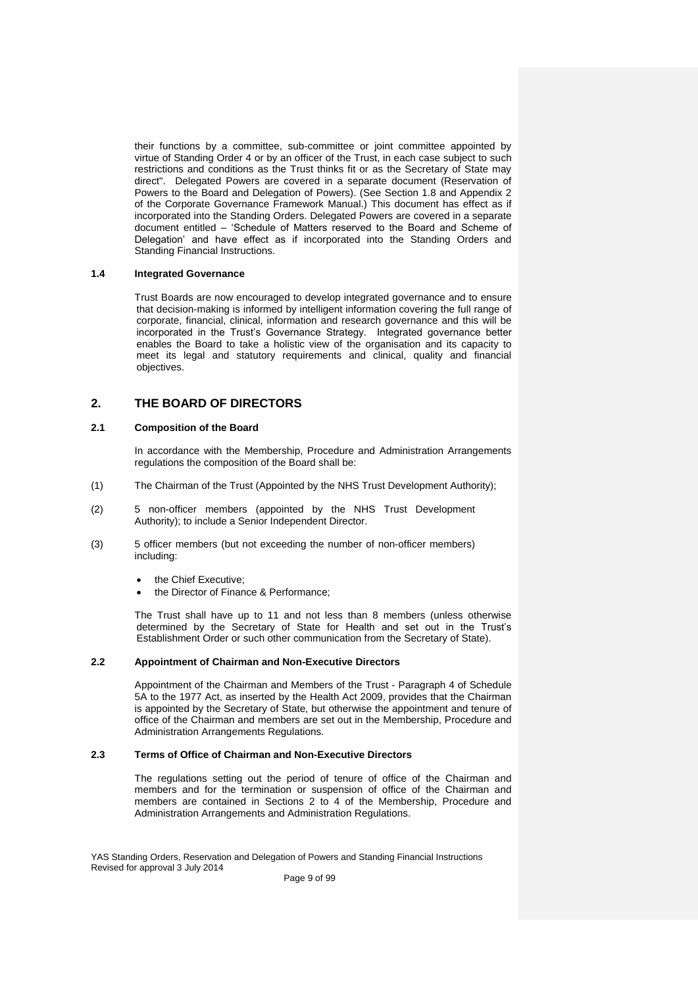their functions by a committee, sub-committee or joint committee appointed by virtue of Standing Order 4 or by an officer of the Trust, in each case subject to such restrictions and conditions as the Trust thinks fit or as the Secretary of State may direct". Delegated Powers are covered in a separate document (Reservation of Powers to the Board and Delegation of Powers). (See Section 1.8 and Appendix 2 of the Corporate Governance Framework Manual.) This document has effect as if incorporated into the Standing Orders. Delegated Powers are covered in a separate document entitled – 'Schedule of Matters reserved to the Board and Scheme of Delegation' and have effect as if incorporated into the Standing Orders and Standing Financial Instructions.

#### **1.4 Integrated Governance**

Trust Boards are now encouraged to develop integrated governance and to ensure that decision-making is informed by intelligent information covering the full range of corporate, financial, clinical, information and research governance and this will be incorporated in the Trust's Governance Strategy. Integrated governance better enables the Board to take a holistic view of the organisation and its capacity to meet its legal and statutory requirements and clinical, quality and financial objectives.

# **2. THE BOARD OF DIRECTORS**

## **2.1 Composition of the Board**

In accordance with the Membership, Procedure and Administration Arrangements regulations the composition of the Board shall be:

- (1) The Chairman of the Trust (Appointed by the NHS Trust Development Authority);
- (2) 5 non-officer members (appointed by the NHS Trust Development Authority); to include a Senior Independent Director.
- (3) 5 officer members (but not exceeding the number of non-officer members) including:
	- the Chief Executive;
	- the Director of Finance & Performance;

The Trust shall have up to 11 and not less than 8 members (unless otherwise determined by the Secretary of State for Health and set out in the Trust's Establishment Order or such other communication from the Secretary of State).

#### **2.2 Appointment of Chairman and Non-Executive Directors**

Appointment of the Chairman and Members of the Trust - Paragraph 4 of Schedule 5A to the 1977 Act, as inserted by the Health Act 2009, provides that the Chairman is appointed by the Secretary of State, but otherwise the appointment and tenure of office of the Chairman and members are set out in the Membership, Procedure and Administration Arrangements Regulations.

# **2.3 Terms of Office of Chairman and Non-Executive Directors**

The regulations setting out the period of tenure of office of the Chairman and members and for the termination or suspension of office of the Chairman and members are contained in Sections 2 to 4 of the Membership, Procedure and Administration Arrangements and Administration Regulations.

YAS Standing Orders, Reservation and Delegation of Powers and Standing Financial Instructions Revised for approval 3 July 2014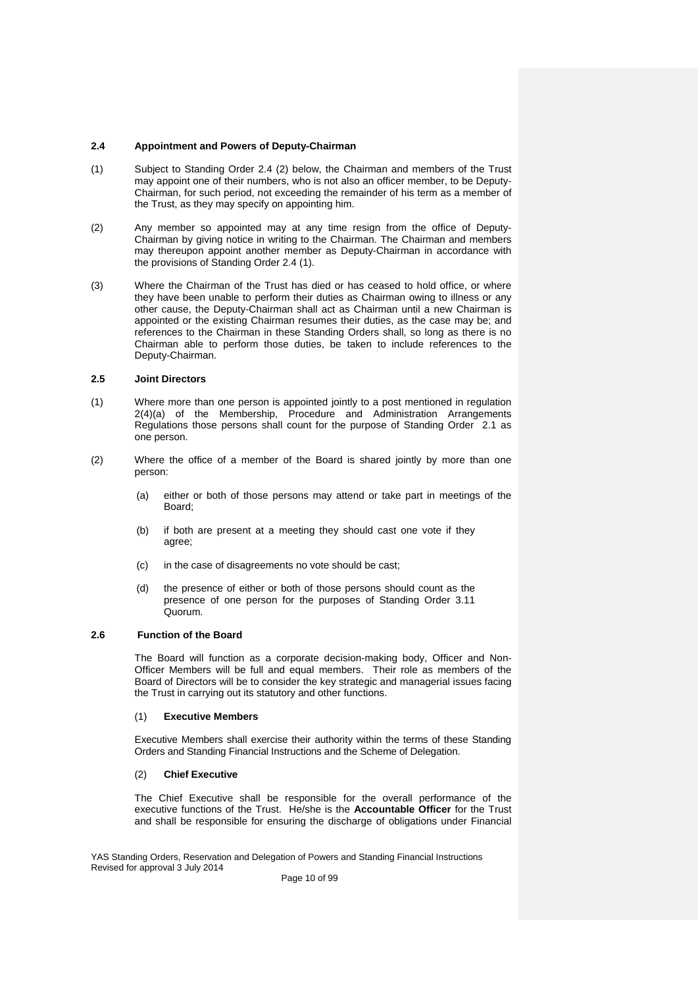# **2.4 Appointment and Powers of Deputy-Chairman**

- (1) Subject to Standing Order 2.4 (2) below, the Chairman and members of the Trust may appoint one of their numbers, who is not also an officer member, to be Deputy-Chairman, for such period, not exceeding the remainder of his term as a member of the Trust, as they may specify on appointing him.
- (2) Any member so appointed may at any time resign from the office of Deputy-Chairman by giving notice in writing to the Chairman. The Chairman and members may thereupon appoint another member as Deputy-Chairman in accordance with the provisions of Standing Order 2.4 (1).
- (3) Where the Chairman of the Trust has died or has ceased to hold office, or where they have been unable to perform their duties as Chairman owing to illness or any other cause, the Deputy-Chairman shall act as Chairman until a new Chairman is appointed or the existing Chairman resumes their duties, as the case may be; and references to the Chairman in these Standing Orders shall, so long as there is no Chairman able to perform those duties, be taken to include references to the Deputy-Chairman.

# **2.5 Joint Directors**

- (1) Where more than one person is appointed jointly to a post mentioned in regulation 2(4)(a) of the Membership, Procedure and Administration Arrangements Regulations those persons shall count for the purpose of Standing Order 2.1 as one person.
- (2) Where the office of a member of the Board is shared jointly by more than one person:
	- (a) either or both of those persons may attend or take part in meetings of the Board;
	- (b) if both are present at a meeting they should cast one vote if they agree;
	- (c) in the case of disagreements no vote should be cast;
	- (d) the presence of either or both of those persons should count as the presence of one person for the purposes of Standing Order 3.11 Quorum.

# **2.6 Function of the Board**

The Board will function as a corporate decision-making body, Officer and Non-Officer Members will be full and equal members. Their role as members of the Board of Directors will be to consider the key strategic and managerial issues facing the Trust in carrying out its statutory and other functions.

#### (1) **Executive Members**

Executive Members shall exercise their authority within the terms of these Standing Orders and Standing Financial Instructions and the Scheme of Delegation.

# (2) **Chief Executive**

The Chief Executive shall be responsible for the overall performance of the executive functions of the Trust. He/she is the **Accountable Officer** for the Trust and shall be responsible for ensuring the discharge of obligations under Financial

YAS Standing Orders, Reservation and Delegation of Powers and Standing Financial Instructions Revised for approval 3 July 2014

Page 10 of 99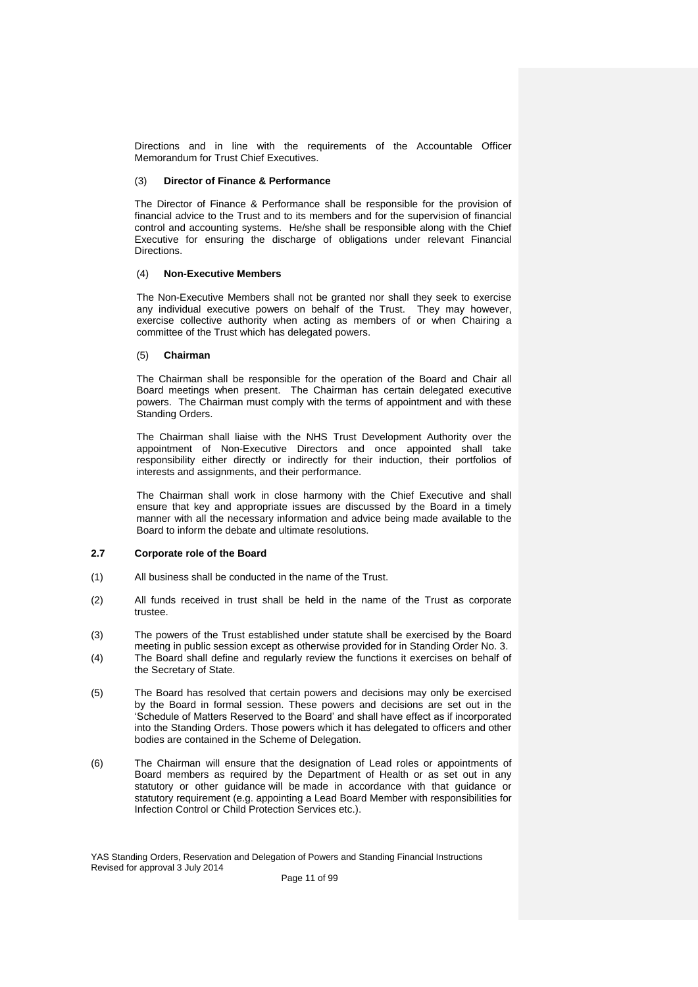Directions and in line with the requirements of the Accountable Officer Memorandum for Trust Chief Executives.

#### (3) **Director of Finance & Performance**

The Director of Finance & Performance shall be responsible for the provision of financial advice to the Trust and to its members and for the supervision of financial control and accounting systems. He/she shall be responsible along with the Chief Executive for ensuring the discharge of obligations under relevant Financial Directions.

#### (4) **Non-Executive Members**

The Non-Executive Members shall not be granted nor shall they seek to exercise any individual executive powers on behalf of the Trust. They may however, exercise collective authority when acting as members of or when Chairing a committee of the Trust which has delegated powers.

# (5) **Chairman**

The Chairman shall be responsible for the operation of the Board and Chair all Board meetings when present. The Chairman has certain delegated executive powers. The Chairman must comply with the terms of appointment and with these Standing Orders.

The Chairman shall liaise with the NHS Trust Development Authority over the appointment of Non-Executive Directors and once appointed shall take responsibility either directly or indirectly for their induction, their portfolios of interests and assignments, and their performance.

The Chairman shall work in close harmony with the Chief Executive and shall ensure that key and appropriate issues are discussed by the Board in a timely manner with all the necessary information and advice being made available to the Board to inform the debate and ultimate resolutions.

#### **2.7 Corporate role of the Board**

- (1) All business shall be conducted in the name of the Trust.
- (2) All funds received in trust shall be held in the name of the Trust as corporate trustee.
- (3) The powers of the Trust established under statute shall be exercised by the Board meeting in public session except as otherwise provided for in Standing Order No. 3.
- (4) The Board shall define and regularly review the functions it exercises on behalf of the Secretary of State.
- (5) The Board has resolved that certain powers and decisions may only be exercised by the Board in formal session. These powers and decisions are set out in the 'Schedule of Matters Reserved to the Board' and shall have effect as if incorporated into the Standing Orders. Those powers which it has delegated to officers and other bodies are contained in the Scheme of Delegation.
- (6) The Chairman will ensure that the designation of Lead roles or appointments of Board members as required by the Department of Health or as set out in any statutory or other guidance will be made in accordance with that guidance or statutory requirement (e.g. appointing a Lead Board Member with responsibilities for Infection Control or Child Protection Services etc.).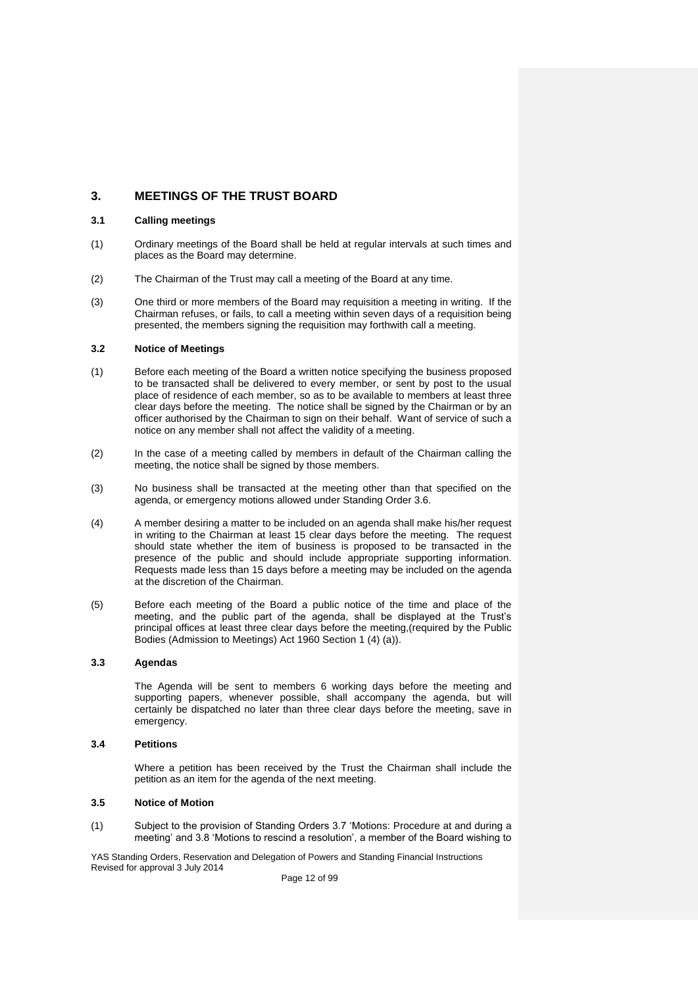# **3. MEETINGS OF THE TRUST BOARD**

## **3.1 Calling meetings**

- (1) Ordinary meetings of the Board shall be held at regular intervals at such times and places as the Board may determine.
- (2) The Chairman of the Trust may call a meeting of the Board at any time.
- (3) One third or more members of the Board may requisition a meeting in writing. If the Chairman refuses, or fails, to call a meeting within seven days of a requisition being presented, the members signing the requisition may forthwith call a meeting.

#### **3.2 Notice of Meetings**

- (1) Before each meeting of the Board a written notice specifying the business proposed to be transacted shall be delivered to every member, or sent by post to the usual place of residence of each member, so as to be available to members at least three clear days before the meeting. The notice shall be signed by the Chairman or by an officer authorised by the Chairman to sign on their behalf. Want of service of such a notice on any member shall not affect the validity of a meeting.
- (2) In the case of a meeting called by members in default of the Chairman calling the meeting, the notice shall be signed by those members.
- (3) No business shall be transacted at the meeting other than that specified on the agenda, or emergency motions allowed under Standing Order 3.6.
- (4) A member desiring a matter to be included on an agenda shall make his/her request in writing to the Chairman at least 15 clear days before the meeting. The request should state whether the item of business is proposed to be transacted in the presence of the public and should include appropriate supporting information. Requests made less than 15 days before a meeting may be included on the agenda at the discretion of the Chairman.
- (5) Before each meeting of the Board a public notice of the time and place of the meeting, and the public part of the agenda, shall be displayed at the Trust's principal offices at least three clear days before the meeting,(required by the Public Bodies (Admission to Meetings) Act 1960 Section 1 (4) (a)).

# **3.3 Agendas**

The Agenda will be sent to members 6 working days before the meeting and supporting papers, whenever possible, shall accompany the agenda, but will certainly be dispatched no later than three clear days before the meeting, save in emergency.

#### **3.4 Petitions**

Where a petition has been received by the Trust the Chairman shall include the petition as an item for the agenda of the next meeting.

#### **3.5 Notice of Motion**

(1) Subject to the provision of Standing Orders 3.7 'Motions: Procedure at and during a meeting' and 3.8 'Motions to rescind a resolution', a member of the Board wishing to

YAS Standing Orders, Reservation and Delegation of Powers and Standing Financial Instructions Revised for approval 3 July 2014

Page 12 of 99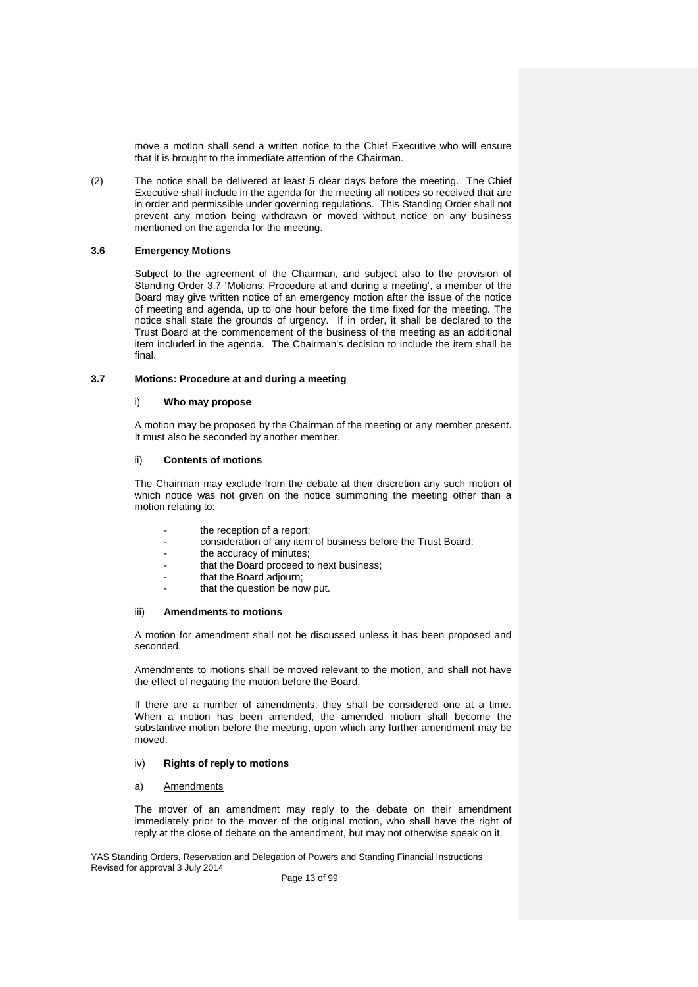move a motion shall send a written notice to the Chief Executive who will ensure that it is brought to the immediate attention of the Chairman.

(2) The notice shall be delivered at least 5 clear days before the meeting. The Chief Executive shall include in the agenda for the meeting all notices so received that are in order and permissible under governing regulations. This Standing Order shall not prevent any motion being withdrawn or moved without notice on any business mentioned on the agenda for the meeting.

## **3.6 Emergency Motions**

Subject to the agreement of the Chairman, and subject also to the provision of Standing Order 3.7 'Motions: Procedure at and during a meeting', a member of the Board may give written notice of an emergency motion after the issue of the notice of meeting and agenda, up to one hour before the time fixed for the meeting. The notice shall state the grounds of urgency. If in order, it shall be declared to the Trust Board at the commencement of the business of the meeting as an additional item included in the agenda. The Chairman's decision to include the item shall be final.

# **3.7 Motions: Procedure at and during a meeting**

#### i) **Who may propose**

A motion may be proposed by the Chairman of the meeting or any member present. It must also be seconded by another member.

#### ii) **Contents of motions**

The Chairman may exclude from the debate at their discretion any such motion of which notice was not given on the notice summoning the meeting other than a motion relating to:

- the reception of a report:
- consideration of any item of business before the Trust Board;
- the accuracy of minutes;
- that the Board proceed to next business;
- that the Board adjourn;
- that the question be now put.

#### iii) **Amendments to motions**

A motion for amendment shall not be discussed unless it has been proposed and seconded.

Amendments to motions shall be moved relevant to the motion, and shall not have the effect of negating the motion before the Board.

If there are a number of amendments, they shall be considered one at a time. When a motion has been amended, the amended motion shall become the substantive motion before the meeting, upon which any further amendment may be moved.

#### iv) **Rights of reply to motions**

#### a) Amendments

The mover of an amendment may reply to the debate on their amendment immediately prior to the mover of the original motion, who shall have the right of reply at the close of debate on the amendment, but may not otherwise speak on it.

YAS Standing Orders, Reservation and Delegation of Powers and Standing Financial Instructions Revised for approval 3 July 2014

Page 13 of 99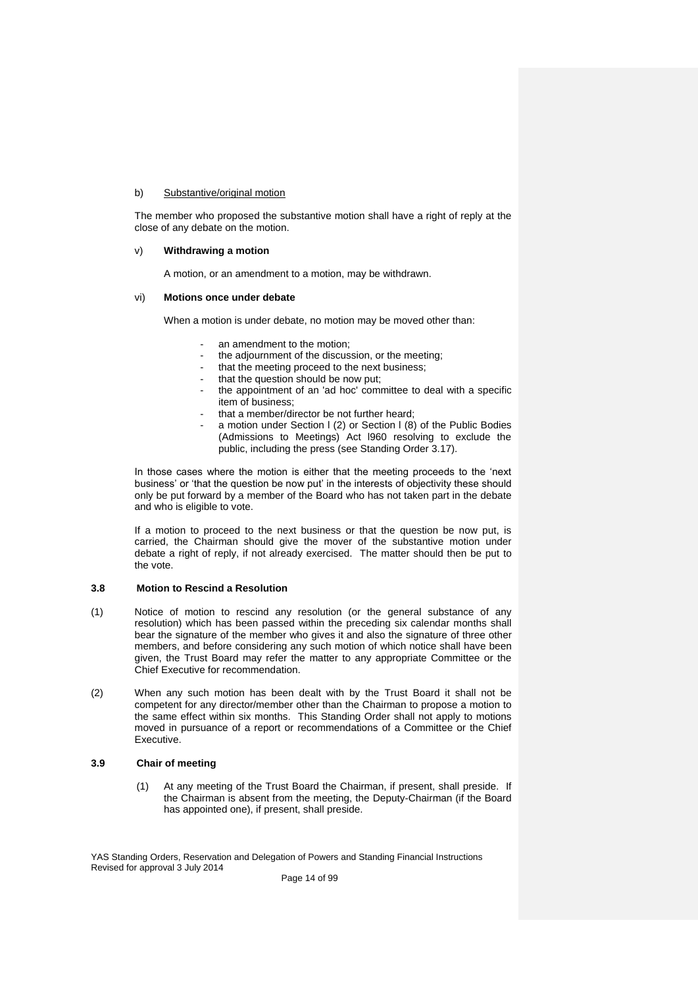## b) Substantive/original motion

The member who proposed the substantive motion shall have a right of reply at the close of any debate on the motion.

#### v) **Withdrawing a motion**

A motion, or an amendment to a motion, may be withdrawn.

#### vi) **Motions once under debate**

When a motion is under debate, no motion may be moved other than:

- an amendment to the motion:
- the adjournment of the discussion, or the meeting:
- that the meeting proceed to the next business;
- that the question should be now put;
- the appointment of an 'ad hoc' committee to deal with a specific item of business;
- that a member/director be not further heard;
- a motion under Section I (2) or Section I (8) of the Public Bodies (Admissions to Meetings) Act l960 resolving to exclude the public, including the press (see Standing Order 3.17).

In those cases where the motion is either that the meeting proceeds to the 'next business' or 'that the question be now put' in the interests of objectivity these should only be put forward by a member of the Board who has not taken part in the debate and who is eligible to vote.

If a motion to proceed to the next business or that the question be now put, is carried, the Chairman should give the mover of the substantive motion under debate a right of reply, if not already exercised. The matter should then be put to the vote.

# **3.8 Motion to Rescind a Resolution**

- (1) Notice of motion to rescind any resolution (or the general substance of any resolution) which has been passed within the preceding six calendar months shall bear the signature of the member who gives it and also the signature of three other members, and before considering any such motion of which notice shall have been given, the Trust Board may refer the matter to any appropriate Committee or the Chief Executive for recommendation.
- (2) When any such motion has been dealt with by the Trust Board it shall not be competent for any director/member other than the Chairman to propose a motion to the same effect within six months. This Standing Order shall not apply to motions moved in pursuance of a report or recommendations of a Committee or the Chief Executive.

## **3.9 Chair of meeting**

(1) At any meeting of the Trust Board the Chairman, if present, shall preside. If the Chairman is absent from the meeting, the Deputy-Chairman (if the Board has appointed one), if present, shall preside.

YAS Standing Orders, Reservation and Delegation of Powers and Standing Financial Instructions Revised for approval 3 July 2014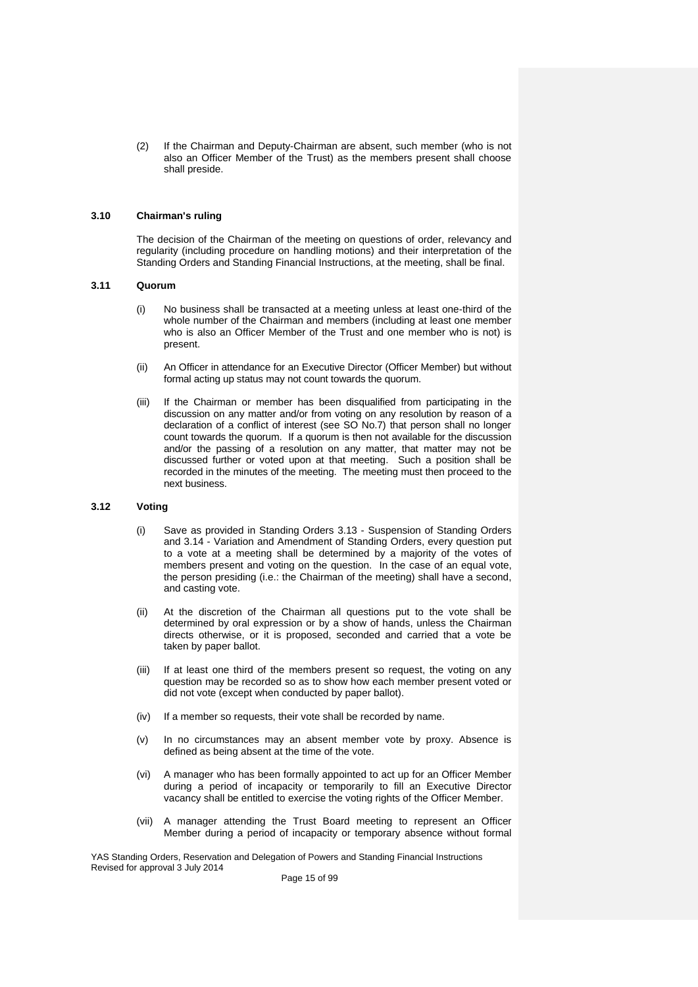(2) If the Chairman and Deputy-Chairman are absent, such member (who is not also an Officer Member of the Trust) as the members present shall choose shall preside.

#### **3.10 Chairman's ruling**

The decision of the Chairman of the meeting on questions of order, relevancy and regularity (including procedure on handling motions) and their interpretation of the Standing Orders and Standing Financial Instructions, at the meeting, shall be final.

#### **3.11 Quorum**

- (i) No business shall be transacted at a meeting unless at least one-third of the whole number of the Chairman and members (including at least one member who is also an Officer Member of the Trust and one member who is not) is present.
- (ii) An Officer in attendance for an Executive Director (Officer Member) but without formal acting up status may not count towards the quorum.
- (iii) If the Chairman or member has been disqualified from participating in the discussion on any matter and/or from voting on any resolution by reason of a declaration of a conflict of interest (see SO No.7) that person shall no longer count towards the quorum. If a quorum is then not available for the discussion and/or the passing of a resolution on any matter, that matter may not be discussed further or voted upon at that meeting. Such a position shall be recorded in the minutes of the meeting. The meeting must then proceed to the next business.

## **3.12 Voting**

- (i) Save as provided in Standing Orders 3.13 Suspension of Standing Orders and 3.14 - Variation and Amendment of Standing Orders, every question put to a vote at a meeting shall be determined by a majority of the votes of members present and voting on the question. In the case of an equal vote, the person presiding (i.e.: the Chairman of the meeting) shall have a second, and casting vote.
- (ii) At the discretion of the Chairman all questions put to the vote shall be determined by oral expression or by a show of hands, unless the Chairman directs otherwise, or it is proposed, seconded and carried that a vote be taken by paper ballot.
- (iii) If at least one third of the members present so request, the voting on any question may be recorded so as to show how each member present voted or did not vote (except when conducted by paper ballot).
- (iv) If a member so requests, their vote shall be recorded by name.
- (v) In no circumstances may an absent member vote by proxy. Absence is defined as being absent at the time of the vote.
- (vi) A manager who has been formally appointed to act up for an Officer Member during a period of incapacity or temporarily to fill an Executive Director vacancy shall be entitled to exercise the voting rights of the Officer Member.
- (vii) A manager attending the Trust Board meeting to represent an Officer Member during a period of incapacity or temporary absence without formal

YAS Standing Orders, Reservation and Delegation of Powers and Standing Financial Instructions Revised for approval 3 July 2014

Page 15 of 99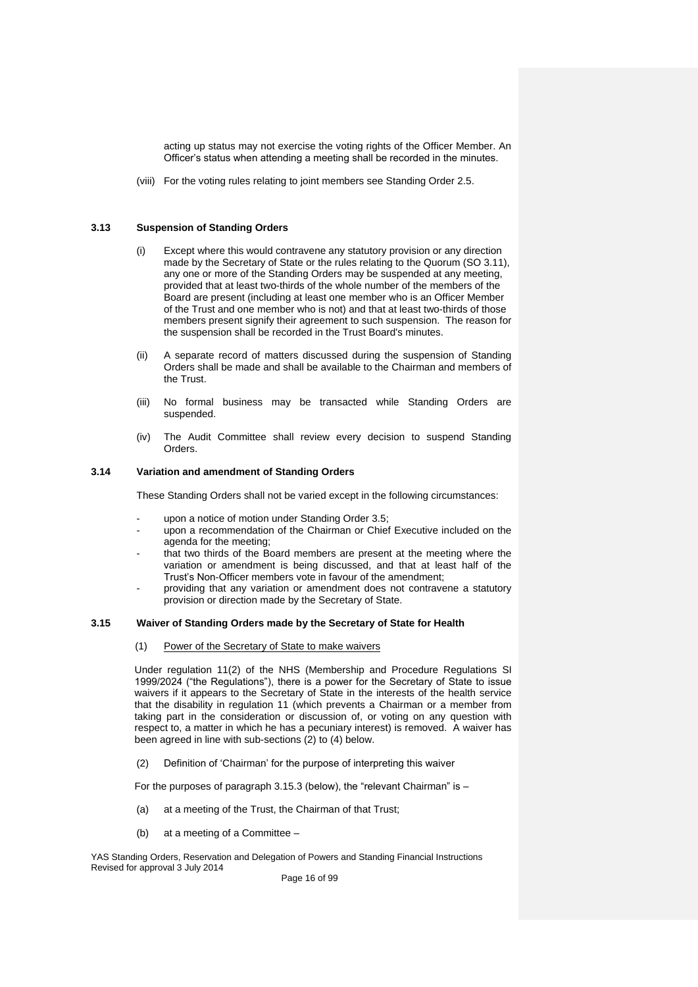acting up status may not exercise the voting rights of the Officer Member. An Officer's status when attending a meeting shall be recorded in the minutes.

(viii) For the voting rules relating to joint members see Standing Order 2.5.

#### **3.13 Suspension of Standing Orders**

- (i) Except where this would contravene any statutory provision or any direction made by the Secretary of State or the rules relating to the Quorum (SO 3.11), any one or more of the Standing Orders may be suspended at any meeting, provided that at least two-thirds of the whole number of the members of the Board are present (including at least one member who is an Officer Member of the Trust and one member who is not) and that at least two-thirds of those members present signify their agreement to such suspension. The reason for the suspension shall be recorded in the Trust Board's minutes.
- (ii) A separate record of matters discussed during the suspension of Standing Orders shall be made and shall be available to the Chairman and members of the Trust.
- (iii) No formal business may be transacted while Standing Orders are suspended.
- (iv) The Audit Committee shall review every decision to suspend Standing Orders.

# **3.14 Variation and amendment of Standing Orders**

These Standing Orders shall not be varied except in the following circumstances:

- upon a notice of motion under Standing Order 3.5;
- upon a recommendation of the Chairman or Chief Executive included on the agenda for the meeting;
- that two thirds of the Board members are present at the meeting where the variation or amendment is being discussed, and that at least half of the Trust's Non-Officer members vote in favour of the amendment;
- providing that any variation or amendment does not contravene a statutory provision or direction made by the Secretary of State.

# **3.15 Waiver of Standing Orders made by the Secretary of State for Health**

(1) Power of the Secretary of State to make waivers

Under regulation 11(2) of the NHS (Membership and Procedure Regulations SI 1999/2024 ("the Regulations"), there is a power for the Secretary of State to issue waivers if it appears to the Secretary of State in the interests of the health service that the disability in regulation 11 (which prevents a Chairman or a member from taking part in the consideration or discussion of, or voting on any question with respect to, a matter in which he has a pecuniary interest) is removed. A waiver has been agreed in line with sub-sections (2) to (4) below.

(2) Definition of 'Chairman' for the purpose of interpreting this waiver

For the purposes of paragraph 3.15.3 (below), the "relevant Chairman" is –

- (a) at a meeting of the Trust, the Chairman of that Trust;
- (b) at a meeting of a Committee –

YAS Standing Orders, Reservation and Delegation of Powers and Standing Financial Instructions Revised for approval 3 July 2014

Page 16 of 99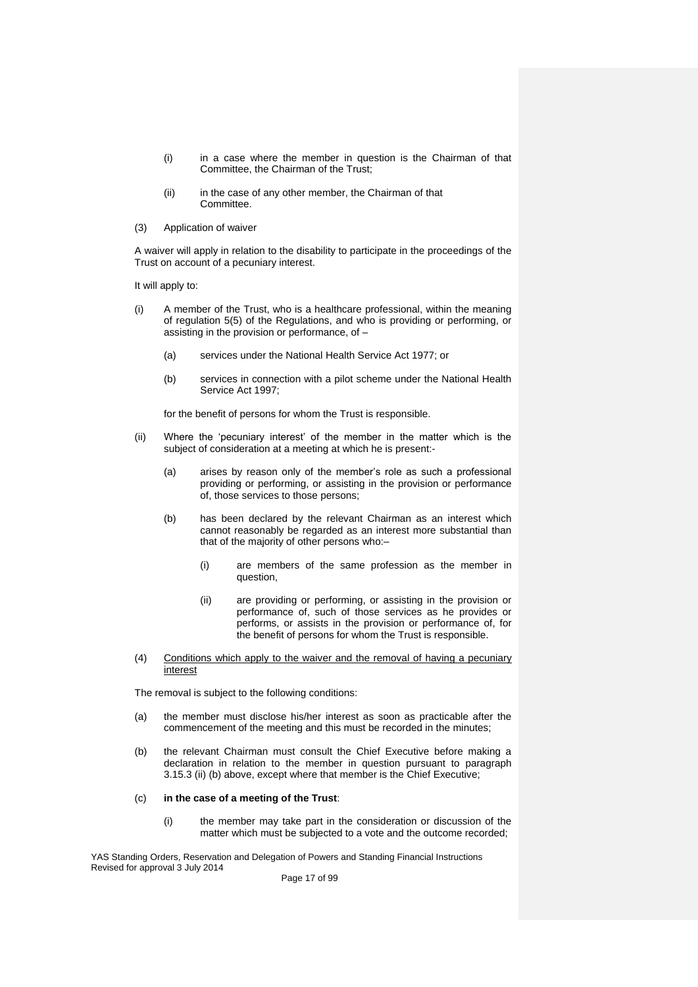- (i) in a case where the member in question is the Chairman of that Committee, the Chairman of the Trust;
- (ii) in the case of any other member, the Chairman of that Committee.
- (3) Application of waiver

A waiver will apply in relation to the disability to participate in the proceedings of the Trust on account of a pecuniary interest.

It will apply to:

- (i) A member of the Trust, who is a healthcare professional, within the meaning of regulation 5(5) of the Regulations, and who is providing or performing, or assisting in the provision or performance, of –
	- (a) services under the National Health Service Act 1977; or
	- (b) services in connection with a pilot scheme under the National Health Service Act 1997;

for the benefit of persons for whom the Trust is responsible.

- (ii) Where the 'pecuniary interest' of the member in the matter which is the subject of consideration at a meeting at which he is present:-
	- (a) arises by reason only of the member's role as such a professional providing or performing, or assisting in the provision or performance of, those services to those persons;
	- (b) has been declared by the relevant Chairman as an interest which cannot reasonably be regarded as an interest more substantial than that of the majority of other persons who:–
		- (i) are members of the same profession as the member in question,
		- (ii) are providing or performing, or assisting in the provision or performance of, such of those services as he provides or performs, or assists in the provision or performance of, for the benefit of persons for whom the Trust is responsible.
- (4) Conditions which apply to the waiver and the removal of having a pecuniary interest

The removal is subject to the following conditions:

- (a) the member must disclose his/her interest as soon as practicable after the commencement of the meeting and this must be recorded in the minutes;
- (b) the relevant Chairman must consult the Chief Executive before making a declaration in relation to the member in question pursuant to paragraph 3.15.3 (ii) (b) above, except where that member is the Chief Executive;

#### (c) **in the case of a meeting of the Trust**:

(i) the member may take part in the consideration or discussion of the matter which must be subjected to a vote and the outcome recorded;

YAS Standing Orders, Reservation and Delegation of Powers and Standing Financial Instructions Revised for approval 3 July 2014

Page 17 of 99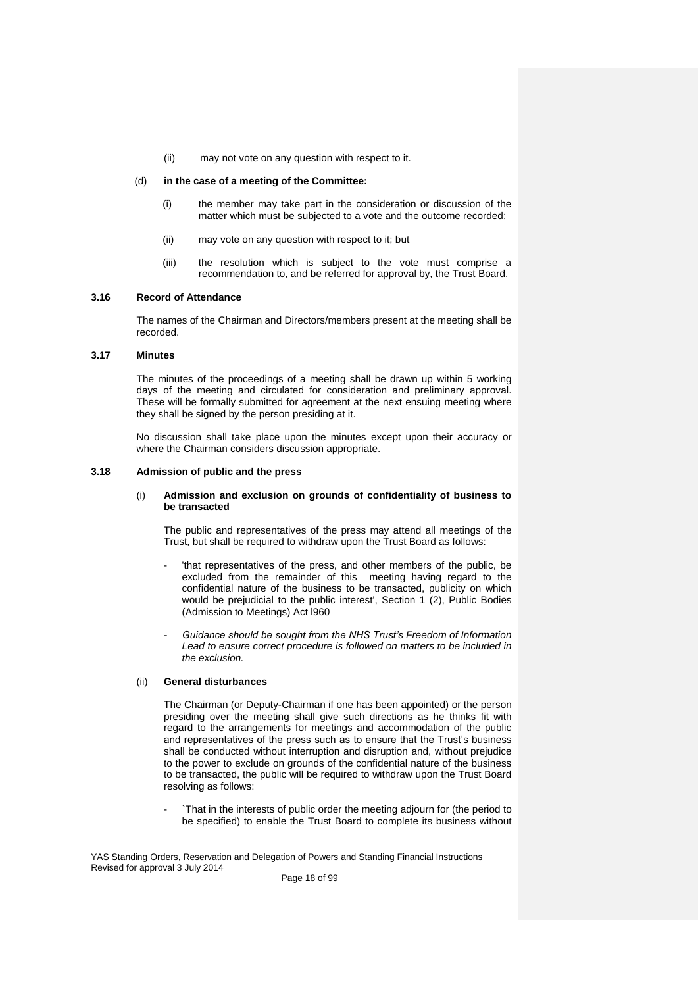(ii) may not vote on any question with respect to it.

#### (d) **in the case of a meeting of the Committee:**

- (i) the member may take part in the consideration or discussion of the matter which must be subjected to a vote and the outcome recorded;
- (ii) may vote on any question with respect to it; but
- (iii) the resolution which is subject to the vote must comprise a recommendation to, and be referred for approval by, the Trust Board.

## **3.16 Record of Attendance**

The names of the Chairman and Directors/members present at the meeting shall be recorded.

### **3.17 Minutes**

The minutes of the proceedings of a meeting shall be drawn up within 5 working days of the meeting and circulated for consideration and preliminary approval. These will be formally submitted for agreement at the next ensuing meeting where they shall be signed by the person presiding at it.

No discussion shall take place upon the minutes except upon their accuracy or where the Chairman considers discussion appropriate.

#### **3.18 Admission of public and the press**

#### (i) **Admission and exclusion on grounds of confidentiality of business to be transacted**

The public and representatives of the press may attend all meetings of the Trust, but shall be required to withdraw upon the Trust Board as follows:

- 'that representatives of the press, and other members of the public, be excluded from the remainder of this meeting having regard to the confidential nature of the business to be transacted, publicity on which would be prejudicial to the public interest', Section 1 (2), Public Bodies (Admission to Meetings) Act l960
- *- Guidance should be sought from the NHS Trust's Freedom of Information Lead to ensure correct procedure is followed on matters to be included in the exclusion.*

## (ii) **General disturbances**

The Chairman (or Deputy-Chairman if one has been appointed) or the person presiding over the meeting shall give such directions as he thinks fit with regard to the arrangements for meetings and accommodation of the public and representatives of the press such as to ensure that the Trust's business shall be conducted without interruption and disruption and, without prejudice to the power to exclude on grounds of the confidential nature of the business to be transacted, the public will be required to withdraw upon the Trust Board resolving as follows:

`That in the interests of public order the meeting adjourn for (the period to be specified) to enable the Trust Board to complete its business without

YAS Standing Orders, Reservation and Delegation of Powers and Standing Financial Instructions Revised for approval 3 July 2014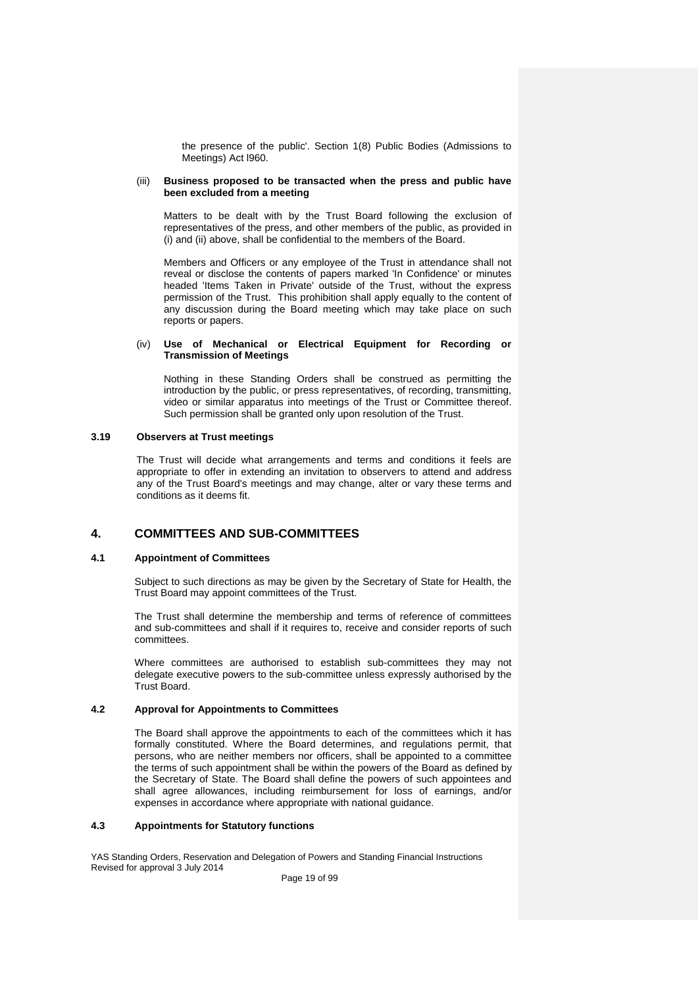the presence of the public'. Section 1(8) Public Bodies (Admissions to Meetings) Act l960.

#### (iii) **Business proposed to be transacted when the press and public have been excluded from a meeting**

Matters to be dealt with by the Trust Board following the exclusion of representatives of the press, and other members of the public, as provided in (i) and (ii) above, shall be confidential to the members of the Board.

Members and Officers or any employee of the Trust in attendance shall not reveal or disclose the contents of papers marked 'In Confidence' or minutes headed 'Items Taken in Private' outside of the Trust, without the express permission of the Trust. This prohibition shall apply equally to the content of any discussion during the Board meeting which may take place on such reports or papers.

#### (iv) **Use of Mechanical or Electrical Equipment for Recording or Transmission of Meetings**

Nothing in these Standing Orders shall be construed as permitting the introduction by the public, or press representatives, of recording, transmitting, video or similar apparatus into meetings of the Trust or Committee thereof. Such permission shall be granted only upon resolution of the Trust.

# **3.19 Observers at Trust meetings**

The Trust will decide what arrangements and terms and conditions it feels are appropriate to offer in extending an invitation to observers to attend and address any of the Trust Board's meetings and may change, alter or vary these terms and conditions as it deems fit.

# **4. COMMITTEES AND SUB-COMMITTEES**

# **4.1 Appointment of Committees**

Subject to such directions as may be given by the Secretary of State for Health, the Trust Board may appoint committees of the Trust.

The Trust shall determine the membership and terms of reference of committees and sub-committees and shall if it requires to, receive and consider reports of such committees.

Where committees are authorised to establish sub-committees they may not delegate executive powers to the sub-committee unless expressly authorised by the Trust Board.

# **4.2 Approval for Appointments to Committees**

The Board shall approve the appointments to each of the committees which it has formally constituted. Where the Board determines, and regulations permit, that persons, who are neither members nor officers, shall be appointed to a committee the terms of such appointment shall be within the powers of the Board as defined by the Secretary of State. The Board shall define the powers of such appointees and shall agree allowances, including reimbursement for loss of earnings, and/or expenses in accordance where appropriate with national guidance.

# **4.3 Appointments for Statutory functions**

YAS Standing Orders, Reservation and Delegation of Powers and Standing Financial Instructions Revised for approval 3 July 2014

Page 19 of 99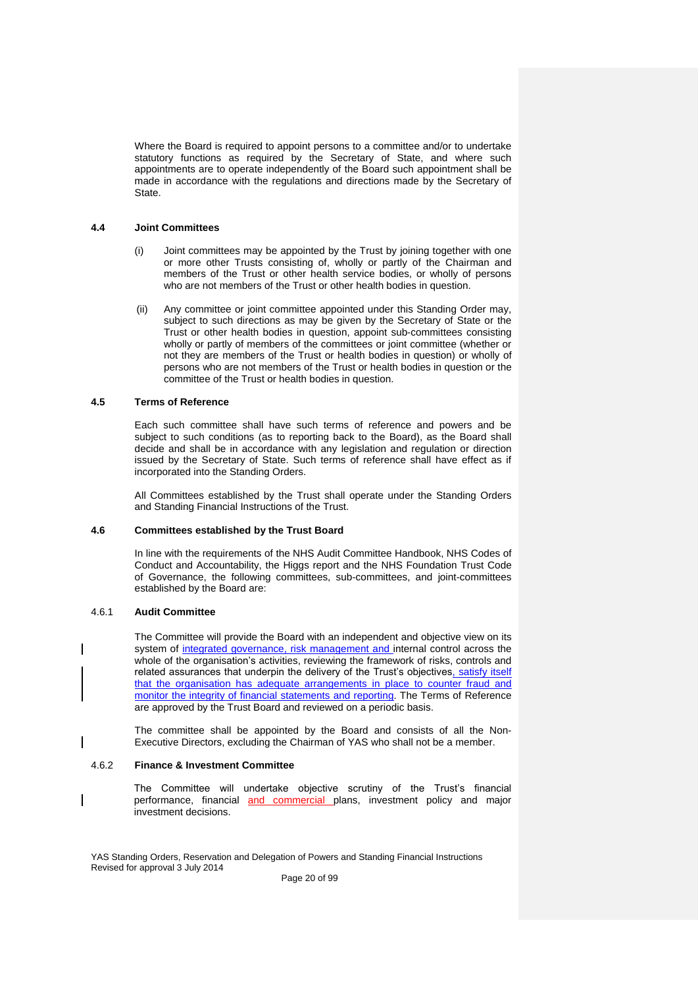Where the Board is required to appoint persons to a committee and/or to undertake statutory functions as required by the Secretary of State, and where such appointments are to operate independently of the Board such appointment shall be made in accordance with the regulations and directions made by the Secretary of State.

#### **4.4 Joint Committees**

- (i) Joint committees may be appointed by the Trust by joining together with one or more other Trusts consisting of, wholly or partly of the Chairman and members of the Trust or other health service bodies, or wholly of persons who are not members of the Trust or other health bodies in question.
- (ii) Any committee or joint committee appointed under this Standing Order may, subject to such directions as may be given by the Secretary of State or the Trust or other health bodies in question, appoint sub-committees consisting wholly or partly of members of the committees or joint committee (whether or not they are members of the Trust or health bodies in question) or wholly of persons who are not members of the Trust or health bodies in question or the committee of the Trust or health bodies in question.

#### **4.5 Terms of Reference**

Each such committee shall have such terms of reference and powers and be subject to such conditions (as to reporting back to the Board), as the Board shall decide and shall be in accordance with any legislation and regulation or direction issued by the Secretary of State. Such terms of reference shall have effect as if incorporated into the Standing Orders.

All Committees established by the Trust shall operate under the Standing Orders and Standing Financial Instructions of the Trust.

#### **4.6 Committees established by the Trust Board**

In line with the requirements of the NHS Audit Committee Handbook, NHS Codes of Conduct and Accountability, the Higgs report and the NHS Foundation Trust Code of Governance, the following committees, sub-committees, and joint-committees established by the Board are:

## 4.6.1 **Audit Committee**

The Committee will provide the Board with an independent and objective view on its system of integrated governance, risk management and internal control across the whole of the organisation's activities, reviewing the framework of risks, controls and related assurances that underpin the delivery of the Trust's objectives, satisfy itself that the organisation has adequate arrangements in place to counter fraud and monitor the integrity of financial statements and reporting. The Terms of Reference are approved by the Trust Board and reviewed on a periodic basis.

The committee shall be appointed by the Board and consists of all the Non-Executive Directors, excluding the Chairman of YAS who shall not be a member.

#### 4.6.2 **Finance & Investment Committee**

The Committee will undertake objective scrutiny of the Trust's financial performance, financial and commercial plans, investment policy and major investment decisions.

YAS Standing Orders, Reservation and Delegation of Powers and Standing Financial Instructions Revised for approval 3 July 2014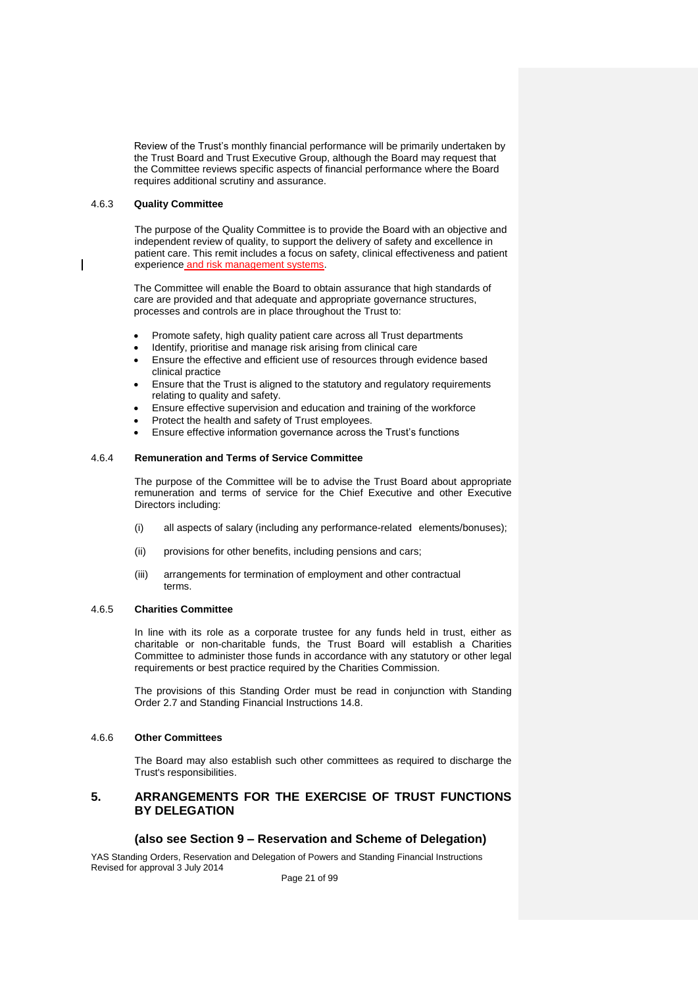Review of the Trust's monthly financial performance will be primarily undertaken by the Trust Board and Trust Executive Group, although the Board may request that the Committee reviews specific aspects of financial performance where the Board requires additional scrutiny and assurance.

#### 4.6.3 **Quality Committee**

The purpose of the Quality Committee is to provide the Board with an objective and independent review of quality, to support the delivery of safety and excellence in patient care. This remit includes a focus on safety, clinical effectiveness and patient experience and risk management systems.

The Committee will enable the Board to obtain assurance that high standards of care are provided and that adequate and appropriate governance structures, processes and controls are in place throughout the Trust to:

- Promote safety, high quality patient care across all Trust departments
- Identify, prioritise and manage risk arising from clinical care
- Ensure the effective and efficient use of resources through evidence based clinical practice
- Ensure that the Trust is aligned to the statutory and regulatory requirements relating to quality and safety.
- Ensure effective supervision and education and training of the workforce
- Protect the health and safety of Trust employees.
- Ensure effective information governance across the Trust's functions

## 4.6.4 **Remuneration and Terms of Service Committee**

The purpose of the Committee will be to advise the Trust Board about appropriate remuneration and terms of service for the Chief Executive and other Executive Directors including:

- (i) all aspects of salary (including any performance-related elements/bonuses);
- (ii) provisions for other benefits, including pensions and cars;
- (iii) arrangements for termination of employment and other contractual terms.

# 4.6.5 **Charities Committee**

In line with its role as a corporate trustee for any funds held in trust, either as charitable or non-charitable funds, the Trust Board will establish a Charities Committee to administer those funds in accordance with any statutory or other legal requirements or best practice required by the Charities Commission.

The provisions of this Standing Order must be read in conjunction with Standing Order 2.7 and Standing Financial Instructions 14.8.

# 4.6.6 **Other Committees**

The Board may also establish such other committees as required to discharge the Trust's responsibilities.

# **5. ARRANGEMENTS FOR THE EXERCISE OF TRUST FUNCTIONS BY DELEGATION**

# **(also see Section 9 – Reservation and Scheme of Delegation)**

YAS Standing Orders, Reservation and Delegation of Powers and Standing Financial Instructions Revised for approval 3 July 2014

Page 21 of 99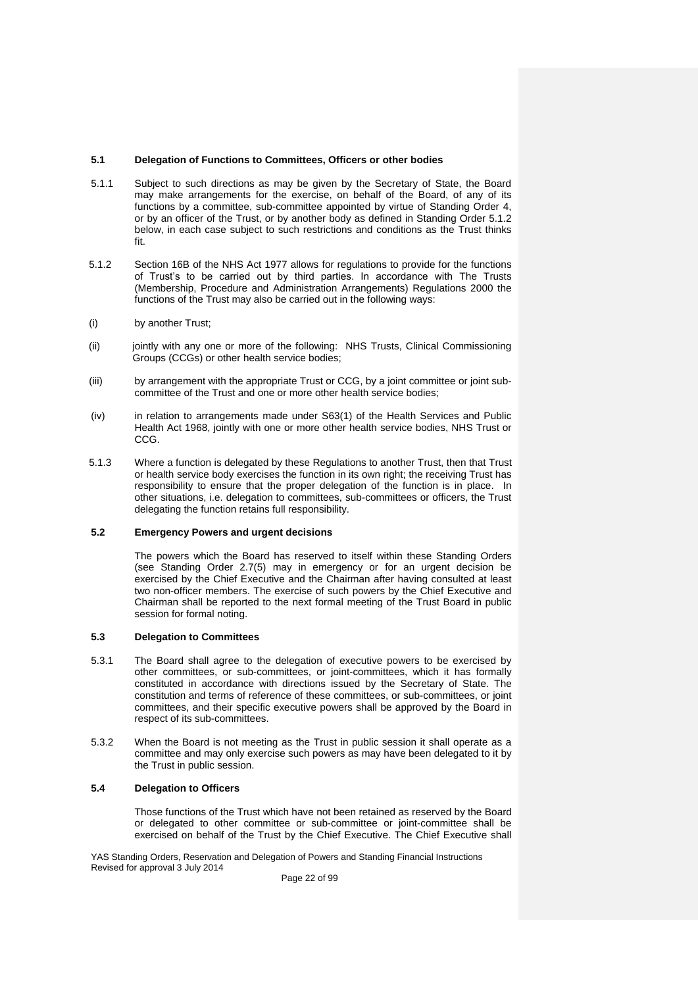# **5.1 Delegation of Functions to Committees, Officers or other bodies**

- 5.1.1 Subject to such directions as may be given by the Secretary of State, the Board may make arrangements for the exercise, on behalf of the Board, of any of its functions by a committee, sub-committee appointed by virtue of Standing Order 4, or by an officer of the Trust, or by another body as defined in Standing Order 5.1.2 below, in each case subject to such restrictions and conditions as the Trust thinks fit.
- 5.1.2 Section 16B of the NHS Act 1977 allows for regulations to provide for the functions of Trust's to be carried out by third parties. In accordance with The Trusts (Membership, Procedure and Administration Arrangements) Regulations 2000 the functions of the Trust may also be carried out in the following ways:
- (i) by another Trust;
- (ii) jointly with any one or more of the following: NHS Trusts, Clinical Commissioning Groups (CCGs) or other health service bodies;
- (iii) by arrangement with the appropriate Trust or CCG, by a joint committee or joint subcommittee of the Trust and one or more other health service bodies;
- (iv) in relation to arrangements made under S63(1) of the Health Services and Public Health Act 1968, jointly with one or more other health service bodies, NHS Trust or CCG.
- 5.1.3 Where a function is delegated by these Regulations to another Trust, then that Trust or health service body exercises the function in its own right; the receiving Trust has responsibility to ensure that the proper delegation of the function is in place. In other situations, i.e. delegation to committees, sub-committees or officers, the Trust delegating the function retains full responsibility.

#### **5.2 Emergency Powers and urgent decisions**

The powers which the Board has reserved to itself within these Standing Orders (see Standing Order 2.7(5) may in emergency or for an urgent decision be exercised by the Chief Executive and the Chairman after having consulted at least two non-officer members. The exercise of such powers by the Chief Executive and Chairman shall be reported to the next formal meeting of the Trust Board in public session for formal noting.

# **5.3 Delegation to Committees**

- 5.3.1 The Board shall agree to the delegation of executive powers to be exercised by other committees, or sub-committees, or joint-committees, which it has formally constituted in accordance with directions issued by the Secretary of State. The constitution and terms of reference of these committees, or sub-committees, or joint committees, and their specific executive powers shall be approved by the Board in respect of its sub-committees.
- 5.3.2 When the Board is not meeting as the Trust in public session it shall operate as a committee and may only exercise such powers as may have been delegated to it by the Trust in public session.

# **5.4 Delegation to Officers**

Those functions of the Trust which have not been retained as reserved by the Board or delegated to other committee or sub-committee or joint-committee shall be exercised on behalf of the Trust by the Chief Executive. The Chief Executive shall

YAS Standing Orders, Reservation and Delegation of Powers and Standing Financial Instructions Revised for approval 3 July 2014

Page 22 of 99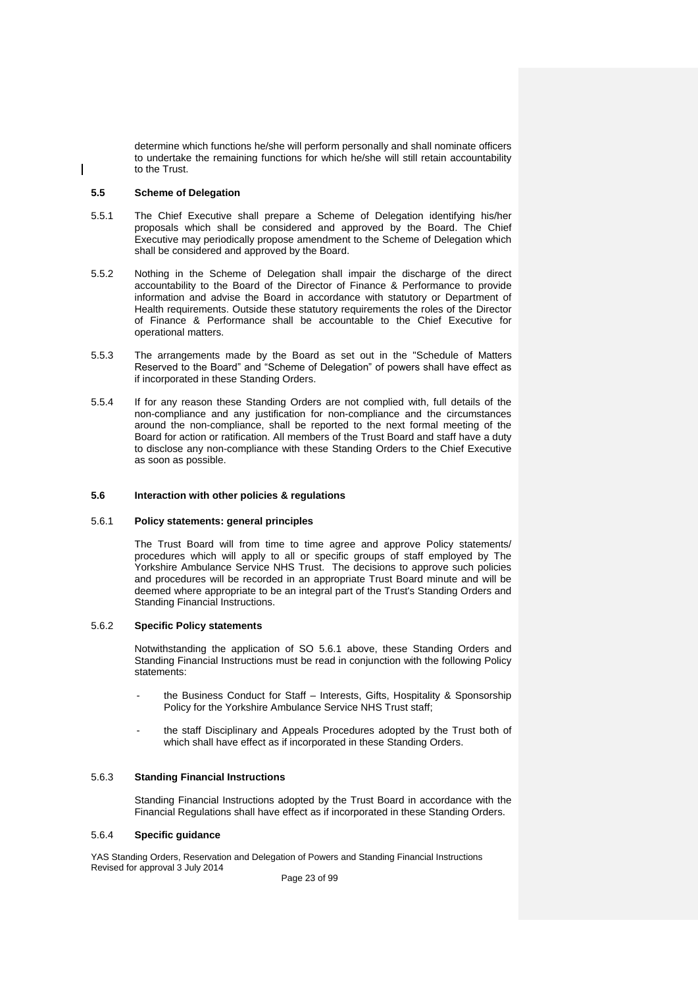determine which functions he/she will perform personally and shall nominate officers to undertake the remaining functions for which he/she will still retain accountability to the Trust.

# **5.5 Scheme of Delegation**

- 5.5.1 The Chief Executive shall prepare a Scheme of Delegation identifying his/her proposals which shall be considered and approved by the Board. The Chief Executive may periodically propose amendment to the Scheme of Delegation which shall be considered and approved by the Board.
- 5.5.2 Nothing in the Scheme of Delegation shall impair the discharge of the direct accountability to the Board of the Director of Finance & Performance to provide information and advise the Board in accordance with statutory or Department of Health requirements. Outside these statutory requirements the roles of the Director of Finance & Performance shall be accountable to the Chief Executive for operational matters.
- 5.5.3 The arrangements made by the Board as set out in the "Schedule of Matters Reserved to the Board" and "Scheme of Delegation" of powers shall have effect as if incorporated in these Standing Orders.
- 5.5.4 If for any reason these Standing Orders are not complied with, full details of the non-compliance and any justification for non-compliance and the circumstances around the non-compliance, shall be reported to the next formal meeting of the Board for action or ratification. All members of the Trust Board and staff have a duty to disclose any non-compliance with these Standing Orders to the Chief Executive as soon as possible.

#### **5.6 Interaction with other policies & regulations**

# 5.6.1 **Policy statements: general principles**

The Trust Board will from time to time agree and approve Policy statements/ procedures which will apply to all or specific groups of staff employed by The Yorkshire Ambulance Service NHS Trust. The decisions to approve such policies and procedures will be recorded in an appropriate Trust Board minute and will be deemed where appropriate to be an integral part of the Trust's Standing Orders and Standing Financial Instructions.

# 5.6.2 **Specific Policy statements**

Notwithstanding the application of SO 5.6.1 above, these Standing Orders and Standing Financial Instructions must be read in conjunction with the following Policy statements:

- the Business Conduct for Staff Interests, Gifts, Hospitality & Sponsorship Policy for the Yorkshire Ambulance Service NHS Trust staff;
- the staff Disciplinary and Appeals Procedures adopted by the Trust both of which shall have effect as if incorporated in these Standing Orders.

# 5.6.3 **Standing Financial Instructions**

Standing Financial Instructions adopted by the Trust Board in accordance with the Financial Regulations shall have effect as if incorporated in these Standing Orders.

#### 5.6.4 **Specific guidance**

YAS Standing Orders, Reservation and Delegation of Powers and Standing Financial Instructions Revised for approval 3 July 2014

Page 23 of 99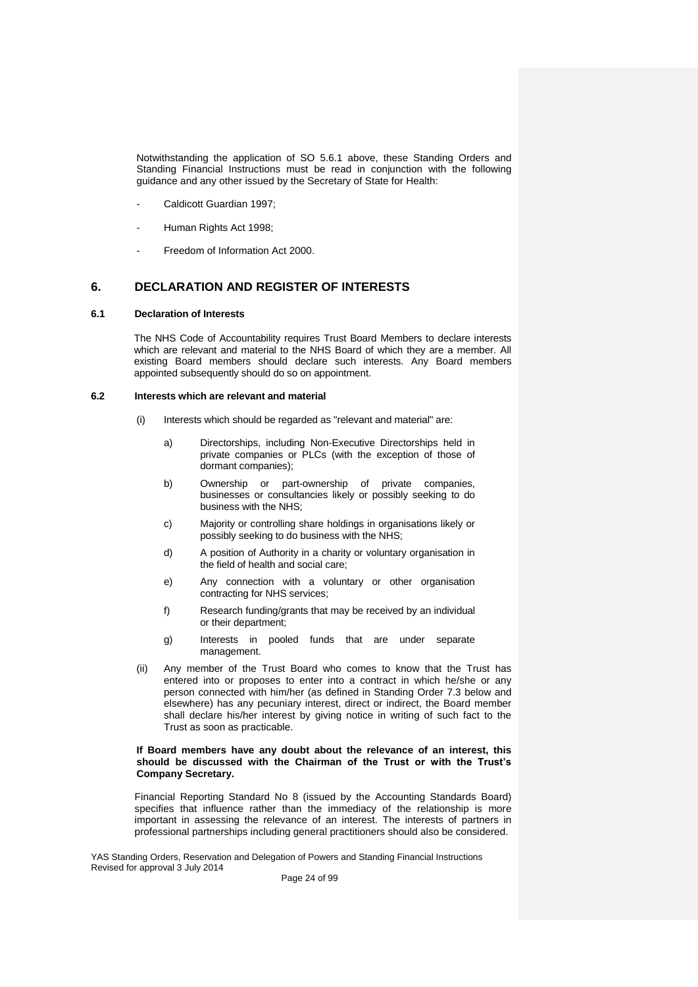Notwithstanding the application of SO 5.6.1 above, these Standing Orders and Standing Financial Instructions must be read in conjunction with the following guidance and any other issued by the Secretary of State for Health:

- Caldicott Guardian 1997:
- Human Rights Act 1998:
- Freedom of Information Act 2000.

# **6. DECLARATION AND REGISTER OF INTERESTS**

# **6.1 Declaration of Interests**

The NHS Code of Accountability requires Trust Board Members to declare interests which are relevant and material to the NHS Board of which they are a member. All existing Board members should declare such interests. Any Board members appointed subsequently should do so on appointment.

#### **6.2 Interests which are relevant and material**

- (i) Interests which should be regarded as "relevant and material" are:
	- a) Directorships, including Non-Executive Directorships held in private companies or PLCs (with the exception of those of dormant companies);
	- b) Ownership or part-ownership of private companies, businesses or consultancies likely or possibly seeking to do business with the NHS;
	- c) Majority or controlling share holdings in organisations likely or possibly seeking to do business with the NHS;
	- d) A position of Authority in a charity or voluntary organisation in the field of health and social care;
	- e) Any connection with a voluntary or other organisation contracting for NHS services;
	- f) Research funding/grants that may be received by an individual or their department;
	- g) Interests in pooled funds that are under separate management.
- (ii) Any member of the Trust Board who comes to know that the Trust has entered into or proposes to enter into a contract in which he/she or any person connected with him/her (as defined in Standing Order 7.3 below and elsewhere) has any pecuniary interest, direct or indirect, the Board member shall declare his/her interest by giving notice in writing of such fact to the Trust as soon as practicable.

#### **If Board members have any doubt about the relevance of an interest, this should be discussed with the Chairman of the Trust or with the Trust's Company Secretary.**

Financial Reporting Standard No 8 (issued by the Accounting Standards Board) specifies that influence rather than the immediacy of the relationship is more important in assessing the relevance of an interest. The interests of partners in professional partnerships including general practitioners should also be considered.

YAS Standing Orders, Reservation and Delegation of Powers and Standing Financial Instructions Revised for approval 3 July 2014

Page 24 of 99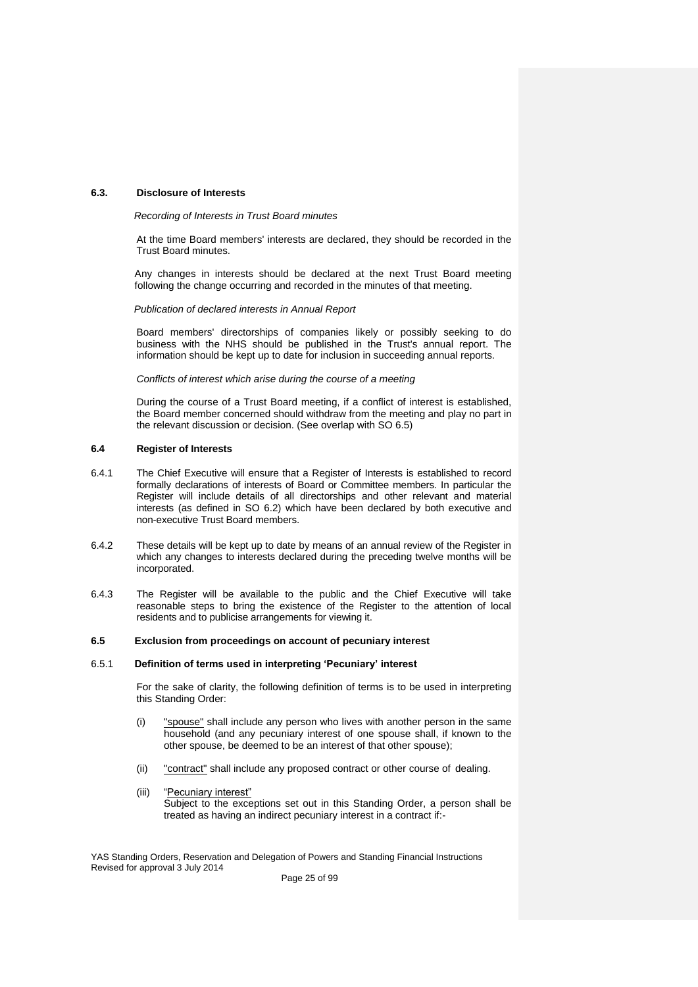## **6.3. Disclosure of Interests**

*Recording of Interests in Trust Board minutes*

At the time Board members' interests are declared, they should be recorded in the Trust Board minutes.

Any changes in interests should be declared at the next Trust Board meeting following the change occurring and recorded in the minutes of that meeting.

*Publication of declared interests in Annual Report*

Board members' directorships of companies likely or possibly seeking to do business with the NHS should be published in the Trust's annual report. The information should be kept up to date for inclusion in succeeding annual reports.

## *Conflicts of interest which arise during the course of a meeting*

During the course of a Trust Board meeting, if a conflict of interest is established, the Board member concerned should withdraw from the meeting and play no part in the relevant discussion or decision. (See overlap with SO 6.5)

#### **6.4 Register of Interests**

- 6.4.1 The Chief Executive will ensure that a Register of Interests is established to record formally declarations of interests of Board or Committee members. In particular the Register will include details of all directorships and other relevant and material interests (as defined in SO 6.2) which have been declared by both executive and non-executive Trust Board members.
- 6.4.2 These details will be kept up to date by means of an annual review of the Register in which any changes to interests declared during the preceding twelve months will be incorporated.
- 6.4.3 The Register will be available to the public and the Chief Executive will take reasonable steps to bring the existence of the Register to the attention of local residents and to publicise arrangements for viewing it.

## **6.5 Exclusion from proceedings on account of pecuniary interest**

#### 6.5.1 **Definition of terms used in interpreting 'Pecuniary' interest**

For the sake of clarity, the following definition of terms is to be used in interpreting this Standing Order:

- (i) "spouse" shall include any person who lives with another person in the same household (and any pecuniary interest of one spouse shall, if known to the other spouse, be deemed to be an interest of that other spouse);
- (ii) "contract" shall include any proposed contract or other course of dealing.
- (iii) "Pecuniary interest" Subject to the exceptions set out in this Standing Order, a person shall be treated as having an indirect pecuniary interest in a contract if:-

YAS Standing Orders, Reservation and Delegation of Powers and Standing Financial Instructions Revised for approval 3 July 2014

Page 25 of 99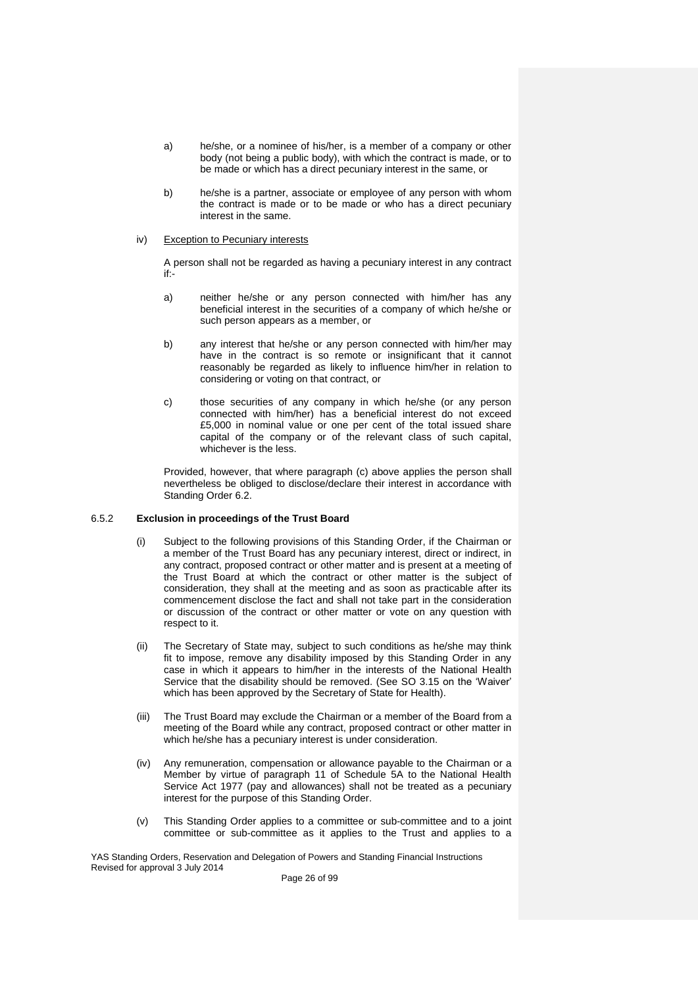- a) he/she, or a nominee of his/her, is a member of a company or other body (not being a public body), with which the contract is made, or to be made or which has a direct pecuniary interest in the same, or
- b) he/she is a partner, associate or employee of any person with whom the contract is made or to be made or who has a direct pecuniary interest in the same.

#### iv) Exception to Pecuniary interests

A person shall not be regarded as having a pecuniary interest in any contract if:-

- a) neither he/she or any person connected with him/her has any beneficial interest in the securities of a company of which he/she or such person appears as a member, or
- b) any interest that he/she or any person connected with him/her may have in the contract is so remote or insignificant that it cannot reasonably be regarded as likely to influence him/her in relation to considering or voting on that contract, or
- c) those securities of any company in which he/she (or any person connected with him/her) has a beneficial interest do not exceed £5,000 in nominal value or one per cent of the total issued share capital of the company or of the relevant class of such capital, whichever is the less.

Provided, however, that where paragraph (c) above applies the person shall nevertheless be obliged to disclose/declare their interest in accordance with Standing Order 6.2.

#### 6.5.2 **Exclusion in proceedings of the Trust Board**

- (i) Subject to the following provisions of this Standing Order, if the Chairman or a member of the Trust Board has any pecuniary interest, direct or indirect, in any contract, proposed contract or other matter and is present at a meeting of the Trust Board at which the contract or other matter is the subject of consideration, they shall at the meeting and as soon as practicable after its commencement disclose the fact and shall not take part in the consideration or discussion of the contract or other matter or vote on any question with respect to it.
- (ii) The Secretary of State may, subject to such conditions as he/she may think fit to impose, remove any disability imposed by this Standing Order in any case in which it appears to him/her in the interests of the National Health Service that the disability should be removed. (See SO 3.15 on the 'Waiver' which has been approved by the Secretary of State for Health).
- (iii) The Trust Board may exclude the Chairman or a member of the Board from a meeting of the Board while any contract, proposed contract or other matter in which he/she has a pecuniary interest is under consideration.
- (iv) Any remuneration, compensation or allowance payable to the Chairman or a Member by virtue of paragraph 11 of Schedule 5A to the National Health Service Act 1977 (pay and allowances) shall not be treated as a pecuniary interest for the purpose of this Standing Order.
- (v) This Standing Order applies to a committee or sub-committee and to a joint committee or sub-committee as it applies to the Trust and applies to a

YAS Standing Orders, Reservation and Delegation of Powers and Standing Financial Instructions Revised for approval 3 July 2014

Page 26 of 99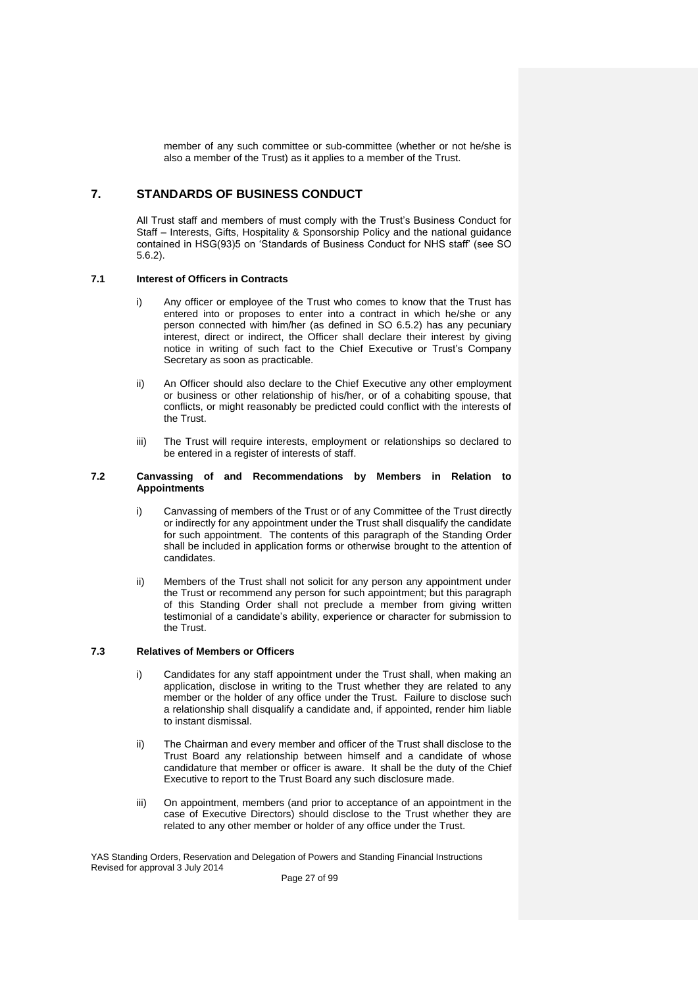member of any such committee or sub-committee (whether or not he/she is also a member of the Trust) as it applies to a member of the Trust.

# **7. STANDARDS OF BUSINESS CONDUCT**

All Trust staff and members of must comply with the Trust's Business Conduct for Staff – Interests, Gifts, Hospitality & Sponsorship Policy and the national guidance contained in HSG(93)5 on 'Standards of Business Conduct for NHS staff' (see SO 5.6.2).

# **7.1 Interest of Officers in Contracts**

- Any officer or employee of the Trust who comes to know that the Trust has entered into or proposes to enter into a contract in which he/she or any person connected with him/her (as defined in SO 6.5.2) has any pecuniary interest, direct or indirect, the Officer shall declare their interest by giving notice in writing of such fact to the Chief Executive or Trust's Company Secretary as soon as practicable.
- ii) An Officer should also declare to the Chief Executive any other employment or business or other relationship of his/her, or of a cohabiting spouse, that conflicts, or might reasonably be predicted could conflict with the interests of the Trust.
- iii) The Trust will require interests, employment or relationships so declared to be entered in a register of interests of staff.

## **7.2 Canvassing of and Recommendations by Members in Relation to Appointments**

- i) Canvassing of members of the Trust or of any Committee of the Trust directly or indirectly for any appointment under the Trust shall disqualify the candidate for such appointment. The contents of this paragraph of the Standing Order shall be included in application forms or otherwise brought to the attention of candidates.
- ii) Members of the Trust shall not solicit for any person any appointment under the Trust or recommend any person for such appointment; but this paragraph of this Standing Order shall not preclude a member from giving written testimonial of a candidate's ability, experience or character for submission to the Trust.

# **7.3 Relatives of Members or Officers**

- i) Candidates for any staff appointment under the Trust shall, when making an application, disclose in writing to the Trust whether they are related to any member or the holder of any office under the Trust. Failure to disclose such a relationship shall disqualify a candidate and, if appointed, render him liable to instant dismissal.
- ii) The Chairman and every member and officer of the Trust shall disclose to the Trust Board any relationship between himself and a candidate of whose candidature that member or officer is aware. It shall be the duty of the Chief Executive to report to the Trust Board any such disclosure made.
- iii) On appointment, members (and prior to acceptance of an appointment in the case of Executive Directors) should disclose to the Trust whether they are related to any other member or holder of any office under the Trust.

YAS Standing Orders, Reservation and Delegation of Powers and Standing Financial Instructions Revised for approval 3 July 2014

Page 27 of 99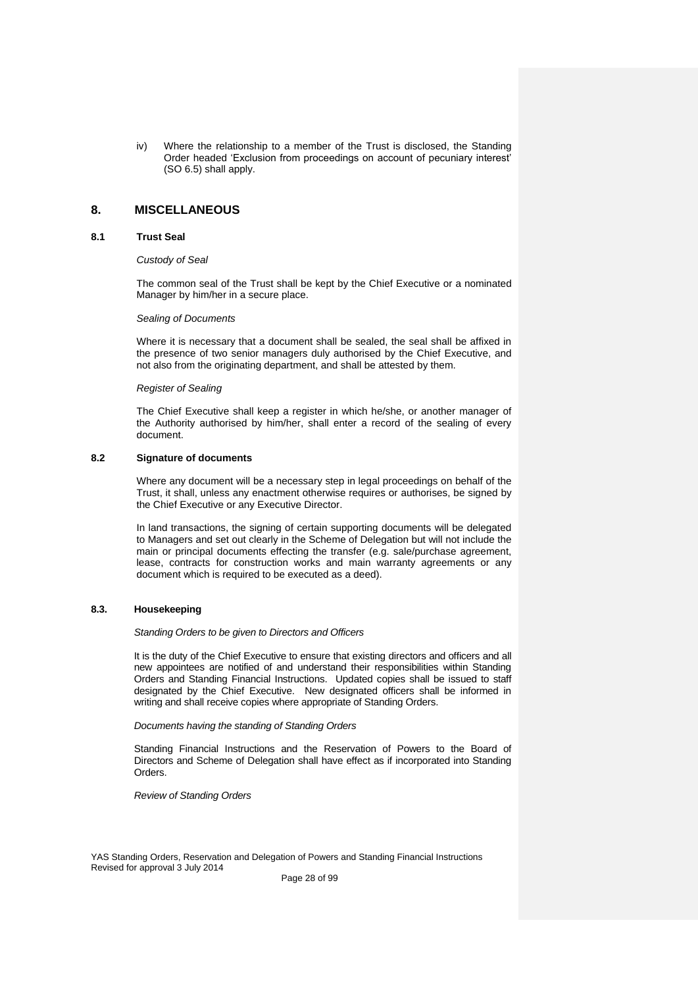iv) Where the relationship to a member of the Trust is disclosed, the Standing Order headed 'Exclusion from proceedings on account of pecuniary interest' (SO 6.5) shall apply.

# **8. MISCELLANEOUS**

#### **8.1 Trust Seal**

#### *Custody of Seal*

The common seal of the Trust shall be kept by the Chief Executive or a nominated Manager by him/her in a secure place.

#### *Sealing of Documents*

Where it is necessary that a document shall be sealed, the seal shall be affixed in the presence of two senior managers duly authorised by the Chief Executive, and not also from the originating department, and shall be attested by them.

#### *Register of Sealing*

The Chief Executive shall keep a register in which he/she, or another manager of the Authority authorised by him/her, shall enter a record of the sealing of every document.

#### **8.2 Signature of documents**

Where any document will be a necessary step in legal proceedings on behalf of the Trust, it shall, unless any enactment otherwise requires or authorises, be signed by the Chief Executive or any Executive Director.

In land transactions, the signing of certain supporting documents will be delegated to Managers and set out clearly in the Scheme of Delegation but will not include the main or principal documents effecting the transfer (e.g. sale/purchase agreement, lease, contracts for construction works and main warranty agreements or any document which is required to be executed as a deed).

#### **8.3. Housekeeping**

*Standing Orders to be given to Directors and Officers*

It is the duty of the Chief Executive to ensure that existing directors and officers and all new appointees are notified of and understand their responsibilities within Standing Orders and Standing Financial Instructions. Updated copies shall be issued to staff designated by the Chief Executive. New designated officers shall be informed in writing and shall receive copies where appropriate of Standing Orders.

*Documents having the standing of Standing Orders*

Standing Financial Instructions and the Reservation of Powers to the Board of Directors and Scheme of Delegation shall have effect as if incorporated into Standing Orders.

*Review of Standing Orders*

YAS Standing Orders, Reservation and Delegation of Powers and Standing Financial Instructions Revised for approval 3 July 2014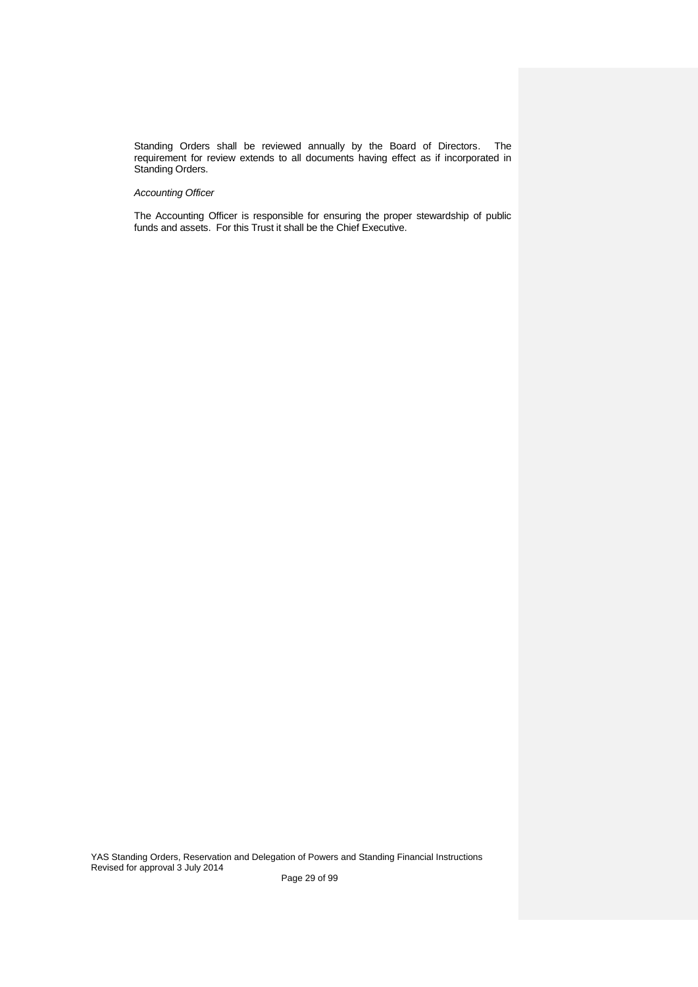Standing Orders shall be reviewed annually by the Board of Directors. The requirement for review extends to all documents having effect as if incorporated in Standing Orders.

# *Accounting Officer*

The Accounting Officer is responsible for ensuring the proper stewardship of public funds and assets. For this Trust it shall be the Chief Executive.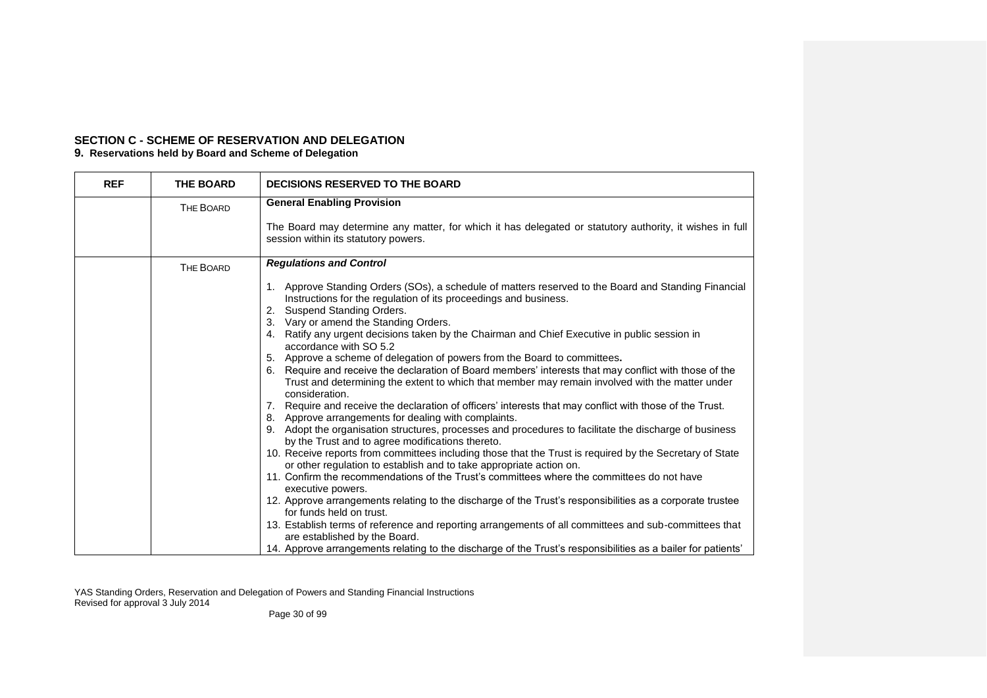# **SECTION C - SCHEME OF RESERVATION AND DELEGATION**

# **9. Reservations held by Board and Scheme of Delegation**

| <b>REF</b> | <b>THE BOARD</b> | DECISIONS RESERVED TO THE BOARD                                                                                                                                                                                                                                                                                                                                                                                                                                                                                                                                                                                                                                                                                                                                                                                                                                                                                                                                                                                                                                                                                                                                                                                                                                                                                                                                                                                                                                             |
|------------|------------------|-----------------------------------------------------------------------------------------------------------------------------------------------------------------------------------------------------------------------------------------------------------------------------------------------------------------------------------------------------------------------------------------------------------------------------------------------------------------------------------------------------------------------------------------------------------------------------------------------------------------------------------------------------------------------------------------------------------------------------------------------------------------------------------------------------------------------------------------------------------------------------------------------------------------------------------------------------------------------------------------------------------------------------------------------------------------------------------------------------------------------------------------------------------------------------------------------------------------------------------------------------------------------------------------------------------------------------------------------------------------------------------------------------------------------------------------------------------------------------|
|            | THE BOARD        | <b>General Enabling Provision</b>                                                                                                                                                                                                                                                                                                                                                                                                                                                                                                                                                                                                                                                                                                                                                                                                                                                                                                                                                                                                                                                                                                                                                                                                                                                                                                                                                                                                                                           |
|            |                  | The Board may determine any matter, for which it has delegated or statutory authority, it wishes in full<br>session within its statutory powers.                                                                                                                                                                                                                                                                                                                                                                                                                                                                                                                                                                                                                                                                                                                                                                                                                                                                                                                                                                                                                                                                                                                                                                                                                                                                                                                            |
|            | THE BOARD        | <b>Regulations and Control</b>                                                                                                                                                                                                                                                                                                                                                                                                                                                                                                                                                                                                                                                                                                                                                                                                                                                                                                                                                                                                                                                                                                                                                                                                                                                                                                                                                                                                                                              |
|            |                  | 1. Approve Standing Orders (SOs), a schedule of matters reserved to the Board and Standing Financial<br>Instructions for the regulation of its proceedings and business.<br>Suspend Standing Orders.<br>2.<br>3. Vary or amend the Standing Orders.<br>4. Ratify any urgent decisions taken by the Chairman and Chief Executive in public session in<br>accordance with SO 5.2<br>5. Approve a scheme of delegation of powers from the Board to committees.<br>6. Require and receive the declaration of Board members' interests that may conflict with those of the<br>Trust and determining the extent to which that member may remain involved with the matter under<br>consideration.<br>7. Require and receive the declaration of officers' interests that may conflict with those of the Trust.<br>8. Approve arrangements for dealing with complaints.<br>9. Adopt the organisation structures, processes and procedures to facilitate the discharge of business<br>by the Trust and to agree modifications thereto.<br>10. Receive reports from committees including those that the Trust is required by the Secretary of State<br>or other regulation to establish and to take appropriate action on.<br>11. Confirm the recommendations of the Trust's committees where the committees do not have<br>executive powers.<br>12. Approve arrangements relating to the discharge of the Trust's responsibilities as a corporate trustee<br>for funds held on trust. |
|            |                  | 13. Establish terms of reference and reporting arrangements of all committees and sub-committees that<br>are established by the Board.<br>14. Approve arrangements relating to the discharge of the Trust's responsibilities as a bailer for patients'                                                                                                                                                                                                                                                                                                                                                                                                                                                                                                                                                                                                                                                                                                                                                                                                                                                                                                                                                                                                                                                                                                                                                                                                                      |

YAS Standing Orders, Reservation and Delegation of Powers and Standing Financial Instructions Revised for approval 3 July 2014

Page 30 of 99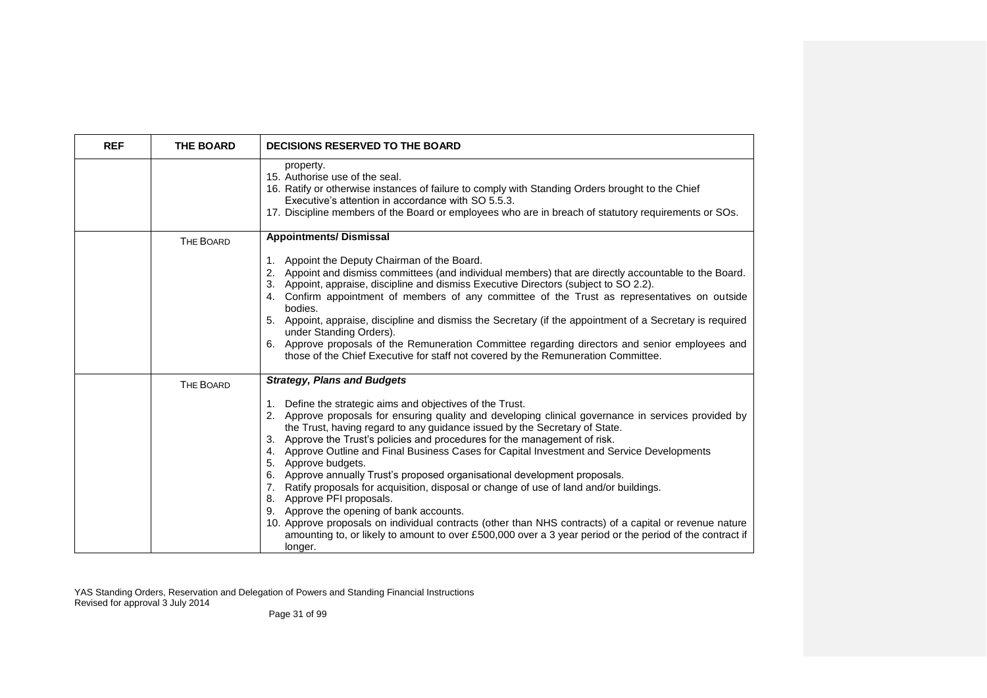| <b>REF</b> | <b>THE BOARD</b> | <b>DECISIONS RESERVED TO THE BOARD</b>                                                                                                                                                                                                                                                                                                                                                                                                                                                                                                                                                                                                                                                                                                                                                                                                                                                                                                                                         |
|------------|------------------|--------------------------------------------------------------------------------------------------------------------------------------------------------------------------------------------------------------------------------------------------------------------------------------------------------------------------------------------------------------------------------------------------------------------------------------------------------------------------------------------------------------------------------------------------------------------------------------------------------------------------------------------------------------------------------------------------------------------------------------------------------------------------------------------------------------------------------------------------------------------------------------------------------------------------------------------------------------------------------|
|            |                  | property.<br>15. Authorise use of the seal.<br>16. Ratify or otherwise instances of failure to comply with Standing Orders brought to the Chief<br>Executive's attention in accordance with SO 5.5.3.<br>17. Discipline members of the Board or employees who are in breach of statutory requirements or SOs.                                                                                                                                                                                                                                                                                                                                                                                                                                                                                                                                                                                                                                                                  |
|            | THE BOARD        | <b>Appointments/ Dismissal</b><br>1. Appoint the Deputy Chairman of the Board.<br>2. Appoint and dismiss committees (and individual members) that are directly accountable to the Board.<br>3. Appoint, appraise, discipline and dismiss Executive Directors (subject to SO 2.2).<br>4. Confirm appointment of members of any committee of the Trust as representatives on outside<br>bodies.<br>5. Appoint, appraise, discipline and dismiss the Secretary (if the appointment of a Secretary is required<br>under Standing Orders).<br>6. Approve proposals of the Remuneration Committee regarding directors and senior employees and<br>those of the Chief Executive for staff not covered by the Remuneration Committee.                                                                                                                                                                                                                                                  |
|            | <b>THE BOARD</b> | <b>Strategy, Plans and Budgets</b><br>1. Define the strategic aims and objectives of the Trust.<br>2. Approve proposals for ensuring quality and developing clinical governance in services provided by<br>the Trust, having regard to any guidance issued by the Secretary of State.<br>3. Approve the Trust's policies and procedures for the management of risk.<br>4. Approve Outline and Final Business Cases for Capital Investment and Service Developments<br>5. Approve budgets.<br>6. Approve annually Trust's proposed organisational development proposals.<br>7. Ratify proposals for acquisition, disposal or change of use of land and/or buildings.<br>8. Approve PFI proposals.<br>9. Approve the opening of bank accounts.<br>10. Approve proposals on individual contracts (other than NHS contracts) of a capital or revenue nature<br>amounting to, or likely to amount to over £500,000 over a 3 year period or the period of the contract if<br>longer. |

YAS Standing Orders, Reservation and Delegation of Powers and Standing Financial Instructions Revised for approval 3 July 2014

Page 31 of 99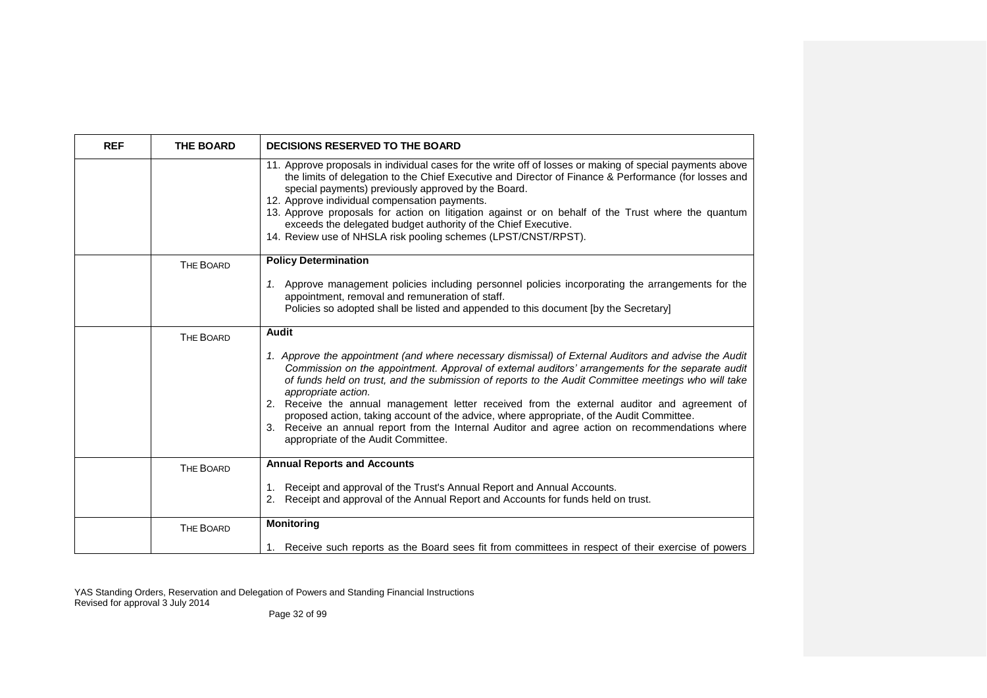| <b>REF</b> | <b>THE BOARD</b> | <b>DECISIONS RESERVED TO THE BOARD</b>                                                                                                                                                                                                                                                                                                                                                                                                                                                                                                                                                                                                                                        |
|------------|------------------|-------------------------------------------------------------------------------------------------------------------------------------------------------------------------------------------------------------------------------------------------------------------------------------------------------------------------------------------------------------------------------------------------------------------------------------------------------------------------------------------------------------------------------------------------------------------------------------------------------------------------------------------------------------------------------|
|            |                  | 11. Approve proposals in individual cases for the write off of losses or making of special payments above<br>the limits of delegation to the Chief Executive and Director of Finance & Performance (for losses and<br>special payments) previously approved by the Board.<br>12. Approve individual compensation payments.<br>13. Approve proposals for action on litigation against or on behalf of the Trust where the quantum<br>exceeds the delegated budget authority of the Chief Executive.<br>14. Review use of NHSLA risk pooling schemes (LPST/CNST/RPST).                                                                                                          |
|            | <b>THE BOARD</b> | <b>Policy Determination</b>                                                                                                                                                                                                                                                                                                                                                                                                                                                                                                                                                                                                                                                   |
|            |                  | 1. Approve management policies including personnel policies incorporating the arrangements for the<br>appointment, removal and remuneration of staff.<br>Policies so adopted shall be listed and appended to this document [by the Secretary]                                                                                                                                                                                                                                                                                                                                                                                                                                 |
|            | THE BOARD        | Audit                                                                                                                                                                                                                                                                                                                                                                                                                                                                                                                                                                                                                                                                         |
|            |                  | 1. Approve the appointment (and where necessary dismissal) of External Auditors and advise the Audit<br>Commission on the appointment. Approval of external auditors' arrangements for the separate audit<br>of funds held on trust, and the submission of reports to the Audit Committee meetings who will take<br>appropriate action.<br>2. Receive the annual management letter received from the external auditor and agreement of<br>proposed action, taking account of the advice, where appropriate, of the Audit Committee.<br>3. Receive an annual report from the Internal Auditor and agree action on recommendations where<br>appropriate of the Audit Committee. |
|            | THE BOARD        | <b>Annual Reports and Accounts</b>                                                                                                                                                                                                                                                                                                                                                                                                                                                                                                                                                                                                                                            |
|            |                  | 1. Receipt and approval of the Trust's Annual Report and Annual Accounts.<br>2. Receipt and approval of the Annual Report and Accounts for funds held on trust.                                                                                                                                                                                                                                                                                                                                                                                                                                                                                                               |
|            | <b>THE BOARD</b> | <b>Monitoring</b>                                                                                                                                                                                                                                                                                                                                                                                                                                                                                                                                                                                                                                                             |
|            |                  | 1. Receive such reports as the Board sees fit from committees in respect of their exercise of powers                                                                                                                                                                                                                                                                                                                                                                                                                                                                                                                                                                          |

YAS Standing Orders, Reservation and Delegation of Powers and Standing Financial Instructions Revised for approval 3 July 2014

Page 32 of 99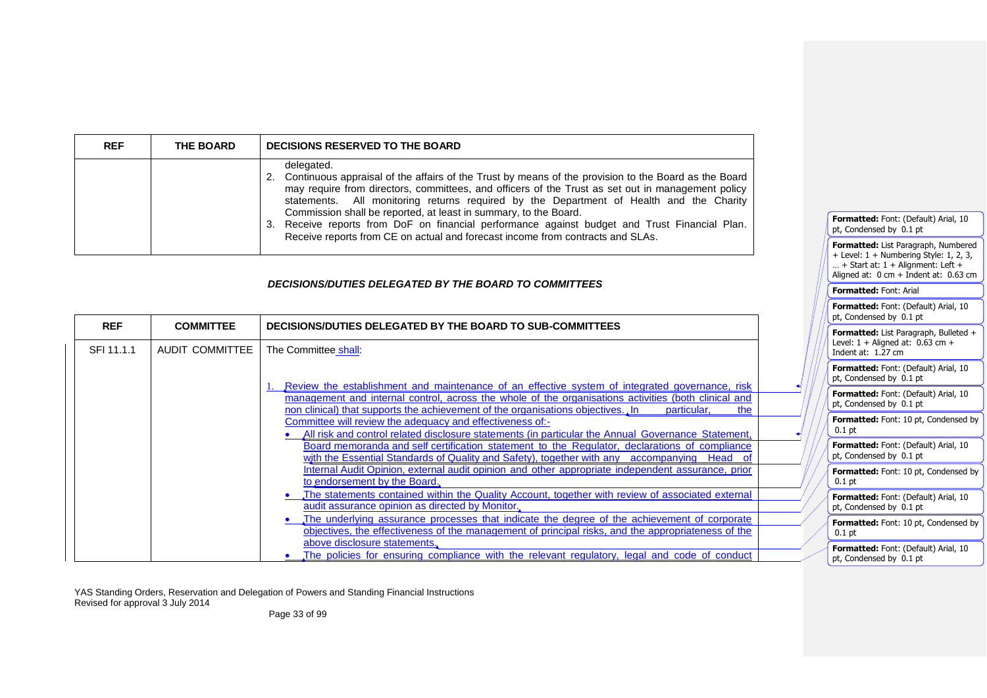| <b>REF</b> | <b>THE BOARD</b> | DECISIONS RESERVED TO THE BOARD                                                                                                                                                                                                                                                                                                                                                                                                                                                                                                                                              |
|------------|------------------|------------------------------------------------------------------------------------------------------------------------------------------------------------------------------------------------------------------------------------------------------------------------------------------------------------------------------------------------------------------------------------------------------------------------------------------------------------------------------------------------------------------------------------------------------------------------------|
|            |                  | delegated.<br>2. Continuous appraisal of the affairs of the Trust by means of the provision to the Board as the Board<br>may require from directors, committees, and officers of the Trust as set out in management policy<br>statements. All monitoring returns required by the Department of Health and the Charity<br>Commission shall be reported, at least in summary, to the Board.<br>3. Receive reports from DoF on financial performance against budget and Trust Financial Plan.<br>Receive reports from CE on actual and forecast income from contracts and SLAs. |

# *DECISIONS/DUTIES DELEGATED BY THE BOARD TO COMMITTEES*

|            |                  |                                                                                                                                                                                                                                                                                                                 |  | Formatted: Font: (Default) Arial, 10<br>pt, Condensed by 0.1 pt    |
|------------|------------------|-----------------------------------------------------------------------------------------------------------------------------------------------------------------------------------------------------------------------------------------------------------------------------------------------------------------|--|--------------------------------------------------------------------|
| <b>REF</b> | <b>COMMITTEE</b> | DECISIONS/DUTIES DELEGATED BY THE BOARD TO SUB-COMMITTEES                                                                                                                                                                                                                                                       |  | Formatted: List Paragraph, Bulleted +                              |
| SFI 11.1.1 | AUDIT COMMITTEE  | The Committee shall:                                                                                                                                                                                                                                                                                            |  | Level: $1 +$ Aligned at: 0.63 cm +<br>Indent at: $1.27 \text{ cm}$ |
|            |                  |                                                                                                                                                                                                                                                                                                                 |  | Formatted: Font: (Default) Arial, 10<br>pt, Condensed by 0.1 pt    |
|            |                  | Review the establishment and maintenance of an effective system of integrated governance, risk<br>management and internal control, across the whole of the organisations activities (both clinical and<br>non clinical) that supports the achievement of the organisations objectives. In<br>particular,<br>the |  | Formatted: Font: (Default) Arial, 10<br>pt, Condensed by 0.1 pt    |
|            |                  | Committee will review the adequacy and effectiveness of:-<br>All risk and control related disclosure statements (in particular the Annual Governance Statement,                                                                                                                                                 |  | Formatted: Font: 10 pt, Condensed by<br>$0.1$ pt                   |
|            |                  | Board memoranda and self certification statement to the Regulator, declarations of compliance<br>with the Essential Standards of Quality and Safety), together with any accompanying Head of                                                                                                                    |  | Formatted: Font: (Default) Arial, 10<br>pt, Condensed by 0.1 pt    |
|            |                  | Internal Audit Opinion, external audit opinion and other appropriate independent assurance, prior<br>to endorsement by the Board.                                                                                                                                                                               |  | Formatted: Font: 10 pt, Condensed by<br>$0.1$ pt                   |
|            |                  | The statements contained within the Quality Account, together with review of associated external<br>audit assurance opinion as directed by Monitor.                                                                                                                                                             |  | Formatted: Font: (Default) Arial, 10<br>pt, Condensed by 0.1 pt    |
|            |                  | The underlying assurance processes that indicate the degree of the achievement of corporate<br>objectives, the effectiveness of the management of principal risks, and the appropriateness of the                                                                                                               |  | Formatted: Font: 10 pt, Condensed by<br>$0.1$ pt                   |
|            |                  | above disclosure statements.<br>The policies for ensuring compliance with the relevant regulatory, legal and code of conduct                                                                                                                                                                                    |  | Formatted: Font: (Default) Arial, 10<br>pt, Condensed by 0.1 pt    |

**Formatted:** Font: (Default) Arial, 10

**Formatted:** List Paragraph, Numbered + Level: 1 + Numbering Style: 1, 2, 3, … + Start at: 1 + Alignment: Left + Aligned at:  $0 \text{ cm} + \text{Indent at: } 0.63 \text{ cm}$ 

pt, Condensed by 0.1 pt

**Formatted:** Font: Arial

YAS Standing Orders, Reservation and Delegation of Powers and Standing Financial Instructions Revised for approval 3 July 2014

Page 33 of 99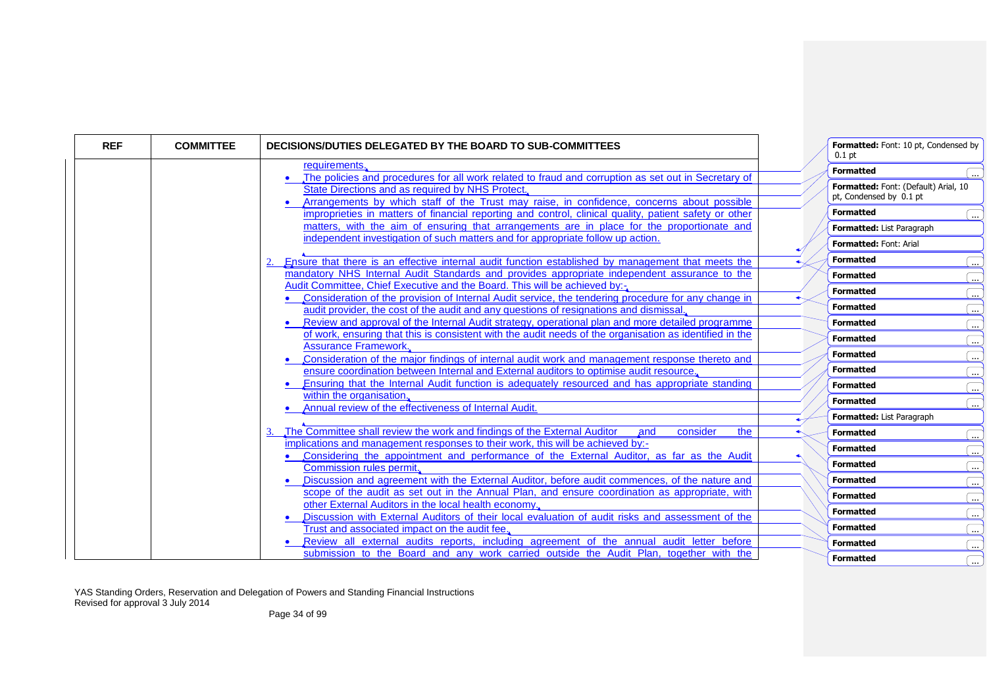| <b>REF</b> | <b>COMMITTEE</b> | DECISIONS/DUTIES DELEGATED BY THE BOARD TO SUB-COMMITTEES                                                                                                                                                                                             | $0.1$ pt                                                        | Formatted: Font: 10 pt, Condensed by |
|------------|------------------|-------------------------------------------------------------------------------------------------------------------------------------------------------------------------------------------------------------------------------------------------------|-----------------------------------------------------------------|--------------------------------------|
|            |                  | requirements.                                                                                                                                                                                                                                         | <b>Formatted</b>                                                |                                      |
|            |                  | The policies and procedures for all work related to fraud and corruption as set out in Secretary of<br>State Directions and as required by NHS Protect.<br>Arrangements by which staff of the Trust may raise, in confidence, concerns about possible | Formatted: Font: (Default) Arial, 10<br>pt, Condensed by 0.1 pt |                                      |
|            |                  | improprieties in matters of financial reporting and control, clinical quality, patient safety or other                                                                                                                                                | <b>Formatted</b>                                                | $\ddotsc$                            |
|            |                  | matters, with the aim of ensuring that arrangements are in place for the proportionate and                                                                                                                                                            | Formatted: List Paragraph                                       |                                      |
|            |                  | independent investigation of such matters and for appropriate follow up action.                                                                                                                                                                       | Formatted: Font: Arial                                          |                                      |
|            |                  | Ensure that there is an effective internal audit function established by management that meets the                                                                                                                                                    | <b>Formatted</b>                                                | j.                                   |
|            |                  | mandatory NHS Internal Audit Standards and provides appropriate independent assurance to the                                                                                                                                                          | <b>Formatted</b>                                                |                                      |
|            |                  | Audit Committee, Chief Executive and the Board. This will be achieved by:-                                                                                                                                                                            | <b>Formatted</b>                                                | $\ddotsc$                            |
|            |                  | Consideration of the provision of Internal Audit service, the tendering procedure for any change in                                                                                                                                                   | <b>Formatted</b>                                                | $\mathbf{L}$                         |
|            |                  | audit provider, the cost of the audit and any questions of resignations and dismissal.                                                                                                                                                                |                                                                 | ٠                                    |
|            |                  | Review and approval of the Internal Audit strategy, operational plan and more detailed programme<br>of work, ensuring that this is consistent with the audit needs of the organisation as identified in the                                           | <b>Formatted</b>                                                | $\ddotsc$                            |
|            |                  | <b>Assurance Framework.</b>                                                                                                                                                                                                                           | <b>Formatted</b>                                                | $\Box$                               |
|            |                  | Consideration of the major findings of internal audit work and management response thereto and                                                                                                                                                        | <b>Formatted</b>                                                | 〔…                                   |
|            |                  | ensure coordination between Internal and External auditors to optimise audit resource.                                                                                                                                                                | <b>Formatted</b>                                                | l                                    |
|            |                  | Ensuring that the Internal Audit function is adequately resourced and has appropriate standing                                                                                                                                                        | <b>Formatted</b>                                                | $\ddotsc$                            |
|            |                  | within the organisation.                                                                                                                                                                                                                              | <b>Formatted</b>                                                |                                      |
|            |                  | Annual review of the effectiveness of Internal Audit.                                                                                                                                                                                                 | Formatted: List Paragraph                                       |                                      |
|            |                  | The Committee shall review the work and findings of the External Auditor<br>consider<br>and<br>the                                                                                                                                                    | <b>Formatted</b>                                                |                                      |
|            |                  | implications and management responses to their work, this will be achieved by:-                                                                                                                                                                       |                                                                 | $\ddotsc$                            |
|            |                  | Considering the appointment and performance of the External Auditor, as far as the Audit                                                                                                                                                              | <b>Formatted</b>                                                | (                                    |
|            |                  | <b>Commission rules permit.</b>                                                                                                                                                                                                                       | <b>Formatted</b>                                                | $\ddotsc$                            |
|            |                  | Discussion and agreement with the External Auditor, before audit commences, of the nature and                                                                                                                                                         | <b>Formatted</b>                                                | ا                                    |
|            |                  | scope of the audit as set out in the Annual Plan, and ensure coordination as appropriate, with                                                                                                                                                        | <b>Formatted</b>                                                | $\overline{\phantom{a}}$             |
|            |                  | other External Auditors in the local health economy.                                                                                                                                                                                                  | <b>Formatted</b>                                                |                                      |
|            |                  | Discussion with External Auditors of their local evaluation of audit risks and assessment of the                                                                                                                                                      | <b>Formatted</b>                                                | (                                    |
|            |                  | Trust and associated impact on the audit fee.                                                                                                                                                                                                         |                                                                 | $\overline{\phantom{a}}$             |
|            |                  | Review all external audits reports, including agreement of the annual audit letter before<br>submission to the Board and any work carried outside the Audit Plan, together with the                                                                   | <b>Formatted</b>                                                | j.                                   |
|            |                  |                                                                                                                                                                                                                                                       | <b>Formatted</b>                                                |                                      |

YAS Standing Orders, Reservation and Delegation of Powers and Standing Financial Instructions Revised for approval 3 July 2014

Page 34 of 99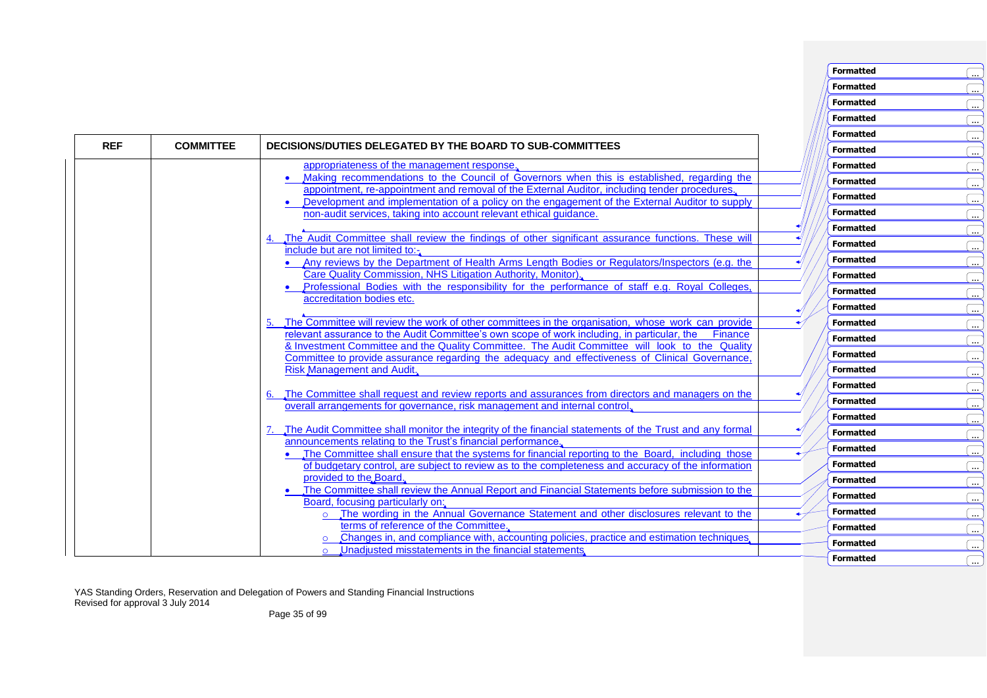|            |                  |                                                                                                                                                                                                 | <b>Formatted</b> | $\overline{\phantom{a}}$ |
|------------|------------------|-------------------------------------------------------------------------------------------------------------------------------------------------------------------------------------------------|------------------|--------------------------|
|            |                  |                                                                                                                                                                                                 | <b>Formatted</b> | j.                       |
|            |                  |                                                                                                                                                                                                 | <b>Formatted</b> | <u>(…</u>                |
| <b>REF</b> | <b>COMMITTEE</b> | DECISIONS/DUTIES DELEGATED BY THE BOARD TO SUB-COMMITTEES                                                                                                                                       | <b>Formatted</b> | $\overline{\phantom{a}}$ |
|            |                  | appropriateness of the management response.                                                                                                                                                     | <b>Formatted</b> | 〔…                       |
|            |                  | Making recommendations to the Council of Governors when this is established, regarding the                                                                                                      | <b>Formatted</b> | Œ.,                      |
|            |                  | appointment, re-appointment and removal of the External Auditor, including tender procedures.<br>Development and implementation of a policy on the engagement of the External Auditor to supply | <b>Formatted</b> | (                        |
|            |                  | non-audit services, taking into account relevant ethical guidance.                                                                                                                              | <b>Formatted</b> | 〔…                       |
|            |                  |                                                                                                                                                                                                 | <b>Formatted</b> | <u>(…</u>                |
|            |                  | The Audit Committee shall review the findings of other significant assurance functions. These will                                                                                              | <b>Formatted</b> | (                        |
|            |                  | include but are not limited to:-<br>• Any reviews by the Department of Health Arms Length Bodies or Regulators/Inspectors (e.g. the                                                             | <b>Formatted</b> | 〔…                       |
|            |                  | Care Quality Commission, NHS Litigation Authority, Monitor).                                                                                                                                    | <b>Formatted</b> | (                        |
|            |                  | Professional Bodies with the responsibility for the performance of staff e.g. Royal Colleges,                                                                                                   | <b>Formatted</b> | <u>(…</u>                |
|            |                  | accreditation bodies etc.                                                                                                                                                                       | <b>Formatted</b> | (                        |
|            |                  | The Committee will review the work of other committees in the organisation, whose work can provide                                                                                              | <b>Formatted</b> | 〔…                       |
|            |                  | relevant assurance to the Audit Committee's own scope of work including, in particular, the Finance                                                                                             | <b>Formatted</b> | <u>C.,</u>               |
|            |                  | & Investment Committee and the Quality Committee. The Audit Committee will look to the Quality                                                                                                  | <b>Formatted</b> | <u>(…</u>                |
|            |                  | Committee to provide assurance regarding the adequacy and effectiveness of Clinical Governance<br>Risk Management and Audit.                                                                    | <b>Formatted</b> | 〔…                       |
|            |                  |                                                                                                                                                                                                 | <b>Formatted</b> |                          |
|            |                  | The Committee shall request and review reports and assurances from directors and managers on the<br>6.                                                                                          | <b>Formatted</b> | (                        |
|            |                  | overall arrangements for governance, risk management and internal control.                                                                                                                      | <b>Formatted</b> | (                        |
|            |                  | The Audit Committee shall monitor the integrity of the financial statements of the Trust and any formal                                                                                         | <b>Formatted</b> | 〔…                       |
|            |                  | announcements relating to the Trust's financial performance.                                                                                                                                    | <b>Formatted</b> | $\overline{\phantom{a}}$ |
|            |                  | The Committee shall ensure that the systems for financial reporting to the Board, including those                                                                                               |                  | (                        |
|            |                  | of budgetary control, are subject to review as to the completeness and accuracy of the information<br>provided to the Board.                                                                    | <b>Formatted</b> | 〔…                       |
|            |                  | The Committee shall review the Annual Report and Financial Statements before submission to the                                                                                                  | <b>Formatted</b> | <u>(…</u>                |
|            |                  | Board, focusing particularly on:                                                                                                                                                                | <b>Formatted</b> | $\overline{\phantom{a}}$ |
|            |                  | o The wording in the Annual Governance Statement and other disclosures relevant to the                                                                                                          | <b>Formatted</b> | (                        |
|            |                  | terms of reference of the Committee.<br>Changes in, and compliance with, accounting policies, practice and estimation techniques,                                                               | <b>Formatted</b> | Œ.,                      |
|            |                  | Unadjusted misstatements in the financial statements.<br>$\Omega$                                                                                                                               | <b>Formatted</b> | (                        |
|            |                  |                                                                                                                                                                                                 | <b>Formatted</b> | $\ddotsc$                |

**Formatted** ...

**Formatted** ...

YAS Standing Orders, Reservation and Delegation of Powers and Standing Financial Instructions Revised for approval 3 July 2014

Page 35 of 99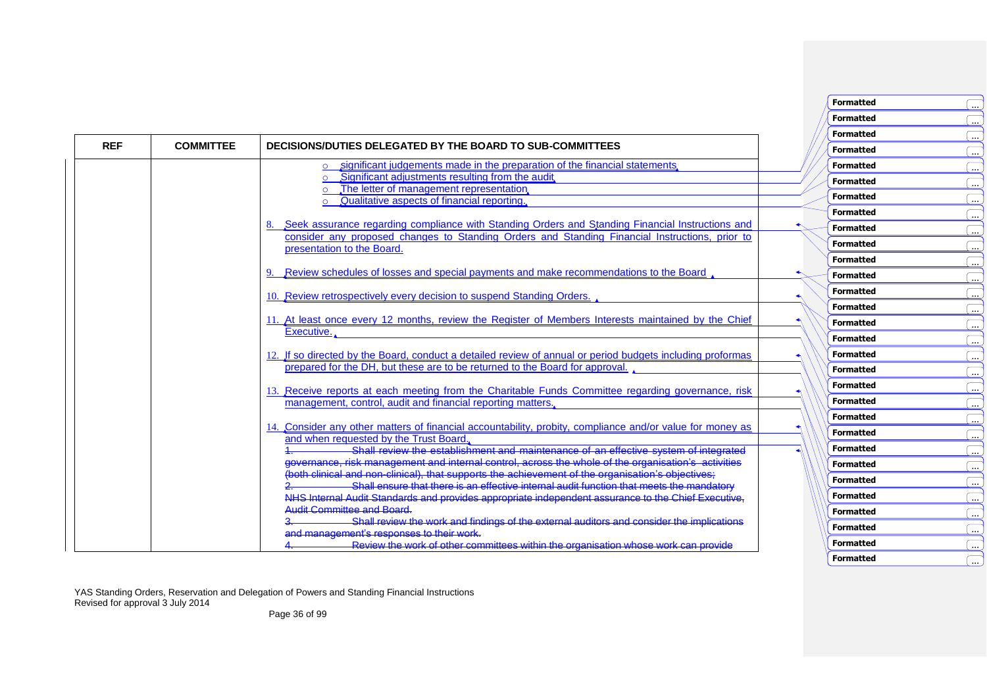|            |                  |                                                                                                                                                                                                                                      | <b>Formatted</b> | $\cdots$   |
|------------|------------------|--------------------------------------------------------------------------------------------------------------------------------------------------------------------------------------------------------------------------------------|------------------|------------|
|            |                  |                                                                                                                                                                                                                                      | <b>Formatted</b> | $\cdots$   |
| <b>REF</b> | <b>COMMITTEE</b> | DECISIONS/DUTIES DELEGATED BY THE BOARD TO SUB-COMMITTEES                                                                                                                                                                            | <b>Formatted</b> | $\cdots$   |
|            |                  | significant judgements made in the preparation of the financial statements.<br>$\circ$                                                                                                                                               | <b>Formatted</b> | $\cdots$ . |
|            |                  | Significant adjustments resulting from the audit.                                                                                                                                                                                    | <b>Formatted</b> | $\cdots$   |
|            |                  | The letter of management representation,<br>Qualitative aspects of financial reporting.<br>$\Omega$                                                                                                                                  | <b>Formatted</b> | $\cdots$   |
|            |                  |                                                                                                                                                                                                                                      | <b>Formatted</b> | $\cdots$   |
|            |                  | Seek assurance regarding compliance with Standing Orders and Standing Financial Instructions and                                                                                                                                     | <b>Formatted</b> | $\cdots$   |
|            |                  | consider any proposed changes to Standing Orders and Standing Financial Instructions, prior to<br>presentation to the Board.                                                                                                         | <b>Formatted</b> | $\cdots$ . |
|            |                  |                                                                                                                                                                                                                                      | <b>Formatted</b> | $\cdots$ . |
|            |                  | Review schedules of losses and special payments and make recommendations to the Board                                                                                                                                                | <b>Formatted</b> | $\cdots$   |
|            |                  |                                                                                                                                                                                                                                      | <b>Formatted</b> | $\cdots$   |
|            |                  | 10. Review retrospectively every decision to suspend Standing Orders.                                                                                                                                                                | <b>Formatted</b> |            |
|            |                  | 11. At least once every 12 months, review the Register of Members Interests maintained by the Chief                                                                                                                                  | <b>Formatted</b> | $\cdots$   |
|            |                  | Executive.                                                                                                                                                                                                                           | <b>Formatted</b> | $\cdots$   |
|            |                  | 12. If so directed by the Board, conduct a detailed review of annual or period budgets including proformas                                                                                                                           | <b>Formatted</b> | $\cdots$   |
|            |                  | prepared for the DH, but these are to be returned to the Board for approval.                                                                                                                                                         | <b>Formatted</b> | $\cdots$   |
|            |                  |                                                                                                                                                                                                                                      | <b>Formatted</b> | $\cdots$   |
|            |                  | 13. Receive reports at each meeting from the Charitable Funds Committee regarding governance, risk                                                                                                                                   | <b>Formatted</b> | $\cdots$   |
|            |                  | management, control, audit and financial reporting matters.                                                                                                                                                                          | <b>Formatted</b> | $\cdots$ . |
|            |                  | 14. Consider any other matters of financial accountability, probity, compliance and/or value for money as                                                                                                                            |                  | $\cdots$ . |
|            |                  | and when requested by the Trust Board                                                                                                                                                                                                | <b>Formatted</b> | $\cdots$   |
|            |                  | Shall review the establishment and maintenance of an effective system of integrated                                                                                                                                                  | <b>Formatted</b> | $\cdots$   |
|            |                  | governance, risk management and internal control, across the whole of the organisation's activities<br>(both clinical and non-clinical), that supports the achievement of the organisation's objectives;<br>2. Shall ensure that the | <b>Formatted</b> | $\cdots$   |
|            |                  |                                                                                                                                                                                                                                      | <b>Formatted</b> | $\cdots$ . |
|            |                  | NHS Internal Audit Standards and provides appropriate independent assurance to the Chief Executive,                                                                                                                                  | <b>Formatted</b> | $\cdots$   |
|            |                  | <b>Audit Committee and Board</b>                                                                                                                                                                                                     | <b>Formatted</b> | $\cdots$   |
|            |                  | Shall review the work and findings of the external auditors and consider the implications<br>and management's responses to their work.                                                                                               | <b>Formatted</b> | $\cdots$   |
|            |                  | Review the work of other committees within the organisation whose work can provide                                                                                                                                                   | <b>Formatted</b> | $\cdots$   |

**Formatted** ...

**Formatted** ...

YAS Standing Orders, Reservation and Delegation of Powers and Standing Financial Instructions Revised for approval 3 July 2014

Page 36 of 99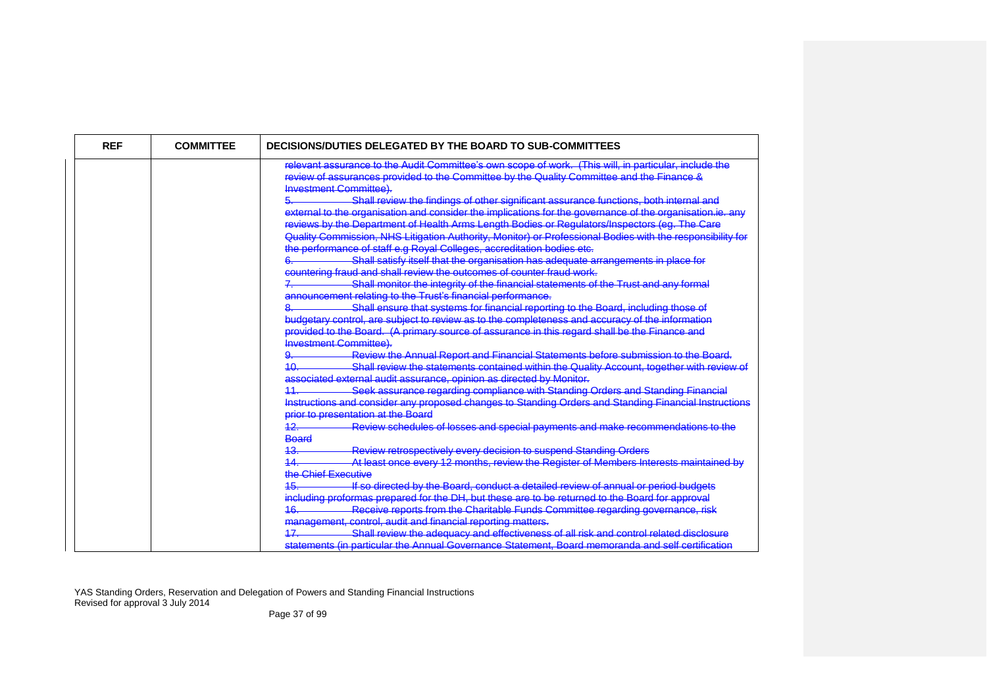| <b>REF</b> | <b>COMMITTEE</b> | DECISIONS/DUTIES DELEGATED BY THE BOARD TO SUB-COMMITTEES                                                                                                                                                                                                                                                                                                                                                                                                                                                                                                                     |
|------------|------------------|-------------------------------------------------------------------------------------------------------------------------------------------------------------------------------------------------------------------------------------------------------------------------------------------------------------------------------------------------------------------------------------------------------------------------------------------------------------------------------------------------------------------------------------------------------------------------------|
|            |                  | relevant assurance to the Audit Committee's own scope of work. (This will, in particular, include the<br>review of assurances provided to the Committee by the Quality Committee and the Finance &<br><b>Investment Committee).</b>                                                                                                                                                                                                                                                                                                                                           |
|            |                  | Shall review the findings of other significant assurance functions, both internal and<br>external to the organisation and consider the implications for the governance of the organisation.ie. any<br>reviews by the Department of Health Arms Length Bodies or Regulators/Inspectors (eg. The Care<br>Quality Commission, NHS Litigation Authority, Monitor) or Professional Bodies with the responsibility for<br>e performance of staff e.g Royal Colleges, accreditation bodies etc.<br>Shall satisfy itself that the organisation has adequate arrangements in place for |
|            |                  | countering fraud and shall review the outcomes of counter fraud work.                                                                                                                                                                                                                                                                                                                                                                                                                                                                                                         |
|            |                  | Shall monitor the integrity of the financial statements of the Trust and any formal<br>announcement relating to the Trust's financial performance.                                                                                                                                                                                                                                                                                                                                                                                                                            |
|            |                  | Shall ensure that systems for financial reporting to the Board, including those of<br>budgetary control, are subject to review as to the completeness and accuracy of the information<br>provided to the Board. (A primary source of assurance in this regard shall be the Finance and                                                                                                                                                                                                                                                                                        |
|            |                  | <b>Investment Committee)</b><br>Review the Annual Report and Financial Statements before submission to the Board.<br><u>1Ω</u>                                                                                                                                                                                                                                                                                                                                                                                                                                                |
|            |                  | Shall review the statements contained within the Quality Account, together with review of<br>associated external audit assurance, opinion as directed by Monitor.                                                                                                                                                                                                                                                                                                                                                                                                             |
|            |                  | Seek assurance regarding compliance with Standing Orders and Standing Financial<br>11<br>Instructions and consider any proposed changes to Standing Orders and Standing Financial Instructions                                                                                                                                                                                                                                                                                                                                                                                |
|            |                  | prior to presentation at the Board                                                                                                                                                                                                                                                                                                                                                                                                                                                                                                                                            |
|            |                  | Review schedules of losses and special payments and make recommendations to the<br>12<br><b>Board</b>                                                                                                                                                                                                                                                                                                                                                                                                                                                                         |
|            |                  | Review retrospectively every decision to suspend Standing Orders<br>At least once every 12 months, review the Register of Members Interests maintained by                                                                                                                                                                                                                                                                                                                                                                                                                     |
|            |                  | the Chief Executive                                                                                                                                                                                                                                                                                                                                                                                                                                                                                                                                                           |
|            |                  | If so directed by the Board, conduct a detailed review of annual or period budgets<br>including proformas prepared for the DH, but these are to be returned to the Board for approval                                                                                                                                                                                                                                                                                                                                                                                         |
|            |                  | Receive reports from the Charitable Funds Committee regarding governance, risk<br><del>16.</del>                                                                                                                                                                                                                                                                                                                                                                                                                                                                              |
|            |                  | management, control, audit and financial reporting matters.<br>Shall review the adequacy and effectiveness of all risk and control related disclosure<br>47                                                                                                                                                                                                                                                                                                                                                                                                                   |
|            |                  | statements (in particular the Annual Governance Statement, Board memoranda and self certification                                                                                                                                                                                                                                                                                                                                                                                                                                                                             |

Page 37 of 99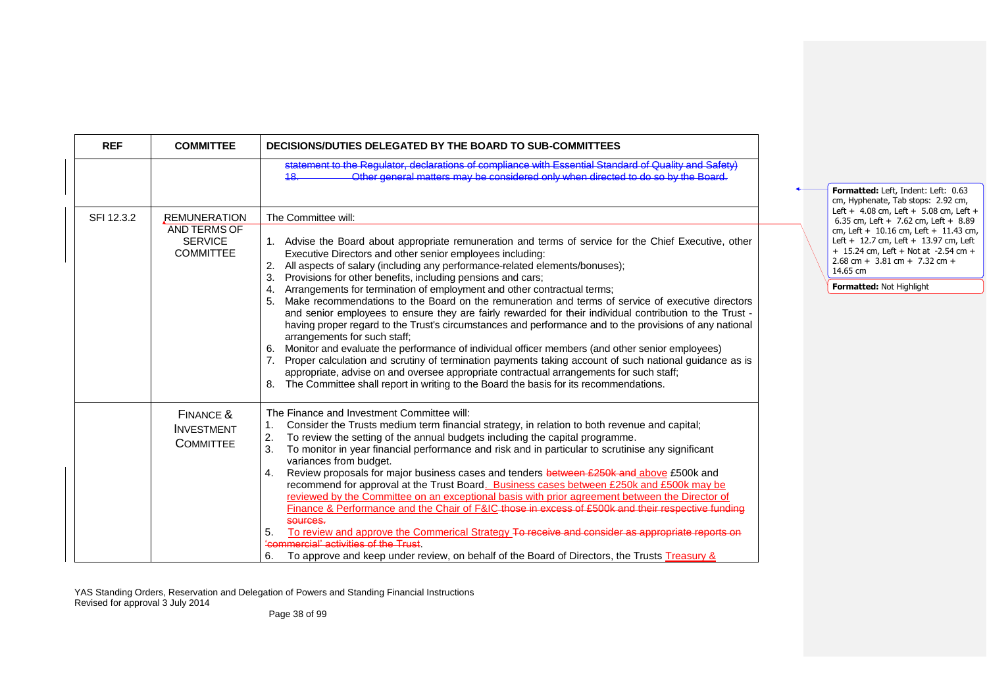| <b>REF</b> | <b>COMMITTEE</b>                                                   | DECISIONS/DUTIES DELEGATED BY THE BOARD TO SUB-COMMITTEES                                                                                                                                                                                                                                                                                                                                                                                                                                                                                                                                                                                                                                                                                                                                                                                                                                                                                                                                                                                                                                                                                                                                          |  |                                                                                                                                                                                                                                                                                                                                     |
|------------|--------------------------------------------------------------------|----------------------------------------------------------------------------------------------------------------------------------------------------------------------------------------------------------------------------------------------------------------------------------------------------------------------------------------------------------------------------------------------------------------------------------------------------------------------------------------------------------------------------------------------------------------------------------------------------------------------------------------------------------------------------------------------------------------------------------------------------------------------------------------------------------------------------------------------------------------------------------------------------------------------------------------------------------------------------------------------------------------------------------------------------------------------------------------------------------------------------------------------------------------------------------------------------|--|-------------------------------------------------------------------------------------------------------------------------------------------------------------------------------------------------------------------------------------------------------------------------------------------------------------------------------------|
|            |                                                                    | statement to the Requisitor, declarations of compliance with Essential Standard of Quality and Safety<br>Other general matters may be considered only when directed to do so by the Board.<br>18                                                                                                                                                                                                                                                                                                                                                                                                                                                                                                                                                                                                                                                                                                                                                                                                                                                                                                                                                                                                   |  | Formatted: Left, Indent: Left: 0.63                                                                                                                                                                                                                                                                                                 |
| SFI 12.3.2 | REMUNERATION<br>AND TERMS OF<br><b>SERVICE</b><br><b>COMMITTEE</b> | The Committee will:<br>1. Advise the Board about appropriate remuneration and terms of service for the Chief Executive, other<br>Executive Directors and other senior employees including:<br>All aspects of salary (including any performance-related elements/bonuses);<br>2.<br>Provisions for other benefits, including pensions and cars;<br>Arrangements for termination of employment and other contractual terms;<br>Make recommendations to the Board on the remuneration and terms of service of executive directors<br>5.<br>and senior employees to ensure they are fairly rewarded for their individual contribution to the Trust -<br>having proper regard to the Trust's circumstances and performance and to the provisions of any national<br>arrangements for such staff;<br>Monitor and evaluate the performance of individual officer members (and other senior employees)<br>6.<br>Proper calculation and scrutiny of termination payments taking account of such national guidance as is<br>appropriate, advise on and oversee appropriate contractual arrangements for such staff;<br>The Committee shall report in writing to the Board the basis for its recommendations. |  | cm, Hyphenate, Tab stops: 2.92 cm,<br>Left + $4.08$ cm, Left + $5.08$ cm, Left +<br>6.35 cm, Left + 7.62 cm, Left + $8.89$<br>cm, Left + $10.16$ cm, Left + $11.43$ cm,<br>Left + 12.7 cm, Left + 13.97 cm, Left<br>$+$ 15.24 cm, Left + Not at -2.54 cm +<br>2.68 cm + 3.81 cm + 7.32 cm +<br>14.65 cm<br>Formatted: Not Highlight |
|            | FINANCE &<br><b>INVESTMENT</b><br><b>COMMITTEE</b>                 | The Finance and Investment Committee will:<br>Consider the Trusts medium term financial strategy, in relation to both revenue and capital;<br>2.<br>To review the setting of the annual budgets including the capital programme.<br>3.<br>To monitor in year financial performance and risk and in particular to scrutinise any significant<br>variances from budget.<br>Review proposals for major business cases and tenders between £250k and above £500k and<br>4.<br>recommend for approval at the Trust Board. Business cases between £250k and £500k may be<br>reviewed by the Committee on an exceptional basis with prior agreement between the Director of<br>Finance & Performance and the Chair of F&IC those in excess of £500k and their respective funding<br>sources.<br>To review and approve the Commerical Strategy To receive and consider as appropriate reports on<br>5.<br>'commercial' activities of the Trust<br>To approve and keep under review, on behalf of the Board of Directors, the Trusts Treasury &<br>6.                                                                                                                                                       |  |                                                                                                                                                                                                                                                                                                                                     |

Page 38 of 99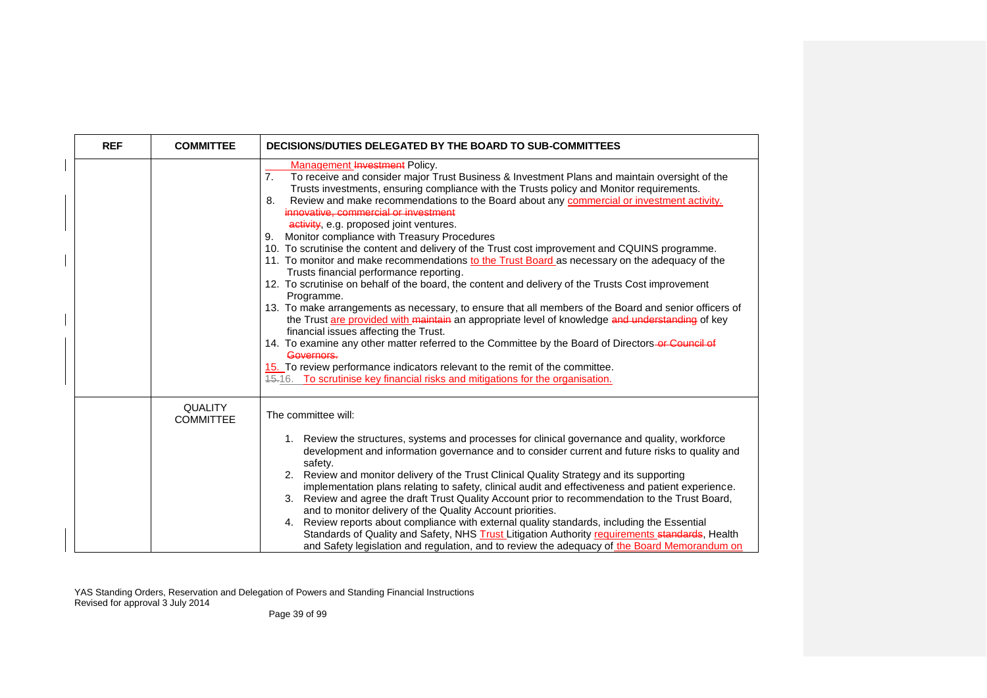| <b>REF</b> | <b>COMMITTEE</b>                   | DECISIONS/DUTIES DELEGATED BY THE BOARD TO SUB-COMMITTEES                                                                                                                                                                                                                                                                                                                                                                                                                                                                                                                                                                                                                                                                                                                                                                                                                                                                                                                                                                                                                                                                                                                                                                                                                                                                                                                               |
|------------|------------------------------------|-----------------------------------------------------------------------------------------------------------------------------------------------------------------------------------------------------------------------------------------------------------------------------------------------------------------------------------------------------------------------------------------------------------------------------------------------------------------------------------------------------------------------------------------------------------------------------------------------------------------------------------------------------------------------------------------------------------------------------------------------------------------------------------------------------------------------------------------------------------------------------------------------------------------------------------------------------------------------------------------------------------------------------------------------------------------------------------------------------------------------------------------------------------------------------------------------------------------------------------------------------------------------------------------------------------------------------------------------------------------------------------------|
|            |                                    | Management Investment Policy.<br>7.<br>To receive and consider major Trust Business & Investment Plans and maintain oversight of the<br>Trusts investments, ensuring compliance with the Trusts policy and Monitor requirements.<br>Review and make recommendations to the Board about any commercial or investment activity.<br>8.<br>innovative, commercial or investment<br>activity, e.g. proposed joint ventures.<br>Monitor compliance with Treasury Procedures<br>9.<br>10. To scrutinise the content and delivery of the Trust cost improvement and CQUINS programme.<br>11. To monitor and make recommendations to the Trust Board as necessary on the adequacy of the<br>Trusts financial performance reporting.<br>12. To scrutinise on behalf of the board, the content and delivery of the Trusts Cost improvement<br>Programme.<br>13. To make arrangements as necessary, to ensure that all members of the Board and senior officers of<br>the Trust are provided with maintain an appropriate level of knowledge and understanding of key<br>financial issues affecting the Trust.<br>14. To examine any other matter referred to the Committee by the Board of Directors or Council of<br>Governors.<br>15. To review performance indicators relevant to the remit of the committee.<br>45.16. To scrutinise key financial risks and mitigations for the organisation. |
|            | <b>QUALITY</b><br><b>COMMITTEE</b> | The committee will:<br>1. Review the structures, systems and processes for clinical governance and quality, workforce<br>development and information governance and to consider current and future risks to quality and<br>safety.<br>2. Review and monitor delivery of the Trust Clinical Quality Strategy and its supporting<br>implementation plans relating to safety, clinical audit and effectiveness and patient experience.<br>3. Review and agree the draft Trust Quality Account prior to recommendation to the Trust Board,<br>and to monitor delivery of the Quality Account priorities.<br>4. Review reports about compliance with external quality standards, including the Essential<br>Standards of Quality and Safety, NHS Trust Litigation Authority requirements standards, Health<br>and Safety legislation and regulation, and to review the adequacy of the Board Memorandum on                                                                                                                                                                                                                                                                                                                                                                                                                                                                                   |

Page 39 of 99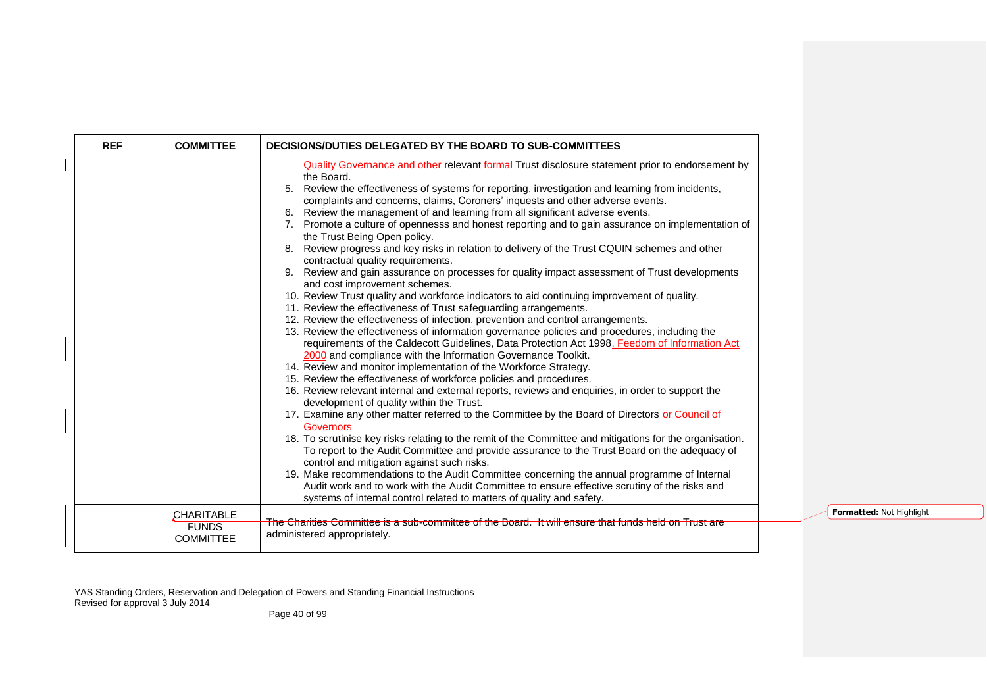| <b>REF</b> | <b>COMMITTEE</b>                 | DECISIONS/DUTIES DELEGATED BY THE BOARD TO SUB-COMMITTEES                                                                                                                                                |
|------------|----------------------------------|----------------------------------------------------------------------------------------------------------------------------------------------------------------------------------------------------------|
|            |                                  | <b>Quality Governance and other relevant formal Trust disclosure statement prior to endorsement by</b>                                                                                                   |
|            |                                  | the Board.<br>5. Review the effectiveness of systems for reporting, investigation and learning from incidents,<br>complaints and concerns, claims, Coroners' inquests and other adverse events.          |
|            |                                  | 6. Review the management of and learning from all significant adverse events.                                                                                                                            |
|            |                                  | 7. Promote a culture of opennesss and honest reporting and to gain assurance on implementation of<br>the Trust Being Open policy.                                                                        |
|            |                                  | 8. Review progress and key risks in relation to delivery of the Trust CQUIN schemes and other<br>contractual quality requirements.                                                                       |
|            |                                  | 9. Review and gain assurance on processes for quality impact assessment of Trust developments<br>and cost improvement schemes.                                                                           |
|            |                                  | 10. Review Trust quality and workforce indicators to aid continuing improvement of quality.                                                                                                              |
|            |                                  | 11. Review the effectiveness of Trust safeguarding arrangements.                                                                                                                                         |
|            |                                  | 12. Review the effectiveness of infection, prevention and control arrangements.                                                                                                                          |
|            |                                  | 13. Review the effectiveness of information governance policies and procedures, including the<br>requirements of the Caldecott Guidelines, Data Protection Act 1998, Feedom of Information Act           |
|            |                                  | 2000 and compliance with the Information Governance Toolkit.                                                                                                                                             |
|            |                                  | 14. Review and monitor implementation of the Workforce Strategy.<br>15. Review the effectiveness of workforce policies and procedures.                                                                   |
|            |                                  | 16. Review relevant internal and external reports, reviews and enquiries, in order to support the                                                                                                        |
|            |                                  | development of quality within the Trust.                                                                                                                                                                 |
|            |                                  | 17. Examine any other matter referred to the Committee by the Board of Directors or Council of<br>Governors                                                                                              |
|            |                                  | 18. To scrutinise key risks relating to the remit of the Committee and mitigations for the organisation.<br>To report to the Audit Committee and provide assurance to the Trust Board on the adequacy of |
|            |                                  | control and mitigation against such risks.                                                                                                                                                               |
|            |                                  | 19. Make recommendations to the Audit Committee concerning the annual programme of Internal                                                                                                              |
|            |                                  | Audit work and to work with the Audit Committee to ensure effective scrutiny of the risks and                                                                                                            |
|            |                                  | systems of internal control related to matters of quality and safety.                                                                                                                                    |
|            | CHARITABLE                       |                                                                                                                                                                                                          |
|            | <b>FUNDS</b><br><b>COMMITTEE</b> | The Charities Committee is a sub-committee of the Board. It will ensure that funds held on Trust are<br>administered appropriately.                                                                      |

**Formatted:** Not Highlight

YAS Standing Orders, Reservation and Delegation of Powers and Standing Financial Instructions Revised for approval 3 July 2014

Page 40 of 99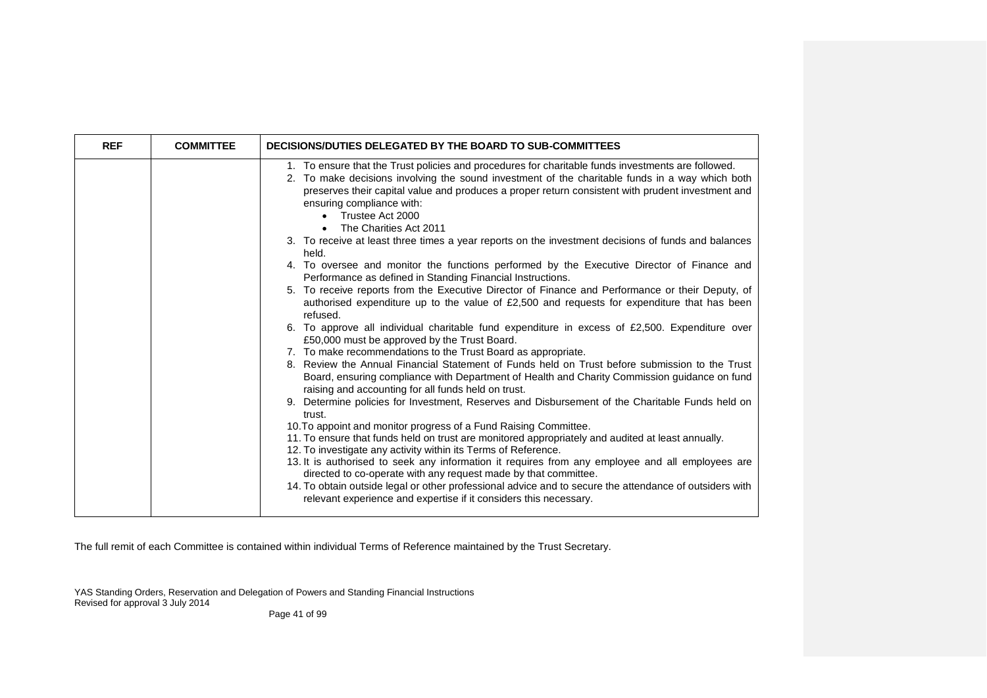| <b>REF</b> | <b>COMMITTEE</b> | DECISIONS/DUTIES DELEGATED BY THE BOARD TO SUB-COMMITTEES                                                                                                                                                                                                                                                                                                                                                                                                                                                                                                                                                                                                                                                                                                                                                                                                                                                                                                                                                                                                                                                                                                                                                                                                                                                                                                                                                                                                                                                                                                                                                                                                                                                                                                                                                                                                                                                                                                                                                                                                                                |
|------------|------------------|------------------------------------------------------------------------------------------------------------------------------------------------------------------------------------------------------------------------------------------------------------------------------------------------------------------------------------------------------------------------------------------------------------------------------------------------------------------------------------------------------------------------------------------------------------------------------------------------------------------------------------------------------------------------------------------------------------------------------------------------------------------------------------------------------------------------------------------------------------------------------------------------------------------------------------------------------------------------------------------------------------------------------------------------------------------------------------------------------------------------------------------------------------------------------------------------------------------------------------------------------------------------------------------------------------------------------------------------------------------------------------------------------------------------------------------------------------------------------------------------------------------------------------------------------------------------------------------------------------------------------------------------------------------------------------------------------------------------------------------------------------------------------------------------------------------------------------------------------------------------------------------------------------------------------------------------------------------------------------------------------------------------------------------------------------------------------------------|
|            |                  | 1. To ensure that the Trust policies and procedures for charitable funds investments are followed.<br>2. To make decisions involving the sound investment of the charitable funds in a way which both<br>preserves their capital value and produces a proper return consistent with prudent investment and<br>ensuring compliance with:<br>Trustee Act 2000<br>$\bullet$<br>The Charities Act 2011<br>3. To receive at least three times a year reports on the investment decisions of funds and balances<br>held.<br>4. To oversee and monitor the functions performed by the Executive Director of Finance and<br>Performance as defined in Standing Financial Instructions.<br>5. To receive reports from the Executive Director of Finance and Performance or their Deputy, of<br>authorised expenditure up to the value of £2,500 and requests for expenditure that has been<br>refused.<br>6. To approve all individual charitable fund expenditure in excess of £2,500. Expenditure over<br>£50,000 must be approved by the Trust Board.<br>7. To make recommendations to the Trust Board as appropriate.<br>8. Review the Annual Financial Statement of Funds held on Trust before submission to the Trust<br>Board, ensuring compliance with Department of Health and Charity Commission guidance on fund<br>raising and accounting for all funds held on trust.<br>9. Determine policies for Investment, Reserves and Disbursement of the Charitable Funds held on<br>trust.<br>10. To appoint and monitor progress of a Fund Raising Committee.<br>11. To ensure that funds held on trust are monitored appropriately and audited at least annually.<br>12. To investigate any activity within its Terms of Reference.<br>13. It is authorised to seek any information it requires from any employee and all employees are<br>directed to co-operate with any request made by that committee.<br>14. To obtain outside legal or other professional advice and to secure the attendance of outsiders with<br>relevant experience and expertise if it considers this necessary. |

The full remit of each Committee is contained within individual Terms of Reference maintained by the Trust Secretary.

YAS Standing Orders, Reservation and Delegation of Powers and Standing Financial Instructions Revised for approval 3 July 2014

Page 41 of 99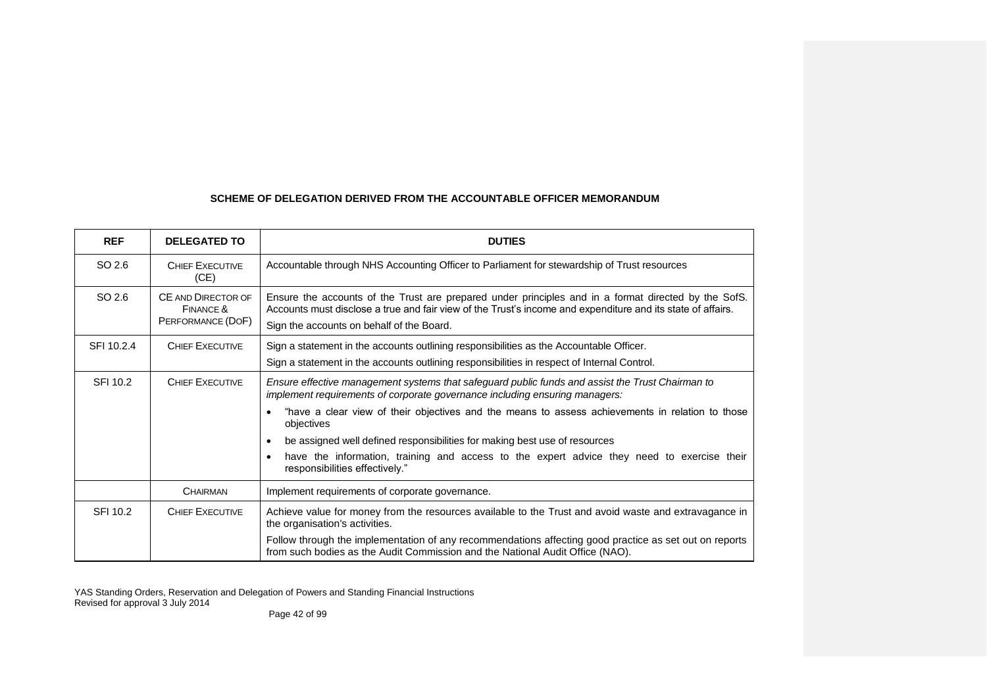# **SCHEME OF DELEGATION DERIVED FROM THE ACCOUNTABLE OFFICER MEMORANDUM**

| <b>REF</b> | <b>DELEGATED TO</b>                                  | <b>DUTIES</b>                                                                                                                                                                                                                                                    |
|------------|------------------------------------------------------|------------------------------------------------------------------------------------------------------------------------------------------------------------------------------------------------------------------------------------------------------------------|
| SO 2.6     | <b>CHIEF EXECUTIVE</b><br>(CE)                       | Accountable through NHS Accounting Officer to Parliament for stewardship of Trust resources                                                                                                                                                                      |
| SO 2.6     | CE AND DIRECTOR OF<br>FINANCE &<br>PERFORMANCE (DOF) | Ensure the accounts of the Trust are prepared under principles and in a format directed by the SofS.<br>Accounts must disclose a true and fair view of the Trust's income and expenditure and its state of affairs.<br>Sign the accounts on behalf of the Board. |
| SFI 10.2.4 | <b>CHIEF EXECUTIVE</b>                               | Sign a statement in the accounts outlining responsibilities as the Accountable Officer.<br>Sign a statement in the accounts outlining responsibilities in respect of Internal Control.                                                                           |
| SFI 10.2   | <b>CHIEF EXECUTIVE</b>                               | Ensure effective management systems that safeguard public funds and assist the Trust Chairman to<br>implement requirements of corporate governance including ensuring managers:                                                                                  |
|            |                                                      | "have a clear view of their objectives and the means to assess achievements in relation to those<br>objectives                                                                                                                                                   |
|            |                                                      | be assigned well defined responsibilities for making best use of resources                                                                                                                                                                                       |
|            |                                                      | have the information, training and access to the expert advice they need to exercise their<br>responsibilities effectively."                                                                                                                                     |
|            | <b>CHAIRMAN</b>                                      | Implement requirements of corporate governance.                                                                                                                                                                                                                  |
| SFI 10.2   | <b>CHIEF EXECUTIVE</b>                               | Achieve value for money from the resources available to the Trust and avoid waste and extravagance in<br>the organisation's activities.                                                                                                                          |
|            |                                                      | Follow through the implementation of any recommendations affecting good practice as set out on reports<br>from such bodies as the Audit Commission and the National Audit Office (NAO).                                                                          |

YAS Standing Orders, Reservation and Delegation of Powers and Standing Financial Instructions Revised for approval 3 July 2014

Page 42 of 99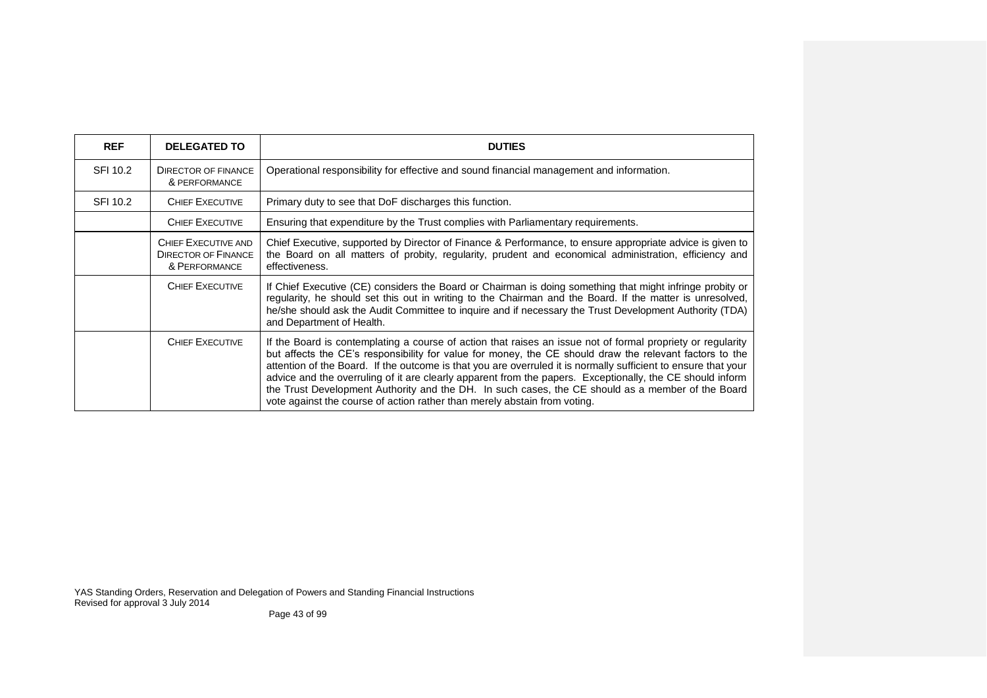| <b>REF</b> | <b>DELEGATED TO</b>                                                | <b>DUTIES</b>                                                                                                                                                                                                                                                                                                                                                                                                                                                                                                                                                                                                                           |
|------------|--------------------------------------------------------------------|-----------------------------------------------------------------------------------------------------------------------------------------------------------------------------------------------------------------------------------------------------------------------------------------------------------------------------------------------------------------------------------------------------------------------------------------------------------------------------------------------------------------------------------------------------------------------------------------------------------------------------------------|
| SFI 10.2   | <b>DIRECTOR OF FINANCE</b><br>& PERFORMANCE                        | Operational responsibility for effective and sound financial management and information.                                                                                                                                                                                                                                                                                                                                                                                                                                                                                                                                                |
| SFI 10.2   | <b>CHIEF EXECUTIVE</b>                                             | Primary duty to see that DoF discharges this function.                                                                                                                                                                                                                                                                                                                                                                                                                                                                                                                                                                                  |
|            | <b>CHIEF EXECUTIVE</b>                                             | Ensuring that expenditure by the Trust complies with Parliamentary requirements.                                                                                                                                                                                                                                                                                                                                                                                                                                                                                                                                                        |
|            | CHIEF EXECUTIVE AND<br><b>DIRECTOR OF FINANCE</b><br>& PERFORMANCE | Chief Executive, supported by Director of Finance & Performance, to ensure appropriate advice is given to<br>the Board on all matters of probity, regularity, prudent and economical administration, efficiency and<br>effectiveness.                                                                                                                                                                                                                                                                                                                                                                                                   |
|            | CHIEF EXECUTIVE                                                    | If Chief Executive (CE) considers the Board or Chairman is doing something that might infringe probity or<br>regularity, he should set this out in writing to the Chairman and the Board. If the matter is unresolved,<br>he/she should ask the Audit Committee to inquire and if necessary the Trust Development Authority (TDA)<br>and Department of Health.                                                                                                                                                                                                                                                                          |
|            | <b>CHIEF EXECUTIVE</b>                                             | If the Board is contemplating a course of action that raises an issue not of formal propriety or regularity<br>but affects the CE's responsibility for value for money, the CE should draw the relevant factors to the<br>attention of the Board. If the outcome is that you are overruled it is normally sufficient to ensure that your<br>advice and the overruling of it are clearly apparent from the papers. Exceptionally, the CE should inform<br>the Trust Development Authority and the DH. In such cases, the CE should as a member of the Board<br>vote against the course of action rather than merely abstain from voting. |

Page 43 of 99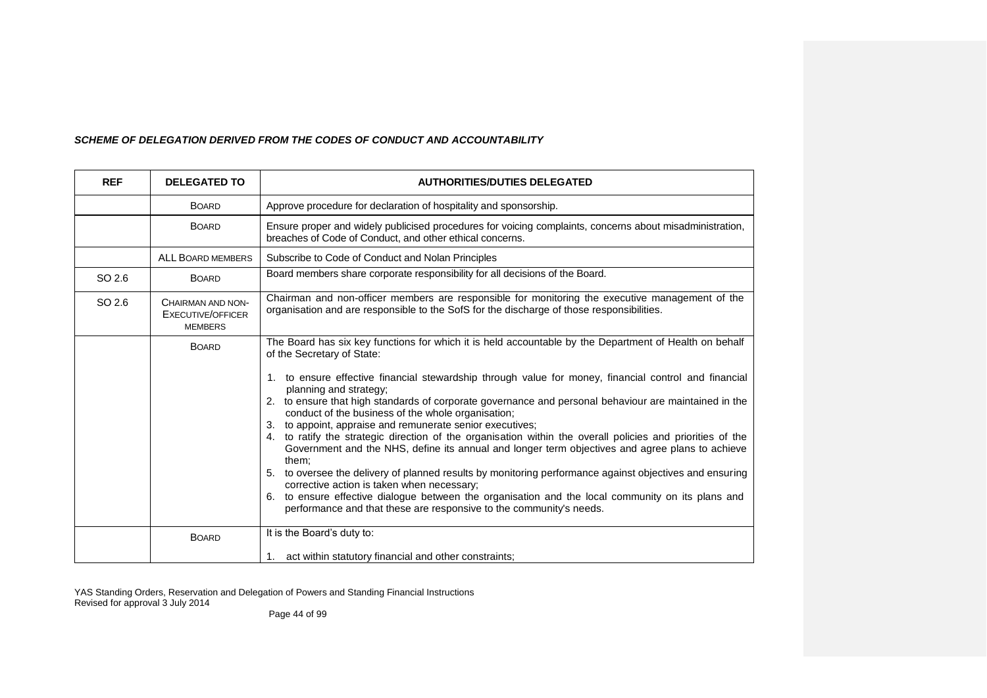## *SCHEME OF DELEGATION DERIVED FROM THE CODES OF CONDUCT AND ACCOUNTABILITY*

| <b>REF</b> | <b>DELEGATED TO</b>                                             | <b>AUTHORITIES/DUTIES DELEGATED</b>                                                                                                                                                                                                                                                                                                                                                                                                                                                                                                                                                                                                                                                                                                                                                                                                                                                                                                                                                                                                                                |
|------------|-----------------------------------------------------------------|--------------------------------------------------------------------------------------------------------------------------------------------------------------------------------------------------------------------------------------------------------------------------------------------------------------------------------------------------------------------------------------------------------------------------------------------------------------------------------------------------------------------------------------------------------------------------------------------------------------------------------------------------------------------------------------------------------------------------------------------------------------------------------------------------------------------------------------------------------------------------------------------------------------------------------------------------------------------------------------------------------------------------------------------------------------------|
|            | <b>BOARD</b>                                                    | Approve procedure for declaration of hospitality and sponsorship.                                                                                                                                                                                                                                                                                                                                                                                                                                                                                                                                                                                                                                                                                                                                                                                                                                                                                                                                                                                                  |
|            | <b>BOARD</b>                                                    | Ensure proper and widely publicised procedures for voicing complaints, concerns about misadministration,<br>breaches of Code of Conduct, and other ethical concerns.                                                                                                                                                                                                                                                                                                                                                                                                                                                                                                                                                                                                                                                                                                                                                                                                                                                                                               |
|            | <b>ALL BOARD MEMBERS</b>                                        | Subscribe to Code of Conduct and Nolan Principles                                                                                                                                                                                                                                                                                                                                                                                                                                                                                                                                                                                                                                                                                                                                                                                                                                                                                                                                                                                                                  |
| SO 2.6     | <b>BOARD</b>                                                    | Board members share corporate responsibility for all decisions of the Board.                                                                                                                                                                                                                                                                                                                                                                                                                                                                                                                                                                                                                                                                                                                                                                                                                                                                                                                                                                                       |
| SO 2.6     | CHAIRMAN AND NON-<br><b>EXECUTIVE/OFFICER</b><br><b>MEMBERS</b> | Chairman and non-officer members are responsible for monitoring the executive management of the<br>organisation and are responsible to the SofS for the discharge of those responsibilities.                                                                                                                                                                                                                                                                                                                                                                                                                                                                                                                                                                                                                                                                                                                                                                                                                                                                       |
|            | <b>BOARD</b>                                                    | The Board has six key functions for which it is held accountable by the Department of Health on behalf<br>of the Secretary of State:<br>1. to ensure effective financial stewardship through value for money, financial control and financial<br>planning and strategy;<br>2. to ensure that high standards of corporate governance and personal behaviour are maintained in the<br>conduct of the business of the whole organisation;<br>3. to appoint, appraise and remunerate senior executives;<br>4. to ratify the strategic direction of the organisation within the overall policies and priorities of the<br>Government and the NHS, define its annual and longer term objectives and agree plans to achieve<br>them:<br>5. to oversee the delivery of planned results by monitoring performance against objectives and ensuring<br>corrective action is taken when necessary;<br>6. to ensure effective dialogue between the organisation and the local community on its plans and<br>performance and that these are responsive to the community's needs. |
|            | <b>BOARD</b>                                                    | It is the Board's duty to:                                                                                                                                                                                                                                                                                                                                                                                                                                                                                                                                                                                                                                                                                                                                                                                                                                                                                                                                                                                                                                         |
|            |                                                                 | 1. act within statutory financial and other constraints;                                                                                                                                                                                                                                                                                                                                                                                                                                                                                                                                                                                                                                                                                                                                                                                                                                                                                                                                                                                                           |

YAS Standing Orders, Reservation and Delegation of Powers and Standing Financial Instructions Revised for approval 3 July 2014

Page 44 of 99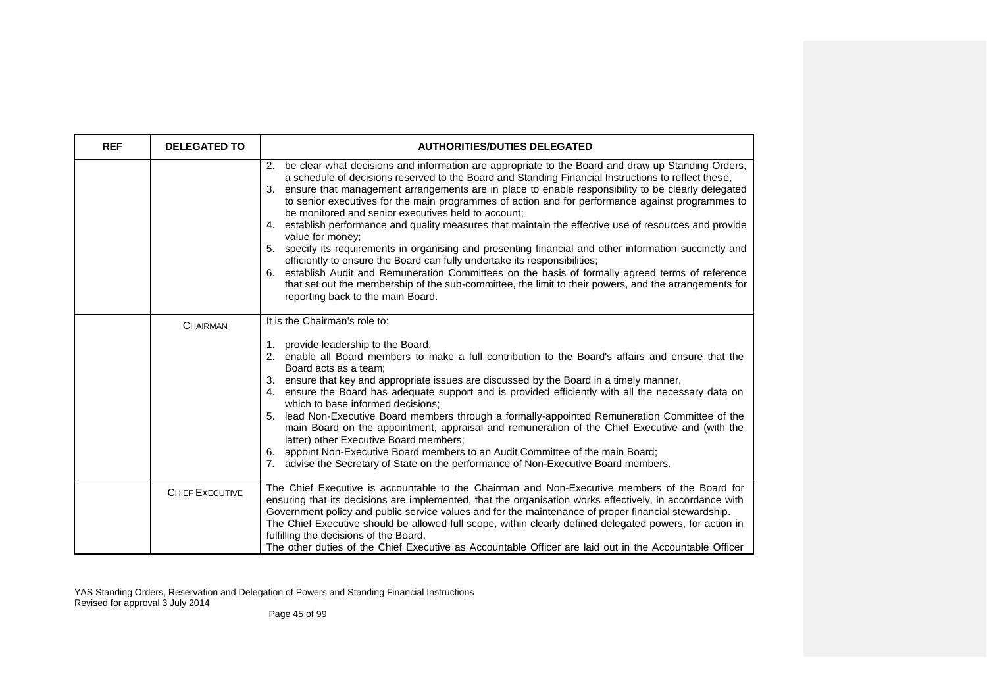| <b>REF</b> | <b>DELEGATED TO</b>    | <b>AUTHORITIES/DUTIES DELEGATED</b>                                                                                                                                                                                                                                                                                                                                                                                                                                                                                                                                                                                                                                                                                                                                                                                                                                                                                                                                                                                                                     |
|------------|------------------------|---------------------------------------------------------------------------------------------------------------------------------------------------------------------------------------------------------------------------------------------------------------------------------------------------------------------------------------------------------------------------------------------------------------------------------------------------------------------------------------------------------------------------------------------------------------------------------------------------------------------------------------------------------------------------------------------------------------------------------------------------------------------------------------------------------------------------------------------------------------------------------------------------------------------------------------------------------------------------------------------------------------------------------------------------------|
|            |                        | 2. be clear what decisions and information are appropriate to the Board and draw up Standing Orders,<br>a schedule of decisions reserved to the Board and Standing Financial Instructions to reflect these,<br>3. ensure that management arrangements are in place to enable responsibility to be clearly delegated<br>to senior executives for the main programmes of action and for performance against programmes to<br>be monitored and senior executives held to account:<br>4. establish performance and quality measures that maintain the effective use of resources and provide<br>value for money;<br>5. specify its requirements in organising and presenting financial and other information succinctly and<br>efficiently to ensure the Board can fully undertake its responsibilities;<br>6. establish Audit and Remuneration Committees on the basis of formally agreed terms of reference<br>that set out the membership of the sub-committee, the limit to their powers, and the arrangements for<br>reporting back to the main Board. |
|            | <b>CHAIRMAN</b>        | It is the Chairman's role to:<br>1. provide leadership to the Board;<br>2. enable all Board members to make a full contribution to the Board's affairs and ensure that the<br>Board acts as a team:<br>3. ensure that key and appropriate issues are discussed by the Board in a timely manner,<br>4. ensure the Board has adequate support and is provided efficiently with all the necessary data on<br>which to base informed decisions;<br>5. lead Non-Executive Board members through a formally-appointed Remuneration Committee of the<br>main Board on the appointment, appraisal and remuneration of the Chief Executive and (with the<br>latter) other Executive Board members;<br>6. appoint Non-Executive Board members to an Audit Committee of the main Board;<br>7. advise the Secretary of State on the performance of Non-Executive Board members.                                                                                                                                                                                     |
|            | <b>CHIEF EXECUTIVE</b> | The Chief Executive is accountable to the Chairman and Non-Executive members of the Board for<br>ensuring that its decisions are implemented, that the organisation works effectively, in accordance with<br>Government policy and public service values and for the maintenance of proper financial stewardship.<br>The Chief Executive should be allowed full scope, within clearly defined delegated powers, for action in<br>fulfilling the decisions of the Board.<br>The other duties of the Chief Executive as Accountable Officer are laid out in the Accountable Officer                                                                                                                                                                                                                                                                                                                                                                                                                                                                       |

Page 45 of 99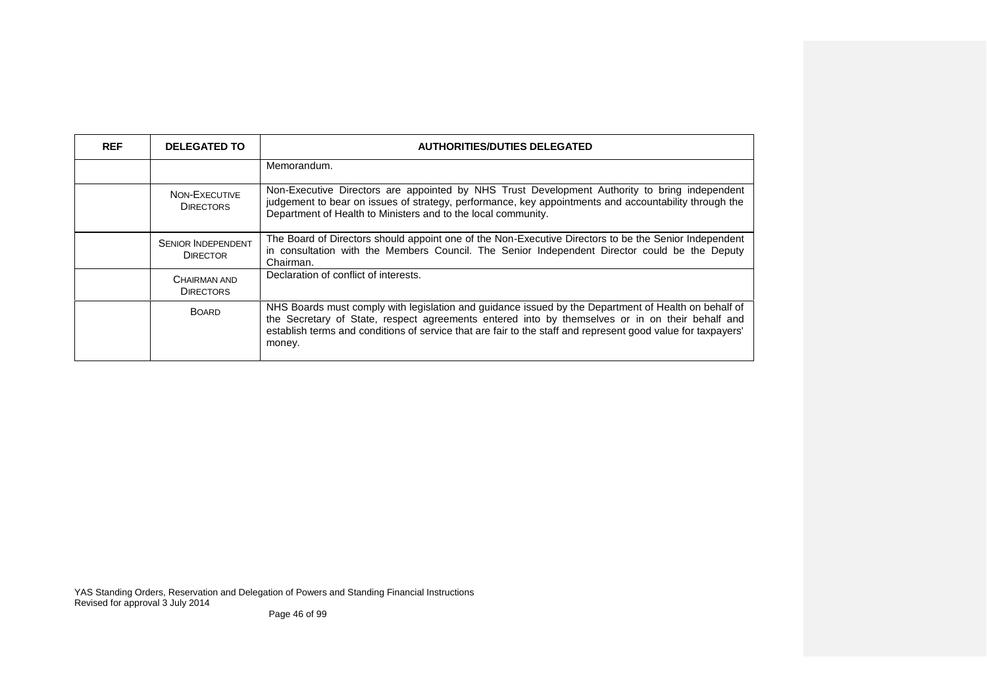| <b>REF</b> | <b>DELEGATED TO</b>                          | <b>AUTHORITIES/DUTIES DELEGATED</b>                                                                                                                                                                                                                                                                                               |
|------------|----------------------------------------------|-----------------------------------------------------------------------------------------------------------------------------------------------------------------------------------------------------------------------------------------------------------------------------------------------------------------------------------|
|            |                                              | Memorandum.                                                                                                                                                                                                                                                                                                                       |
|            | NON-EXECUTIVE<br><b>DIRECTORS</b>            | Non-Executive Directors are appointed by NHS Trust Development Authority to bring independent<br>judgement to bear on issues of strategy, performance, key appointments and accountability through the<br>Department of Health to Ministers and to the local community.                                                           |
|            | <b>SENIOR INDEPENDENT</b><br><b>DIRECTOR</b> | The Board of Directors should appoint one of the Non-Executive Directors to be the Senior Independent<br>in consultation with the Members Council. The Senior Independent Director could be the Deputy<br>Chairman.                                                                                                               |
|            | CHAIRMAN AND<br><b>DIRECTORS</b>             | Declaration of conflict of interests.                                                                                                                                                                                                                                                                                             |
|            | <b>BOARD</b>                                 | NHS Boards must comply with legislation and guidance issued by the Department of Health on behalf of<br>the Secretary of State, respect agreements entered into by themselves or in on their behalf and<br>establish terms and conditions of service that are fair to the staff and represent good value for taxpayers'<br>money. |

Page 46 of 99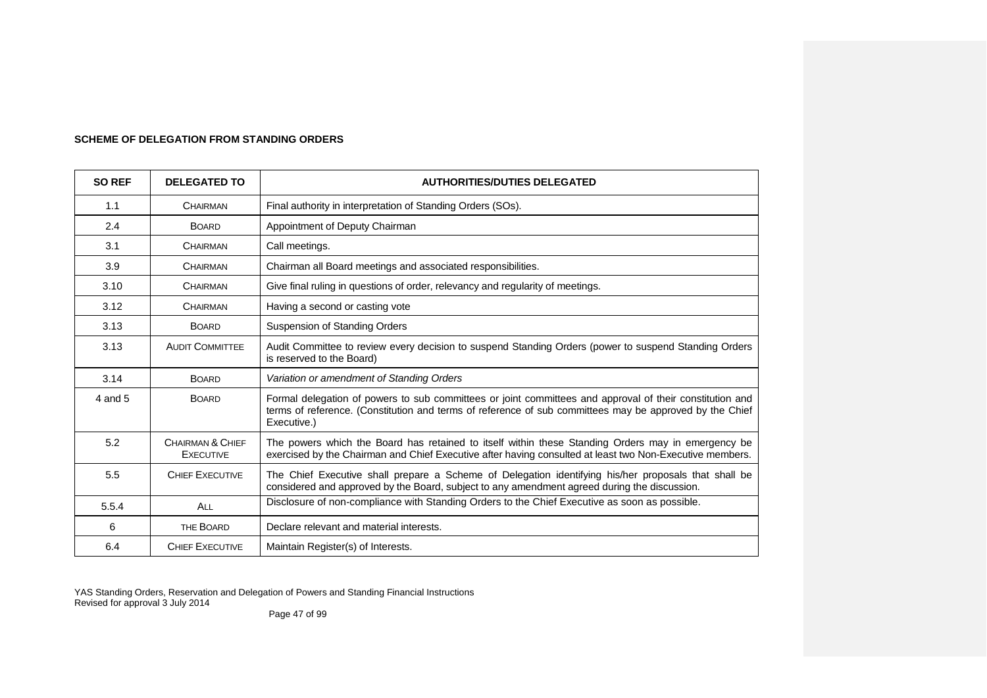| <b>SO REF</b> | <b>DELEGATED TO</b>                  | <b>AUTHORITIES/DUTIES DELEGATED</b>                                                                                                                                                                                                |
|---------------|--------------------------------------|------------------------------------------------------------------------------------------------------------------------------------------------------------------------------------------------------------------------------------|
| 1.1           | CHAIRMAN                             | Final authority in interpretation of Standing Orders (SOs).                                                                                                                                                                        |
| 2.4           | <b>BOARD</b>                         | Appointment of Deputy Chairman                                                                                                                                                                                                     |
| 3.1           | CHAIRMAN                             | Call meetings.                                                                                                                                                                                                                     |
| 3.9           | <b>CHAIRMAN</b>                      | Chairman all Board meetings and associated responsibilities.                                                                                                                                                                       |
| 3.10          | <b>CHAIRMAN</b>                      | Give final ruling in questions of order, relevancy and regularity of meetings.                                                                                                                                                     |
| 3.12          | <b>CHAIRMAN</b>                      | Having a second or casting vote                                                                                                                                                                                                    |
| 3.13          | <b>BOARD</b>                         | Suspension of Standing Orders                                                                                                                                                                                                      |
| 3.13          | <b>AUDIT COMMITTEE</b>               | Audit Committee to review every decision to suspend Standing Orders (power to suspend Standing Orders<br>is reserved to the Board)                                                                                                 |
| 3.14          | <b>BOARD</b>                         | Variation or amendment of Standing Orders                                                                                                                                                                                          |
| 4 and 5       | <b>BOARD</b>                         | Formal delegation of powers to sub committees or joint committees and approval of their constitution and<br>terms of reference. (Constitution and terms of reference of sub committees may be approved by the Chief<br>Executive.) |
| 5.2           | CHAIRMAN & CHIEF<br><b>EXECUTIVE</b> | The powers which the Board has retained to itself within these Standing Orders may in emergency be<br>exercised by the Chairman and Chief Executive after having consulted at least two Non-Executive members.                     |
| 5.5           | <b>CHIEF EXECUTIVE</b>               | The Chief Executive shall prepare a Scheme of Delegation identifying his/her proposals that shall be<br>considered and approved by the Board, subject to any amendment agreed during the discussion.                               |
| 5.5.4         | ALL                                  | Disclosure of non-compliance with Standing Orders to the Chief Executive as soon as possible.                                                                                                                                      |
| 6             | THE BOARD                            | Declare relevant and material interests.                                                                                                                                                                                           |
| 6.4           | <b>CHIEF EXECUTIVE</b>               | Maintain Register(s) of Interests.                                                                                                                                                                                                 |

# **SCHEME OF DELEGATION FROM STANDING ORDERS**

YAS Standing Orders, Reservation and Delegation of Powers and Standing Financial Instructions Revised for approval 3 July 2014

Page 47 of 99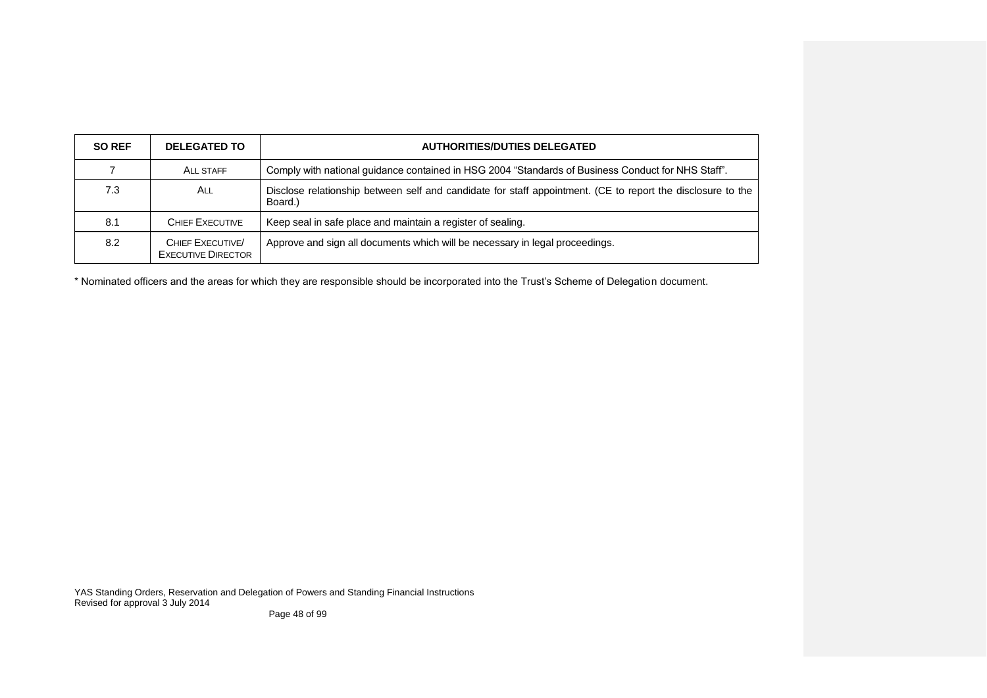| <b>SO REF</b> | <b>DELEGATED TO</b>                                 | <b>AUTHORITIES/DUTIES DELEGATED</b>                                                                                    |
|---------------|-----------------------------------------------------|------------------------------------------------------------------------------------------------------------------------|
|               | <b>ALL STAFF</b>                                    | Comply with national guidance contained in HSG 2004 "Standards of Business Conduct for NHS Staff".                     |
| 7.3           | ALL                                                 | Disclose relationship between self and candidate for staff appointment. (CE to report the disclosure to the<br>Board.) |
| 8.1           | <b>CHIEF EXECUTIVE</b>                              | Keep seal in safe place and maintain a register of sealing.                                                            |
| 8.2           | <b>CHIEF EXECUTIVE</b><br><b>EXECUTIVE DIRECTOR</b> | Approve and sign all documents which will be necessary in legal proceedings.                                           |

\* Nominated officers and the areas for which they are responsible should be incorporated into the Trust's Scheme of Delegation document.

YAS Standing Orders, Reservation and Delegation of Powers and Standing Financial Instructions Revised for approval 3 July 2014

Page 48 of 99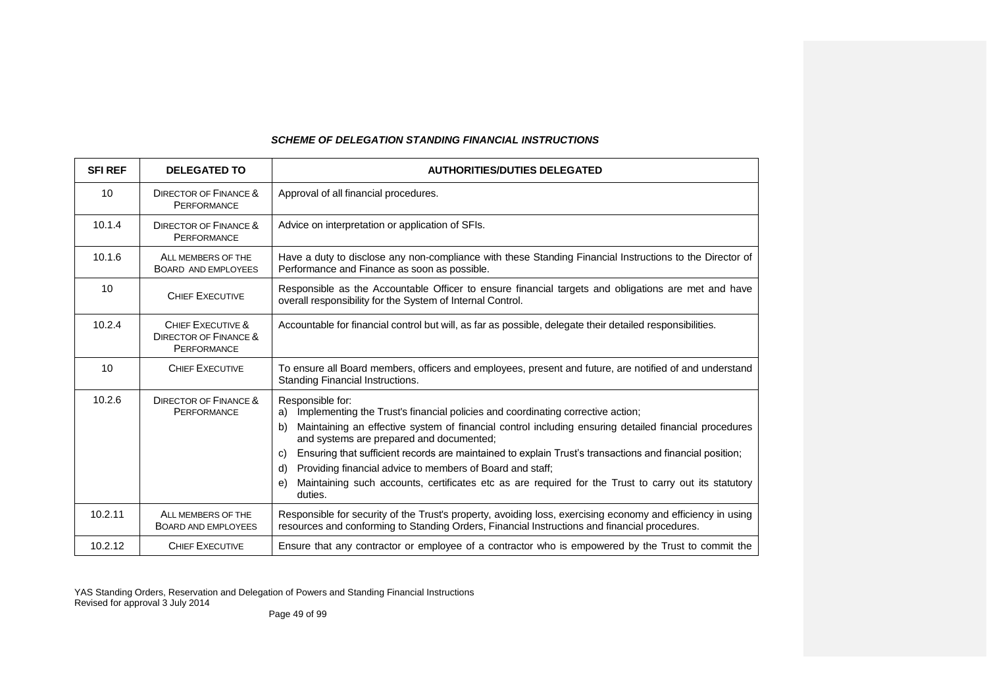## *SCHEME OF DELEGATION STANDING FINANCIAL INSTRUCTIONS*

| <b>SFI REF</b> | <b>DELEGATED TO</b>                                                         | <b>AUTHORITIES/DUTIES DELEGATED</b>                                                                                                                                                                                                                                                                                                                                                                                                                                                                                                                                               |
|----------------|-----------------------------------------------------------------------------|-----------------------------------------------------------------------------------------------------------------------------------------------------------------------------------------------------------------------------------------------------------------------------------------------------------------------------------------------------------------------------------------------------------------------------------------------------------------------------------------------------------------------------------------------------------------------------------|
| 10             | <b>DIRECTOR OF FINANCE &amp;</b><br><b>PERFORMANCE</b>                      | Approval of all financial procedures.                                                                                                                                                                                                                                                                                                                                                                                                                                                                                                                                             |
| 10.1.4         | <b>DIRECTOR OF FINANCE &amp;</b><br><b>PERFORMANCE</b>                      | Advice on interpretation or application of SFIs.                                                                                                                                                                                                                                                                                                                                                                                                                                                                                                                                  |
| 10.1.6         | ALL MEMBERS OF THE<br>BOARD AND EMPLOYEES                                   | Have a duty to disclose any non-compliance with these Standing Financial Instructions to the Director of<br>Performance and Finance as soon as possible.                                                                                                                                                                                                                                                                                                                                                                                                                          |
| 10             | <b>CHIEF EXECUTIVE</b>                                                      | Responsible as the Accountable Officer to ensure financial targets and obligations are met and have<br>overall responsibility for the System of Internal Control.                                                                                                                                                                                                                                                                                                                                                                                                                 |
| 10.2.4         | CHIEF EXECUTIVE &<br><b>DIRECTOR OF FINANCE &amp;</b><br><b>PERFORMANCE</b> | Accountable for financial control but will, as far as possible, delegate their detailed responsibilities.                                                                                                                                                                                                                                                                                                                                                                                                                                                                         |
| 10             | <b>CHIEF EXECUTIVE</b>                                                      | To ensure all Board members, officers and employees, present and future, are notified of and understand<br>Standing Financial Instructions.                                                                                                                                                                                                                                                                                                                                                                                                                                       |
| 10.2.6         | <b>DIRECTOR OF FINANCE &amp;</b><br><b>PERFORMANCE</b>                      | Responsible for:<br>Implementing the Trust's financial policies and coordinating corrective action;<br>a)<br>Maintaining an effective system of financial control including ensuring detailed financial procedures<br>b)<br>and systems are prepared and documented;<br>Ensuring that sufficient records are maintained to explain Trust's transactions and financial position;<br>C)<br>Providing financial advice to members of Board and staff;<br>d)<br>Maintaining such accounts, certificates etc as are required for the Trust to carry out its statutory<br>e)<br>duties. |
| 10.2.11        | ALL MEMBERS OF THE<br><b>BOARD AND EMPLOYEES</b>                            | Responsible for security of the Trust's property, avoiding loss, exercising economy and efficiency in using<br>resources and conforming to Standing Orders, Financial Instructions and financial procedures.                                                                                                                                                                                                                                                                                                                                                                      |
| 10.2.12        | <b>CHIEF EXECUTIVE</b>                                                      | Ensure that any contractor or employee of a contractor who is empowered by the Trust to commit the                                                                                                                                                                                                                                                                                                                                                                                                                                                                                |

YAS Standing Orders, Reservation and Delegation of Powers and Standing Financial Instructions Revised for approval 3 July 2014

Page 49 of 99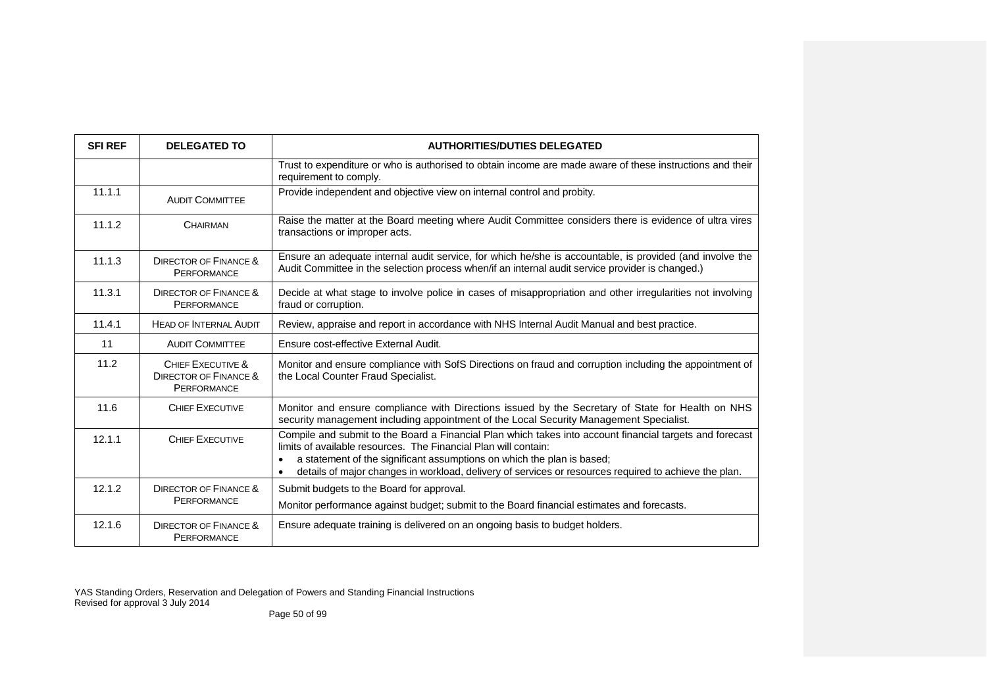| <b>SFI REF</b> | <b>DELEGATED TO</b>                                                         | <b>AUTHORITIES/DUTIES DELEGATED</b>                                                                                                                                                                                                                                                                                                                            |
|----------------|-----------------------------------------------------------------------------|----------------------------------------------------------------------------------------------------------------------------------------------------------------------------------------------------------------------------------------------------------------------------------------------------------------------------------------------------------------|
|                |                                                                             | Trust to expenditure or who is authorised to obtain income are made aware of these instructions and their<br>requirement to comply.                                                                                                                                                                                                                            |
| 11.1.1         | <b>AUDIT COMMITTEE</b>                                                      | Provide independent and objective view on internal control and probity.                                                                                                                                                                                                                                                                                        |
| 11.1.2         | <b>CHAIRMAN</b>                                                             | Raise the matter at the Board meeting where Audit Committee considers there is evidence of ultra vires<br>transactions or improper acts.                                                                                                                                                                                                                       |
| 11.1.3         | DIRECTOR OF FINANCE &<br>PERFORMANCE                                        | Ensure an adequate internal audit service, for which he/she is accountable, is provided (and involve the<br>Audit Committee in the selection process when/if an internal audit service provider is changed.)                                                                                                                                                   |
| 11.3.1         | <b>DIRECTOR OF FINANCE &amp;</b><br><b>PERFORMANCE</b>                      | Decide at what stage to involve police in cases of misappropriation and other irregularities not involving<br>fraud or corruption.                                                                                                                                                                                                                             |
| 11.4.1         | <b>HEAD OF INTERNAL AUDIT</b>                                               | Review, appraise and report in accordance with NHS Internal Audit Manual and best practice.                                                                                                                                                                                                                                                                    |
| 11             | <b>AUDIT COMMITTEE</b>                                                      | Ensure cost-effective External Audit.                                                                                                                                                                                                                                                                                                                          |
| 11.2           | CHIEF EXECUTIVE &<br><b>DIRECTOR OF FINANCE &amp;</b><br><b>PERFORMANCE</b> | Monitor and ensure compliance with SofS Directions on fraud and corruption including the appointment of<br>the Local Counter Fraud Specialist.                                                                                                                                                                                                                 |
| 11.6           | <b>CHIEF EXECUTIVE</b>                                                      | Monitor and ensure compliance with Directions issued by the Secretary of State for Health on NHS<br>security management including appointment of the Local Security Management Specialist.                                                                                                                                                                     |
| 12.1.1         | <b>CHIEF EXECUTIVE</b>                                                      | Compile and submit to the Board a Financial Plan which takes into account financial targets and forecast<br>limits of available resources. The Financial Plan will contain:<br>a statement of the significant assumptions on which the plan is based;<br>details of major changes in workload, delivery of services or resources required to achieve the plan. |
| 12.1.2         | <b>DIRECTOR OF FINANCE &amp;</b>                                            | Submit budgets to the Board for approval.                                                                                                                                                                                                                                                                                                                      |
|                | PERFORMANCE                                                                 | Monitor performance against budget; submit to the Board financial estimates and forecasts.                                                                                                                                                                                                                                                                     |
| 12.1.6         | <b>DIRECTOR OF FINANCE &amp;</b><br><b>PERFORMANCE</b>                      | Ensure adequate training is delivered on an ongoing basis to budget holders.                                                                                                                                                                                                                                                                                   |

Page 50 of 99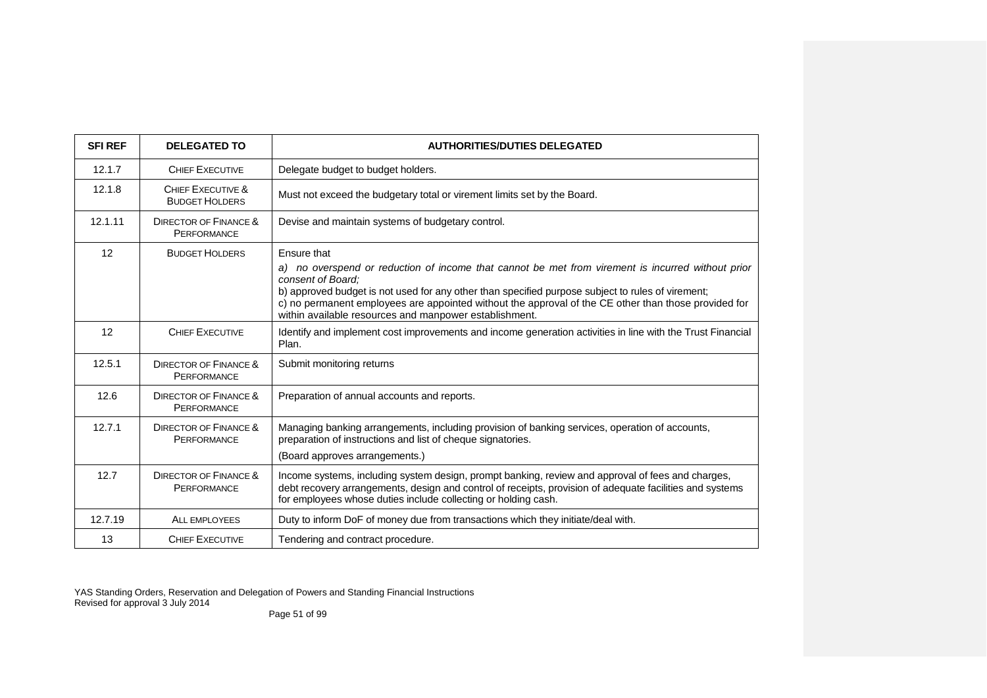| <b>SFI REF</b> | <b>DELEGATED TO</b>                                    | <b>AUTHORITIES/DUTIES DELEGATED</b>                                                                                                                                                                                                                                                                                                                                                                          |
|----------------|--------------------------------------------------------|--------------------------------------------------------------------------------------------------------------------------------------------------------------------------------------------------------------------------------------------------------------------------------------------------------------------------------------------------------------------------------------------------------------|
| 12.1.7         | <b>CHIEF EXECUTIVE</b>                                 | Delegate budget to budget holders.                                                                                                                                                                                                                                                                                                                                                                           |
| 12.1.8         | CHIEF EXECUTIVE &<br><b>BUDGET HOLDERS</b>             | Must not exceed the budgetary total or virement limits set by the Board.                                                                                                                                                                                                                                                                                                                                     |
| 12.1.11        | <b>DIRECTOR OF FINANCE &amp;</b><br><b>PERFORMANCE</b> | Devise and maintain systems of budgetary control.                                                                                                                                                                                                                                                                                                                                                            |
| 12             | <b>BUDGET HOLDERS</b>                                  | Ensure that<br>a) no overspend or reduction of income that cannot be met from virement is incurred without prior<br>consent of Board:<br>b) approved budget is not used for any other than specified purpose subject to rules of virement;<br>c) no permanent employees are appointed without the approval of the CE other than those provided for<br>within available resources and manpower establishment. |
| 12             | <b>CHIEF EXECUTIVE</b>                                 | Identify and implement cost improvements and income generation activities in line with the Trust Financial<br>Plan.                                                                                                                                                                                                                                                                                          |
| 12.5.1         | DIRECTOR OF FINANCE &<br><b>PERFORMANCE</b>            | Submit monitoring returns                                                                                                                                                                                                                                                                                                                                                                                    |
| 12.6           | DIRECTOR OF FINANCE &<br><b>PERFORMANCE</b>            | Preparation of annual accounts and reports.                                                                                                                                                                                                                                                                                                                                                                  |
| 12.7.1         | <b>DIRECTOR OF FINANCE &amp;</b><br><b>PERFORMANCE</b> | Managing banking arrangements, including provision of banking services, operation of accounts,<br>preparation of instructions and list of cheque signatories.<br>(Board approves arrangements.)                                                                                                                                                                                                              |
| 12.7           | <b>DIRECTOR OF FINANCE &amp;</b><br><b>PERFORMANCE</b> | Income systems, including system design, prompt banking, review and approval of fees and charges,<br>debt recovery arrangements, design and control of receipts, provision of adequate facilities and systems<br>for employees whose duties include collecting or holding cash.                                                                                                                              |
| 12.7.19        | <b>ALL EMPLOYEES</b>                                   | Duty to inform DoF of money due from transactions which they initiate/deal with.                                                                                                                                                                                                                                                                                                                             |
| 13             | <b>CHIEF EXECUTIVE</b>                                 | Tendering and contract procedure.                                                                                                                                                                                                                                                                                                                                                                            |

Page 51 of 99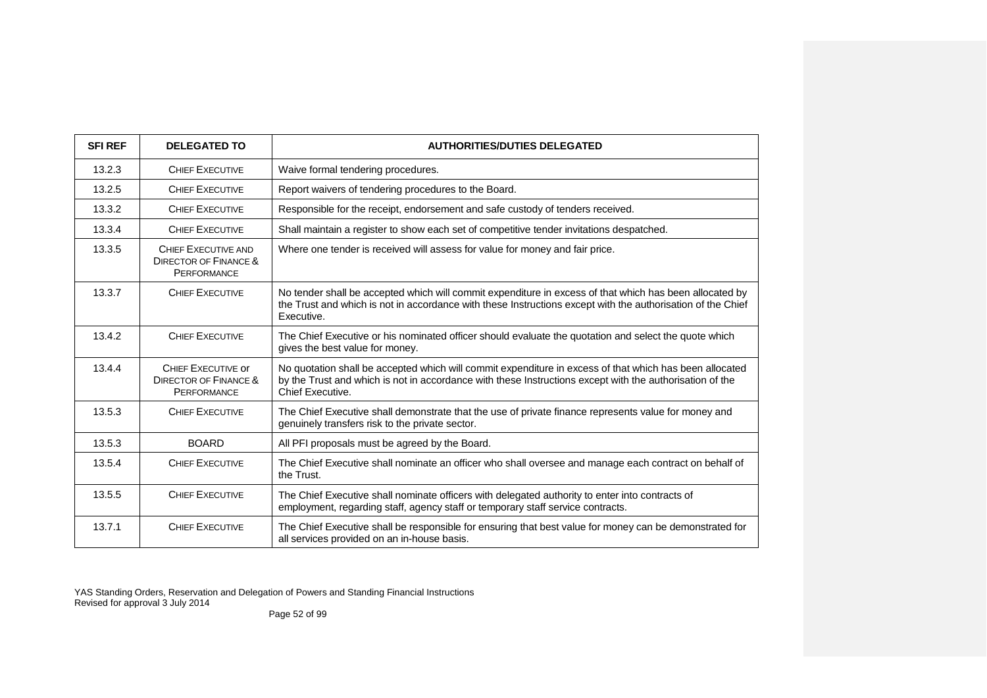| <b>SFI REF</b> | <b>DELEGATED TO</b>                                                          | <b>AUTHORITIES/DUTIES DELEGATED</b>                                                                                                                                                                                                     |
|----------------|------------------------------------------------------------------------------|-----------------------------------------------------------------------------------------------------------------------------------------------------------------------------------------------------------------------------------------|
| 13.2.3         | <b>CHIEF EXECUTIVE</b>                                                       | Waive formal tendering procedures.                                                                                                                                                                                                      |
| 13.2.5         | <b>CHIEF EXECUTIVE</b>                                                       | Report waivers of tendering procedures to the Board.                                                                                                                                                                                    |
| 13.3.2         | <b>CHIEF EXECUTIVE</b>                                                       | Responsible for the receipt, endorsement and safe custody of tenders received.                                                                                                                                                          |
| 13.3.4         | <b>CHIEF EXECUTIVE</b>                                                       | Shall maintain a register to show each set of competitive tender invitations despatched.                                                                                                                                                |
| 13.3.5         | CHIEF EXECUTIVE AND<br>DIRECTOR OF FINANCE &<br><b>PERFORMANCE</b>           | Where one tender is received will assess for value for money and fair price.                                                                                                                                                            |
| 13.3.7         | <b>CHIEF EXECUTIVE</b>                                                       | No tender shall be accepted which will commit expenditure in excess of that which has been allocated by<br>the Trust and which is not in accordance with these Instructions except with the authorisation of the Chief<br>Executive.    |
| 13.4.2         | <b>CHIEF EXECUTIVE</b>                                                       | The Chief Executive or his nominated officer should evaluate the quotation and select the quote which<br>gives the best value for money.                                                                                                |
| 13.4.4         | CHIEF EXECUTIVE OF<br><b>DIRECTOR OF FINANCE &amp;</b><br><b>PERFORMANCE</b> | No quotation shall be accepted which will commit expenditure in excess of that which has been allocated<br>by the Trust and which is not in accordance with these Instructions except with the authorisation of the<br>Chief Executive. |
| 13.5.3         | <b>CHIEF EXECUTIVE</b>                                                       | The Chief Executive shall demonstrate that the use of private finance represents value for money and<br>genuinely transfers risk to the private sector.                                                                                 |
| 13.5.3         | <b>BOARD</b>                                                                 | All PFI proposals must be agreed by the Board.                                                                                                                                                                                          |
| 13.5.4         | <b>CHIEF EXECUTIVE</b>                                                       | The Chief Executive shall nominate an officer who shall oversee and manage each contract on behalf of<br>the Trust.                                                                                                                     |
| 13.5.5         | <b>CHIEF EXECUTIVE</b>                                                       | The Chief Executive shall nominate officers with delegated authority to enter into contracts of<br>employment, regarding staff, agency staff or temporary staff service contracts.                                                      |
| 13.7.1         | <b>CHIEF EXECUTIVE</b>                                                       | The Chief Executive shall be responsible for ensuring that best value for money can be demonstrated for<br>all services provided on an in-house basis.                                                                                  |

Page 52 of 99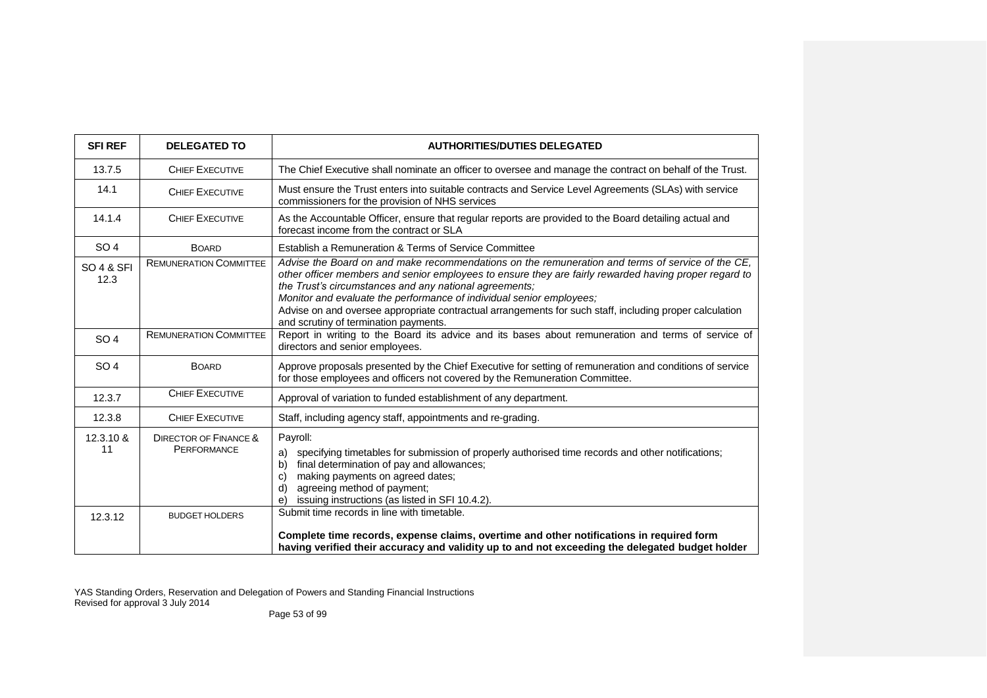| <b>SFIREF</b>                 | <b>DELEGATED TO</b>                                    | <b>AUTHORITIES/DUTIES DELEGATED</b>                                                                                                                                                                                                                                                                                                                                                                                                                                                             |
|-------------------------------|--------------------------------------------------------|-------------------------------------------------------------------------------------------------------------------------------------------------------------------------------------------------------------------------------------------------------------------------------------------------------------------------------------------------------------------------------------------------------------------------------------------------------------------------------------------------|
| 13.7.5                        | <b>CHIEF EXECUTIVE</b>                                 | The Chief Executive shall nominate an officer to oversee and manage the contract on behalf of the Trust.                                                                                                                                                                                                                                                                                                                                                                                        |
| 14.1                          | <b>CHIEF EXECUTIVE</b>                                 | Must ensure the Trust enters into suitable contracts and Service Level Agreements (SLAs) with service<br>commissioners for the provision of NHS services                                                                                                                                                                                                                                                                                                                                        |
| 14.1.4                        | <b>CHIEF EXECUTIVE</b>                                 | As the Accountable Officer, ensure that regular reports are provided to the Board detailing actual and<br>forecast income from the contract or SLA                                                                                                                                                                                                                                                                                                                                              |
| SO <sub>4</sub>               | <b>BOARD</b>                                           | Establish a Remuneration & Terms of Service Committee                                                                                                                                                                                                                                                                                                                                                                                                                                           |
| <b>SO 4 &amp; SFI</b><br>12.3 | <b>REMUNERATION COMMITTEE</b>                          | Advise the Board on and make recommendations on the remuneration and terms of service of the CE,<br>other officer members and senior employees to ensure they are fairly rewarded having proper regard to<br>the Trust's circumstances and any national agreements;<br>Monitor and evaluate the performance of individual senior employees;<br>Advise on and oversee appropriate contractual arrangements for such staff, including proper calculation<br>and scrutiny of termination payments. |
| SO <sub>4</sub>               | <b>REMUNERATION COMMITTEE</b>                          | Report in writing to the Board its advice and its bases about remuneration and terms of service of<br>directors and senior employees.                                                                                                                                                                                                                                                                                                                                                           |
| SO <sub>4</sub>               | <b>BOARD</b>                                           | Approve proposals presented by the Chief Executive for setting of remuneration and conditions of service<br>for those employees and officers not covered by the Remuneration Committee.                                                                                                                                                                                                                                                                                                         |
| 12.3.7                        | <b>CHIEF EXECUTIVE</b>                                 | Approval of variation to funded establishment of any department.                                                                                                                                                                                                                                                                                                                                                                                                                                |
| 12.3.8                        | <b>CHIEF EXECUTIVE</b>                                 | Staff, including agency staff, appointments and re-grading.                                                                                                                                                                                                                                                                                                                                                                                                                                     |
| 12.3.10 &<br>11               | <b>DIRECTOR OF FINANCE &amp;</b><br><b>PERFORMANCE</b> | Payroll:<br>specifying timetables for submission of properly authorised time records and other notifications;<br>a)<br>final determination of pay and allowances;<br>b)<br>making payments on agreed dates;<br>C)<br>agreeing method of payment;<br>d)<br>issuing instructions (as listed in SFI 10.4.2).<br>e)                                                                                                                                                                                 |
| 12.3.12                       | <b>BUDGET HOLDERS</b>                                  | Submit time records in line with timetable.<br>Complete time records, expense claims, overtime and other notifications in required form<br>having verified their accuracy and validity up to and not exceeding the delegated budget holder                                                                                                                                                                                                                                                      |

Page 53 of 99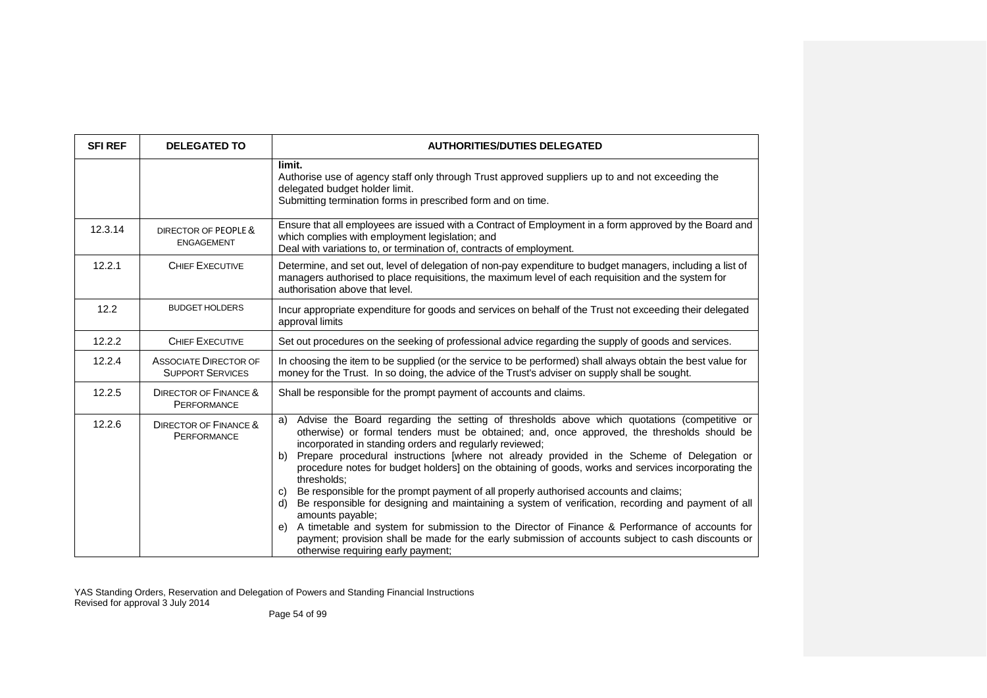| <b>SFI REF</b> | <b>DELEGATED TO</b>                                     | <b>AUTHORITIES/DUTIES DELEGATED</b>                                                                                                                                                                                                                                                                                                                                                                                                                                                                                                                                                                                                                                                                                                                                                                                                                                                                                                                                       |
|----------------|---------------------------------------------------------|---------------------------------------------------------------------------------------------------------------------------------------------------------------------------------------------------------------------------------------------------------------------------------------------------------------------------------------------------------------------------------------------------------------------------------------------------------------------------------------------------------------------------------------------------------------------------------------------------------------------------------------------------------------------------------------------------------------------------------------------------------------------------------------------------------------------------------------------------------------------------------------------------------------------------------------------------------------------------|
|                |                                                         | limit.<br>Authorise use of agency staff only through Trust approved suppliers up to and not exceeding the<br>delegated budget holder limit.<br>Submitting termination forms in prescribed form and on time.                                                                                                                                                                                                                                                                                                                                                                                                                                                                                                                                                                                                                                                                                                                                                               |
| 12.3.14        | DIRECTOR OF PEOPLE &<br><b>ENGAGEMENT</b>               | Ensure that all employees are issued with a Contract of Employment in a form approved by the Board and<br>which complies with employment legislation; and<br>Deal with variations to, or termination of, contracts of employment.                                                                                                                                                                                                                                                                                                                                                                                                                                                                                                                                                                                                                                                                                                                                         |
| 12.2.1         | <b>CHIEF EXECUTIVE</b>                                  | Determine, and set out, level of delegation of non-pay expenditure to budget managers, including a list of<br>managers authorised to place requisitions, the maximum level of each requisition and the system for<br>authorisation above that level.                                                                                                                                                                                                                                                                                                                                                                                                                                                                                                                                                                                                                                                                                                                      |
| 12.2           | <b>BUDGET HOLDERS</b>                                   | Incur appropriate expenditure for goods and services on behalf of the Trust not exceeding their delegated<br>approval limits                                                                                                                                                                                                                                                                                                                                                                                                                                                                                                                                                                                                                                                                                                                                                                                                                                              |
| 12.2.2         | <b>CHIEF EXECUTIVE</b>                                  | Set out procedures on the seeking of professional advice regarding the supply of goods and services.                                                                                                                                                                                                                                                                                                                                                                                                                                                                                                                                                                                                                                                                                                                                                                                                                                                                      |
| 12.2.4         | <b>ASSOCIATE DIRECTOR OF</b><br><b>SUPPORT SERVICES</b> | In choosing the item to be supplied (or the service to be performed) shall always obtain the best value for<br>money for the Trust. In so doing, the advice of the Trust's adviser on supply shall be sought.                                                                                                                                                                                                                                                                                                                                                                                                                                                                                                                                                                                                                                                                                                                                                             |
| 12.2.5         | <b>DIRECTOR OF FINANCE &amp;</b><br>PERFORMANCE         | Shall be responsible for the prompt payment of accounts and claims.                                                                                                                                                                                                                                                                                                                                                                                                                                                                                                                                                                                                                                                                                                                                                                                                                                                                                                       |
| 12.2.6         | <b>DIRECTOR OF FINANCE &amp;</b><br><b>PERFORMANCE</b>  | Advise the Board regarding the setting of thresholds above which quotations (competitive or<br>a)<br>otherwise) or formal tenders must be obtained; and, once approved, the thresholds should be<br>incorporated in standing orders and regularly reviewed;<br>Prepare procedural instructions [where not already provided in the Scheme of Delegation or<br>b)<br>procedure notes for budget holders] on the obtaining of goods, works and services incorporating the<br>thresholds:<br>Be responsible for the prompt payment of all properly authorised accounts and claims;<br>C)<br>Be responsible for designing and maintaining a system of verification, recording and payment of all<br>d)<br>amounts payable;<br>A timetable and system for submission to the Director of Finance & Performance of accounts for<br>e)<br>payment; provision shall be made for the early submission of accounts subject to cash discounts or<br>otherwise requiring early payment; |

Page 54 of 99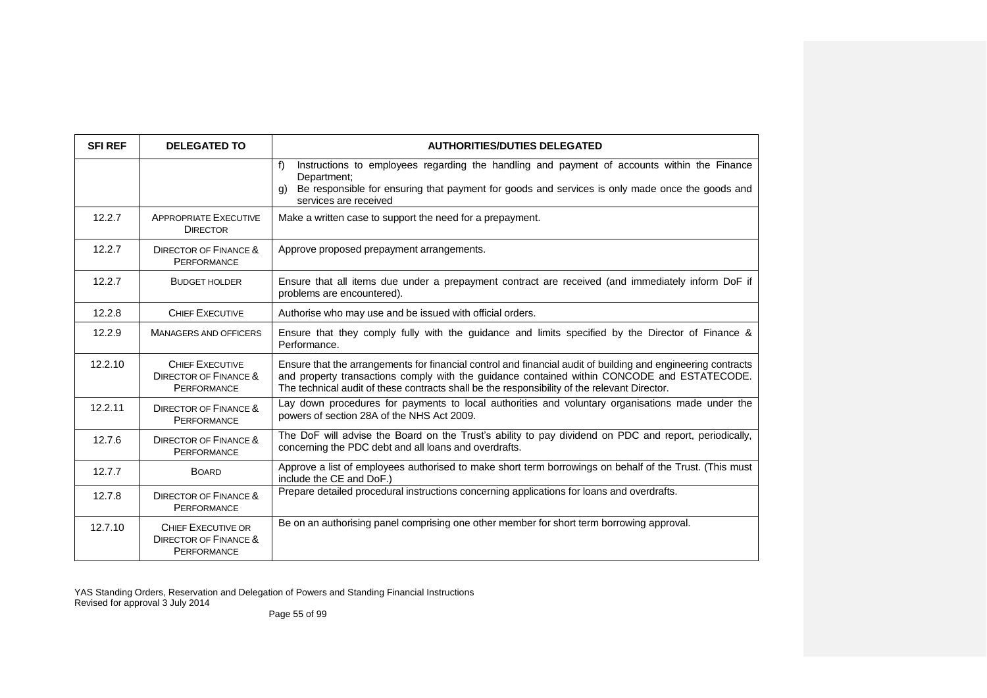| <b>SFI REF</b> | <b>DELEGATED TO</b>                                                       | <b>AUTHORITIES/DUTIES DELEGATED</b>                                                                                                                                                                                                                                                                         |
|----------------|---------------------------------------------------------------------------|-------------------------------------------------------------------------------------------------------------------------------------------------------------------------------------------------------------------------------------------------------------------------------------------------------------|
|                |                                                                           | f<br>Instructions to employees regarding the handling and payment of accounts within the Finance<br>Department;<br>Be responsible for ensuring that payment for goods and services is only made once the goods and<br>a)<br>services are received                                                           |
| 12.2.7         | <b>APPROPRIATE EXECUTIVE</b><br><b>DIRECTOR</b>                           | Make a written case to support the need for a prepayment.                                                                                                                                                                                                                                                   |
| 12.2.7         | <b>DIRECTOR OF FINANCE &amp;</b><br>PERFORMANCE                           | Approve proposed prepayment arrangements.                                                                                                                                                                                                                                                                   |
| 12.2.7         | <b>BUDGET HOLDER</b>                                                      | Ensure that all items due under a prepayment contract are received (and immediately inform DoF if<br>problems are encountered).                                                                                                                                                                             |
| 12.2.8         | <b>CHIEF EXECUTIVE</b>                                                    | Authorise who may use and be issued with official orders.                                                                                                                                                                                                                                                   |
| 12.2.9         | <b>MANAGERS AND OFFICERS</b>                                              | Ensure that they comply fully with the guidance and limits specified by the Director of Finance &<br>Performance.                                                                                                                                                                                           |
| 12.2.10        | <b>CHIEF EXECUTIVE</b><br><b>DIRECTOR OF FINANCE &amp;</b><br>PERFORMANCE | Ensure that the arrangements for financial control and financial audit of building and engineering contracts<br>and property transactions comply with the guidance contained within CONCODE and ESTATECODE.<br>The technical audit of these contracts shall be the responsibility of the relevant Director. |
| 12.2.11        | <b>DIRECTOR OF FINANCE &amp;</b><br>PERFORMANCE                           | Lay down procedures for payments to local authorities and voluntary organisations made under the<br>powers of section 28A of the NHS Act 2009.                                                                                                                                                              |
| 12.7.6         | <b>DIRECTOR OF FINANCE &amp;</b><br>PERFORMANCE                           | The DoF will advise the Board on the Trust's ability to pay dividend on PDC and report, periodically,<br>concerning the PDC debt and all loans and overdrafts.                                                                                                                                              |
| 12.7.7         | <b>BOARD</b>                                                              | Approve a list of employees authorised to make short term borrowings on behalf of the Trust. (This must<br>include the CE and DoF.)                                                                                                                                                                         |
| 12.7.8         | <b>DIRECTOR OF FINANCE &amp;</b><br>PERFORMANCE                           | Prepare detailed procedural instructions concerning applications for loans and overdrafts.                                                                                                                                                                                                                  |
| 12.7.10        | CHIEF EXECUTIVE OR<br><b>DIRECTOR OF FINANCE &amp;</b><br>PERFORMANCE     | Be on an authorising panel comprising one other member for short term borrowing approval.                                                                                                                                                                                                                   |

Page 55 of 99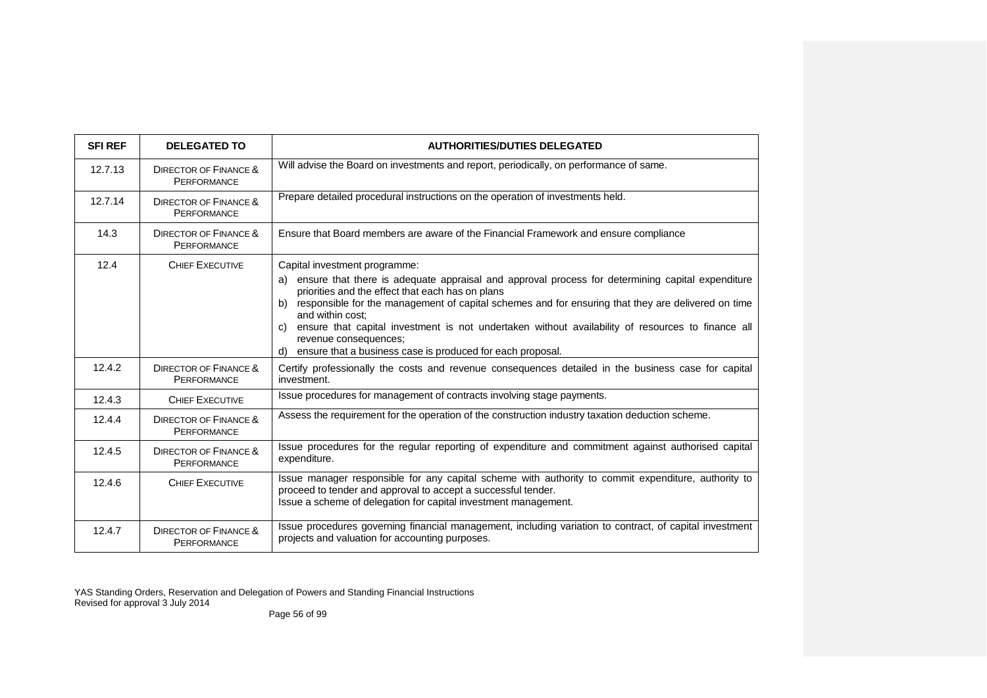| <b>SFI REF</b> | <b>DELEGATED TO</b>                                    | <b>AUTHORITIES/DUTIES DELEGATED</b>                                                                                                                                                                                                                                                                                                                                                                                                                          |
|----------------|--------------------------------------------------------|--------------------------------------------------------------------------------------------------------------------------------------------------------------------------------------------------------------------------------------------------------------------------------------------------------------------------------------------------------------------------------------------------------------------------------------------------------------|
| 12.7.13        | <b>DIRECTOR OF FINANCE &amp;</b><br>PERFORMANCE        | Will advise the Board on investments and report, periodically, on performance of same.                                                                                                                                                                                                                                                                                                                                                                       |
| 12.7.14        | <b>DIRECTOR OF FINANCE &amp;</b><br><b>PERFORMANCE</b> | Prepare detailed procedural instructions on the operation of investments held.                                                                                                                                                                                                                                                                                                                                                                               |
| 14.3           | <b>DIRECTOR OF FINANCE &amp;</b><br>PERFORMANCE        | Ensure that Board members are aware of the Financial Framework and ensure compliance                                                                                                                                                                                                                                                                                                                                                                         |
| 12.4           | <b>CHIEF EXECUTIVE</b>                                 | Capital investment programme:<br>ensure that there is adequate appraisal and approval process for determining capital expenditure<br>a)<br>priorities and the effect that each has on plans<br>responsible for the management of capital schemes and for ensuring that they are delivered on time<br>b)<br>and within cost:<br>c) ensure that capital investment is not undertaken without availability of resources to finance all<br>revenue consequences; |
| 12.4.2         | <b>DIRECTOR OF FINANCE &amp;</b><br><b>PERFORMANCE</b> | d) ensure that a business case is produced for each proposal.<br>Certify professionally the costs and revenue consequences detailed in the business case for capital<br>investment.                                                                                                                                                                                                                                                                          |
| 12.4.3         | <b>CHIEF EXECUTIVE</b>                                 | Issue procedures for management of contracts involving stage payments.                                                                                                                                                                                                                                                                                                                                                                                       |
| 12.4.4         | <b>DIRECTOR OF FINANCE &amp;</b><br><b>PERFORMANCE</b> | Assess the requirement for the operation of the construction industry taxation deduction scheme.                                                                                                                                                                                                                                                                                                                                                             |
| 12.4.5         | <b>DIRECTOR OF FINANCE &amp;</b><br><b>PERFORMANCE</b> | Issue procedures for the regular reporting of expenditure and commitment against authorised capital<br>expenditure.                                                                                                                                                                                                                                                                                                                                          |
| 12.4.6         | <b>CHIEF EXECUTIVE</b>                                 | Issue manager responsible for any capital scheme with authority to commit expenditure, authority to<br>proceed to tender and approval to accept a successful tender.<br>Issue a scheme of delegation for capital investment management.                                                                                                                                                                                                                      |
| 12.4.7         | <b>DIRECTOR OF FINANCE &amp;</b><br><b>PERFORMANCE</b> | Issue procedures governing financial management, including variation to contract, of capital investment<br>projects and valuation for accounting purposes.                                                                                                                                                                                                                                                                                                   |

Page 56 of 99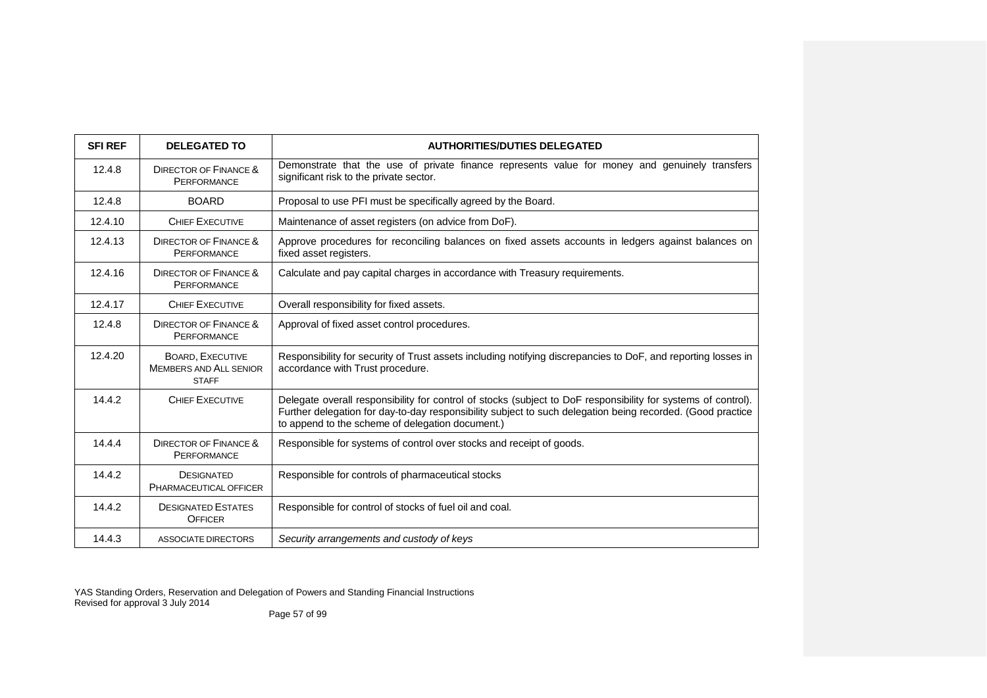| <b>SFI REF</b> | <b>DELEGATED TO</b>                                                      | <b>AUTHORITIES/DUTIES DELEGATED</b>                                                                                                                                                                                                                                             |
|----------------|--------------------------------------------------------------------------|---------------------------------------------------------------------------------------------------------------------------------------------------------------------------------------------------------------------------------------------------------------------------------|
| 12.4.8         | DIRECTOR OF FINANCE &<br><b>PERFORMANCE</b>                              | Demonstrate that the use of private finance represents value for money and genuinely transfers<br>significant risk to the private sector.                                                                                                                                       |
| 12.4.8         | <b>BOARD</b>                                                             | Proposal to use PFI must be specifically agreed by the Board.                                                                                                                                                                                                                   |
| 12.4.10        | <b>CHIEF EXECUTIVE</b>                                                   | Maintenance of asset registers (on advice from DoF).                                                                                                                                                                                                                            |
| 12.4.13        | DIRECTOR OF FINANCE &<br><b>PERFORMANCE</b>                              | Approve procedures for reconciling balances on fixed assets accounts in ledgers against balances on<br>fixed asset registers.                                                                                                                                                   |
| 12.4.16        | DIRECTOR OF FINANCE &<br><b>PERFORMANCE</b>                              | Calculate and pay capital charges in accordance with Treasury requirements.                                                                                                                                                                                                     |
| 12.4.17        | <b>CHIEF EXECUTIVE</b>                                                   | Overall responsibility for fixed assets.                                                                                                                                                                                                                                        |
| 12.4.8         | DIRECTOR OF FINANCE &<br><b>PERFORMANCE</b>                              | Approval of fixed asset control procedures.                                                                                                                                                                                                                                     |
| 12.4.20        | <b>BOARD, EXECUTIVE</b><br><b>MEMBERS AND ALL SENIOR</b><br><b>STAFF</b> | Responsibility for security of Trust assets including notifying discrepancies to DoF, and reporting losses in<br>accordance with Trust procedure.                                                                                                                               |
| 14.4.2         | <b>CHIEF EXECUTIVE</b>                                                   | Delegate overall responsibility for control of stocks (subject to DoF responsibility for systems of control).<br>Further delegation for day-to-day responsibility subject to such delegation being recorded. (Good practice<br>to append to the scheme of delegation document.) |
| 14.4.4         | DIRECTOR OF FINANCE &<br><b>PERFORMANCE</b>                              | Responsible for systems of control over stocks and receipt of goods.                                                                                                                                                                                                            |
| 14.4.2         | <b>DESIGNATED</b><br>PHARMACEUTICAL OFFICER                              | Responsible for controls of pharmaceutical stocks                                                                                                                                                                                                                               |
| 14.4.2         | <b>DESIGNATED ESTATES</b><br><b>OFFICER</b>                              | Responsible for control of stocks of fuel oil and coal.                                                                                                                                                                                                                         |
| 14.4.3         | <b>ASSOCIATE DIRECTORS</b>                                               | Security arrangements and custody of keys                                                                                                                                                                                                                                       |

Page 57 of 99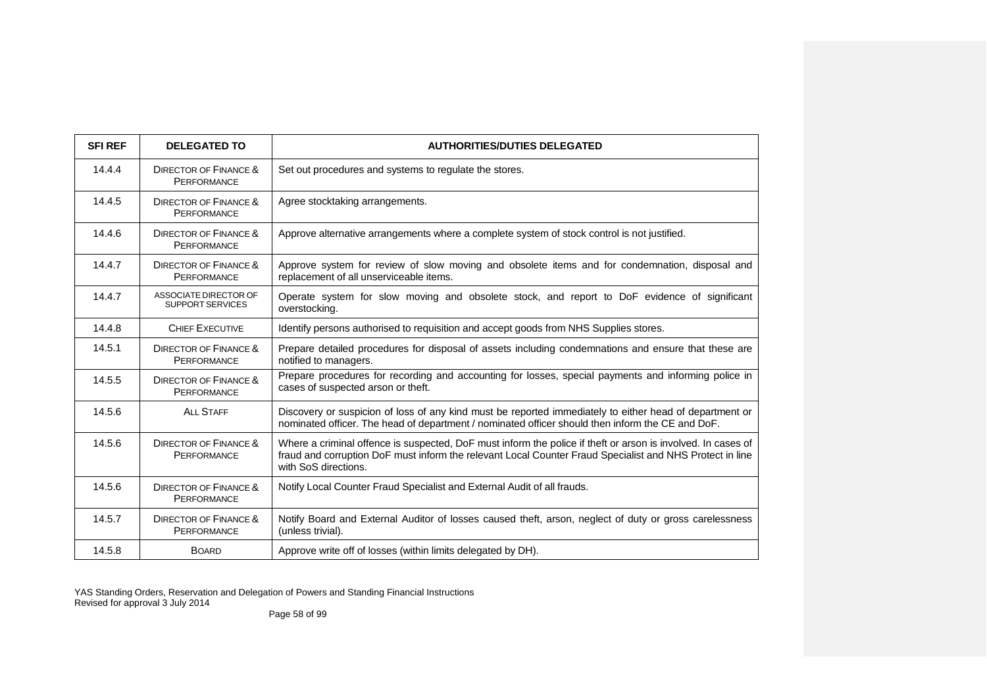| <b>SFI REF</b> | <b>DELEGATED TO</b>                                    | <b>AUTHORITIES/DUTIES DELEGATED</b>                                                                                                                                                                                                              |
|----------------|--------------------------------------------------------|--------------------------------------------------------------------------------------------------------------------------------------------------------------------------------------------------------------------------------------------------|
| 14.4.4         | <b>DIRECTOR OF FINANCE &amp;</b><br><b>PERFORMANCE</b> | Set out procedures and systems to regulate the stores.                                                                                                                                                                                           |
| 14.4.5         | <b>DIRECTOR OF FINANCE &amp;</b><br><b>PERFORMANCE</b> | Agree stocktaking arrangements.                                                                                                                                                                                                                  |
| 14.4.6         | <b>DIRECTOR OF FINANCE &amp;</b><br><b>PERFORMANCE</b> | Approve alternative arrangements where a complete system of stock control is not justified.                                                                                                                                                      |
| 14.4.7         | <b>DIRECTOR OF FINANCE &amp;</b><br><b>PERFORMANCE</b> | Approve system for review of slow moving and obsolete items and for condemnation, disposal and<br>replacement of all unserviceable items.                                                                                                        |
| 14.4.7         | ASSOCIATE DIRECTOR OF<br><b>SUPPORT SERVICES</b>       | Operate system for slow moving and obsolete stock, and report to DoF evidence of significant<br>overstocking.                                                                                                                                    |
| 14.4.8         | <b>CHIEF EXECUTIVE</b>                                 | Identify persons authorised to requisition and accept goods from NHS Supplies stores.                                                                                                                                                            |
| 14.5.1         | <b>DIRECTOR OF FINANCE &amp;</b><br><b>PERFORMANCE</b> | Prepare detailed procedures for disposal of assets including condemnations and ensure that these are<br>notified to managers.                                                                                                                    |
| 14.5.5         | <b>DIRECTOR OF FINANCE &amp;</b><br><b>PERFORMANCE</b> | Prepare procedures for recording and accounting for losses, special payments and informing police in<br>cases of suspected arson or theft.                                                                                                       |
| 14.5.6         | <b>ALL STAFF</b>                                       | Discovery or suspicion of loss of any kind must be reported immediately to either head of department or<br>nominated officer. The head of department / nominated officer should then inform the CE and DoF.                                      |
| 14.5.6         | <b>DIRECTOR OF FINANCE &amp;</b><br><b>PERFORMANCE</b> | Where a criminal offence is suspected, DoF must inform the police if theft or arson is involved. In cases of<br>fraud and corruption DoF must inform the relevant Local Counter Fraud Specialist and NHS Protect in line<br>with SoS directions. |
| 14.5.6         | <b>DIRECTOR OF FINANCE &amp;</b><br><b>PERFORMANCE</b> | Notify Local Counter Fraud Specialist and External Audit of all frauds.                                                                                                                                                                          |
| 14.5.7         | <b>DIRECTOR OF FINANCE &amp;</b><br><b>PERFORMANCE</b> | Notify Board and External Auditor of losses caused theft, arson, neglect of duty or gross carelessness<br>(unless trivial).                                                                                                                      |
| 14.5.8         | <b>BOARD</b>                                           | Approve write off of losses (within limits delegated by DH).                                                                                                                                                                                     |

Page 58 of 99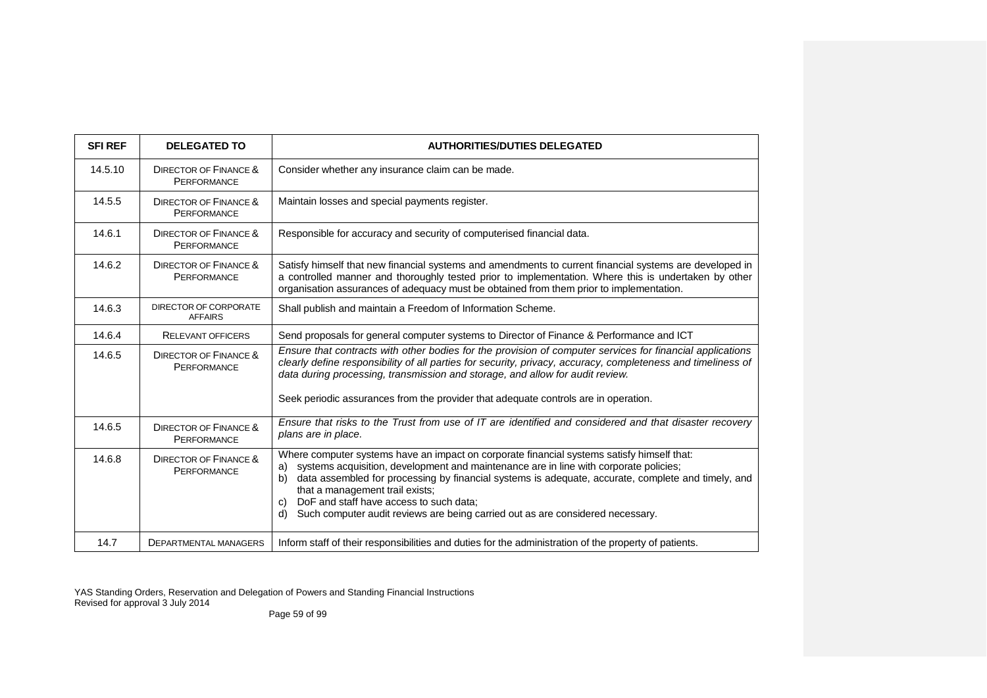| <b>SFIREF</b> | <b>DELEGATED TO</b>                                    | <b>AUTHORITIES/DUTIES DELEGATED</b>                                                                                                                                                                                                                                                                                                                                                                                                                                               |
|---------------|--------------------------------------------------------|-----------------------------------------------------------------------------------------------------------------------------------------------------------------------------------------------------------------------------------------------------------------------------------------------------------------------------------------------------------------------------------------------------------------------------------------------------------------------------------|
| 14.5.10       | <b>DIRECTOR OF FINANCE &amp;</b><br><b>PERFORMANCE</b> | Consider whether any insurance claim can be made.                                                                                                                                                                                                                                                                                                                                                                                                                                 |
| 14.5.5        | <b>DIRECTOR OF FINANCE &amp;</b><br><b>PERFORMANCE</b> | Maintain losses and special payments register.                                                                                                                                                                                                                                                                                                                                                                                                                                    |
| 14.6.1        | <b>DIRECTOR OF FINANCE &amp;</b><br><b>PERFORMANCE</b> | Responsible for accuracy and security of computerised financial data.                                                                                                                                                                                                                                                                                                                                                                                                             |
| 14.6.2        | <b>DIRECTOR OF FINANCE &amp;</b><br><b>PERFORMANCE</b> | Satisfy himself that new financial systems and amendments to current financial systems are developed in<br>a controlled manner and thoroughly tested prior to implementation. Where this is undertaken by other<br>organisation assurances of adequacy must be obtained from them prior to implementation.                                                                                                                                                                        |
| 14.6.3        | DIRECTOR OF CORPORATE<br><b>AFFAIRS</b>                | Shall publish and maintain a Freedom of Information Scheme.                                                                                                                                                                                                                                                                                                                                                                                                                       |
| 14.6.4        | <b>RELEVANT OFFICERS</b>                               | Send proposals for general computer systems to Director of Finance & Performance and ICT                                                                                                                                                                                                                                                                                                                                                                                          |
| 14.6.5        | <b>DIRECTOR OF FINANCE &amp;</b><br><b>PERFORMANCE</b> | Ensure that contracts with other bodies for the provision of computer services for financial applications<br>clearly define responsibility of all parties for security, privacy, accuracy, completeness and timeliness of<br>data during processing, transmission and storage, and allow for audit review.<br>Seek periodic assurances from the provider that adequate controls are in operation.                                                                                 |
| 14.6.5        | <b>DIRECTOR OF FINANCE &amp;</b><br><b>PERFORMANCE</b> | Ensure that risks to the Trust from use of IT are identified and considered and that disaster recovery<br>plans are in place.                                                                                                                                                                                                                                                                                                                                                     |
| 14.6.8        | <b>DIRECTOR OF FINANCE &amp;</b><br>PERFORMANCE        | Where computer systems have an impact on corporate financial systems satisfy himself that:<br>systems acquisition, development and maintenance are in line with corporate policies;<br>a)<br>data assembled for processing by financial systems is adequate, accurate, complete and timely, and<br>b)<br>that a management trail exists;<br>DoF and staff have access to such data:<br>C)<br>Such computer audit reviews are being carried out as are considered necessary.<br>d) |
| 14.7          | DEPARTMENTAL MANAGERS                                  | Inform staff of their responsibilities and duties for the administration of the property of patients.                                                                                                                                                                                                                                                                                                                                                                             |

Page 59 of 99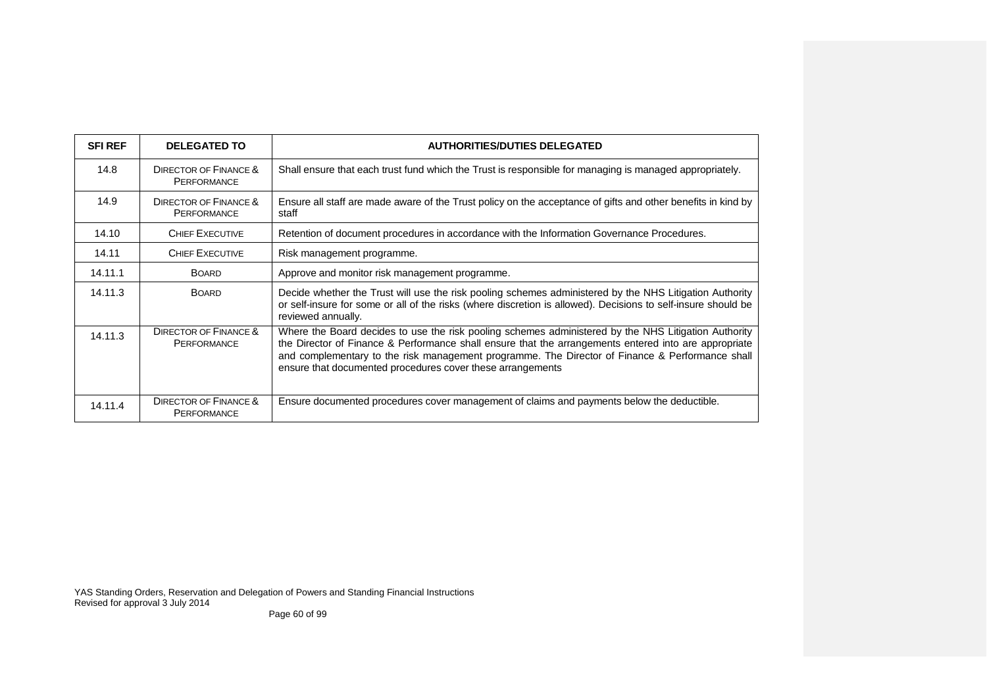| <b>SFI REF</b> | <b>DELEGATED TO</b>                             | <b>AUTHORITIES/DUTIES DELEGATED</b>                                                                                                                                                                                                                                                                                                                                            |
|----------------|-------------------------------------------------|--------------------------------------------------------------------------------------------------------------------------------------------------------------------------------------------------------------------------------------------------------------------------------------------------------------------------------------------------------------------------------|
| 14.8           | DIRECTOR OF FINANCE &<br>PERFORMANCE            | Shall ensure that each trust fund which the Trust is responsible for managing is managed appropriately.                                                                                                                                                                                                                                                                        |
| 14.9           | DIRECTOR OF FINANCE &<br><b>PERFORMANCE</b>     | Ensure all staff are made aware of the Trust policy on the acceptance of gifts and other benefits in kind by<br>staff                                                                                                                                                                                                                                                          |
| 14.10          | <b>CHIEF EXECUTIVE</b>                          | Retention of document procedures in accordance with the Information Governance Procedures.                                                                                                                                                                                                                                                                                     |
| 14.11          | <b>CHIEF EXECUTIVE</b>                          | Risk management programme.                                                                                                                                                                                                                                                                                                                                                     |
| 14.11.1        | <b>BOARD</b>                                    | Approve and monitor risk management programme.                                                                                                                                                                                                                                                                                                                                 |
| 14.11.3        | <b>BOARD</b>                                    | Decide whether the Trust will use the risk pooling schemes administered by the NHS Litigation Authority<br>or self-insure for some or all of the risks (where discretion is allowed). Decisions to self-insure should be<br>reviewed annually.                                                                                                                                 |
| 14.11.3        | <b>DIRECTOR OF FINANCE &amp;</b><br>PERFORMANCE | Where the Board decides to use the risk pooling schemes administered by the NHS Litigation Authority<br>the Director of Finance & Performance shall ensure that the arrangements entered into are appropriate<br>and complementary to the risk management programme. The Director of Finance & Performance shall<br>ensure that documented procedures cover these arrangements |
| 14.11.4        | <b>DIRECTOR OF FINANCE &amp;</b><br>PERFORMANCE | Ensure documented procedures cover management of claims and payments below the deductible.                                                                                                                                                                                                                                                                                     |

Page 60 of 99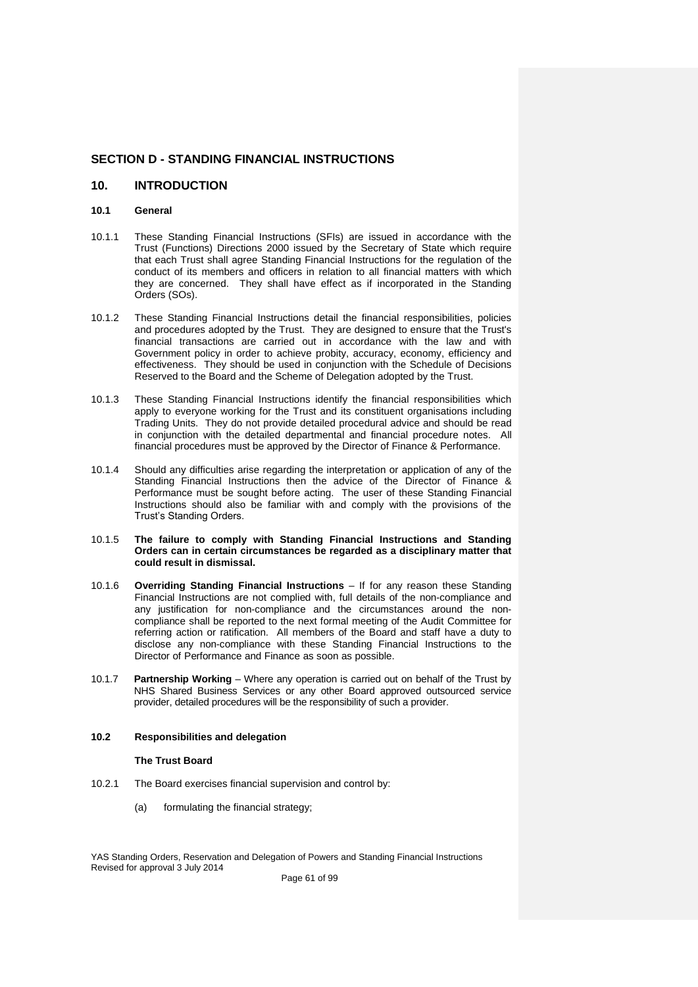## **SECTION D - STANDING FINANCIAL INSTRUCTIONS**

## **10. INTRODUCTION**

### **10.1 General**

- 10.1.1 These Standing Financial Instructions (SFIs) are issued in accordance with the Trust (Functions) Directions 2000 issued by the Secretary of State which require that each Trust shall agree Standing Financial Instructions for the regulation of the conduct of its members and officers in relation to all financial matters with which they are concerned. They shall have effect as if incorporated in the Standing Orders (SOs).
- 10.1.2 These Standing Financial Instructions detail the financial responsibilities, policies and procedures adopted by the Trust. They are designed to ensure that the Trust's financial transactions are carried out in accordance with the law and with Government policy in order to achieve probity, accuracy, economy, efficiency and effectiveness. They should be used in conjunction with the Schedule of Decisions Reserved to the Board and the Scheme of Delegation adopted by the Trust.
- 10.1.3 These Standing Financial Instructions identify the financial responsibilities which apply to everyone working for the Trust and its constituent organisations including Trading Units. They do not provide detailed procedural advice and should be read in conjunction with the detailed departmental and financial procedure notes. All financial procedures must be approved by the Director of Finance & Performance.
- 10.1.4 Should any difficulties arise regarding the interpretation or application of any of the Standing Financial Instructions then the advice of the Director of Finance & Performance must be sought before acting. The user of these Standing Financial Instructions should also be familiar with and comply with the provisions of the Trust's Standing Orders.
- 10.1.5 **The failure to comply with Standing Financial Instructions and Standing Orders can in certain circumstances be regarded as a disciplinary matter that could result in dismissal.**
- 10.1.6 **Overriding Standing Financial Instructions** If for any reason these Standing Financial Instructions are not complied with, full details of the non-compliance and any justification for non-compliance and the circumstances around the noncompliance shall be reported to the next formal meeting of the Audit Committee for referring action or ratification. All members of the Board and staff have a duty to disclose any non-compliance with these Standing Financial Instructions to the Director of Performance and Finance as soon as possible.
- 10.1.7 **Partnership Working** Where any operation is carried out on behalf of the Trust by NHS Shared Business Services or any other Board approved outsourced service provider, detailed procedures will be the responsibility of such a provider.

## **10.2 Responsibilities and delegation**

#### **The Trust Board**

- 10.2.1 The Board exercises financial supervision and control by:
	- (a) formulating the financial strategy;

YAS Standing Orders, Reservation and Delegation of Powers and Standing Financial Instructions Revised for approval 3 July 2014

Page 61 of 99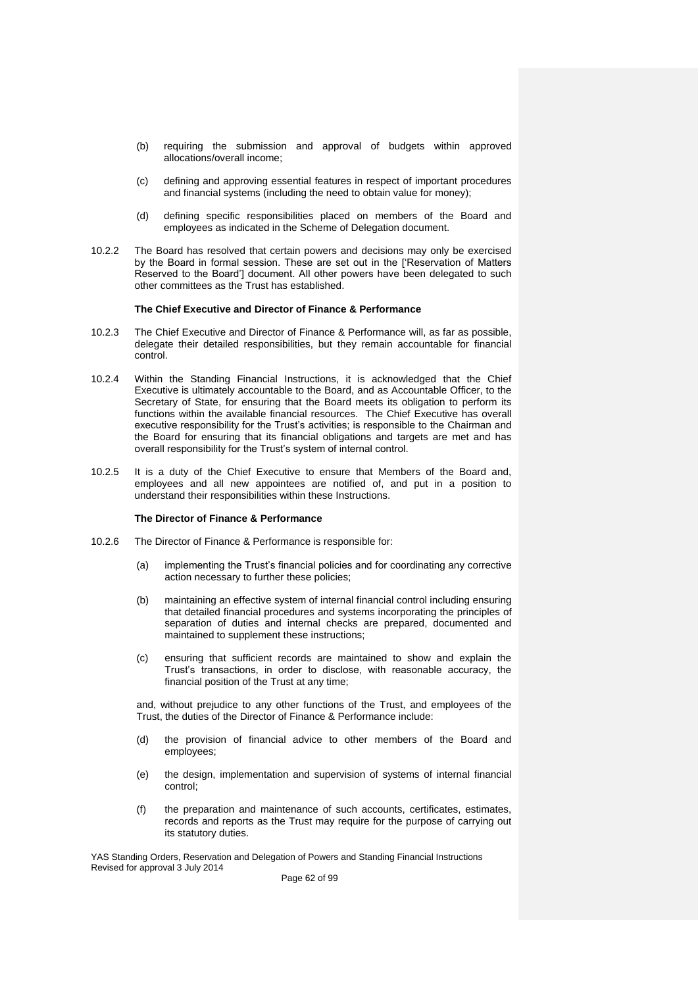- (b) requiring the submission and approval of budgets within approved allocations/overall income;
- (c) defining and approving essential features in respect of important procedures and financial systems (including the need to obtain value for money);
- (d) defining specific responsibilities placed on members of the Board and employees as indicated in the Scheme of Delegation document.
- 10.2.2 The Board has resolved that certain powers and decisions may only be exercised by the Board in formal session. These are set out in the ['Reservation of Matters Reserved to the Board'] document. All other powers have been delegated to such other committees as the Trust has established.

#### **The Chief Executive and Director of Finance & Performance**

- 10.2.3 The Chief Executive and Director of Finance & Performance will, as far as possible, delegate their detailed responsibilities, but they remain accountable for financial control.
- 10.2.4 Within the Standing Financial Instructions, it is acknowledged that the Chief Executive is ultimately accountable to the Board, and as Accountable Officer, to the Secretary of State, for ensuring that the Board meets its obligation to perform its functions within the available financial resources. The Chief Executive has overall executive responsibility for the Trust's activities; is responsible to the Chairman and the Board for ensuring that its financial obligations and targets are met and has overall responsibility for the Trust's system of internal control.
- 10.2.5 It is a duty of the Chief Executive to ensure that Members of the Board and, employees and all new appointees are notified of, and put in a position to understand their responsibilities within these Instructions.

### **The Director of Finance & Performance**

- 10.2.6 The Director of Finance & Performance is responsible for:
	- (a) implementing the Trust's financial policies and for coordinating any corrective action necessary to further these policies;
	- (b) maintaining an effective system of internal financial control including ensuring that detailed financial procedures and systems incorporating the principles of separation of duties and internal checks are prepared, documented and maintained to supplement these instructions;
	- (c) ensuring that sufficient records are maintained to show and explain the Trust's transactions, in order to disclose, with reasonable accuracy, the financial position of the Trust at any time;

and, without prejudice to any other functions of the Trust, and employees of the Trust, the duties of the Director of Finance & Performance include:

- (d) the provision of financial advice to other members of the Board and employees;
- (e) the design, implementation and supervision of systems of internal financial control;
- (f) the preparation and maintenance of such accounts, certificates, estimates, records and reports as the Trust may require for the purpose of carrying out its statutory duties.

YAS Standing Orders, Reservation and Delegation of Powers and Standing Financial Instructions Revised for approval 3 July 2014

Page 62 of 99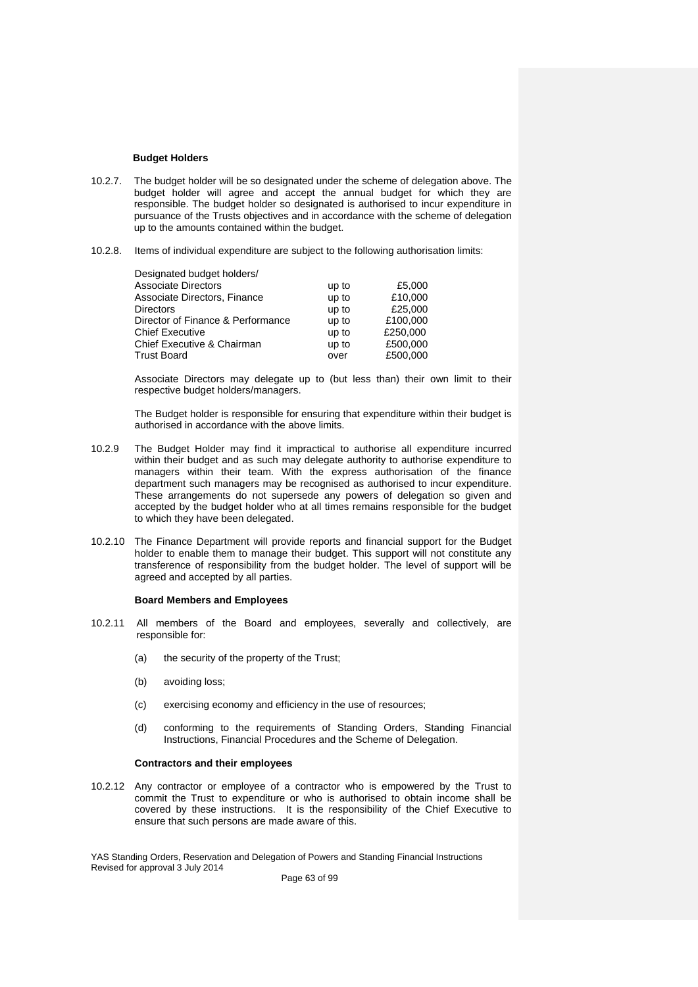#### **Budget Holders**

- 10.2.7. The budget holder will be so designated under the scheme of delegation above. The budget holder will agree and accept the annual budget for which they are responsible. The budget holder so designated is authorised to incur expenditure in pursuance of the Trusts objectives and in accordance with the scheme of delegation up to the amounts contained within the budget.
- 10.2.8. Items of individual expenditure are subject to the following authorisation limits:

| Designated budget holders/        |       |          |
|-----------------------------------|-------|----------|
| Associate Directors               | up to | £5,000   |
| Associate Directors, Finance      | up to | £10,000  |
| <b>Directors</b>                  | up to | £25,000  |
| Director of Finance & Performance | up to | £100,000 |
| Chief Executive                   | up to | £250,000 |
| Chief Executive & Chairman        | up to | £500.000 |
| Trust Board                       | over  | £500,000 |

Associate Directors may delegate up to (but less than) their own limit to their respective budget holders/managers.

The Budget holder is responsible for ensuring that expenditure within their budget is authorised in accordance with the above limits.

- 10.2.9 The Budget Holder may find it impractical to authorise all expenditure incurred within their budget and as such may delegate authority to authorise expenditure to managers within their team. With the express authorisation of the finance department such managers may be recognised as authorised to incur expenditure. These arrangements do not supersede any powers of delegation so given and accepted by the budget holder who at all times remains responsible for the budget to which they have been delegated.
- 10.2.10 The Finance Department will provide reports and financial support for the Budget holder to enable them to manage their budget. This support will not constitute any transference of responsibility from the budget holder. The level of support will be agreed and accepted by all parties.

#### **Board Members and Employees**

- 10.2.11 All members of the Board and employees, severally and collectively, are responsible for:
	- (a) the security of the property of the Trust;
	- (b) avoiding loss;
	- (c) exercising economy and efficiency in the use of resources;
	- (d) conforming to the requirements of Standing Orders, Standing Financial Instructions, Financial Procedures and the Scheme of Delegation.

#### **Contractors and their employees**

10.2.12 Any contractor or employee of a contractor who is empowered by the Trust to commit the Trust to expenditure or who is authorised to obtain income shall be covered by these instructions. It is the responsibility of the Chief Executive to ensure that such persons are made aware of this.

YAS Standing Orders, Reservation and Delegation of Powers and Standing Financial Instructions Revised for approval 3 July 2014

Page 63 of 99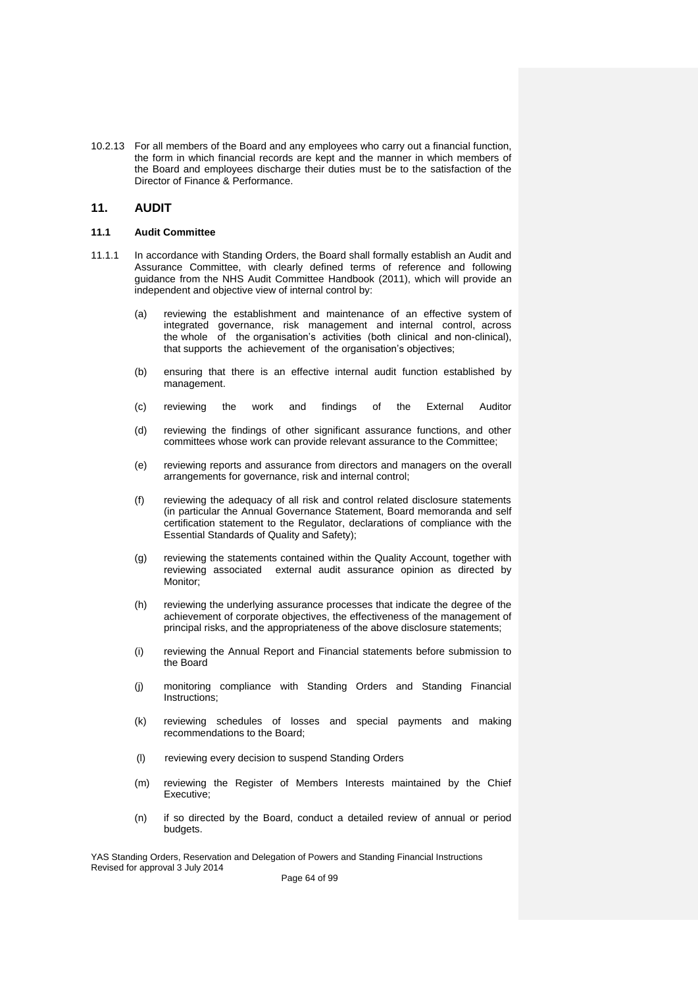10.2.13 For all members of the Board and any employees who carry out a financial function, the form in which financial records are kept and the manner in which members of the Board and employees discharge their duties must be to the satisfaction of the Director of Finance & Performance.

### **11. AUDIT**

#### **11.1 Audit Committee**

- 11.1.1 In accordance with Standing Orders, the Board shall formally establish an Audit and Assurance Committee, with clearly defined terms of reference and following guidance from the NHS Audit Committee Handbook (2011), which will provide an independent and objective view of internal control by:
	- (a) reviewing the establishment and maintenance of an effective system of integrated governance, risk management and internal control, across the whole of the organisation's activities (both clinical and non-clinical), that supports the achievement of the organisation's objectives;
	- (b) ensuring that there is an effective internal audit function established by management.
	- (c) reviewing the work and findings of the External Auditor
	- (d) reviewing the findings of other significant assurance functions, and other committees whose work can provide relevant assurance to the Committee;
	- (e) reviewing reports and assurance from directors and managers on the overall arrangements for governance, risk and internal control;
	- (f) reviewing the adequacy of all risk and control related disclosure statements (in particular the Annual Governance Statement, Board memoranda and self certification statement to the Regulator, declarations of compliance with the Essential Standards of Quality and Safety);
	- (g) reviewing the statements contained within the Quality Account, together with reviewing associated external audit assurance opinion as directed by Monitor;
	- (h) reviewing the underlying assurance processes that indicate the degree of the achievement of corporate objectives, the effectiveness of the management of principal risks, and the appropriateness of the above disclosure statements;
	- (i) reviewing the Annual Report and Financial statements before submission to the Board
	- (j) monitoring compliance with Standing Orders and Standing Financial Instructions;
	- (k) reviewing schedules of losses and special payments and making recommendations to the Board;
	- (l) reviewing every decision to suspend Standing Orders
	- (m) reviewing the Register of Members Interests maintained by the Chief Executive;
	- (n) if so directed by the Board, conduct a detailed review of annual or period budgets.

YAS Standing Orders, Reservation and Delegation of Powers and Standing Financial Instructions Revised for approval 3 July 2014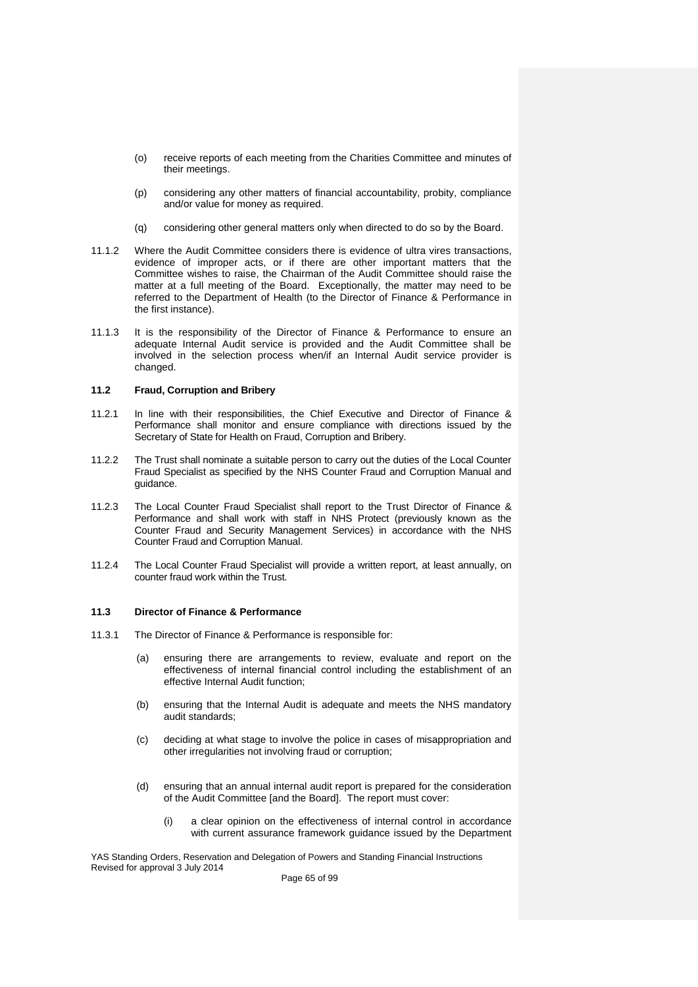- (o) receive reports of each meeting from the Charities Committee and minutes of their meetings.
- (p) considering any other matters of financial accountability, probity, compliance and/or value for money as required.
- (q) considering other general matters only when directed to do so by the Board.
- 11.1.2 Where the Audit Committee considers there is evidence of ultra vires transactions, evidence of improper acts, or if there are other important matters that the Committee wishes to raise, the Chairman of the Audit Committee should raise the matter at a full meeting of the Board. Exceptionally, the matter may need to be referred to the Department of Health (to the Director of Finance & Performance in the first instance).
- 11.1.3 It is the responsibility of the Director of Finance & Performance to ensure an adequate Internal Audit service is provided and the Audit Committee shall be involved in the selection process when/if an Internal Audit service provider is changed.

## **11.2 Fraud, Corruption and Bribery**

- 11.2.1 In line with their responsibilities, the Chief Executive and Director of Finance & Performance shall monitor and ensure compliance with directions issued by the Secretary of State for Health on Fraud, Corruption and Bribery.
- 11.2.2 The Trust shall nominate a suitable person to carry out the duties of the Local Counter Fraud Specialist as specified by the NHS Counter Fraud and Corruption Manual and guidance.
- 11.2.3 The Local Counter Fraud Specialist shall report to the Trust Director of Finance & Performance and shall work with staff in NHS Protect (previously known as the Counter Fraud and Security Management Services) in accordance with the NHS Counter Fraud and Corruption Manual.
- 11.2.4 The Local Counter Fraud Specialist will provide a written report, at least annually, on counter fraud work within the Trust.

#### **11.3 Director of Finance & Performance**

- 11.3.1 The Director of Finance & Performance is responsible for:
	- (a) ensuring there are arrangements to review, evaluate and report on the effectiveness of internal financial control including the establishment of an effective Internal Audit function;
	- (b) ensuring that the Internal Audit is adequate and meets the NHS mandatory audit standards;
	- (c) deciding at what stage to involve the police in cases of misappropriation and other irregularities not involving fraud or corruption;
	- (d) ensuring that an annual internal audit report is prepared for the consideration of the Audit Committee [and the Board]. The report must cover:
		- (i) a clear opinion on the effectiveness of internal control in accordance with current assurance framework guidance issued by the Department

YAS Standing Orders, Reservation and Delegation of Powers and Standing Financial Instructions Revised for approval 3 July 2014

Page 65 of 99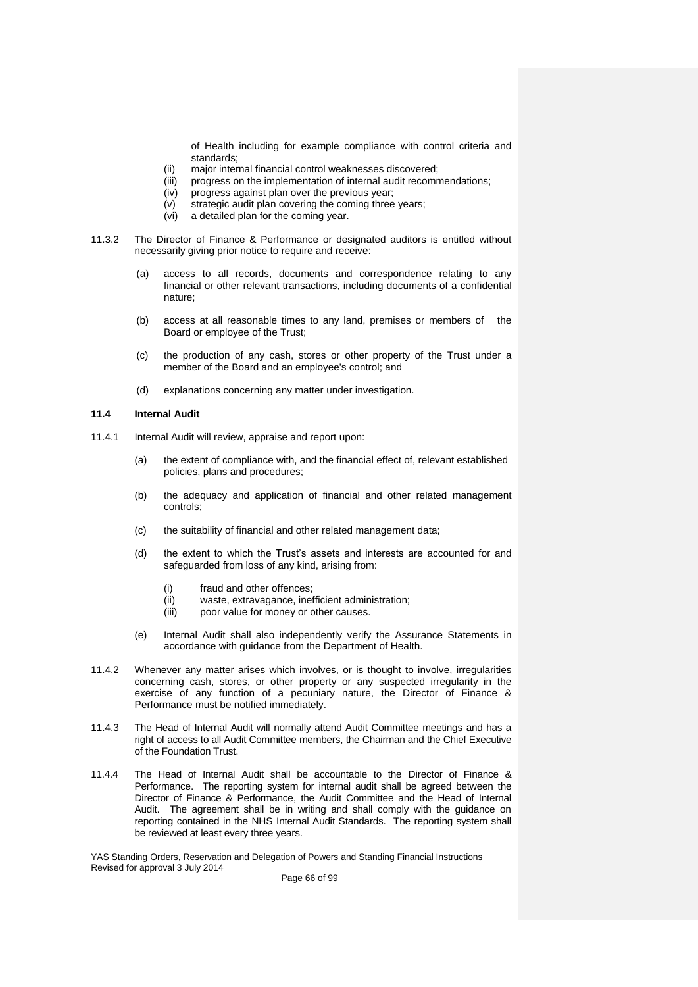of Health including for example compliance with control criteria and standards;

- (ii) major internal financial control weaknesses discovered;
- (iii) progress on the implementation of internal audit recommendations;
- (iv) progress against plan over the previous year;
- (v) strategic audit plan covering the coming three years;
- (vi) a detailed plan for the coming year.
- 11.3.2 The Director of Finance & Performance or designated auditors is entitled without necessarily giving prior notice to require and receive:
	- (a) access to all records, documents and correspondence relating to any financial or other relevant transactions, including documents of a confidential nature;
	- (b) access at all reasonable times to any land, premises or members of the Board or employee of the Trust;
	- (c) the production of any cash, stores or other property of the Trust under a member of the Board and an employee's control; and
	- (d) explanations concerning any matter under investigation.

### **11.4 Internal Audit**

- 11.4.1 Internal Audit will review, appraise and report upon:
	- (a) the extent of compliance with, and the financial effect of, relevant established policies, plans and procedures;
	- (b) the adequacy and application of financial and other related management controls;
	- (c) the suitability of financial and other related management data;
	- (d) the extent to which the Trust's assets and interests are accounted for and safeguarded from loss of any kind, arising from:
		- (i) fraud and other offences;
		- (ii) waste, extravagance, inefficient administration;
		- (iii) poor value for money or other causes.
	- (e) Internal Audit shall also independently verify the Assurance Statements in accordance with guidance from the Department of Health.
- 11.4.2 Whenever any matter arises which involves, or is thought to involve, irregularities concerning cash, stores, or other property or any suspected irregularity in the exercise of any function of a pecuniary nature, the Director of Finance & Performance must be notified immediately.
- 11.4.3 The Head of Internal Audit will normally attend Audit Committee meetings and has a right of access to all Audit Committee members, the Chairman and the Chief Executive of the Foundation Trust.
- 11.4.4 The Head of Internal Audit shall be accountable to the Director of Finance & Performance. The reporting system for internal audit shall be agreed between the Director of Finance & Performance, the Audit Committee and the Head of Internal Audit. The agreement shall be in writing and shall comply with the guidance on reporting contained in the NHS Internal Audit Standards. The reporting system shall be reviewed at least every three years.

YAS Standing Orders, Reservation and Delegation of Powers and Standing Financial Instructions Revised for approval 3 July 2014

Page 66 of 99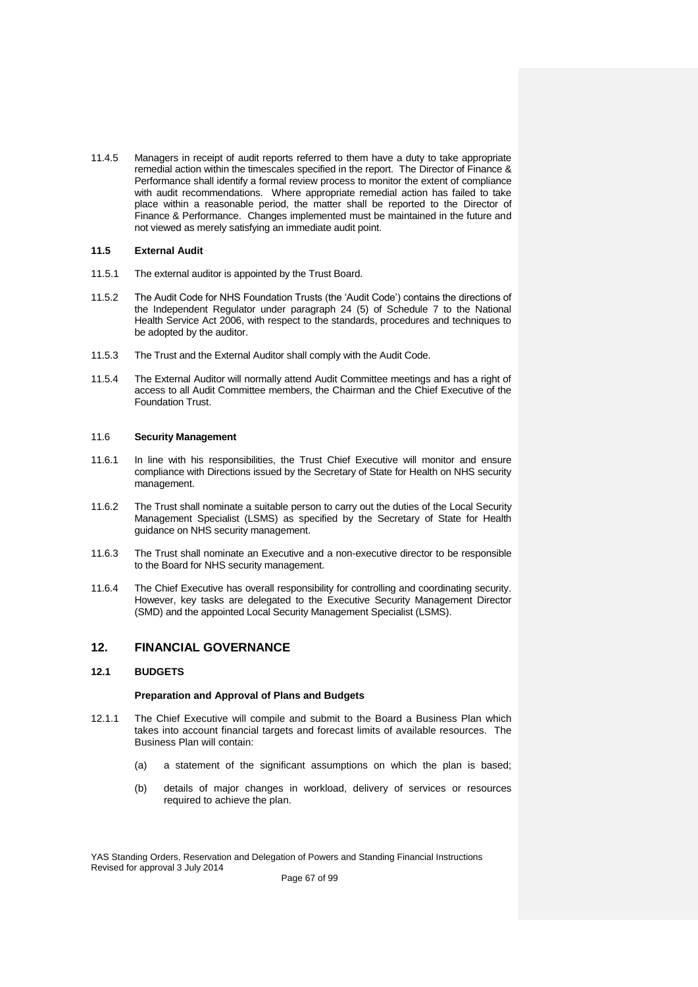11.4.5 Managers in receipt of audit reports referred to them have a duty to take appropriate remedial action within the timescales specified in the report. The Director of Finance & Performance shall identify a formal review process to monitor the extent of compliance with audit recommendations. Where appropriate remedial action has failed to take place within a reasonable period, the matter shall be reported to the Director of Finance & Performance. Changes implemented must be maintained in the future and not viewed as merely satisfying an immediate audit point.

## **11.5 External Audit**

- 11.5.1 The external auditor is appointed by the Trust Board.
- 11.5.2 The Audit Code for NHS Foundation Trusts (the 'Audit Code') contains the directions of the Independent Regulator under paragraph 24 (5) of Schedule 7 to the National Health Service Act 2006, with respect to the standards, procedures and techniques to be adopted by the auditor.
- 11.5.3 The Trust and the External Auditor shall comply with the Audit Code.
- 11.5.4 The External Auditor will normally attend Audit Committee meetings and has a right of access to all Audit Committee members, the Chairman and the Chief Executive of the Foundation Trust.

### 11.6 **Security Management**

- 11.6.1 In line with his responsibilities, the Trust Chief Executive will monitor and ensure compliance with Directions issued by the Secretary of State for Health on NHS security management.
- 11.6.2 The Trust shall nominate a suitable person to carry out the duties of the Local Security Management Specialist (LSMS) as specified by the Secretary of State for Health guidance on NHS security management.
- 11.6.3 The Trust shall nominate an Executive and a non-executive director to be responsible to the Board for NHS security management.
- 11.6.4 The Chief Executive has overall responsibility for controlling and coordinating security. However, key tasks are delegated to the Executive Security Management Director (SMD) and the appointed Local Security Management Specialist (LSMS).

# **12. FINANCIAL GOVERNANCE**

## **12.1 BUDGETS**

### **Preparation and Approval of Plans and Budgets**

- 12.1.1 The Chief Executive will compile and submit to the Board a Business Plan which takes into account financial targets and forecast limits of available resources. The Business Plan will contain:
	- (a) a statement of the significant assumptions on which the plan is based;
	- (b) details of major changes in workload, delivery of services or resources required to achieve the plan.

YAS Standing Orders, Reservation and Delegation of Powers and Standing Financial Instructions Revised for approval 3 July 2014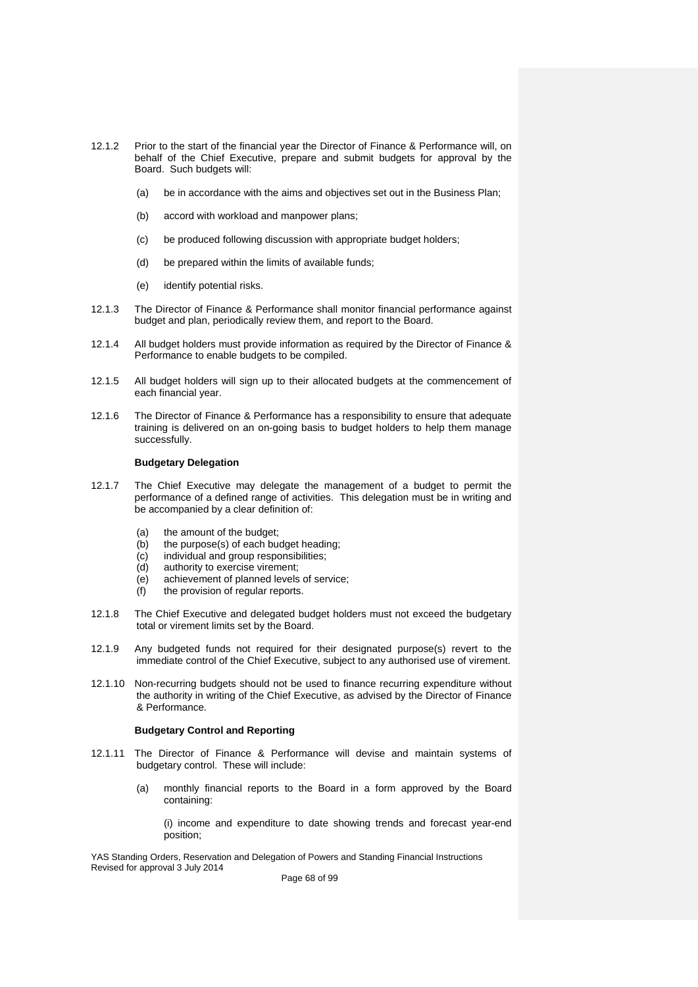- 12.1.2 Prior to the start of the financial year the Director of Finance & Performance will, on behalf of the Chief Executive, prepare and submit budgets for approval by the Board. Such budgets will:
	- (a) be in accordance with the aims and objectives set out in the Business Plan;
	- (b) accord with workload and manpower plans;
	- (c) be produced following discussion with appropriate budget holders;
	- (d) be prepared within the limits of available funds;
	- (e) identify potential risks.
- 12.1.3 The Director of Finance & Performance shall monitor financial performance against budget and plan, periodically review them, and report to the Board.
- 12.1.4 All budget holders must provide information as required by the Director of Finance & Performance to enable budgets to be compiled.
- 12.1.5 All budget holders will sign up to their allocated budgets at the commencement of each financial year.
- 12.1.6 The Director of Finance & Performance has a responsibility to ensure that adequate training is delivered on an on-going basis to budget holders to help them manage successfully.

### **Budgetary Delegation**

- 12.1.7 The Chief Executive may delegate the management of a budget to permit the performance of a defined range of activities. This delegation must be in writing and be accompanied by a clear definition of:
	- (a) the amount of the budget;<br>(b) the purpose(s) of each budget;
	- the purpose(s) of each budget heading;
	- (c) individual and group responsibilities;
	- (d) authority to exercise virement;
	- (e) achievement of planned levels of service;
	- (f) the provision of regular reports.
- 12.1.8 The Chief Executive and delegated budget holders must not exceed the budgetary total or virement limits set by the Board.
- 12.1.9 Any budgeted funds not required for their designated purpose(s) revert to the immediate control of the Chief Executive, subject to any authorised use of virement.
- 12.1.10 Non-recurring budgets should not be used to finance recurring expenditure without the authority in writing of the Chief Executive, as advised by the Director of Finance & Performance.

#### **Budgetary Control and Reporting**

- 12.1.11 The Director of Finance & Performance will devise and maintain systems of budgetary control. These will include:
	- (a) monthly financial reports to the Board in a form approved by the Board containing:

(i) income and expenditure to date showing trends and forecast year-end position;

YAS Standing Orders, Reservation and Delegation of Powers and Standing Financial Instructions Revised for approval 3 July 2014

Page 68 of 99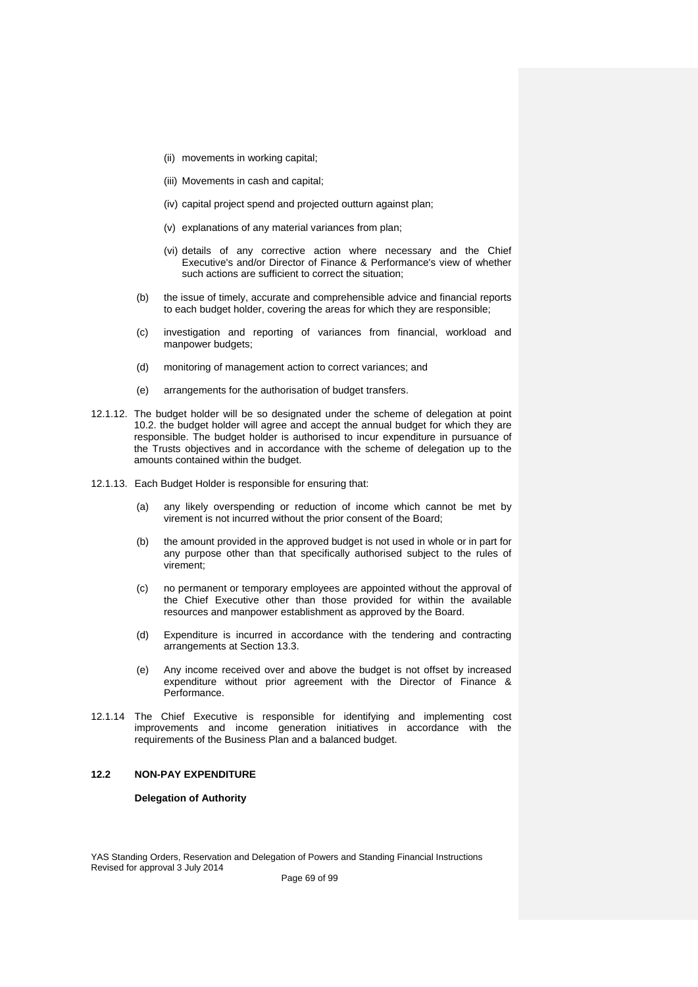- (ii) movements in working capital;
- (iii) Movements in cash and capital;
- (iv) capital project spend and projected outturn against plan;
- (v) explanations of any material variances from plan;
- (vi) details of any corrective action where necessary and the Chief Executive's and/or Director of Finance & Performance's view of whether such actions are sufficient to correct the situation;
- (b) the issue of timely, accurate and comprehensible advice and financial reports to each budget holder, covering the areas for which they are responsible;
- (c) investigation and reporting of variances from financial, workload and manpower budgets;
- (d) monitoring of management action to correct variances; and
- (e) arrangements for the authorisation of budget transfers.
- 12.1.12. The budget holder will be so designated under the scheme of delegation at point 10.2. the budget holder will agree and accept the annual budget for which they are responsible. The budget holder is authorised to incur expenditure in pursuance of the Trusts objectives and in accordance with the scheme of delegation up to the amounts contained within the budget.
- 12.1.13. Each Budget Holder is responsible for ensuring that:
	- (a) any likely overspending or reduction of income which cannot be met by virement is not incurred without the prior consent of the Board;
	- (b) the amount provided in the approved budget is not used in whole or in part for any purpose other than that specifically authorised subject to the rules of virement;
	- (c) no permanent or temporary employees are appointed without the approval of the Chief Executive other than those provided for within the available resources and manpower establishment as approved by the Board.
	- (d) Expenditure is incurred in accordance with the tendering and contracting arrangements at Section 13.3.
	- (e) Any income received over and above the budget is not offset by increased expenditure without prior agreement with the Director of Finance & Performance.
- 12.1.14 The Chief Executive is responsible for identifying and implementing cost improvements and income generation initiatives in accordance with the requirements of the Business Plan and a balanced budget.

#### **12.2 NON-PAY EXPENDITURE**

#### **Delegation of Authority**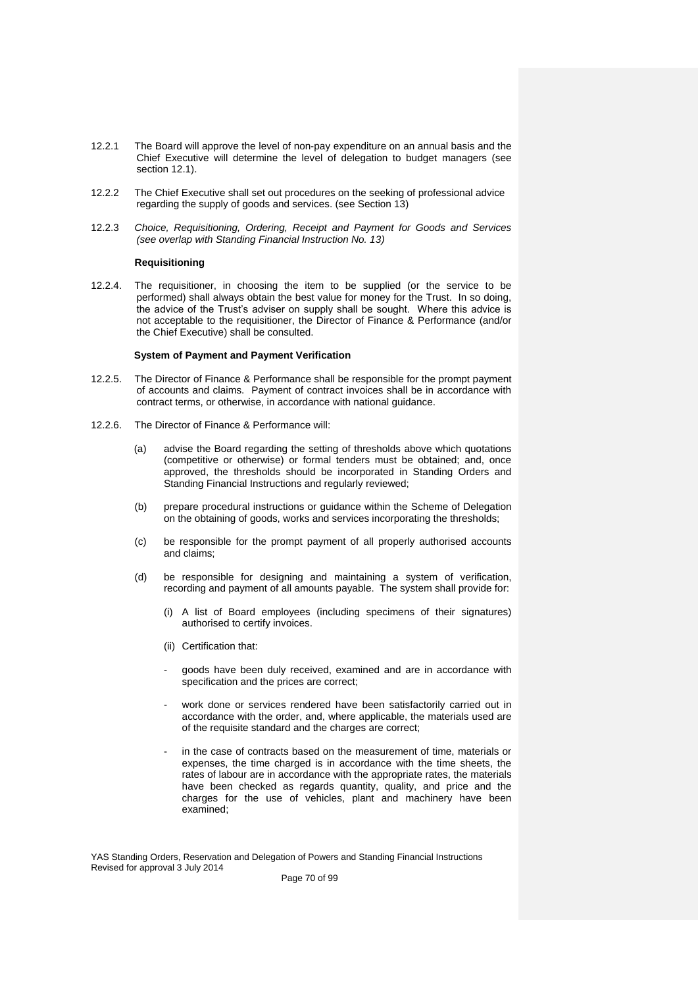- 12.2.1 The Board will approve the level of non-pay expenditure on an annual basis and the Chief Executive will determine the level of delegation to budget managers (see section 12.1).
- 12.2.2 The Chief Executive shall set out procedures on the seeking of professional advice regarding the supply of goods and services. (see Section 13)
- 12.2.3 *Choice, Requisitioning, Ordering, Receipt and Payment for Goods and Services (see overlap with Standing Financial Instruction No. 13)*

#### **Requisitioning**

12.2.4. The requisitioner, in choosing the item to be supplied (or the service to be performed) shall always obtain the best value for money for the Trust. In so doing, the advice of the Trust's adviser on supply shall be sought. Where this advice is not acceptable to the requisitioner, the Director of Finance & Performance (and/or the Chief Executive) shall be consulted.

#### **System of Payment and Payment Verification**

- 12.2.5. The Director of Finance & Performance shall be responsible for the prompt payment of accounts and claims. Payment of contract invoices shall be in accordance with contract terms, or otherwise, in accordance with national guidance.
- 12.2.6. The Director of Finance & Performance will:
	- (a) advise the Board regarding the setting of thresholds above which quotations (competitive or otherwise) or formal tenders must be obtained; and, once approved, the thresholds should be incorporated in Standing Orders and Standing Financial Instructions and regularly reviewed;
	- (b) prepare procedural instructions or guidance within the Scheme of Delegation on the obtaining of goods, works and services incorporating the thresholds;
	- (c) be responsible for the prompt payment of all properly authorised accounts and claims;
	- (d) be responsible for designing and maintaining a system of verification, recording and payment of all amounts payable. The system shall provide for:
		- (i) A list of Board employees (including specimens of their signatures) authorised to certify invoices.
		- (ii) Certification that:
		- goods have been duly received, examined and are in accordance with specification and the prices are correct;
		- work done or services rendered have been satisfactorily carried out in accordance with the order, and, where applicable, the materials used are of the requisite standard and the charges are correct;
		- in the case of contracts based on the measurement of time, materials or expenses, the time charged is in accordance with the time sheets, the rates of labour are in accordance with the appropriate rates, the materials have been checked as regards quantity, quality, and price and the charges for the use of vehicles, plant and machinery have been examined;

YAS Standing Orders, Reservation and Delegation of Powers and Standing Financial Instructions Revised for approval 3 July 2014

Page 70 of 99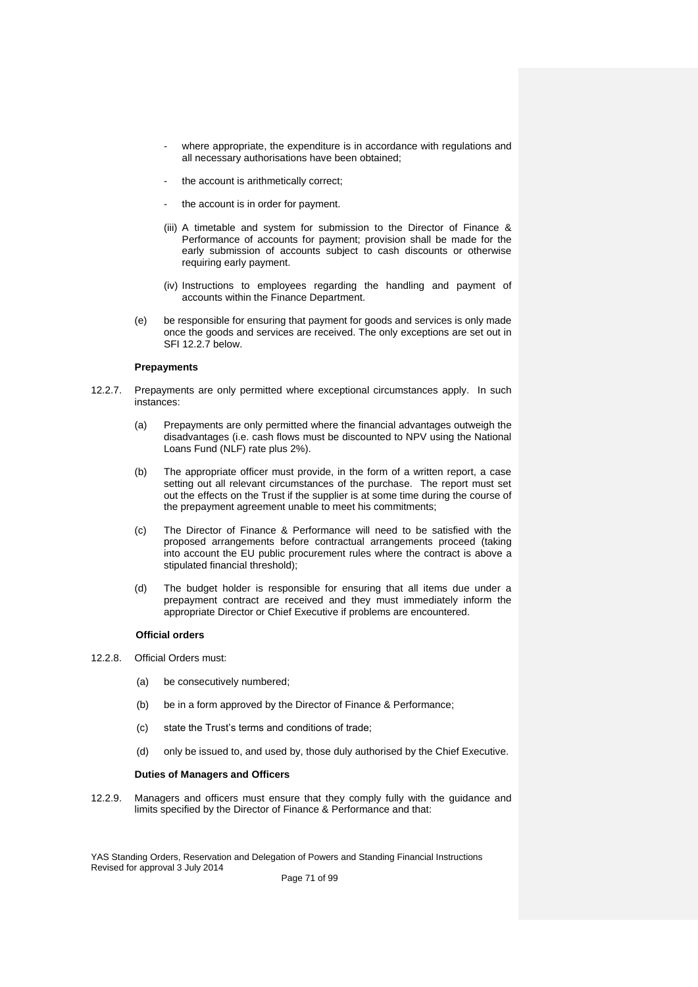- where appropriate, the expenditure is in accordance with regulations and all necessary authorisations have been obtained;
- the account is arithmetically correct;
- the account is in order for payment.
- (iii) A timetable and system for submission to the Director of Finance & Performance of accounts for payment; provision shall be made for the early submission of accounts subject to cash discounts or otherwise requiring early payment.
- (iv) Instructions to employees regarding the handling and payment of accounts within the Finance Department.
- (e) be responsible for ensuring that payment for goods and services is only made once the goods and services are received. The only exceptions are set out in SFI 12.2.7 below.

### **Prepayments**

- 12.2.7. Prepayments are only permitted where exceptional circumstances apply. In such instances:
	- (a) Prepayments are only permitted where the financial advantages outweigh the disadvantages (i.e. cash flows must be discounted to NPV using the National Loans Fund (NLF) rate plus 2%).
	- (b) The appropriate officer must provide, in the form of a written report, a case setting out all relevant circumstances of the purchase. The report must set out the effects on the Trust if the supplier is at some time during the course of the prepayment agreement unable to meet his commitments;
	- (c) The Director of Finance & Performance will need to be satisfied with the proposed arrangements before contractual arrangements proceed (taking into account the EU public procurement rules where the contract is above a stipulated financial threshold);
	- (d) The budget holder is responsible for ensuring that all items due under a prepayment contract are received and they must immediately inform the appropriate Director or Chief Executive if problems are encountered.

### **Official orders**

- 12.2.8. Official Orders must:
	- (a) be consecutively numbered;
	- (b) be in a form approved by the Director of Finance & Performance;
	- (c) state the Trust's terms and conditions of trade;
	- (d) only be issued to, and used by, those duly authorised by the Chief Executive.

#### **Duties of Managers and Officers**

12.2.9. Managers and officers must ensure that they comply fully with the guidance and limits specified by the Director of Finance & Performance and that:

YAS Standing Orders, Reservation and Delegation of Powers and Standing Financial Instructions Revised for approval 3 July 2014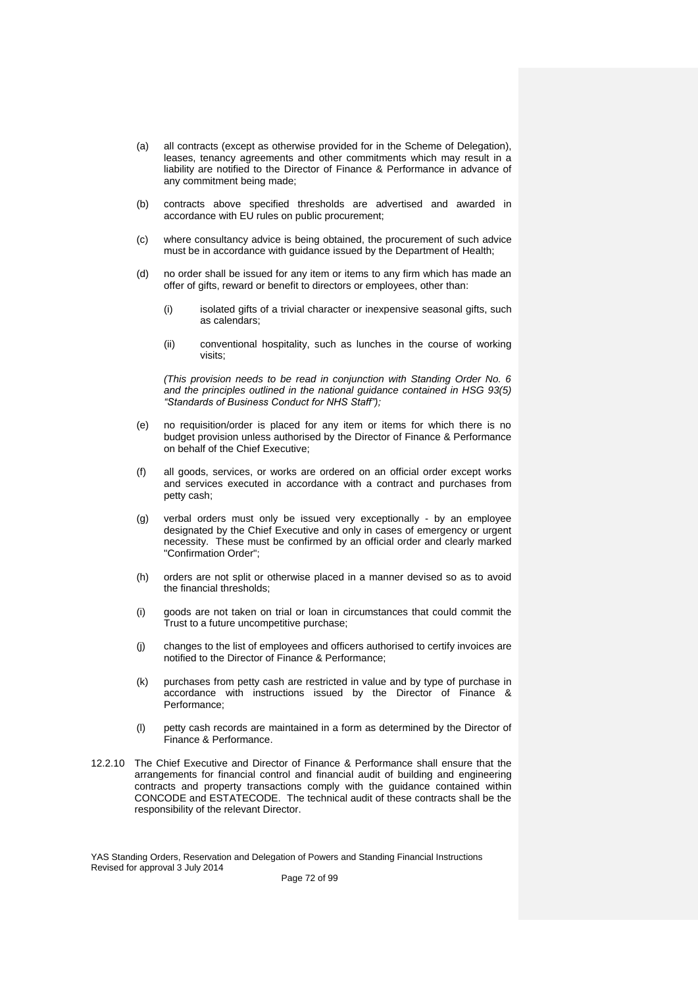- (a) all contracts (except as otherwise provided for in the Scheme of Delegation), leases, tenancy agreements and other commitments which may result in a liability are notified to the Director of Finance & Performance in advance of any commitment being made;
- (b) contracts above specified thresholds are advertised and awarded in accordance with EU rules on public procurement;
- (c) where consultancy advice is being obtained, the procurement of such advice must be in accordance with guidance issued by the Department of Health;
- (d) no order shall be issued for any item or items to any firm which has made an offer of gifts, reward or benefit to directors or employees, other than:
	- (i) isolated gifts of a trivial character or inexpensive seasonal gifts, such as calendars;
	- (ii) conventional hospitality, such as lunches in the course of working visits;

*(This provision needs to be read in conjunction with Standing Order No. 6 and the principles outlined in the national guidance contained in HSG 93(5) "Standards of Business Conduct for NHS Staff");*

- (e) no requisition/order is placed for any item or items for which there is no budget provision unless authorised by the Director of Finance & Performance on behalf of the Chief Executive;
- (f) all goods, services, or works are ordered on an official order except works and services executed in accordance with a contract and purchases from petty cash;
- (g) verbal orders must only be issued very exceptionally by an employee designated by the Chief Executive and only in cases of emergency or urgent necessity. These must be confirmed by an official order and clearly marked "Confirmation Order";
- (h) orders are not split or otherwise placed in a manner devised so as to avoid the financial thresholds;
- (i) goods are not taken on trial or loan in circumstances that could commit the Trust to a future uncompetitive purchase;
- (j) changes to the list of employees and officers authorised to certify invoices are notified to the Director of Finance & Performance;
- (k) purchases from petty cash are restricted in value and by type of purchase in accordance with instructions issued by the Director of Finance & Performance;
- (l) petty cash records are maintained in a form as determined by the Director of Finance & Performance.
- 12.2.10 The Chief Executive and Director of Finance & Performance shall ensure that the arrangements for financial control and financial audit of building and engineering contracts and property transactions comply with the guidance contained within CONCODE and ESTATECODE. The technical audit of these contracts shall be the responsibility of the relevant Director.

YAS Standing Orders, Reservation and Delegation of Powers and Standing Financial Instructions Revised for approval 3 July 2014

Page 72 of 99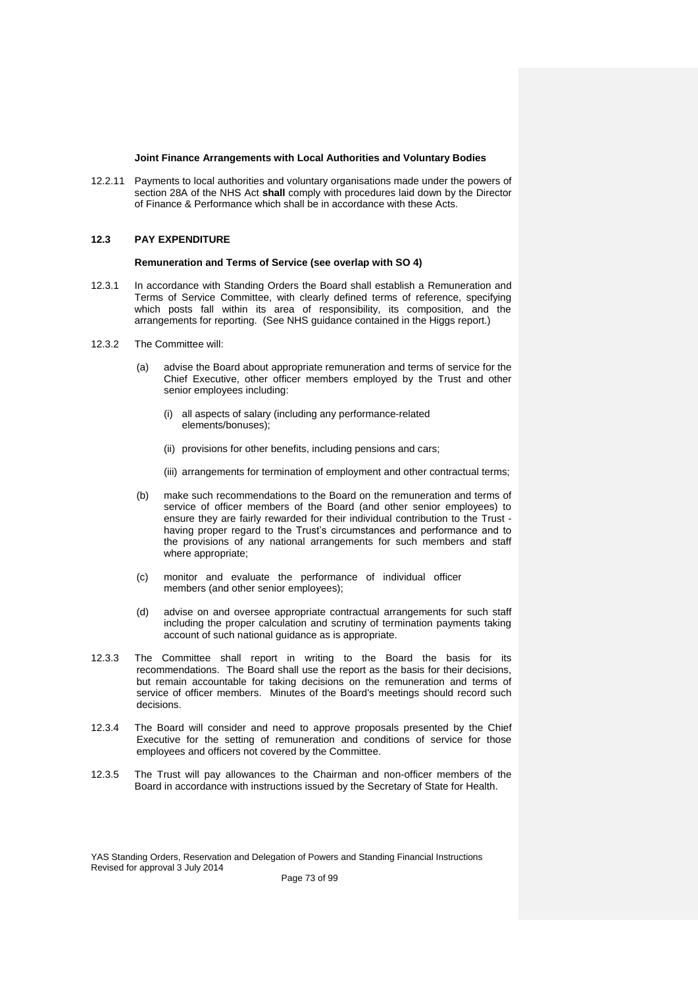# **Joint Finance Arrangements with Local Authorities and Voluntary Bodies**

12.2.11 Payments to local authorities and voluntary organisations made under the powers of section 28A of the NHS Act **shall** comply with procedures laid down by the Director of Finance & Performance which shall be in accordance with these Acts.

# **12.3 PAY EXPENDITURE**

#### **Remuneration and Terms of Service (see overlap with SO 4)**

- 12.3.1 In accordance with Standing Orders the Board shall establish a Remuneration and Terms of Service Committee, with clearly defined terms of reference, specifying which posts fall within its area of responsibility, its composition, and the arrangements for reporting. (See NHS guidance contained in the Higgs report.)
- 12.3.2 The Committee will:
	- (a) advise the Board about appropriate remuneration and terms of service for the Chief Executive, other officer members employed by the Trust and other senior employees including:
		- (i) all aspects of salary (including any performance-related elements/bonuses);
		- (ii) provisions for other benefits, including pensions and cars;
		- (iii) arrangements for termination of employment and other contractual terms;
	- (b) make such recommendations to the Board on the remuneration and terms of service of officer members of the Board (and other senior employees) to ensure they are fairly rewarded for their individual contribution to the Trust having proper regard to the Trust's circumstances and performance and to the provisions of any national arrangements for such members and staff where appropriate;
	- (c) monitor and evaluate the performance of individual officer members (and other senior employees);
	- (d) advise on and oversee appropriate contractual arrangements for such staff including the proper calculation and scrutiny of termination payments taking account of such national guidance as is appropriate.
- 12.3.3 The Committee shall report in writing to the Board the basis for its recommendations. The Board shall use the report as the basis for their decisions, but remain accountable for taking decisions on the remuneration and terms of service of officer members. Minutes of the Board's meetings should record such decisions.
- 12.3.4 The Board will consider and need to approve proposals presented by the Chief Executive for the setting of remuneration and conditions of service for those employees and officers not covered by the Committee.
- 12.3.5 The Trust will pay allowances to the Chairman and non-officer members of the Board in accordance with instructions issued by the Secretary of State for Health.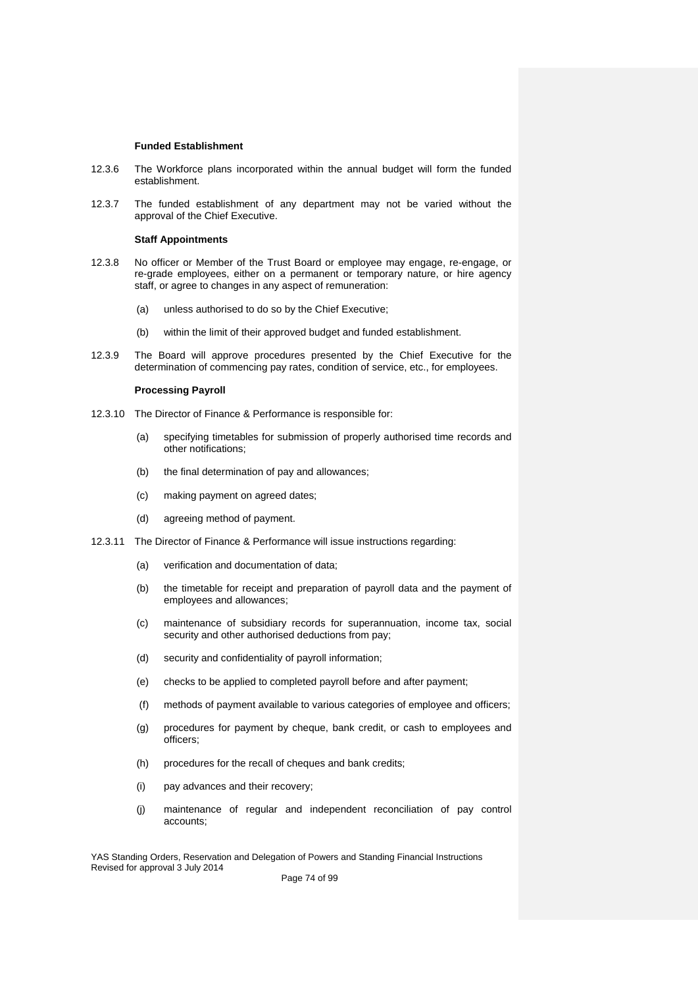#### **Funded Establishment**

- 12.3.6 The Workforce plans incorporated within the annual budget will form the funded establishment.
- 12.3.7 The funded establishment of any department may not be varied without the approval of the Chief Executive.

#### **Staff Appointments**

- 12.3.8 No officer or Member of the Trust Board or employee may engage, re-engage, or re-grade employees, either on a permanent or temporary nature, or hire agency staff, or agree to changes in any aspect of remuneration:
	- (a) unless authorised to do so by the Chief Executive;
	- (b) within the limit of their approved budget and funded establishment.
- 12.3.9 The Board will approve procedures presented by the Chief Executive for the determination of commencing pay rates, condition of service, etc., for employees.

# **Processing Payroll**

- 12.3.10 The Director of Finance & Performance is responsible for:
	- (a) specifying timetables for submission of properly authorised time records and other notifications;
	- (b) the final determination of pay and allowances;
	- (c) making payment on agreed dates;
	- (d) agreeing method of payment.
- 12.3.11 The Director of Finance & Performance will issue instructions regarding:
	- (a) verification and documentation of data;
	- (b) the timetable for receipt and preparation of payroll data and the payment of employees and allowances;
	- (c) maintenance of subsidiary records for superannuation, income tax, social security and other authorised deductions from pay;
	- (d) security and confidentiality of payroll information;
	- (e) checks to be applied to completed payroll before and after payment;
	- (f) methods of payment available to various categories of employee and officers;
	- (g) procedures for payment by cheque, bank credit, or cash to employees and officers;
	- (h) procedures for the recall of cheques and bank credits;
	- (i) pay advances and their recovery;
	- (j) maintenance of regular and independent reconciliation of pay control accounts;

YAS Standing Orders, Reservation and Delegation of Powers and Standing Financial Instructions Revised for approval 3 July 2014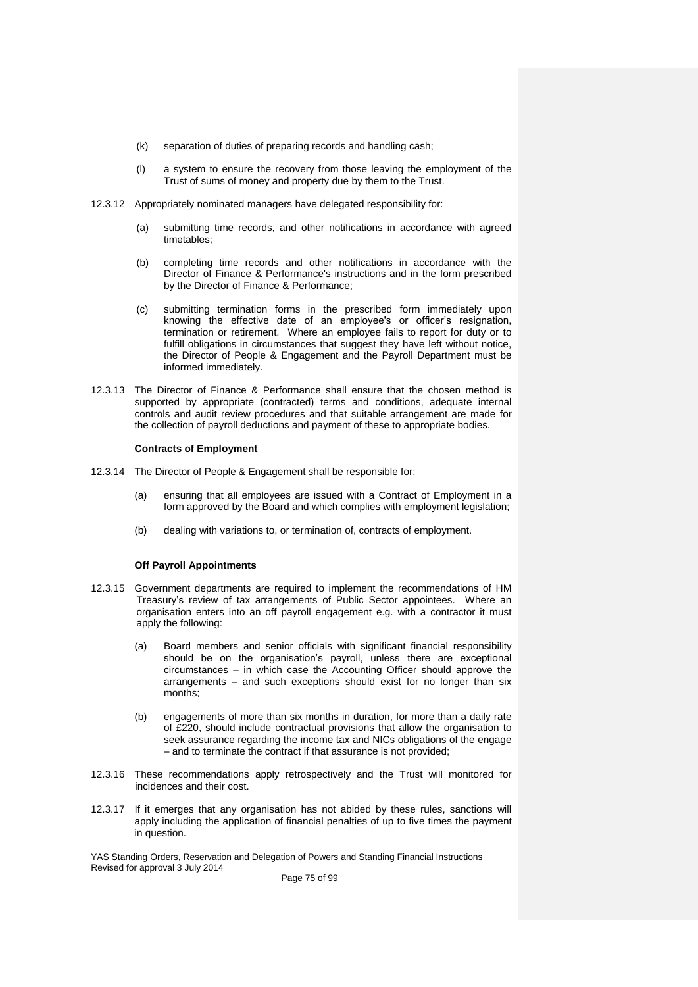- (k) separation of duties of preparing records and handling cash;
- (l) a system to ensure the recovery from those leaving the employment of the Trust of sums of money and property due by them to the Trust.
- 12.3.12 Appropriately nominated managers have delegated responsibility for:
	- (a) submitting time records, and other notifications in accordance with agreed timetables;
	- (b) completing time records and other notifications in accordance with the Director of Finance & Performance's instructions and in the form prescribed by the Director of Finance & Performance;
	- (c) submitting termination forms in the prescribed form immediately upon knowing the effective date of an employee's or officer's resignation, termination or retirement. Where an employee fails to report for duty or to fulfill obligations in circumstances that suggest they have left without notice, the Director of People & Engagement and the Payroll Department must be informed immediately.
- 12.3.13 The Director of Finance & Performance shall ensure that the chosen method is supported by appropriate (contracted) terms and conditions, adequate internal controls and audit review procedures and that suitable arrangement are made for the collection of payroll deductions and payment of these to appropriate bodies.

# **Contracts of Employment**

- 12.3.14 The Director of People & Engagement shall be responsible for:
	- (a) ensuring that all employees are issued with a Contract of Employment in a form approved by the Board and which complies with employment legislation;
	- (b) dealing with variations to, or termination of, contracts of employment.

# **Off Payroll Appointments**

- 12.3.15 Government departments are required to implement the recommendations of HM Treasury's review of tax arrangements of Public Sector appointees. Where an organisation enters into an off payroll engagement e.g. with a contractor it must apply the following:
	- (a) Board members and senior officials with significant financial responsibility should be on the organisation's payroll, unless there are exceptional circumstances – in which case the Accounting Officer should approve the arrangements – and such exceptions should exist for no longer than six months;
	- (b) engagements of more than six months in duration, for more than a daily rate of £220, should include contractual provisions that allow the organisation to seek assurance regarding the income tax and NICs obligations of the engage – and to terminate the contract if that assurance is not provided;
- 12.3.16 These recommendations apply retrospectively and the Trust will monitored for incidences and their cost.
- 12.3.17 If it emerges that any organisation has not abided by these rules, sanctions will apply including the application of financial penalties of up to five times the payment in question.

YAS Standing Orders, Reservation and Delegation of Powers and Standing Financial Instructions Revised for approval 3 July 2014

Page 75 of 99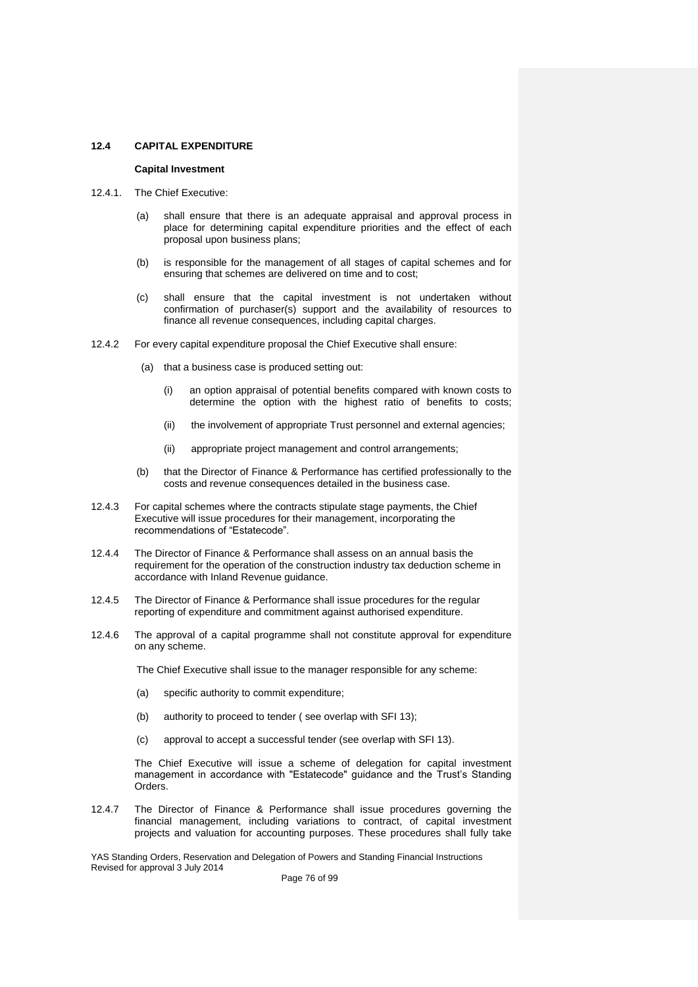#### **12.4 CAPITAL EXPENDITURE**

#### **Capital Investment**

- 12.4.1. The Chief Executive:
	- (a) shall ensure that there is an adequate appraisal and approval process in place for determining capital expenditure priorities and the effect of each proposal upon business plans;
	- (b) is responsible for the management of all stages of capital schemes and for ensuring that schemes are delivered on time and to cost;
	- (c) shall ensure that the capital investment is not undertaken without confirmation of purchaser(s) support and the availability of resources to finance all revenue consequences, including capital charges.
- 12.4.2 For every capital expenditure proposal the Chief Executive shall ensure:
	- (a) that a business case is produced setting out:
		- (i) an option appraisal of potential benefits compared with known costs to determine the option with the highest ratio of benefits to costs;
		- (ii) the involvement of appropriate Trust personnel and external agencies;
		- (ii) appropriate project management and control arrangements;
	- (b) that the Director of Finance & Performance has certified professionally to the costs and revenue consequences detailed in the business case.
- 12.4.3 For capital schemes where the contracts stipulate stage payments, the Chief Executive will issue procedures for their management, incorporating the recommendations of "Estatecode".
- 12.4.4 The Director of Finance & Performance shall assess on an annual basis the requirement for the operation of the construction industry tax deduction scheme in accordance with Inland Revenue guidance.
- 12.4.5 The Director of Finance & Performance shall issue procedures for the regular reporting of expenditure and commitment against authorised expenditure.
- 12.4.6 The approval of a capital programme shall not constitute approval for expenditure on any scheme.

The Chief Executive shall issue to the manager responsible for any scheme:

- (a) specific authority to commit expenditure;
- (b) authority to proceed to tender ( see overlap with SFI 13);
- (c) approval to accept a successful tender (see overlap with SFI 13).

The Chief Executive will issue a scheme of delegation for capital investment management in accordance with "Estatecode" guidance and the Trust's Standing Orders.

12.4.7 The Director of Finance & Performance shall issue procedures governing the financial management, including variations to contract, of capital investment projects and valuation for accounting purposes. These procedures shall fully take

YAS Standing Orders, Reservation and Delegation of Powers and Standing Financial Instructions Revised for approval 3 July 2014

Page 76 of 99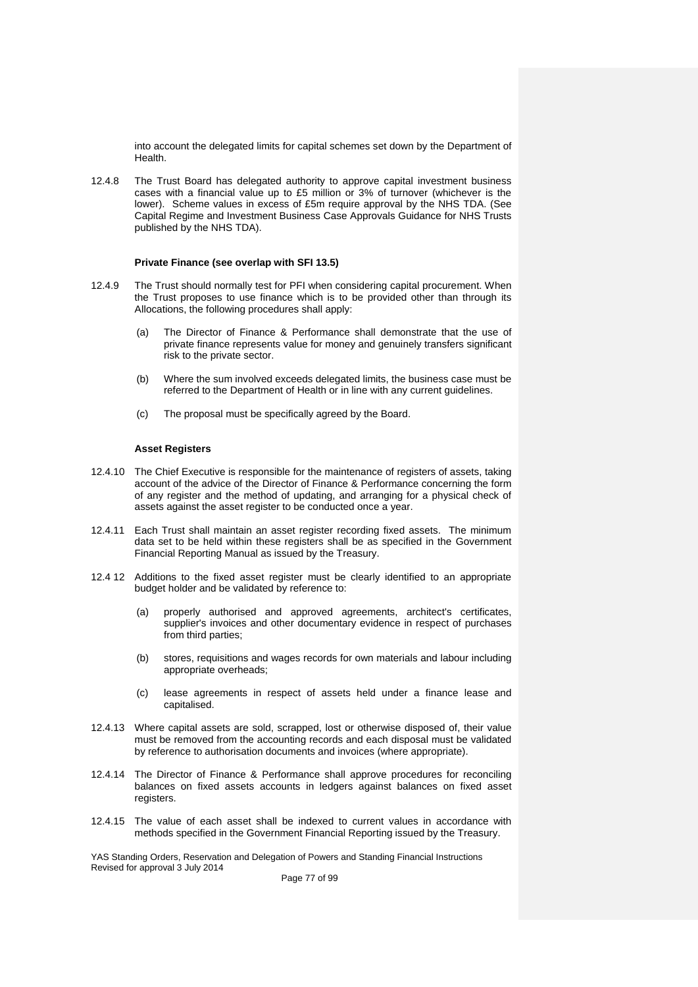into account the delegated limits for capital schemes set down by the Department of Health.

12.4.8 The Trust Board has delegated authority to approve capital investment business cases with a financial value up to £5 million or 3% of turnover (whichever is the lower). Scheme values in excess of £5m require approval by the NHS TDA. (See Capital Regime and Investment Business Case Approvals Guidance for NHS Trusts published by the NHS TDA).

#### **Private Finance (see overlap with SFI 13.5)**

- 12.4.9 The Trust should normally test for PFI when considering capital procurement. When the Trust proposes to use finance which is to be provided other than through its Allocations, the following procedures shall apply:
	- (a) The Director of Finance & Performance shall demonstrate that the use of private finance represents value for money and genuinely transfers significant risk to the private sector.
	- (b) Where the sum involved exceeds delegated limits, the business case must be referred to the Department of Health or in line with any current guidelines.
	- (c) The proposal must be specifically agreed by the Board.

# **Asset Registers**

- 12.4.10 The Chief Executive is responsible for the maintenance of registers of assets, taking account of the advice of the Director of Finance & Performance concerning the form of any register and the method of updating, and arranging for a physical check of assets against the asset register to be conducted once a year.
- 12.4.11 Each Trust shall maintain an asset register recording fixed assets. The minimum data set to be held within these registers shall be as specified in the Government Financial Reporting Manual as issued by the Treasury.
- 12.4 12 Additions to the fixed asset register must be clearly identified to an appropriate budget holder and be validated by reference to:
	- (a) properly authorised and approved agreements, architect's certificates, supplier's invoices and other documentary evidence in respect of purchases from third parties;
	- (b) stores, requisitions and wages records for own materials and labour including appropriate overheads;
	- (c) lease agreements in respect of assets held under a finance lease and capitalised.
- 12.4.13 Where capital assets are sold, scrapped, lost or otherwise disposed of, their value must be removed from the accounting records and each disposal must be validated by reference to authorisation documents and invoices (where appropriate).
- 12.4.14 The Director of Finance & Performance shall approve procedures for reconciling balances on fixed assets accounts in ledgers against balances on fixed asset registers.
- 12.4.15 The value of each asset shall be indexed to current values in accordance with methods specified in the Government Financial Reporting issued by the Treasury.

YAS Standing Orders, Reservation and Delegation of Powers and Standing Financial Instructions Revised for approval 3 July 2014

Page 77 of 99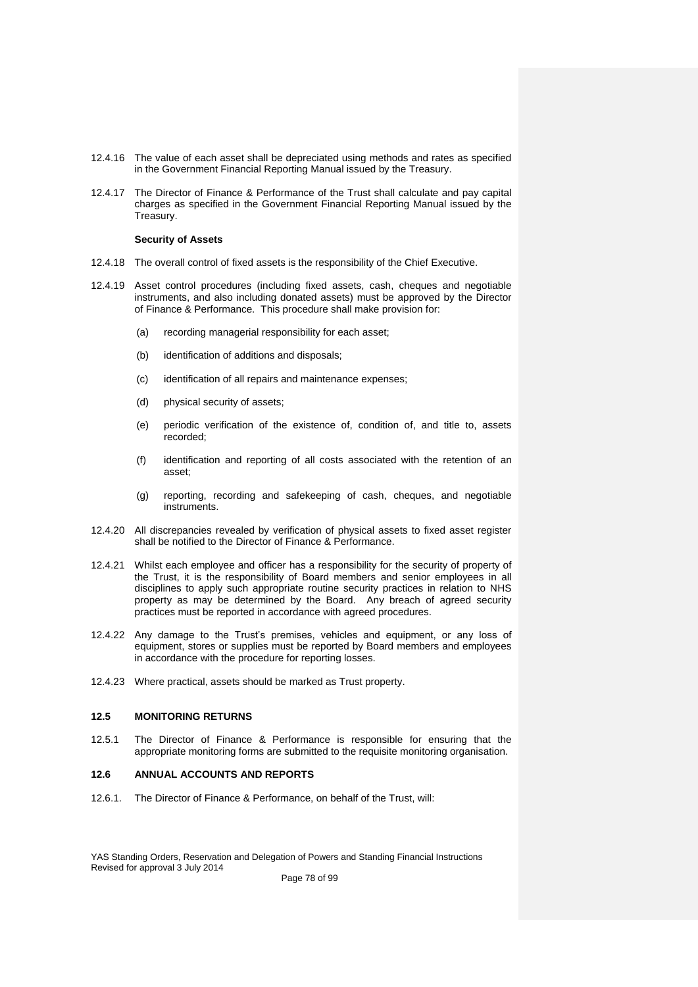- 12.4.16 The value of each asset shall be depreciated using methods and rates as specified in the Government Financial Reporting Manual issued by the Treasury.
- 12.4.17 The Director of Finance & Performance of the Trust shall calculate and pay capital charges as specified in the Government Financial Reporting Manual issued by the Treasury.

# **Security of Assets**

- 12.4.18 The overall control of fixed assets is the responsibility of the Chief Executive.
- 12.4.19 Asset control procedures (including fixed assets, cash, cheques and negotiable instruments, and also including donated assets) must be approved by the Director of Finance & Performance. This procedure shall make provision for:
	- (a) recording managerial responsibility for each asset;
	- (b) identification of additions and disposals;
	- (c) identification of all repairs and maintenance expenses;
	- (d) physical security of assets;
	- (e) periodic verification of the existence of, condition of, and title to, assets recorded;
	- (f) identification and reporting of all costs associated with the retention of an asset;
	- (g) reporting, recording and safekeeping of cash, cheques, and negotiable instruments.
- 12.4.20 All discrepancies revealed by verification of physical assets to fixed asset register shall be notified to the Director of Finance & Performance.
- 12.4.21 Whilst each employee and officer has a responsibility for the security of property of the Trust, it is the responsibility of Board members and senior employees in all disciplines to apply such appropriate routine security practices in relation to NHS property as may be determined by the Board. Any breach of agreed security practices must be reported in accordance with agreed procedures.
- 12.4.22 Any damage to the Trust's premises, vehicles and equipment, or any loss of equipment, stores or supplies must be reported by Board members and employees in accordance with the procedure for reporting losses.
- 12.4.23 Where practical, assets should be marked as Trust property.

# **12.5 MONITORING RETURNS**

12.5.1 The Director of Finance & Performance is responsible for ensuring that the appropriate monitoring forms are submitted to the requisite monitoring organisation.

# **12.6 ANNUAL ACCOUNTS AND REPORTS**

12.6.1. The Director of Finance & Performance, on behalf of the Trust, will: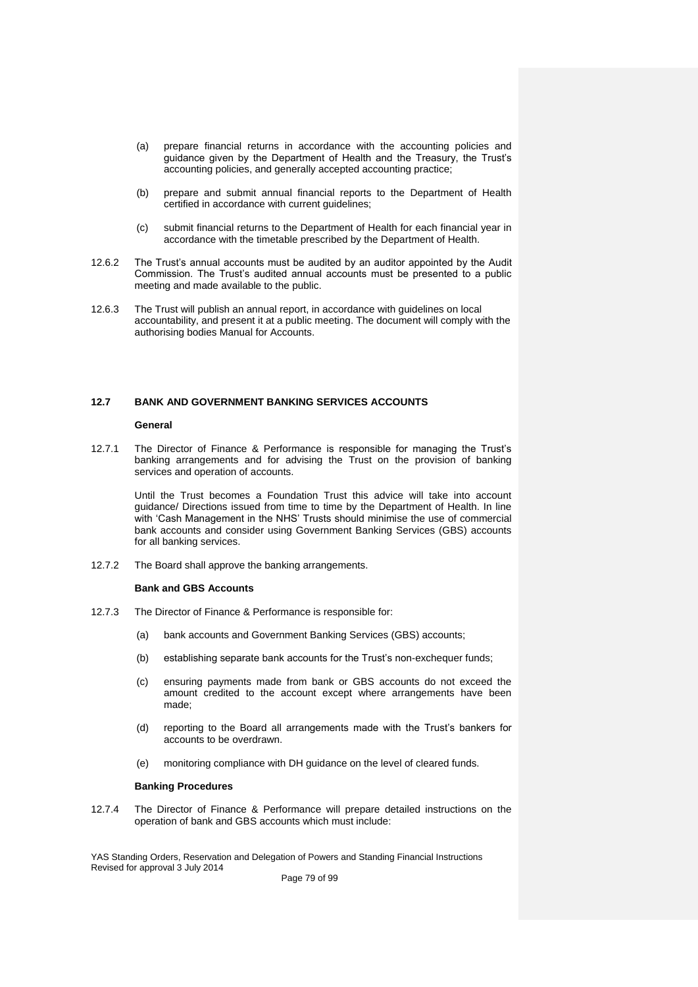- (a) prepare financial returns in accordance with the accounting policies and guidance given by the Department of Health and the Treasury, the Trust's accounting policies, and generally accepted accounting practice;
- (b) prepare and submit annual financial reports to the Department of Health certified in accordance with current quidelines:
- (c) submit financial returns to the Department of Health for each financial year in accordance with the timetable prescribed by the Department of Health.
- 12.6.2 The Trust's annual accounts must be audited by an auditor appointed by the Audit Commission. The Trust's audited annual accounts must be presented to a public meeting and made available to the public.
- 12.6.3 The Trust will publish an annual report, in accordance with guidelines on local accountability, and present it at a public meeting. The document will comply with the authorising bodies Manual for Accounts.

# **12.7 BANK AND GOVERNMENT BANKING SERVICES ACCOUNTS**

# **General**

12.7.1 The Director of Finance & Performance is responsible for managing the Trust's banking arrangements and for advising the Trust on the provision of banking services and operation of accounts.

Until the Trust becomes a Foundation Trust this advice will take into account guidance/ Directions issued from time to time by the Department of Health. In line with 'Cash Management in the NHS' Trusts should minimise the use of commercial bank accounts and consider using Government Banking Services (GBS) accounts for all banking services.

12.7.2 The Board shall approve the banking arrangements.

#### **Bank and GBS Accounts**

- 12.7.3 The Director of Finance & Performance is responsible for:
	- (a) bank accounts and Government Banking Services (GBS) accounts;
	- (b) establishing separate bank accounts for the Trust's non-exchequer funds;
	- (c) ensuring payments made from bank or GBS accounts do not exceed the amount credited to the account except where arrangements have been made;
	- (d) reporting to the Board all arrangements made with the Trust's bankers for accounts to be overdrawn.
	- (e) monitoring compliance with DH guidance on the level of cleared funds.

#### **Banking Procedures**

12.7.4 The Director of Finance & Performance will prepare detailed instructions on the operation of bank and GBS accounts which must include:

YAS Standing Orders, Reservation and Delegation of Powers and Standing Financial Instructions Revised for approval 3 July 2014

Page 79 of 99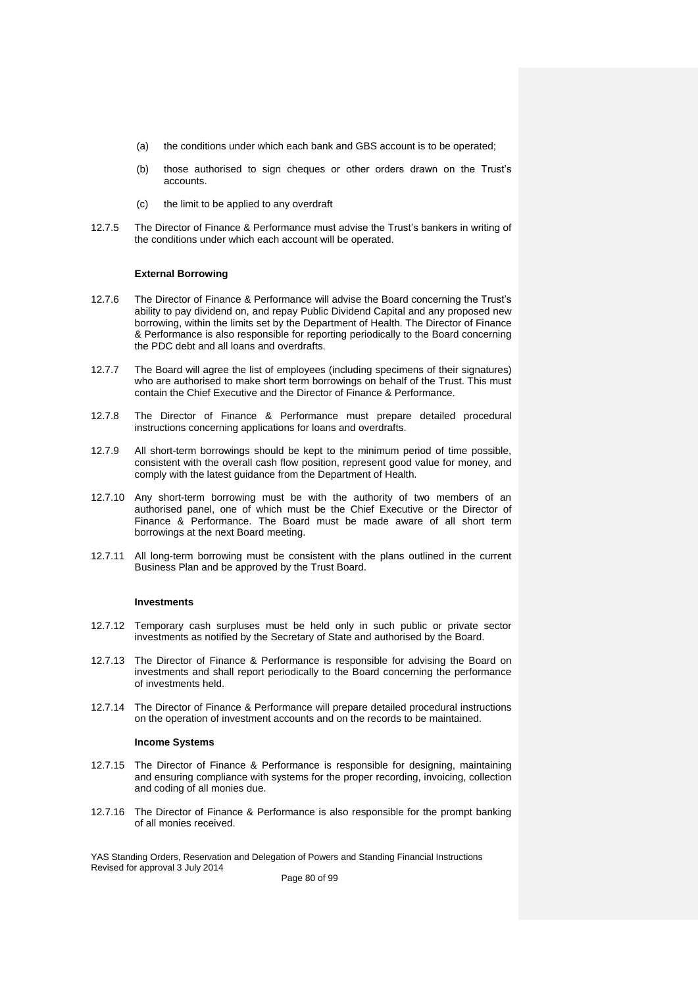- (a) the conditions under which each bank and GBS account is to be operated;
- (b) those authorised to sign cheques or other orders drawn on the Trust's accounts.
- (c) the limit to be applied to any overdraft
- 12.7.5 The Director of Finance & Performance must advise the Trust's bankers in writing of the conditions under which each account will be operated.

# **External Borrowing**

- 12.7.6 The Director of Finance & Performance will advise the Board concerning the Trust's ability to pay dividend on, and repay Public Dividend Capital and any proposed new borrowing, within the limits set by the Department of Health. The Director of Finance & Performance is also responsible for reporting periodically to the Board concerning the PDC debt and all loans and overdrafts.
- 12.7.7 The Board will agree the list of employees (including specimens of their signatures) who are authorised to make short term borrowings on behalf of the Trust. This must contain the Chief Executive and the Director of Finance & Performance.
- 12.7.8 The Director of Finance & Performance must prepare detailed procedural instructions concerning applications for loans and overdrafts.
- 12.7.9 All short-term borrowings should be kept to the minimum period of time possible, consistent with the overall cash flow position, represent good value for money, and comply with the latest guidance from the Department of Health.
- 12.7.10 Any short-term borrowing must be with the authority of two members of an authorised panel, one of which must be the Chief Executive or the Director of Finance & Performance. The Board must be made aware of all short term borrowings at the next Board meeting.
- 12.7.11 All long-term borrowing must be consistent with the plans outlined in the current Business Plan and be approved by the Trust Board.

#### **Investments**

- 12.7.12 Temporary cash surpluses must be held only in such public or private sector investments as notified by the Secretary of State and authorised by the Board.
- 12.7.13 The Director of Finance & Performance is responsible for advising the Board on investments and shall report periodically to the Board concerning the performance of investments held.
- 12.7.14 The Director of Finance & Performance will prepare detailed procedural instructions on the operation of investment accounts and on the records to be maintained.

#### **Income Systems**

- 12.7.15 The Director of Finance & Performance is responsible for designing, maintaining and ensuring compliance with systems for the proper recording, invoicing, collection and coding of all monies due.
- 12.7.16 The Director of Finance & Performance is also responsible for the prompt banking of all monies received.

YAS Standing Orders, Reservation and Delegation of Powers and Standing Financial Instructions Revised for approval 3 July 2014

Page 80 of 99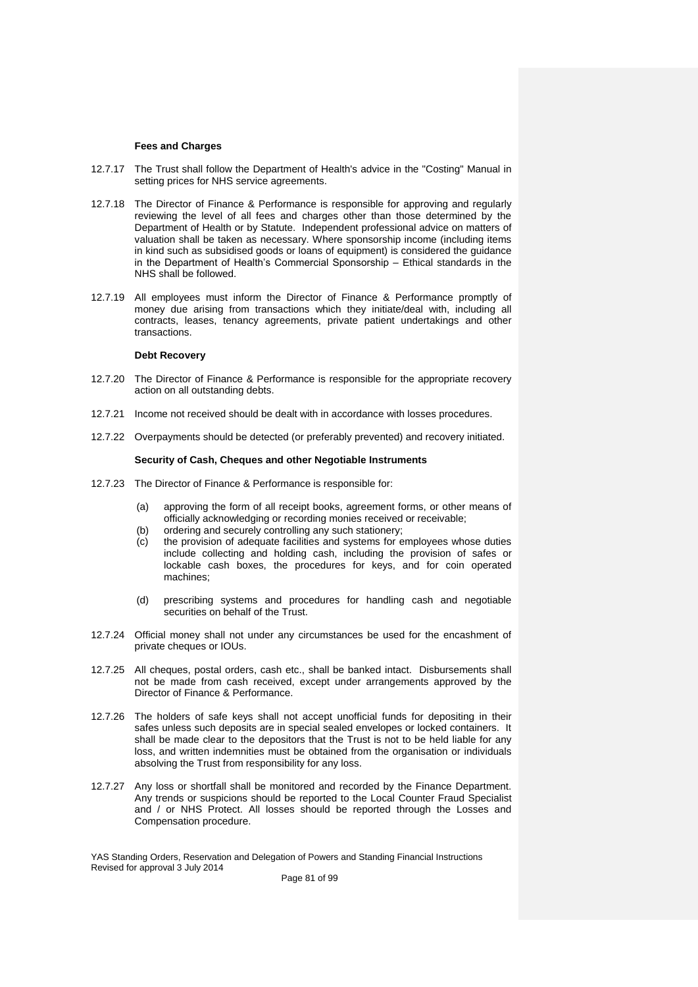### **Fees and Charges**

- 12.7.17 The Trust shall follow the Department of Health's advice in the "Costing" Manual in setting prices for NHS service agreements.
- 12.7.18 The Director of Finance & Performance is responsible for approving and regularly reviewing the level of all fees and charges other than those determined by the Department of Health or by Statute. Independent professional advice on matters of valuation shall be taken as necessary. Where sponsorship income (including items in kind such as subsidised goods or loans of equipment) is considered the guidance in the Department of Health's Commercial Sponsorship – Ethical standards in the NHS shall be followed.
- 12.7.19 All employees must inform the Director of Finance & Performance promptly of money due arising from transactions which they initiate/deal with, including all contracts, leases, tenancy agreements, private patient undertakings and other transactions.

# **Debt Recovery**

- 12.7.20 The Director of Finance & Performance is responsible for the appropriate recovery action on all outstanding debts.
- 12.7.21 Income not received should be dealt with in accordance with losses procedures.
- 12.7.22 Overpayments should be detected (or preferably prevented) and recovery initiated.

# **Security of Cash, Cheques and other Negotiable Instruments**

- 12.7.23 The Director of Finance & Performance is responsible for:
	- (a) approving the form of all receipt books, agreement forms, or other means of officially acknowledging or recording monies received or receivable;
	- (b) ordering and securely controlling any such stationery;
	- (c) the provision of adequate facilities and systems for employees whose duties include collecting and holding cash, including the provision of safes or lockable cash boxes, the procedures for keys, and for coin operated machines;
	- (d) prescribing systems and procedures for handling cash and negotiable securities on behalf of the Trust.
- 12.7.24 Official money shall not under any circumstances be used for the encashment of private cheques or IOUs.
- 12.7.25 All cheques, postal orders, cash etc., shall be banked intact. Disbursements shall not be made from cash received, except under arrangements approved by the Director of Finance & Performance.
- 12.7.26 The holders of safe keys shall not accept unofficial funds for depositing in their safes unless such deposits are in special sealed envelopes or locked containers. It shall be made clear to the depositors that the Trust is not to be held liable for any loss, and written indemnities must be obtained from the organisation or individuals absolving the Trust from responsibility for any loss.
- 12.7.27 Any loss or shortfall shall be monitored and recorded by the Finance Department. Any trends or suspicions should be reported to the Local Counter Fraud Specialist and / or NHS Protect. All losses should be reported through the Losses and Compensation procedure.

YAS Standing Orders, Reservation and Delegation of Powers and Standing Financial Instructions Revised for approval 3 July 2014

Page 81 of 99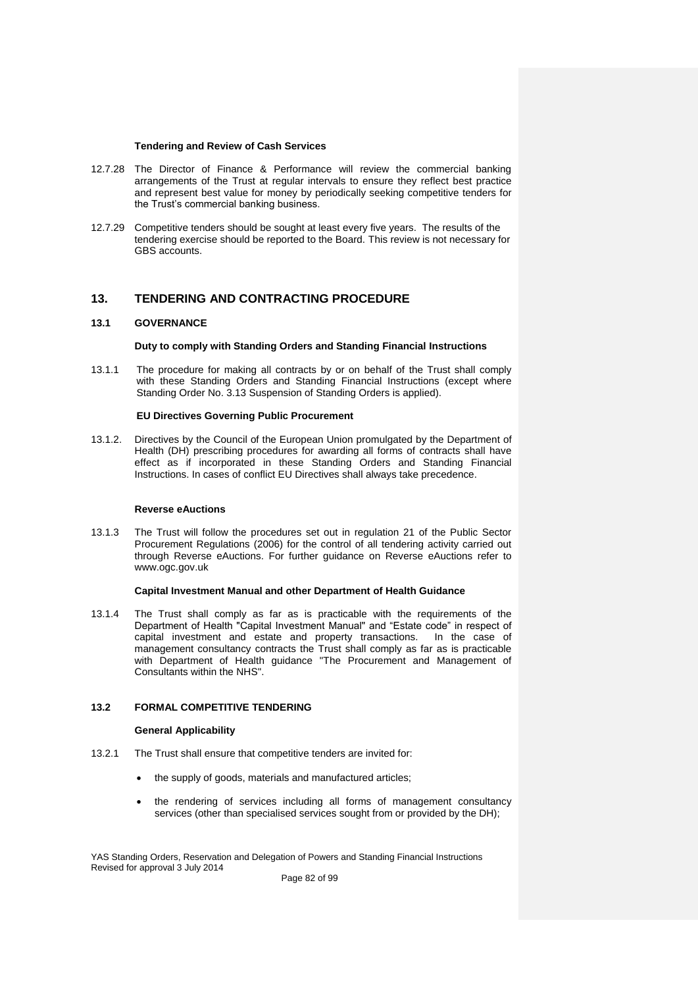### **Tendering and Review of Cash Services**

- 12.7.28 The Director of Finance & Performance will review the commercial banking arrangements of the Trust at regular intervals to ensure they reflect best practice and represent best value for money by periodically seeking competitive tenders for the Trust's commercial banking business.
- 12.7.29 Competitive tenders should be sought at least every five years. The results of the tendering exercise should be reported to the Board. This review is not necessary for GBS accounts.

# **13. TENDERING AND CONTRACTING PROCEDURE**

# **13.1 GOVERNANCE**

# **Duty to comply with Standing Orders and Standing Financial Instructions**

13.1.1 The procedure for making all contracts by or on behalf of the Trust shall comply with these Standing Orders and Standing Financial Instructions (except where Standing Order No. 3.13 Suspension of Standing Orders is applied).

# **EU Directives Governing Public Procurement**

13.1.2. Directives by the Council of the European Union promulgated by the Department of Health (DH) prescribing procedures for awarding all forms of contracts shall have effect as if incorporated in these Standing Orders and Standing Financial Instructions. In cases of conflict EU Directives shall always take precedence.

# **Reverse eAuctions**

13.1.3 The Trust will follow the procedures set out in regulation 21 of the Public Sector Procurement Regulations (2006) for the control of all tendering activity carried out through Reverse eAuctions. For further guidance on Reverse eAuctions refer to www.ogc.gov.uk

# **Capital Investment Manual and other Department of Health Guidance**

13.1.4 The Trust shall comply as far as is practicable with the requirements of the Department of Health "Capital Investment Manual" and "Estate code" in respect of capital investment and estate and property transactions. In the case of management consultancy contracts the Trust shall comply as far as is practicable with Department of Health guidance "The Procurement and Management of Consultants within the NHS".

# **13.2 FORMAL COMPETITIVE TENDERING**

# **General Applicability**

- 13.2.1 The Trust shall ensure that competitive tenders are invited for:
	- the supply of goods, materials and manufactured articles;
	- the rendering of services including all forms of management consultancy services (other than specialised services sought from or provided by the DH);

YAS Standing Orders, Reservation and Delegation of Powers and Standing Financial Instructions Revised for approval 3 July 2014

Page 82 of 99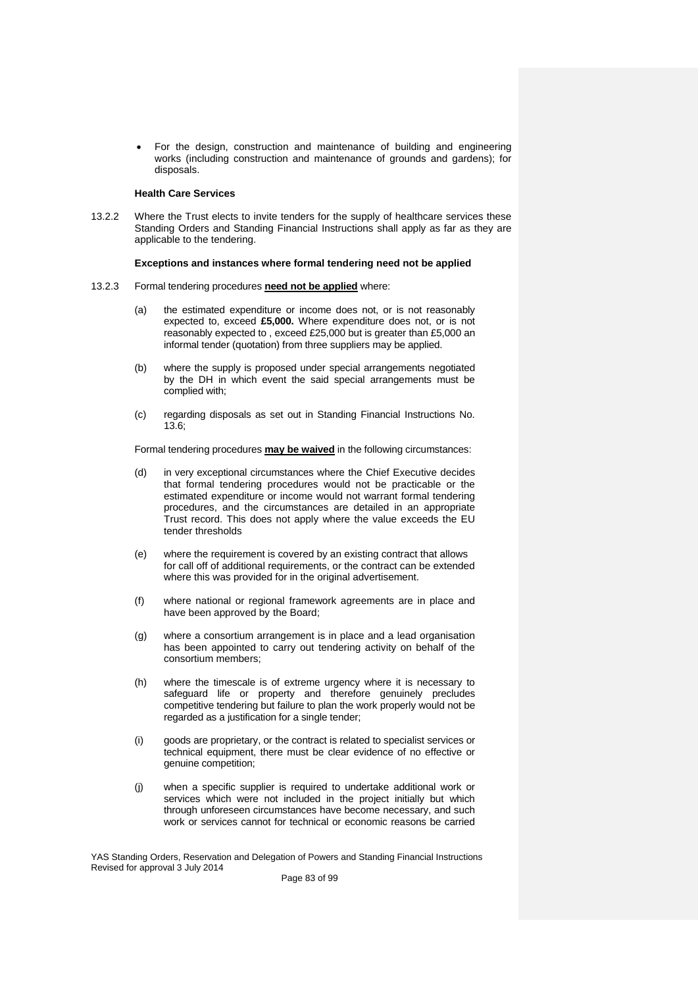For the design, construction and maintenance of building and engineering works (including construction and maintenance of grounds and gardens); for disposals.

## **Health Care Services**

13.2.2 Where the Trust elects to invite tenders for the supply of healthcare services these Standing Orders and Standing Financial Instructions shall apply as far as they are applicable to the tendering.

# **Exceptions and instances where formal tendering need not be applied**

- 13.2.3 Formal tendering procedures **need not be applied** where:
	- (a) the estimated expenditure or income does not, or is not reasonably expected to, exceed **£5,000.** Where expenditure does not, or is not reasonably expected to , exceed £25,000 but is greater than £5,000 an informal tender (quotation) from three suppliers may be applied.
	- (b) where the supply is proposed under special arrangements negotiated by the DH in which event the said special arrangements must be complied with;
	- (c) regarding disposals as set out in Standing Financial Instructions No. 13.6;

Formal tendering procedures **may be waived** in the following circumstances:

- (d) in very exceptional circumstances where the Chief Executive decides that formal tendering procedures would not be practicable or the estimated expenditure or income would not warrant formal tendering procedures, and the circumstances are detailed in an appropriate Trust record. This does not apply where the value exceeds the EU tender thresholds
- (e) where the requirement is covered by an existing contract that allows for call off of additional requirements, or the contract can be extended where this was provided for in the original advertisement.
- (f) where national or regional framework agreements are in place and have been approved by the Board;
- (g) where a consortium arrangement is in place and a lead organisation has been appointed to carry out tendering activity on behalf of the consortium members;
- (h) where the timescale is of extreme urgency where it is necessary to safeguard life or property and therefore genuinely precludes competitive tendering but failure to plan the work properly would not be regarded as a justification for a single tender;
- (i) goods are proprietary, or the contract is related to specialist services or technical equipment, there must be clear evidence of no effective or genuine competition;
- (j) when a specific supplier is required to undertake additional work or services which were not included in the project initially but which through unforeseen circumstances have become necessary, and such work or services cannot for technical or economic reasons be carried

YAS Standing Orders, Reservation and Delegation of Powers and Standing Financial Instructions Revised for approval 3 July 2014

Page 83 of 99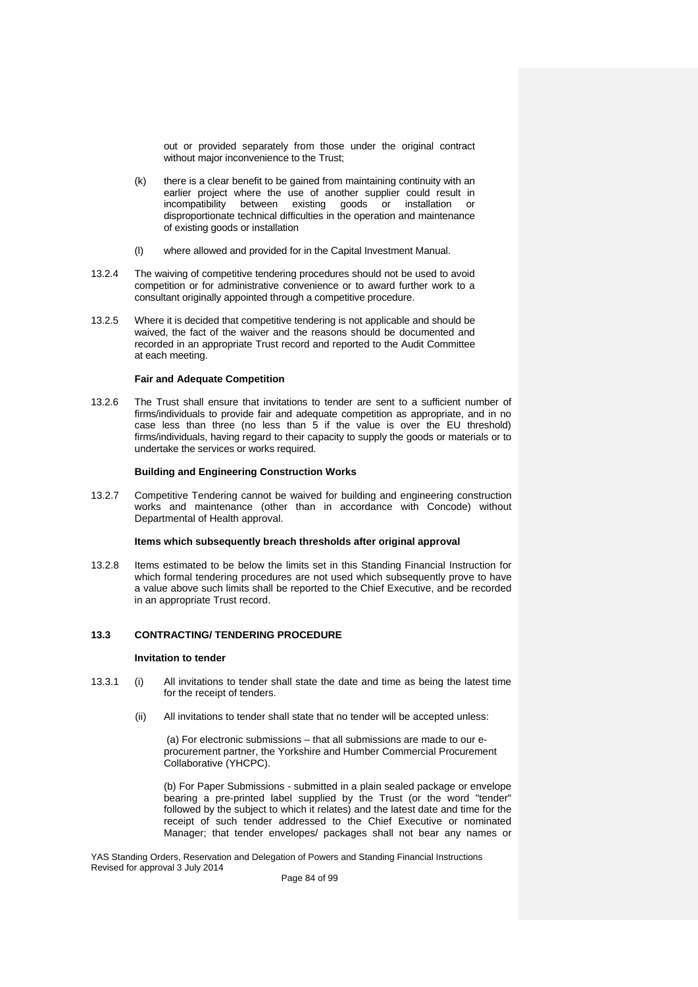out or provided separately from those under the original contract without major inconvenience to the Trust;

- (k) there is a clear benefit to be gained from maintaining continuity with an earlier project where the use of another supplier could result in incompatibility between existing goods or installation or disproportionate technical difficulties in the operation and maintenance of existing goods or installation
- (l) where allowed and provided for in the Capital Investment Manual.
- 13.2.4 The waiving of competitive tendering procedures should not be used to avoid competition or for administrative convenience or to award further work to a consultant originally appointed through a competitive procedure.
- 13.2.5 Where it is decided that competitive tendering is not applicable and should be waived, the fact of the waiver and the reasons should be documented and recorded in an appropriate Trust record and reported to the Audit Committee at each meeting.

# **Fair and Adequate Competition**

13.2.6 The Trust shall ensure that invitations to tender are sent to a sufficient number of firms/individuals to provide fair and adequate competition as appropriate, and in no case less than three (no less than 5 if the value is over the EU threshold) firms/individuals, having regard to their capacity to supply the goods or materials or to undertake the services or works required.

#### **Building and Engineering Construction Works**

13.2.7 Competitive Tendering cannot be waived for building and engineering construction works and maintenance (other than in accordance with Concode) without Departmental of Health approval.

# **Items which subsequently breach thresholds after original approval**

13.2.8 Items estimated to be below the limits set in this Standing Financial Instruction for which formal tendering procedures are not used which subsequently prove to have a value above such limits shall be reported to the Chief Executive, and be recorded in an appropriate Trust record.

# **13.3 CONTRACTING/ TENDERING PROCEDURE**

# **Invitation to tender**

- 13.3.1 (i) All invitations to tender shall state the date and time as being the latest time for the receipt of tenders.
	- (ii) All invitations to tender shall state that no tender will be accepted unless:

(a) For electronic submissions – that all submissions are made to our eprocurement partner, the Yorkshire and Humber Commercial Procurement Collaborative (YHCPC).

(b) For Paper Submissions - submitted in a plain sealed package or envelope bearing a pre-printed label supplied by the Trust (or the word "tender" followed by the subject to which it relates) and the latest date and time for the receipt of such tender addressed to the Chief Executive or nominated Manager; that tender envelopes/ packages shall not bear any names or

YAS Standing Orders, Reservation and Delegation of Powers and Standing Financial Instructions Revised for approval 3 July 2014

Page 84 of 99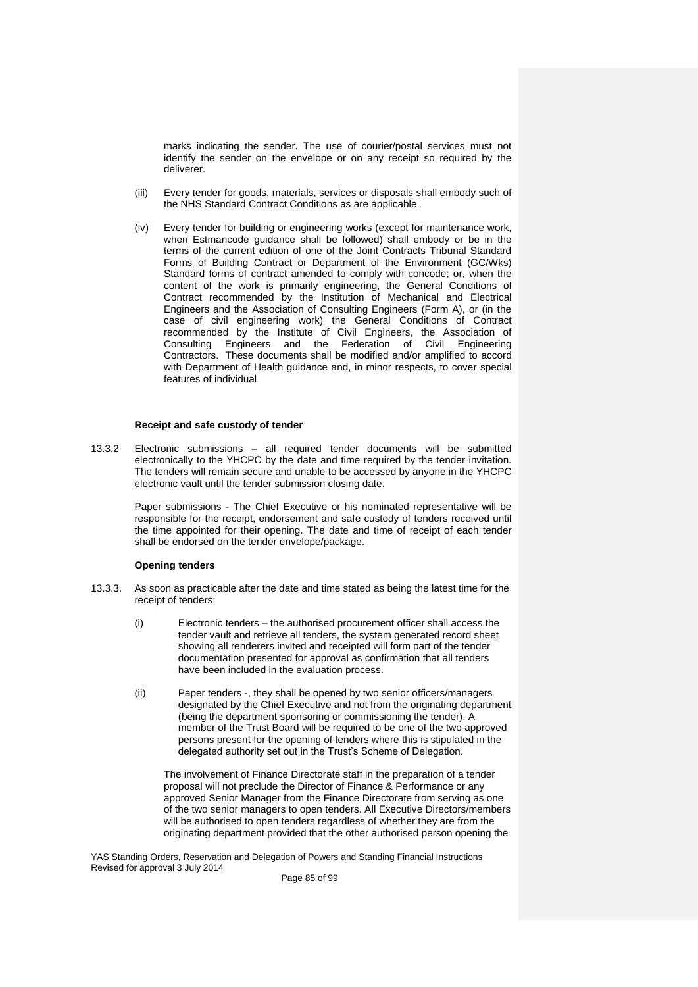marks indicating the sender. The use of courier/postal services must not identify the sender on the envelope or on any receipt so required by the deliverer.

- (iii) Every tender for goods, materials, services or disposals shall embody such of the NHS Standard Contract Conditions as are applicable.
- (iv) Every tender for building or engineering works (except for maintenance work, when Estmancode quidance shall be followed) shall embody or be in the terms of the current edition of one of the Joint Contracts Tribunal Standard Forms of Building Contract or Department of the Environment (GC/Wks) Standard forms of contract amended to comply with concode; or, when the content of the work is primarily engineering, the General Conditions of Contract recommended by the Institution of Mechanical and Electrical Engineers and the Association of Consulting Engineers (Form A), or (in the case of civil engineering work) the General Conditions of Contract recommended by the Institute of Civil Engineers, the Association of Consulting Engineers and the Federation of Civil Engineering Contractors. These documents shall be modified and/or amplified to accord with Department of Health guidance and, in minor respects, to cover special features of individual

# **Receipt and safe custody of tender**

13.3.2 Electronic submissions – all required tender documents will be submitted electronically to the YHCPC by the date and time required by the tender invitation. The tenders will remain secure and unable to be accessed by anyone in the YHCPC electronic vault until the tender submission closing date.

> Paper submissions - The Chief Executive or his nominated representative will be responsible for the receipt, endorsement and safe custody of tenders received until the time appointed for their opening. The date and time of receipt of each tender shall be endorsed on the tender envelope/package.

#### **Opening tenders**

- 13.3.3. As soon as practicable after the date and time stated as being the latest time for the receipt of tenders;
	- (i) Electronic tenders the authorised procurement officer shall access the tender vault and retrieve all tenders, the system generated record sheet showing all renderers invited and receipted will form part of the tender documentation presented for approval as confirmation that all tenders have been included in the evaluation process.
	- (ii) Paper tenders -, they shall be opened by two senior officers/managers designated by the Chief Executive and not from the originating department (being the department sponsoring or commissioning the tender). A member of the Trust Board will be required to be one of the two approved persons present for the opening of tenders where this is stipulated in the delegated authority set out in the Trust's Scheme of Delegation.

The involvement of Finance Directorate staff in the preparation of a tender proposal will not preclude the Director of Finance & Performance or any approved Senior Manager from the Finance Directorate from serving as one of the two senior managers to open tenders. All Executive Directors/members will be authorised to open tenders regardless of whether they are from the originating department provided that the other authorised person opening the

YAS Standing Orders, Reservation and Delegation of Powers and Standing Financial Instructions Revised for approval 3 July 2014

Page 85 of 99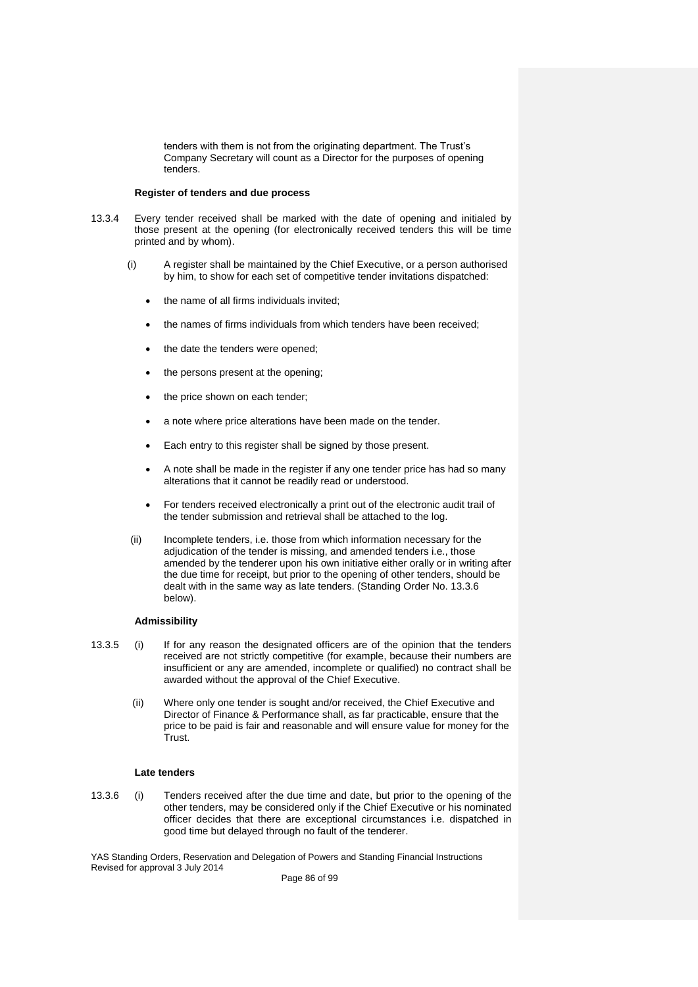tenders with them is not from the originating department. The Trust's Company Secretary will count as a Director for the purposes of opening tenders.

# **Register of tenders and due process**

- 13.3.4 Every tender received shall be marked with the date of opening and initialed by those present at the opening (for electronically received tenders this will be time printed and by whom).
	- (i) A register shall be maintained by the Chief Executive, or a person authorised by him, to show for each set of competitive tender invitations dispatched:
		- the name of all firms individuals invited;
		- the names of firms individuals from which tenders have been received;
		- the date the tenders were opened;
		- the persons present at the opening;
		- the price shown on each tender;
		- a note where price alterations have been made on the tender.
		- Each entry to this register shall be signed by those present.
		- A note shall be made in the register if any one tender price has had so many alterations that it cannot be readily read or understood.
		- For tenders received electronically a print out of the electronic audit trail of the tender submission and retrieval shall be attached to the log.
	- (ii) Incomplete tenders, i.e. those from which information necessary for the adjudication of the tender is missing, and amended tenders i.e., those amended by the tenderer upon his own initiative either orally or in writing after the due time for receipt, but prior to the opening of other tenders, should be dealt with in the same way as late tenders. (Standing Order No. 13.3.6 below).

# **Admissibility**

- 13.3.5 (i) If for any reason the designated officers are of the opinion that the tenders received are not strictly competitive (for example, because their numbers are insufficient or any are amended, incomplete or qualified) no contract shall be awarded without the approval of the Chief Executive.
	- (ii) Where only one tender is sought and/or received, the Chief Executive and Director of Finance & Performance shall, as far practicable, ensure that the price to be paid is fair and reasonable and will ensure value for money for the Trust.

# **Late tenders**

13.3.6 (i) Tenders received after the due time and date, but prior to the opening of the other tenders, may be considered only if the Chief Executive or his nominated officer decides that there are exceptional circumstances i.e. dispatched in good time but delayed through no fault of the tenderer.

YAS Standing Orders, Reservation and Delegation of Powers and Standing Financial Instructions Revised for approval 3 July 2014

Page 86 of 99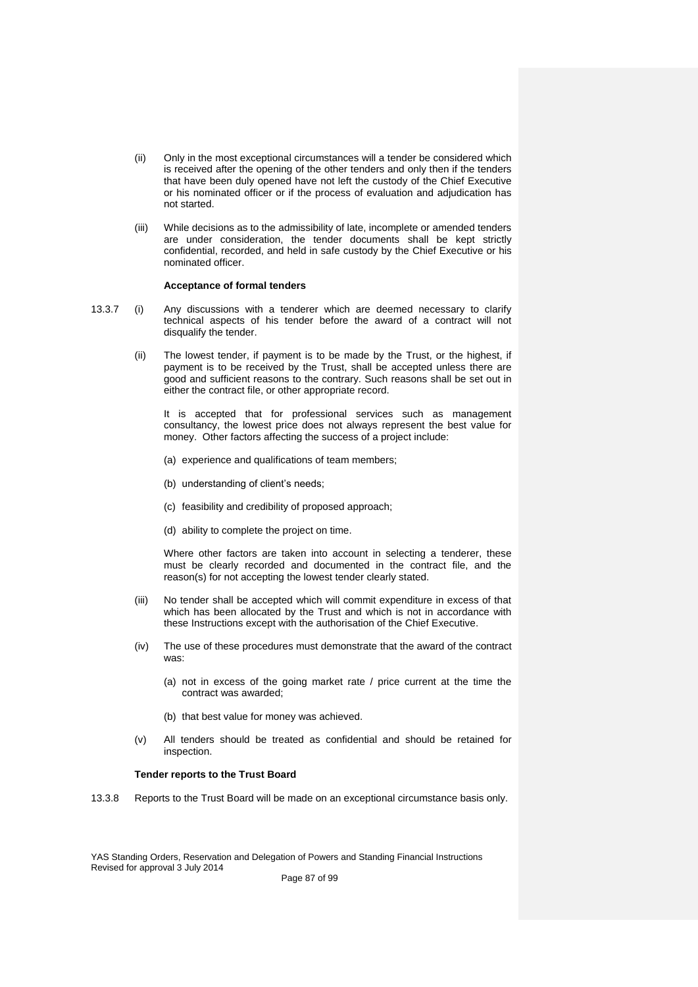- (ii) Only in the most exceptional circumstances will a tender be considered which is received after the opening of the other tenders and only then if the tenders that have been duly opened have not left the custody of the Chief Executive or his nominated officer or if the process of evaluation and adjudication has not started.
- (iii) While decisions as to the admissibility of late, incomplete or amended tenders are under consideration, the tender documents shall be kept strictly confidential, recorded, and held in safe custody by the Chief Executive or his nominated officer.

#### **Acceptance of formal tenders**

- 13.3.7 (i) Any discussions with a tenderer which are deemed necessary to clarify technical aspects of his tender before the award of a contract will not disqualify the tender.
	- (ii) The lowest tender, if payment is to be made by the Trust, or the highest, if payment is to be received by the Trust, shall be accepted unless there are good and sufficient reasons to the contrary. Such reasons shall be set out in either the contract file, or other appropriate record.

It is accepted that for professional services such as management consultancy, the lowest price does not always represent the best value for money. Other factors affecting the success of a project include:

- (a) experience and qualifications of team members;
- (b) understanding of client's needs;
- (c) feasibility and credibility of proposed approach;
- (d) ability to complete the project on time.

Where other factors are taken into account in selecting a tenderer, these must be clearly recorded and documented in the contract file, and the reason(s) for not accepting the lowest tender clearly stated.

- (iii) No tender shall be accepted which will commit expenditure in excess of that which has been allocated by the Trust and which is not in accordance with these Instructions except with the authorisation of the Chief Executive.
- (iv) The use of these procedures must demonstrate that the award of the contract was:
	- (a) not in excess of the going market rate / price current at the time the contract was awarded;
	- (b) that best value for money was achieved.
- (v) All tenders should be treated as confidential and should be retained for inspection.

# **Tender reports to the Trust Board**

13.3.8 Reports to the Trust Board will be made on an exceptional circumstance basis only.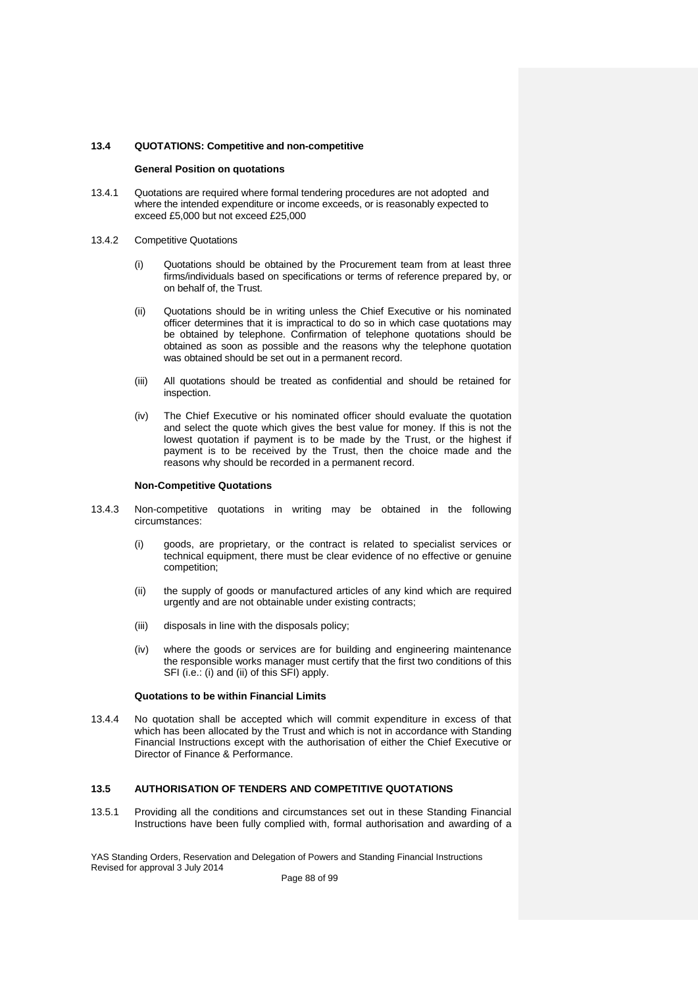# **13.4 QUOTATIONS: Competitive and non-competitive**

#### **General Position on quotations**

- 13.4.1 Quotations are required where formal tendering procedures are not adopted and where the intended expenditure or income exceeds, or is reasonably expected to exceed £5,000 but not exceed £25,000
- 13.4.2 Competitive Quotations
	- (i) Quotations should be obtained by the Procurement team from at least three firms/individuals based on specifications or terms of reference prepared by, or on behalf of, the Trust.
	- (ii) Quotations should be in writing unless the Chief Executive or his nominated officer determines that it is impractical to do so in which case quotations may be obtained by telephone. Confirmation of telephone quotations should be obtained as soon as possible and the reasons why the telephone quotation was obtained should be set out in a permanent record.
	- (iii) All quotations should be treated as confidential and should be retained for inspection.
	- (iv) The Chief Executive or his nominated officer should evaluate the quotation and select the quote which gives the best value for money. If this is not the lowest quotation if payment is to be made by the Trust, or the highest if payment is to be received by the Trust, then the choice made and the reasons why should be recorded in a permanent record.

#### **Non-Competitive Quotations**

- 13.4.3 Non-competitive quotations in writing may be obtained in the following circumstances:
	- (i) goods, are proprietary, or the contract is related to specialist services or technical equipment, there must be clear evidence of no effective or genuine competition;
	- (ii) the supply of goods or manufactured articles of any kind which are required urgently and are not obtainable under existing contracts;
	- (iii) disposals in line with the disposals policy;
	- (iv) where the goods or services are for building and engineering maintenance the responsible works manager must certify that the first two conditions of this SFI (i.e.: (i) and (ii) of this SFI) apply.

# **Quotations to be within Financial Limits**

13.4.4 No quotation shall be accepted which will commit expenditure in excess of that which has been allocated by the Trust and which is not in accordance with Standing Financial Instructions except with the authorisation of either the Chief Executive or Director of Finance & Performance.

# **13.5 AUTHORISATION OF TENDERS AND COMPETITIVE QUOTATIONS**

13.5.1 Providing all the conditions and circumstances set out in these Standing Financial Instructions have been fully complied with, formal authorisation and awarding of a

YAS Standing Orders, Reservation and Delegation of Powers and Standing Financial Instructions Revised for approval 3 July 2014

Page 88 of 99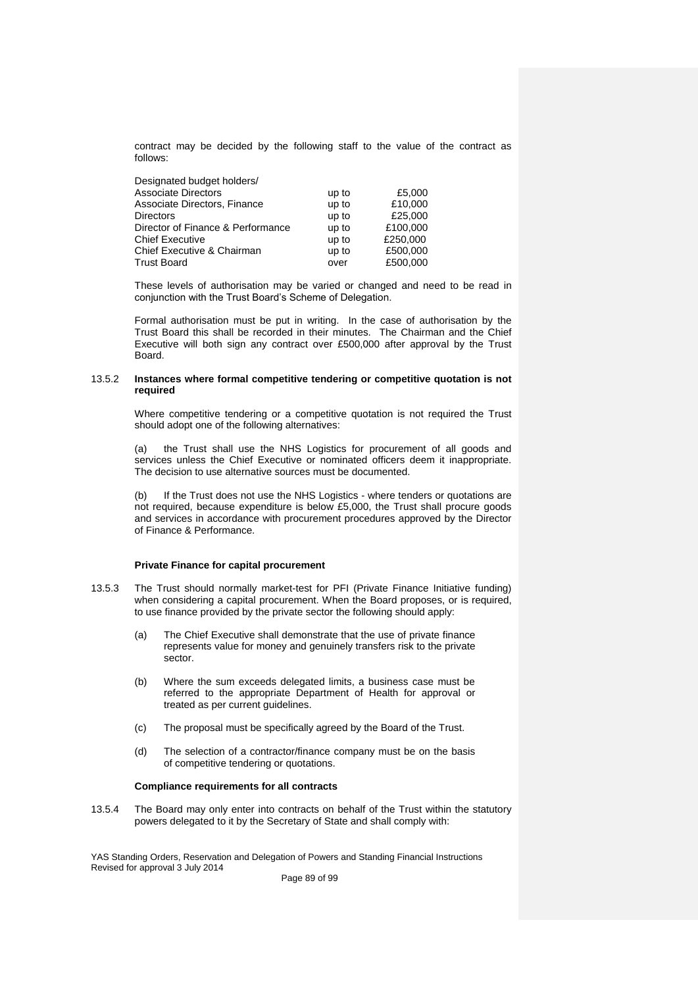contract may be decided by the following staff to the value of the contract as follows:

| Designated budget holders/        |       |          |
|-----------------------------------|-------|----------|
| <b>Associate Directors</b>        | up to | £5,000   |
| Associate Directors, Finance      | up to | £10,000  |
| <b>Directors</b>                  | up to | £25,000  |
| Director of Finance & Performance | up to | £100,000 |
| <b>Chief Executive</b>            | up to | £250,000 |
| Chief Executive & Chairman        | up to | £500,000 |
| <b>Trust Board</b>                | over  | £500,000 |

These levels of authorisation may be varied or changed and need to be read in conjunction with the Trust Board's Scheme of Delegation.

Formal authorisation must be put in writing. In the case of authorisation by the Trust Board this shall be recorded in their minutes. The Chairman and the Chief Executive will both sign any contract over £500,000 after approval by the Trust Board.

# 13.5.2 **Instances where formal competitive tendering or competitive quotation is not required**

Where competitive tendering or a competitive quotation is not required the Trust should adopt one of the following alternatives:

(a) the Trust shall use the NHS Logistics for procurement of all goods and services unless the Chief Executive or nominated officers deem it inappropriate. The decision to use alternative sources must be documented.

(b) If the Trust does not use the NHS Logistics - where tenders or quotations are not required, because expenditure is below £5,000, the Trust shall procure goods and services in accordance with procurement procedures approved by the Director of Finance & Performance.

# **Private Finance for capital procurement**

13.5.3 The Trust should normally market-test for PFI (Private Finance Initiative funding) when considering a capital procurement. When the Board proposes, or is required, to use finance provided by the private sector the following should apply:

- (a) The Chief Executive shall demonstrate that the use of private finance represents value for money and genuinely transfers risk to the private sector.
- (b) Where the sum exceeds delegated limits, a business case must be referred to the appropriate Department of Health for approval or treated as per current guidelines.
- (c) The proposal must be specifically agreed by the Board of the Trust.
- (d) The selection of a contractor/finance company must be on the basis of competitive tendering or quotations.

# **Compliance requirements for all contracts**

13.5.4 The Board may only enter into contracts on behalf of the Trust within the statutory powers delegated to it by the Secretary of State and shall comply with:

YAS Standing Orders, Reservation and Delegation of Powers and Standing Financial Instructions Revised for approval 3 July 2014 Page 89 of 99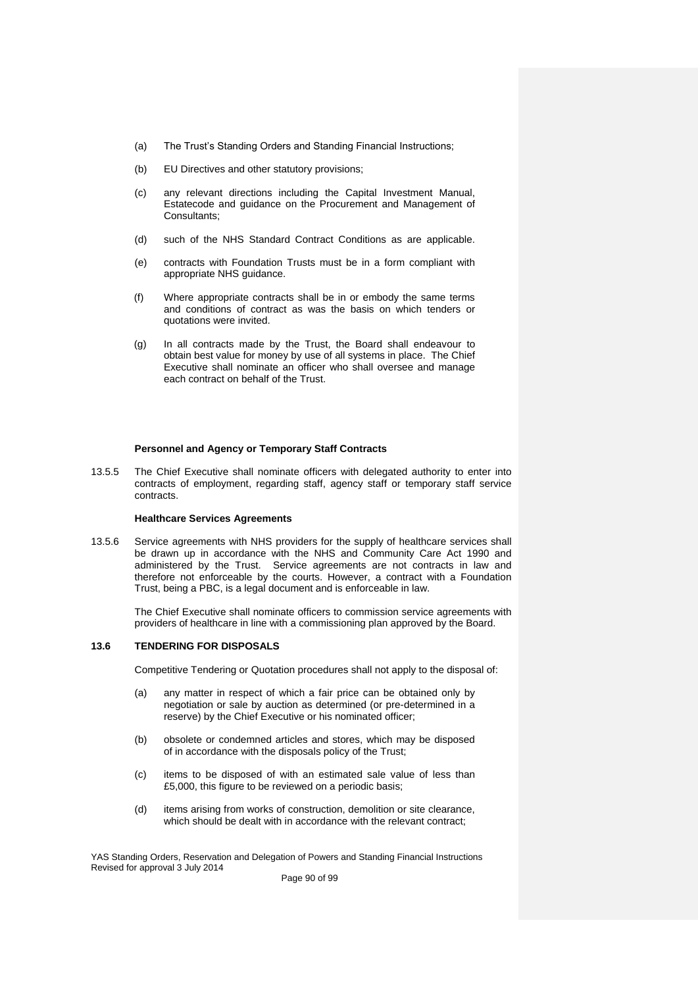- (a) The Trust's Standing Orders and Standing Financial Instructions;
- (b) EU Directives and other statutory provisions;
- (c) any relevant directions including the Capital Investment Manual, Estatecode and guidance on the Procurement and Management of Consultants;
- (d) such of the NHS Standard Contract Conditions as are applicable.
- (e) contracts with Foundation Trusts must be in a form compliant with appropriate NHS guidance.
- (f) Where appropriate contracts shall be in or embody the same terms and conditions of contract as was the basis on which tenders or quotations were invited.
- (g) In all contracts made by the Trust, the Board shall endeavour to obtain best value for money by use of all systems in place. The Chief Executive shall nominate an officer who shall oversee and manage each contract on behalf of the Trust.

# **Personnel and Agency or Temporary Staff Contracts**

13.5.5 The Chief Executive shall nominate officers with delegated authority to enter into contracts of employment, regarding staff, agency staff or temporary staff service contracts.

# **Healthcare Services Agreements**

13.5.6 Service agreements with NHS providers for the supply of healthcare services shall be drawn up in accordance with the NHS and Community Care Act 1990 and administered by the Trust. Service agreements are not contracts in law and therefore not enforceable by the courts. However, a contract with a Foundation Trust, being a PBC, is a legal document and is enforceable in law.

> The Chief Executive shall nominate officers to commission service agreements with providers of healthcare in line with a commissioning plan approved by the Board.

# **13.6 TENDERING FOR DISPOSALS**

Competitive Tendering or Quotation procedures shall not apply to the disposal of:

- (a) any matter in respect of which a fair price can be obtained only by negotiation or sale by auction as determined (or pre-determined in a reserve) by the Chief Executive or his nominated officer;
- (b) obsolete or condemned articles and stores, which may be disposed of in accordance with the disposals policy of the Trust;
- (c) items to be disposed of with an estimated sale value of less than £5,000, this figure to be reviewed on a periodic basis;
- (d) items arising from works of construction, demolition or site clearance, which should be dealt with in accordance with the relevant contract;

YAS Standing Orders, Reservation and Delegation of Powers and Standing Financial Instructions Revised for approval 3 July 2014

Page 90 of 99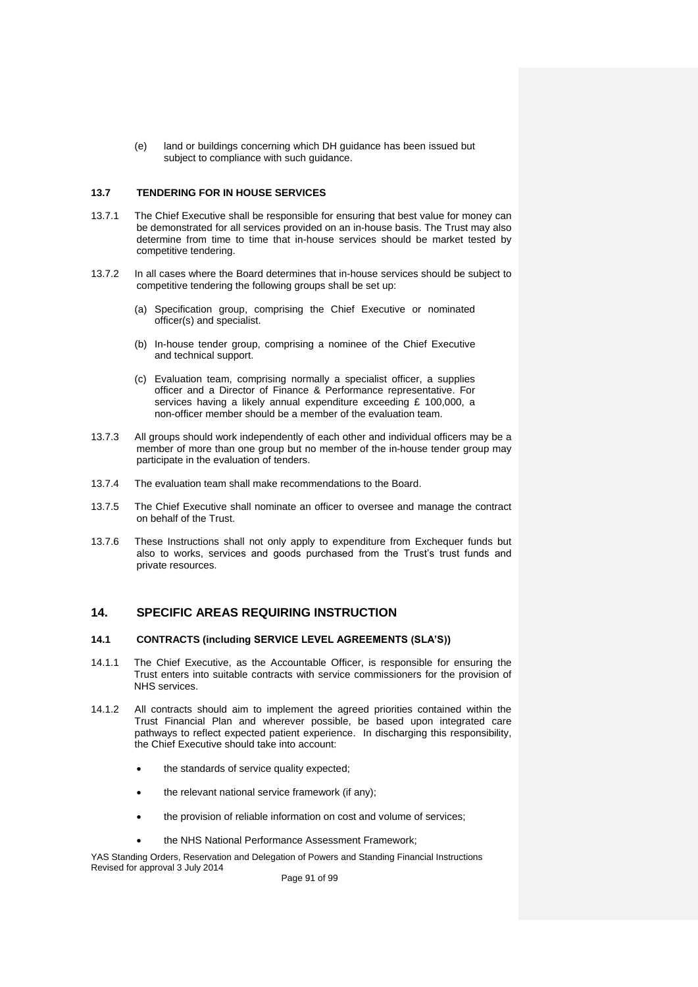(e) land or buildings concerning which DH guidance has been issued but subject to compliance with such guidance.

# **13.7 TENDERING FOR IN HOUSE SERVICES**

- 13.7.1 The Chief Executive shall be responsible for ensuring that best value for money can be demonstrated for all services provided on an in-house basis. The Trust may also determine from time to time that in-house services should be market tested by competitive tendering.
- 13.7.2 In all cases where the Board determines that in-house services should be subject to competitive tendering the following groups shall be set up:
	- (a) Specification group, comprising the Chief Executive or nominated officer(s) and specialist.
	- (b) In-house tender group, comprising a nominee of the Chief Executive and technical support.
	- (c) Evaluation team, comprising normally a specialist officer, a supplies officer and a Director of Finance & Performance representative. For services having a likely annual expenditure exceeding £ 100,000, a non-officer member should be a member of the evaluation team.
- 13.7.3 All groups should work independently of each other and individual officers may be a member of more than one group but no member of the in-house tender group may participate in the evaluation of tenders.
- 13.7.4 The evaluation team shall make recommendations to the Board.
- 13.7.5 The Chief Executive shall nominate an officer to oversee and manage the contract on behalf of the Trust.
- 13.7.6 These Instructions shall not only apply to expenditure from Exchequer funds but also to works, services and goods purchased from the Trust's trust funds and private resources.

# **14. SPECIFIC AREAS REQUIRING INSTRUCTION**

# **14.1 CONTRACTS (including SERVICE LEVEL AGREEMENTS (SLA'S))**

- 14.1.1 The Chief Executive, as the Accountable Officer, is responsible for ensuring the Trust enters into suitable contracts with service commissioners for the provision of NHS services.
- 14.1.2 All contracts should aim to implement the agreed priorities contained within the Trust Financial Plan and wherever possible, be based upon integrated care pathways to reflect expected patient experience. In discharging this responsibility, the Chief Executive should take into account:
	- the standards of service quality expected;
	- the relevant national service framework (if any);
	- the provision of reliable information on cost and volume of services;
	- the NHS National Performance Assessment Framework;

YAS Standing Orders, Reservation and Delegation of Powers and Standing Financial Instructions Revised for approval 3 July 2014

Page 91 of 99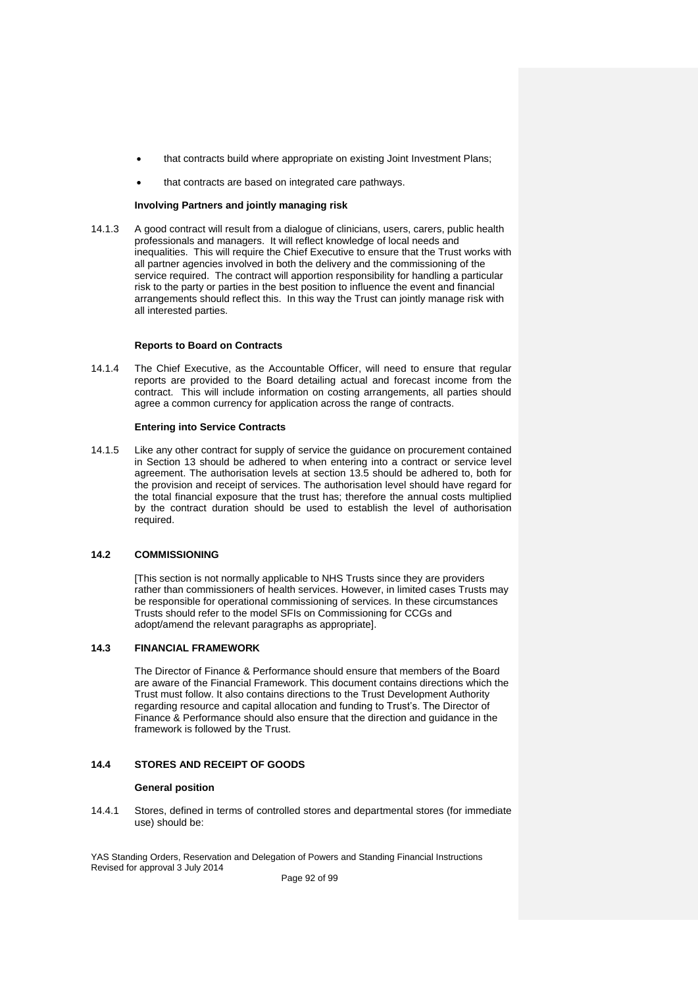- that contracts build where appropriate on existing Joint Investment Plans;
- that contracts are based on integrated care pathways.

# **Involving Partners and jointly managing risk**

14.1.3 A good contract will result from a dialogue of clinicians, users, carers, public health professionals and managers. It will reflect knowledge of local needs and inequalities. This will require the Chief Executive to ensure that the Trust works with all partner agencies involved in both the delivery and the commissioning of the service required. The contract will apportion responsibility for handling a particular risk to the party or parties in the best position to influence the event and financial arrangements should reflect this. In this way the Trust can jointly manage risk with all interested parties.

# **Reports to Board on Contracts**

14.1.4 The Chief Executive, as the Accountable Officer, will need to ensure that regular reports are provided to the Board detailing actual and forecast income from the contract. This will include information on costing arrangements, all parties should agree a common currency for application across the range of contracts.

# **Entering into Service Contracts**

14.1.5 Like any other contract for supply of service the guidance on procurement contained in Section 13 should be adhered to when entering into a contract or service level agreement. The authorisation levels at section 13.5 should be adhered to, both for the provision and receipt of services. The authorisation level should have regard for the total financial exposure that the trust has; therefore the annual costs multiplied by the contract duration should be used to establish the level of authorisation required.

# **14.2 COMMISSIONING**

[This section is not normally applicable to NHS Trusts since they are providers rather than commissioners of health services. However, in limited cases Trusts may be responsible for operational commissioning of services. In these circumstances Trusts should refer to the model SFIs on Commissioning for CCGs and adopt/amend the relevant paragraphs as appropriate].

# **14.3 FINANCIAL FRAMEWORK**

The Director of Finance & Performance should ensure that members of the Board are aware of the Financial Framework. This document contains directions which the Trust must follow. It also contains directions to the Trust Development Authority regarding resource and capital allocation and funding to Trust's. The Director of Finance & Performance should also ensure that the direction and guidance in the framework is followed by the Trust.

# **14.4 STORES AND RECEIPT OF GOODS**

# **General position**

14.4.1 Stores, defined in terms of controlled stores and departmental stores (for immediate use) should be:

YAS Standing Orders, Reservation and Delegation of Powers and Standing Financial Instructions Revised for approval 3 July 2014

Page 92 of 99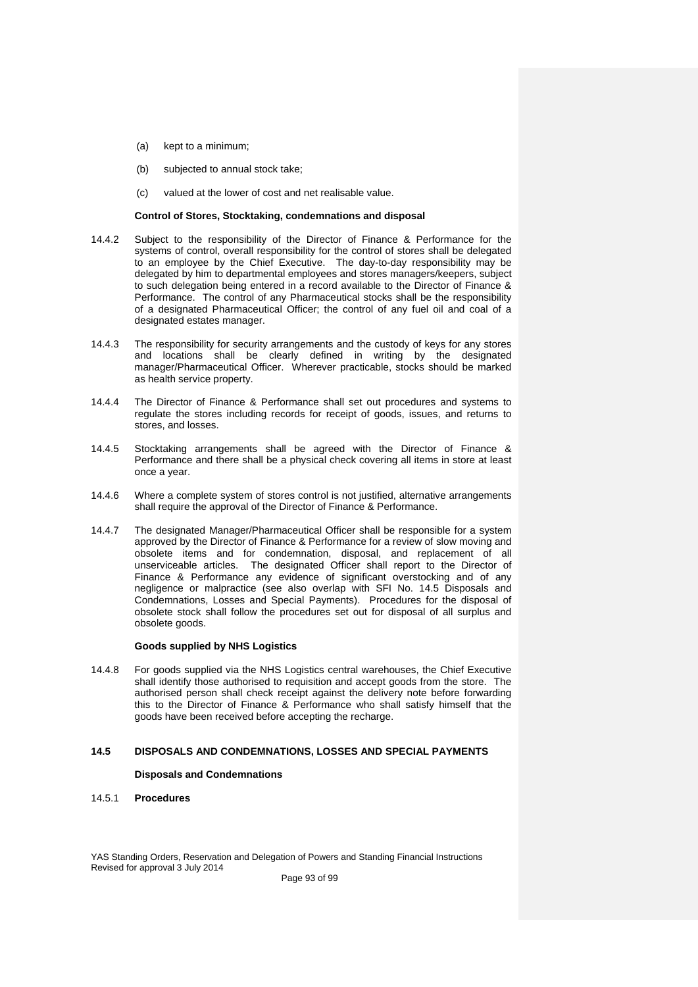- (a) kept to a minimum;
- (b) subjected to annual stock take;
- (c) valued at the lower of cost and net realisable value.

# **Control of Stores, Stocktaking, condemnations and disposal**

- 14.4.2 Subject to the responsibility of the Director of Finance & Performance for the systems of control, overall responsibility for the control of stores shall be delegated to an employee by the Chief Executive. The day-to-day responsibility may be delegated by him to departmental employees and stores managers/keepers, subject to such delegation being entered in a record available to the Director of Finance & Performance. The control of any Pharmaceutical stocks shall be the responsibility of a designated Pharmaceutical Officer; the control of any fuel oil and coal of a designated estates manager.
- 14.4.3 The responsibility for security arrangements and the custody of keys for any stores and locations shall be clearly defined in writing by the designated manager/Pharmaceutical Officer. Wherever practicable, stocks should be marked as health service property.
- 14.4.4 The Director of Finance & Performance shall set out procedures and systems to regulate the stores including records for receipt of goods, issues, and returns to stores, and losses.
- 14.4.5 Stocktaking arrangements shall be agreed with the Director of Finance & Performance and there shall be a physical check covering all items in store at least once a year.
- 14.4.6 Where a complete system of stores control is not justified, alternative arrangements shall require the approval of the Director of Finance & Performance.
- 14.4.7 The designated Manager/Pharmaceutical Officer shall be responsible for a system approved by the Director of Finance & Performance for a review of slow moving and obsolete items and for condemnation, disposal, and replacement of all unserviceable articles. The designated Officer shall report to the Director of Finance & Performance any evidence of significant overstocking and of any negligence or malpractice (see also overlap with SFI No. 14.5 Disposals and Condemnations, Losses and Special Payments). Procedures for the disposal of obsolete stock shall follow the procedures set out for disposal of all surplus and obsolete goods.

# **Goods supplied by NHS Logistics**

14.4.8 For goods supplied via the NHS Logistics central warehouses, the Chief Executive shall identify those authorised to requisition and accept goods from the store. The authorised person shall check receipt against the delivery note before forwarding this to the Director of Finance & Performance who shall satisfy himself that the goods have been received before accepting the recharge.

# **14.5 DISPOSALS AND CONDEMNATIONS, LOSSES AND SPECIAL PAYMENTS**

# **Disposals and Condemnations**

14.5.1 **Procedures**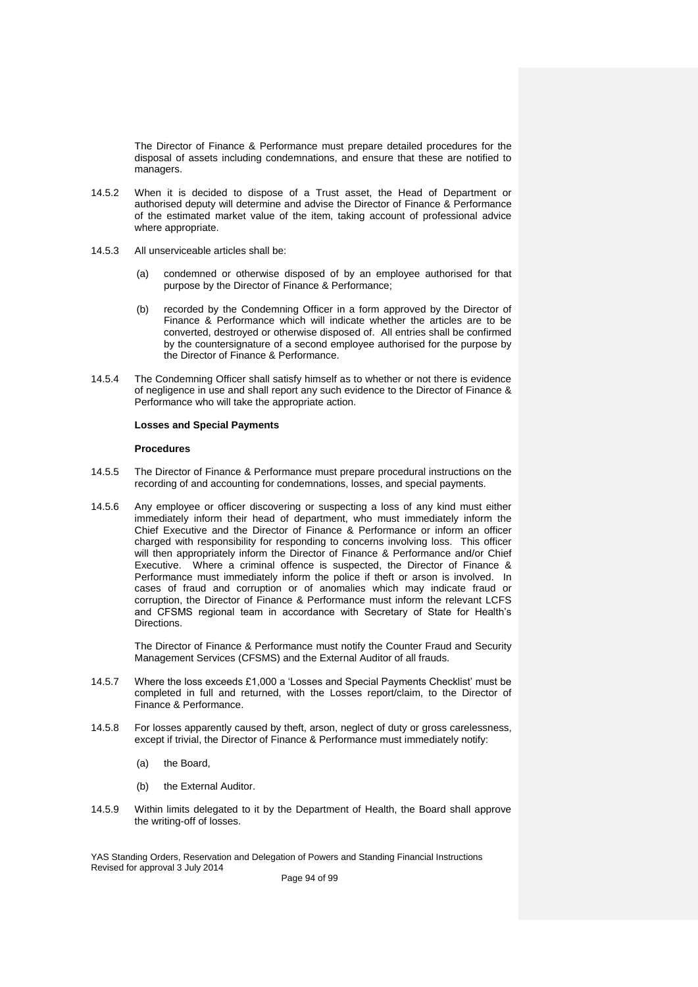The Director of Finance & Performance must prepare detailed procedures for the disposal of assets including condemnations, and ensure that these are notified to managers.

- 14.5.2 When it is decided to dispose of a Trust asset, the Head of Department or authorised deputy will determine and advise the Director of Finance & Performance of the estimated market value of the item, taking account of professional advice where appropriate.
- 14.5.3 All unserviceable articles shall be:
	- (a) condemned or otherwise disposed of by an employee authorised for that purpose by the Director of Finance & Performance;
	- (b) recorded by the Condemning Officer in a form approved by the Director of Finance & Performance which will indicate whether the articles are to be converted, destroyed or otherwise disposed of. All entries shall be confirmed by the countersignature of a second employee authorised for the purpose by the Director of Finance & Performance.
- 14.5.4 The Condemning Officer shall satisfy himself as to whether or not there is evidence of negligence in use and shall report any such evidence to the Director of Finance & Performance who will take the appropriate action.

# **Losses and Special Payments**

# **Procedures**

- 14.5.5 The Director of Finance & Performance must prepare procedural instructions on the recording of and accounting for condemnations, losses, and special payments.
- 14.5.6 Any employee or officer discovering or suspecting a loss of any kind must either immediately inform their head of department, who must immediately inform the Chief Executive and the Director of Finance & Performance or inform an officer charged with responsibility for responding to concerns involving loss. This officer will then appropriately inform the Director of Finance & Performance and/or Chief Executive. Where a criminal offence is suspected, the Director of Finance & Performance must immediately inform the police if theft or arson is involved. In cases of fraud and corruption or of anomalies which may indicate fraud or corruption, the Director of Finance & Performance must inform the relevant LCFS and CFSMS regional team in accordance with Secretary of State for Health's **Directions**

The Director of Finance & Performance must notify the Counter Fraud and Security Management Services (CFSMS) and the External Auditor of all frauds.

- 14.5.7 Where the loss exceeds £1,000 a 'Losses and Special Payments Checklist' must be completed in full and returned, with the Losses report/claim, to the Director of Finance & Performance.
- 14.5.8 For losses apparently caused by theft, arson, neglect of duty or gross carelessness, except if trivial, the Director of Finance & Performance must immediately notify:
	- (a) the Board,
	- (b) the External Auditor.
- 14.5.9 Within limits delegated to it by the Department of Health, the Board shall approve the writing-off of losses.

YAS Standing Orders, Reservation and Delegation of Powers and Standing Financial Instructions Revised for approval 3 July 2014

Page 94 of 99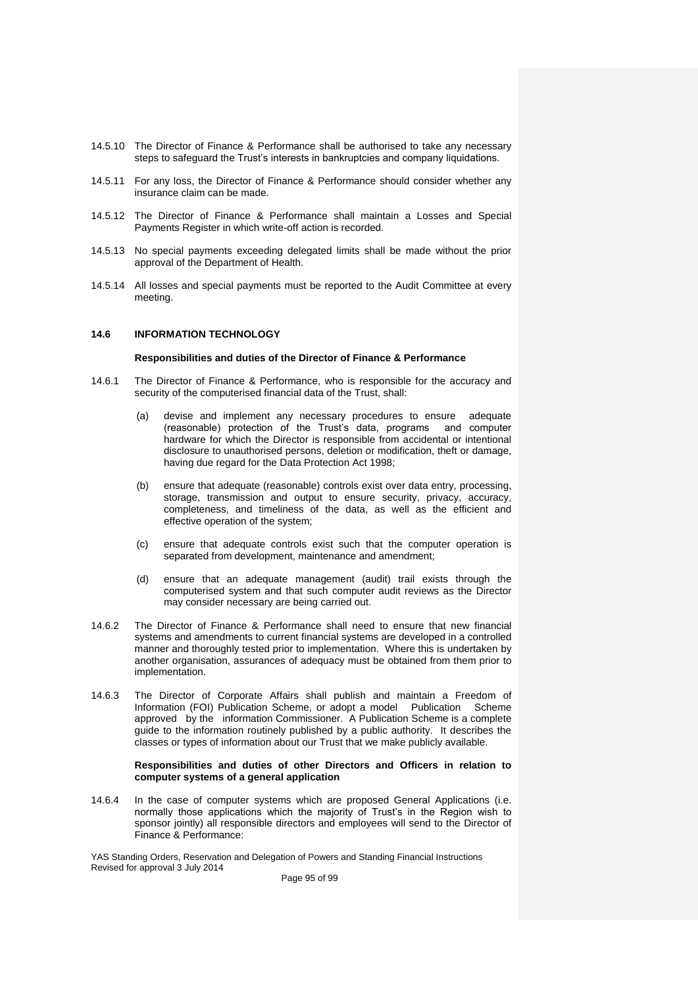- 14.5.10 The Director of Finance & Performance shall be authorised to take any necessary steps to safeguard the Trust's interests in bankruptcies and company liquidations.
- 14.5.11 For any loss, the Director of Finance & Performance should consider whether any insurance claim can be made.
- 14.5.12 The Director of Finance & Performance shall maintain a Losses and Special Payments Register in which write-off action is recorded.
- 14.5.13 No special payments exceeding delegated limits shall be made without the prior approval of the Department of Health.
- 14.5.14 All losses and special payments must be reported to the Audit Committee at every meeting.

# **14.6 INFORMATION TECHNOLOGY**

#### **Responsibilities and duties of the Director of Finance & Performance**

- 14.6.1 The Director of Finance & Performance, who is responsible for the accuracy and security of the computerised financial data of the Trust, shall:
	- (a) devise and implement any necessary procedures to ensure adequate (reasonable) protection of the Trust's data, programs and computer hardware for which the Director is responsible from accidental or intentional disclosure to unauthorised persons, deletion or modification, theft or damage, having due regard for the Data Protection Act 1998;
	- (b) ensure that adequate (reasonable) controls exist over data entry, processing, storage, transmission and output to ensure security, privacy, accuracy, completeness, and timeliness of the data, as well as the efficient and effective operation of the system;
	- (c) ensure that adequate controls exist such that the computer operation is separated from development, maintenance and amendment;
	- (d) ensure that an adequate management (audit) trail exists through the computerised system and that such computer audit reviews as the Director may consider necessary are being carried out.
- 14.6.2 The Director of Finance & Performance shall need to ensure that new financial systems and amendments to current financial systems are developed in a controlled manner and thoroughly tested prior to implementation. Where this is undertaken by another organisation, assurances of adequacy must be obtained from them prior to implementation.
- 14.6.3 The Director of Corporate Affairs shall publish and maintain a Freedom of Information (FOI) Publication Scheme, or adopt a model Publication Scheme approved by the information Commissioner. A Publication Scheme is a complete guide to the information routinely published by a public authority. It describes the classes or types of information about our Trust that we make publicly available.

# **Responsibilities and duties of other Directors and Officers in relation to computer systems of a general application**

14.6.4 In the case of computer systems which are proposed General Applications (i.e. normally those applications which the majority of Trust's in the Region wish to sponsor jointly) all responsible directors and employees will send to the Director of Finance & Performance:

YAS Standing Orders, Reservation and Delegation of Powers and Standing Financial Instructions Revised for approval 3 July 2014

Page 95 of 99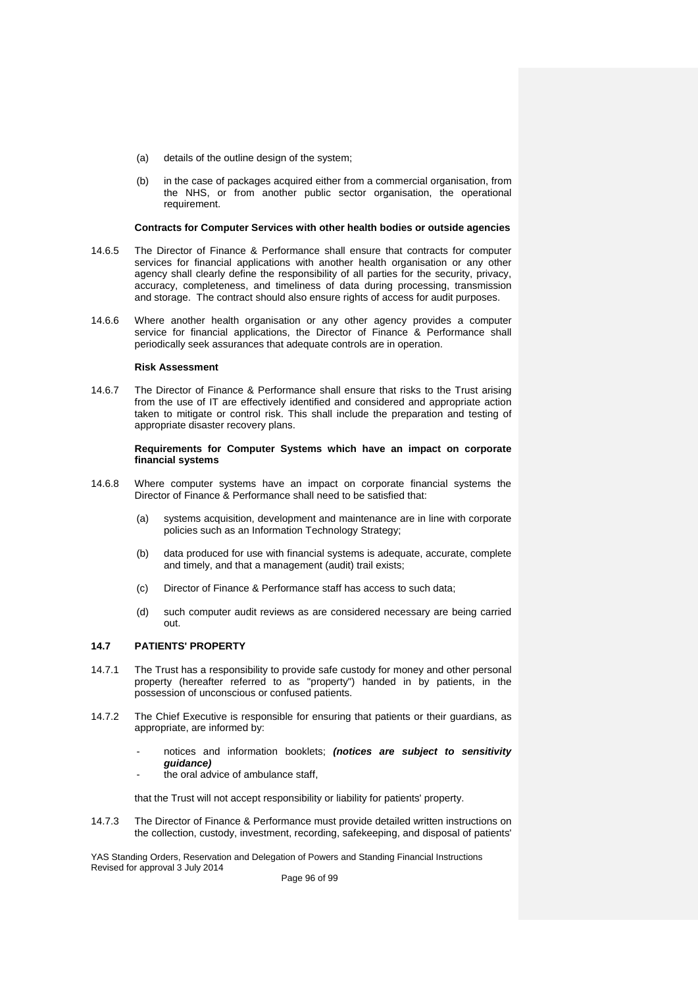- (a) details of the outline design of the system;
- (b) in the case of packages acquired either from a commercial organisation, from the NHS, or from another public sector organisation, the operational requirement.

#### **Contracts for Computer Services with other health bodies or outside agencies**

- 14.6.5 The Director of Finance & Performance shall ensure that contracts for computer services for financial applications with another health organisation or any other agency shall clearly define the responsibility of all parties for the security, privacy, accuracy, completeness, and timeliness of data during processing, transmission and storage. The contract should also ensure rights of access for audit purposes.
- 14.6.6 Where another health organisation or any other agency provides a computer service for financial applications, the Director of Finance & Performance shall periodically seek assurances that adequate controls are in operation.

# **Risk Assessment**

14.6.7 The Director of Finance & Performance shall ensure that risks to the Trust arising from the use of IT are effectively identified and considered and appropriate action taken to mitigate or control risk. This shall include the preparation and testing of appropriate disaster recovery plans.

#### **Requirements for Computer Systems which have an impact on corporate financial systems**

- 14.6.8 Where computer systems have an impact on corporate financial systems the Director of Finance & Performance shall need to be satisfied that:
	- (a) systems acquisition, development and maintenance are in line with corporate policies such as an Information Technology Strategy;
	- (b) data produced for use with financial systems is adequate, accurate, complete and timely, and that a management (audit) trail exists;
	- (c) Director of Finance & Performance staff has access to such data;
	- (d) such computer audit reviews as are considered necessary are being carried out.

# **14.7 PATIENTS' PROPERTY**

- 14.7.1 The Trust has a responsibility to provide safe custody for money and other personal property (hereafter referred to as "property") handed in by patients, in the possession of unconscious or confused patients.
- 14.7.2 The Chief Executive is responsible for ensuring that patients or their guardians, as appropriate, are informed by:
	- notices and information booklets; *(notices are subject to sensitivity guidance)*
	- the oral advice of ambulance staff.

that the Trust will not accept responsibility or liability for patients' property.

14.7.3 The Director of Finance & Performance must provide detailed written instructions on the collection, custody, investment, recording, safekeeping, and disposal of patients'

YAS Standing Orders, Reservation and Delegation of Powers and Standing Financial Instructions Revised for approval 3 July 2014

Page 96 of 99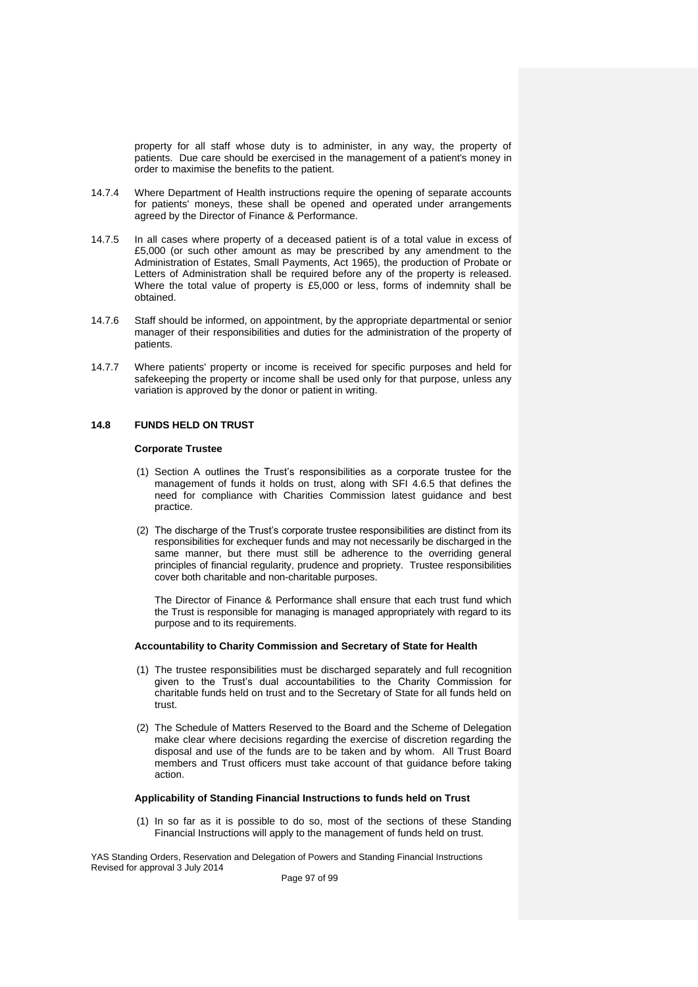property for all staff whose duty is to administer, in any way, the property of patients. Due care should be exercised in the management of a patient's money in order to maximise the benefits to the patient.

- 14.7.4 Where Department of Health instructions require the opening of separate accounts for patients' moneys, these shall be opened and operated under arrangements agreed by the Director of Finance & Performance.
- 14.7.5 In all cases where property of a deceased patient is of a total value in excess of £5,000 (or such other amount as may be prescribed by any amendment to the Administration of Estates, Small Payments, Act 1965), the production of Probate or Letters of Administration shall be required before any of the property is released. Where the total value of property is £5,000 or less, forms of indemnity shall be obtained.
- 14.7.6 Staff should be informed, on appointment, by the appropriate departmental or senior manager of their responsibilities and duties for the administration of the property of patients.
- 14.7.7 Where patients' property or income is received for specific purposes and held for safekeeping the property or income shall be used only for that purpose, unless any variation is approved by the donor or patient in writing.

# **14.8 FUNDS HELD ON TRUST**

# **Corporate Trustee**

- (1) Section A outlines the Trust's responsibilities as a corporate trustee for the management of funds it holds on trust, along with SFI 4.6.5 that defines the need for compliance with Charities Commission latest guidance and best practice.
- (2) The discharge of the Trust's corporate trustee responsibilities are distinct from its responsibilities for exchequer funds and may not necessarily be discharged in the same manner, but there must still be adherence to the overriding general principles of financial regularity, prudence and propriety. Trustee responsibilities cover both charitable and non-charitable purposes.

The Director of Finance & Performance shall ensure that each trust fund which the Trust is responsible for managing is managed appropriately with regard to its purpose and to its requirements.

# **Accountability to Charity Commission and Secretary of State for Health**

- (1) The trustee responsibilities must be discharged separately and full recognition given to the Trust's dual accountabilities to the Charity Commission for charitable funds held on trust and to the Secretary of State for all funds held on trust.
- (2) The Schedule of Matters Reserved to the Board and the Scheme of Delegation make clear where decisions regarding the exercise of discretion regarding the disposal and use of the funds are to be taken and by whom. All Trust Board members and Trust officers must take account of that guidance before taking action.

# **Applicability of Standing Financial Instructions to funds held on Trust**

(1) In so far as it is possible to do so, most of the sections of these Standing Financial Instructions will apply to the management of funds held on trust.

YAS Standing Orders, Reservation and Delegation of Powers and Standing Financial Instructions Revised for approval 3 July 2014

Page 97 of 99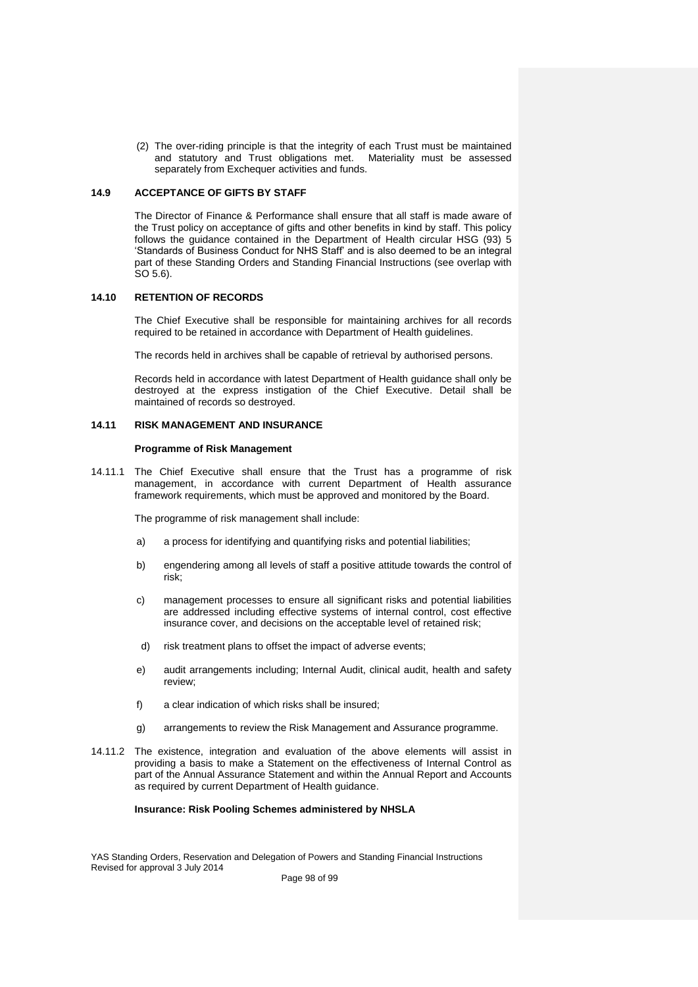(2) The over-riding principle is that the integrity of each Trust must be maintained and statutory and Trust obligations met. Materiality must be assessed separately from Exchequer activities and funds.

# **14.9 ACCEPTANCE OF GIFTS BY STAFF**

The Director of Finance & Performance shall ensure that all staff is made aware of the Trust policy on acceptance of gifts and other benefits in kind by staff. This policy follows the guidance contained in the Department of Health circular HSG (93) 5 'Standards of Business Conduct for NHS Staff' and is also deemed to be an integral part of these Standing Orders and Standing Financial Instructions (see overlap with SO 5.6).

# **14.10 RETENTION OF RECORDS**

The Chief Executive shall be responsible for maintaining archives for all records required to be retained in accordance with Department of Health guidelines.

The records held in archives shall be capable of retrieval by authorised persons.

Records held in accordance with latest Department of Health guidance shall only be destroyed at the express instigation of the Chief Executive. Detail shall be maintained of records so destroyed.

# **14.11 RISK MANAGEMENT AND INSURANCE**

# **Programme of Risk Management**

14.11.1 The Chief Executive shall ensure that the Trust has a programme of risk management, in accordance with current Department of Health assurance framework requirements, which must be approved and monitored by the Board.

The programme of risk management shall include:

- a) a process for identifying and quantifying risks and potential liabilities;
- b) engendering among all levels of staff a positive attitude towards the control of risk;
- c) management processes to ensure all significant risks and potential liabilities are addressed including effective systems of internal control, cost effective insurance cover, and decisions on the acceptable level of retained risk;
- d) risk treatment plans to offset the impact of adverse events;
- e) audit arrangements including; Internal Audit, clinical audit, health and safety review;
- f) a clear indication of which risks shall be insured;
- g) arrangements to review the Risk Management and Assurance programme.
- 14.11.2 The existence, integration and evaluation of the above elements will assist in providing a basis to make a Statement on the effectiveness of Internal Control as part of the Annual Assurance Statement and within the Annual Report and Accounts as required by current Department of Health guidance.

# **Insurance: Risk Pooling Schemes administered by NHSLA**

YAS Standing Orders, Reservation and Delegation of Powers and Standing Financial Instructions Revised for approval 3 July 2014

Page 98 of 99